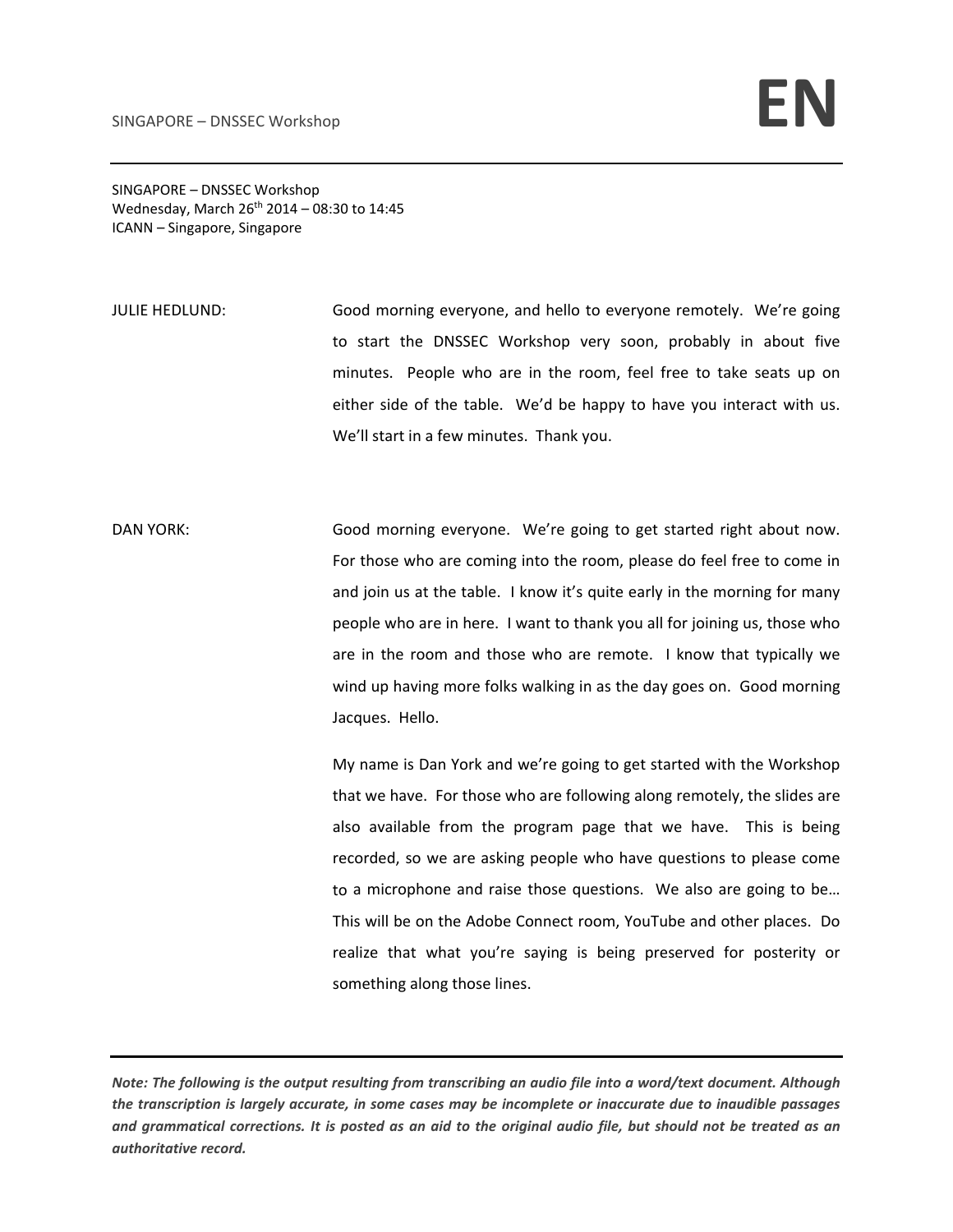SINGAPORE – DNSSEC Workshop Wednesday, March  $26^{th}$  2014 – 08:30 to 14:45 ICANN – Singapore, Singapore

JULIE HEDLUND: Good morning everyone, and hello to everyone remotely. We're going to start the DNSSEC Workshop very soon, probably in about five minutes. People who are in the room, feel free to take seats up on either side of the table. We'd be happy to have you interact with us. We'll start in a few minutes. Thank you.

DAN YORK: Good morning everyone. We're going to get started right about now. For those who are coming into the room, please do feel free to come in and join us at the table. I know it's quite early in the morning for many people who are in here. I want to thank you all for joining us, those who are in the room and those who are remote. I know that typically we wind up having more folks walking in as the day goes on. Good morning Jacques. Hello.

> My name is Dan York and we're going to get started with the Workshop that we have. For those who are following along remotely, the slides are also available from the program page that we have. This is being recorded, so we are asking people who have questions to please come to a microphone and raise those questions. We also are going to be… This will be on the Adobe Connect room, YouTube and other places. Do realize that what you're saying is being preserved for posterity or something along those lines.

Note: The following is the output resulting from transcribing an audio file into a word/text document. Although the transcription is largely accurate, in some cases may be incomplete or inaccurate due to inaudible passages and grammatical corrections. It is posted as an aid to the original audio file, but should not be treated as an *authoritative record.*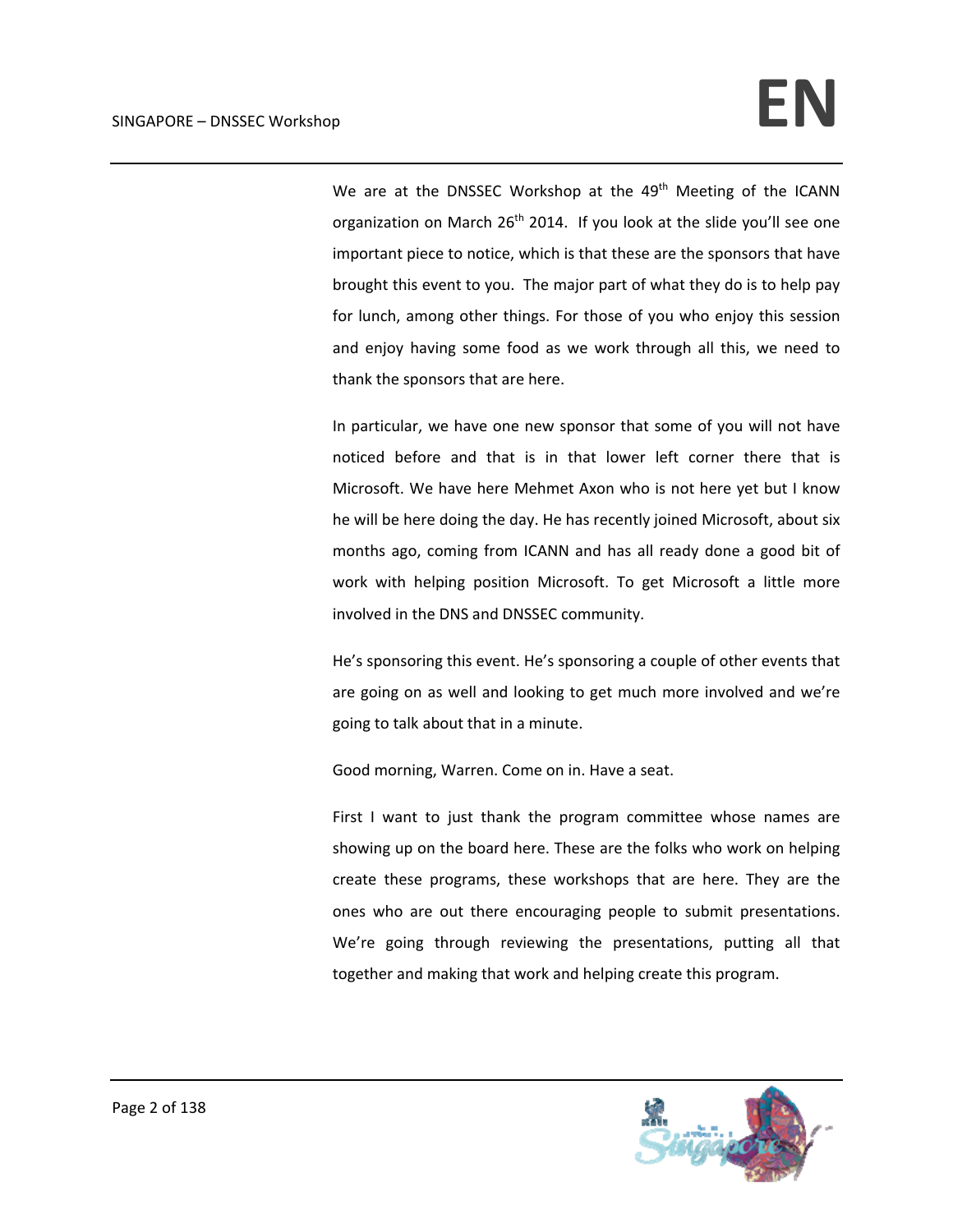We are at the DNSSEC Workshop at the 49<sup>th</sup> Meeting of the ICANN organization on March  $26<sup>th</sup>$  2014. If you look at the slide you'll see one important piece to notice, which is that these are the sponsors that have brought this event to you. The major part of what they do is to help pay for lunch, among other things. For those of you who enjoy this session and enjoy having some food as we work through all this, we need to thank the sponsors that are here.

In particular, we have one new sponsor that some of you will not have noticed before and that is in that lower left corner there that is Microsoft. We have here Mehmet Axon who is not here yet but I know he will be here doing the day. He has recently joined Microsoft, about six months ago, coming from ICANN and has all ready done a good bit of work with helping position Microsoft. To get Microsoft a little more involved in the DNS and DNSSEC community.

He's sponsoring this event. He's sponsoring a couple of other events that are going on as well and looking to get much more involved and we're going to talk about that in a minute.

Good morning, Warren. Come on in. Have a seat.

First I want to just thank the program committee whose names are showing up on the board here. These are the folks who work on helping create these programs, these workshops that are here. They are the ones who are out there encouraging people to submit presentations. We're going through reviewing the presentations, putting all that together and making that work and helping create this program.

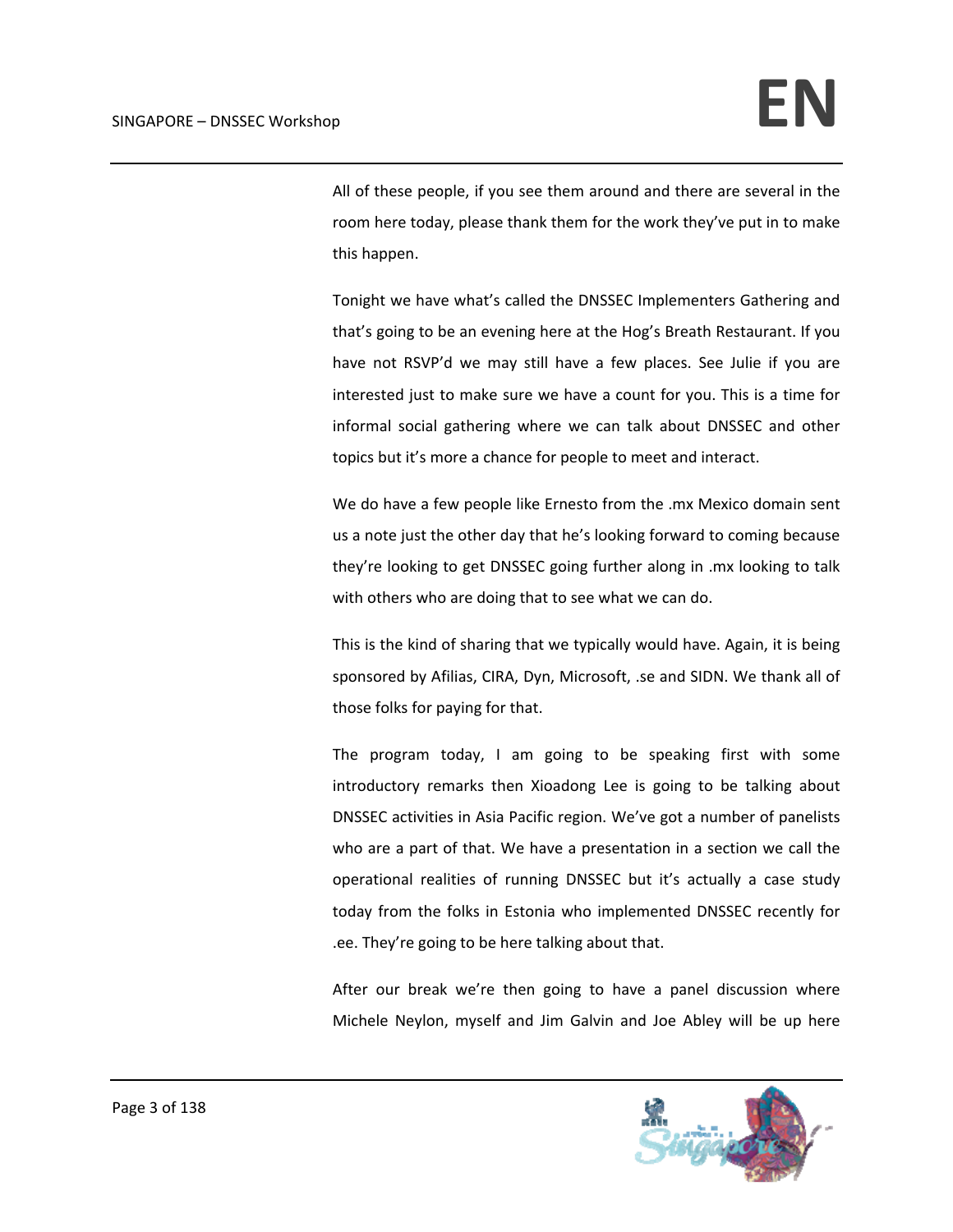All of these people, if you see them around and there are several in the room here today, please thank them for the work they've put in to make this happen.

Tonight we have what's called the DNSSEC Implementers Gathering and that's going to be an evening here at the Hog's Breath Restaurant. If you have not RSVP'd we may still have a few places. See Julie if you are interested just to make sure we have a count for you. This is a time for informal social gathering where we can talk about DNSSEC and other topics but it's more a chance for people to meet and interact.

We do have a few people like Ernesto from the .mx Mexico domain sent us a note just the other day that he's looking forward to coming because they're looking to get DNSSEC going further along in .mx looking to talk with others who are doing that to see what we can do.

This is the kind of sharing that we typically would have. Again, it is being sponsored by Afilias, CIRA, Dyn, Microsoft, .se and SIDN. We thank all of those folks for paying for that.

The program today, I am going to be speaking first with some introductory remarks then Xioadong Lee is going to be talking about DNSSEC activities in Asia Pacific region. We've got a number of panelists who are a part of that. We have a presentation in a section we call the operational realities of running DNSSEC but it's actually a case study today from the folks in Estonia who implemented DNSSEC recently for .ee. They're going to be here talking about that.

After our break we're then going to have a panel discussion where Michele Neylon, myself and Jim Galvin and Joe Abley will be up here

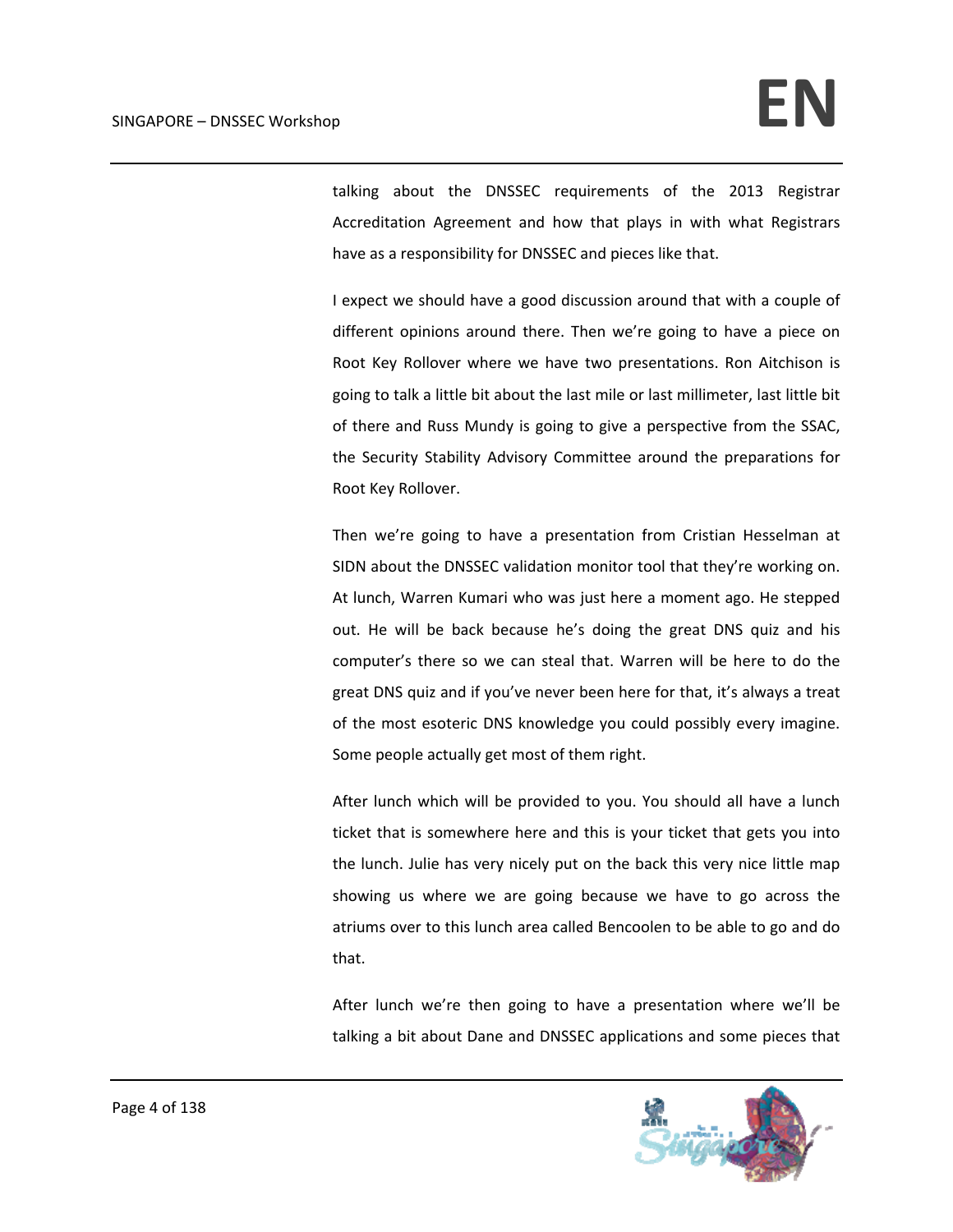talking about the DNSSEC requirements of the 2013 Registrar Accreditation Agreement and how that plays in with what Registrars have as a responsibility for DNSSEC and pieces like that.

I expect we should have a good discussion around that with a couple of different opinions around there. Then we're going to have a piece on Root Key Rollover where we have two presentations. Ron Aitchison is going to talk a little bit about the last mile or last millimeter, last little bit of there and Russ Mundy is going to give a perspective from the SSAC, the Security Stability Advisory Committee around the preparations for Root Key Rollover.

Then we're going to have a presentation from Cristian Hesselman at SIDN about the DNSSEC validation monitor tool that they're working on. At lunch, Warren Kumari who was just here a moment ago. He stepped out. He will be back because he's doing the great DNS quiz and his computer's there so we can steal that. Warren will be here to do the great DNS quiz and if you've never been here for that, it's always a treat of the most esoteric DNS knowledge you could possibly every imagine. Some people actually get most of them right.

After lunch which will be provided to you. You should all have a lunch ticket that is somewhere here and this is your ticket that gets you into the lunch. Julie has very nicely put on the back this very nice little map showing us where we are going because we have to go across the atriums over to this lunch area called Bencoolen to be able to go and do that.

After lunch we're then going to have a presentation where we'll be talking a bit about Dane and DNSSEC applications and some pieces that

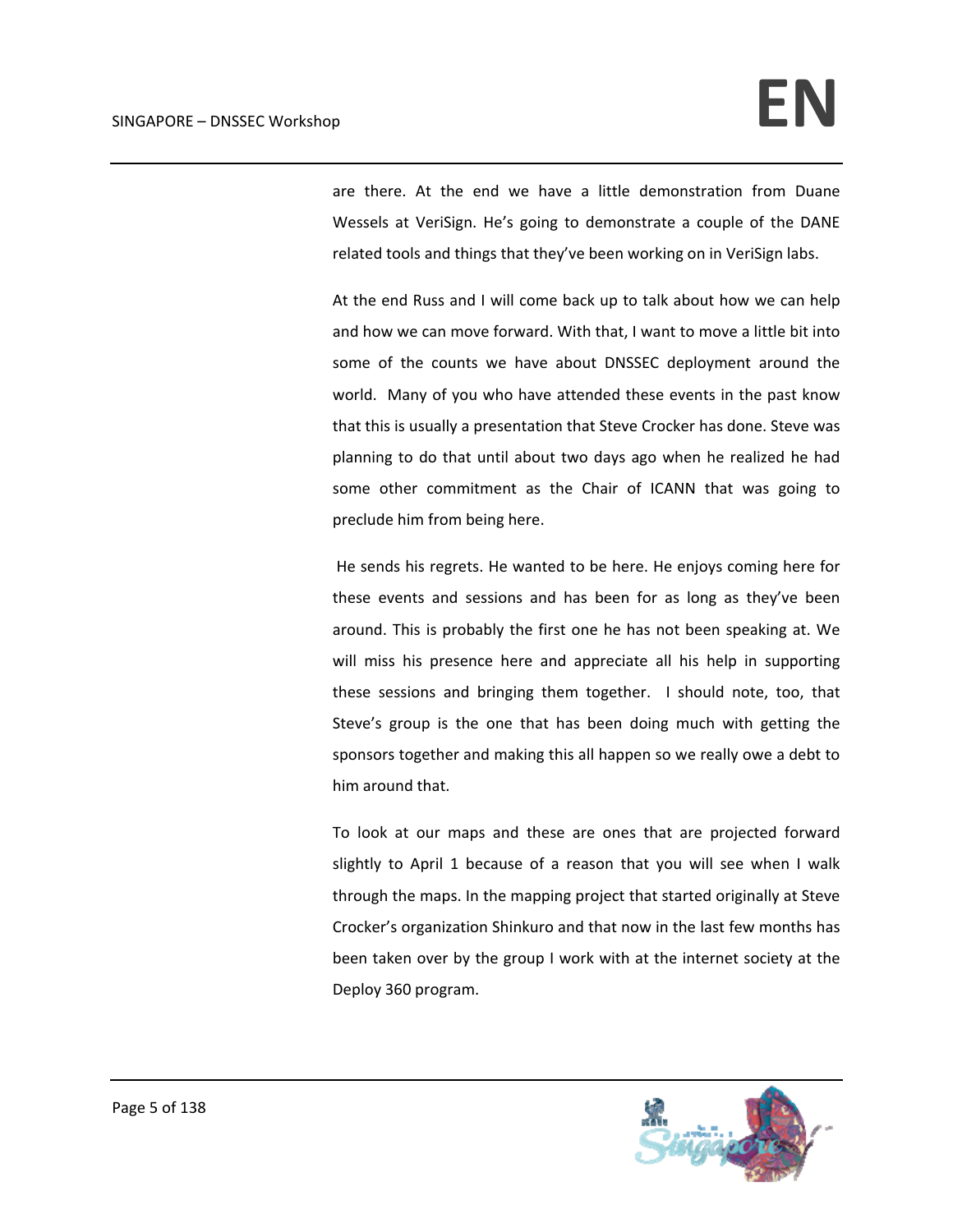are there. At the end we have a little demonstration from Duane Wessels at VeriSign. He's going to demonstrate a couple of the DANE related tools and things that they've been working on in VeriSign labs.

At the end Russ and I will come back up to talk about how we can help and how we can move forward. With that, I want to move a little bit into some of the counts we have about DNSSEC deployment around the world. Many of you who have attended these events in the past know that this is usually a presentation that Steve Crocker has done. Steve was planning to do that until about two days ago when he realized he had some other commitment as the Chair of ICANN that was going to preclude him from being here.

 He sends his regrets. He wanted to be here. He enjoys coming here for these events and sessions and has been for as long as they've been around. This is probably the first one he has not been speaking at. We will miss his presence here and appreciate all his help in supporting these sessions and bringing them together. I should note, too, that Steve's group is the one that has been doing much with getting the sponsors together and making this all happen so we really owe a debt to him around that.

To look at our maps and these are ones that are projected forward slightly to April 1 because of a reason that you will see when I walk through the maps. In the mapping project that started originally at Steve Crocker's organization Shinkuro and that now in the last few months has been taken over by the group I work with at the internet society at the Deploy 360 program.

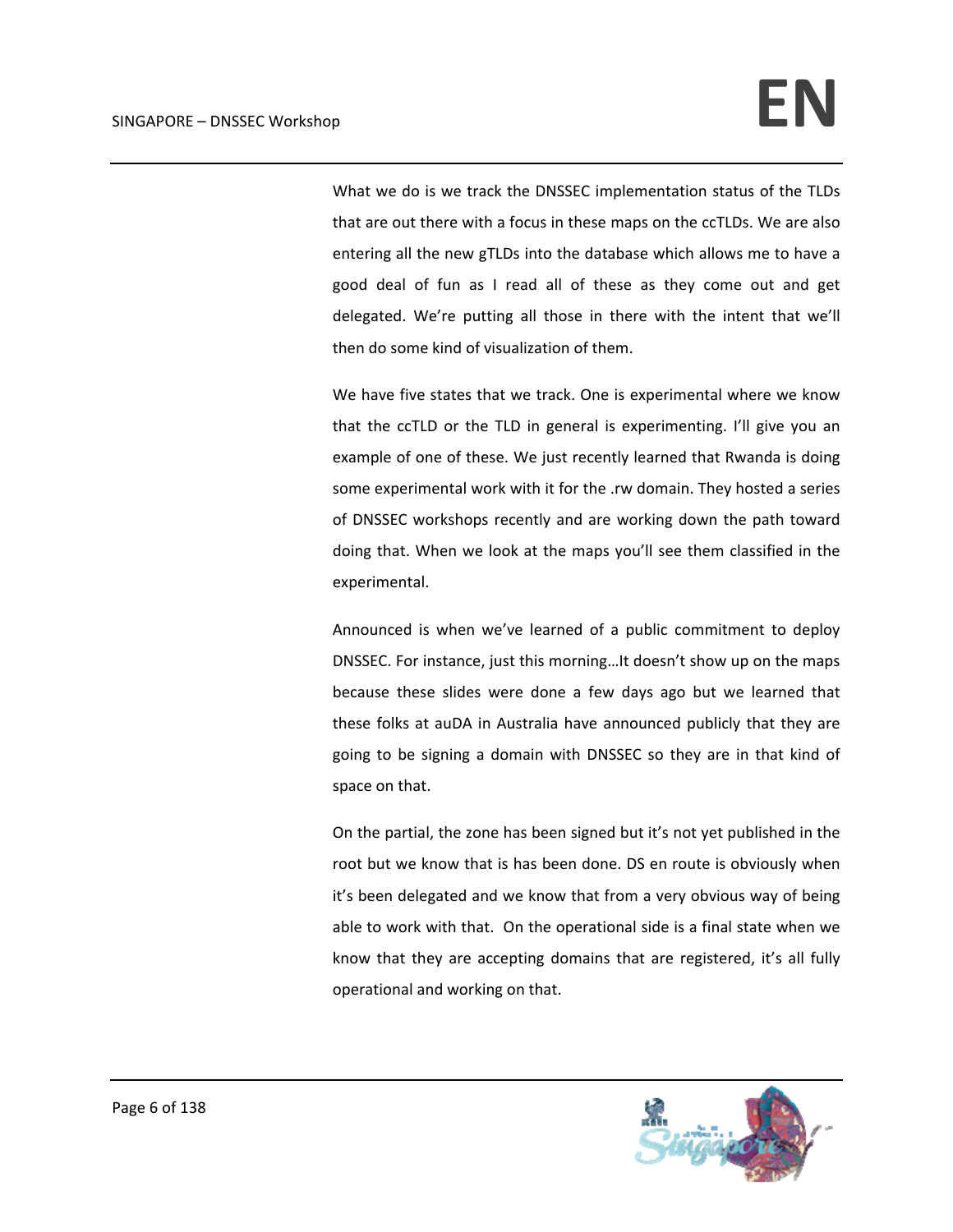What we do is we track the DNSSEC implementation status of the TLDs that are out there with a focus in these maps on the ccTLDs. We are also entering all the new gTLDs into the database which allows me to have a good deal of fun as I read all of these as they come out and get delegated. We're putting all those in there with the intent that we'll then do some kind of visualization of them.

We have five states that we track. One is experimental where we know that the ccTLD or the TLD in general is experimenting. I'll give you an example of one of these. We just recently learned that Rwanda is doing some experimental work with it for the .rw domain. They hosted a series of DNSSEC workshops recently and are working down the path toward doing that. When we look at the maps you'll see them classified in the experimental.

Announced is when we've learned of a public commitment to deploy DNSSEC. For instance, just this morning…It doesn't show up on the maps because these slides were done a few days ago but we learned that these folks at auDA in Australia have announced publicly that they are going to be signing a domain with DNSSEC so they are in that kind of space on that.

On the partial, the zone has been signed but it's not yet published in the root but we know that is has been done. DS en route is obviously when it's been delegated and we know that from a very obvious way of being able to work with that. On the operational side is a final state when we know that they are accepting domains that are registered, it's all fully operational and working on that.

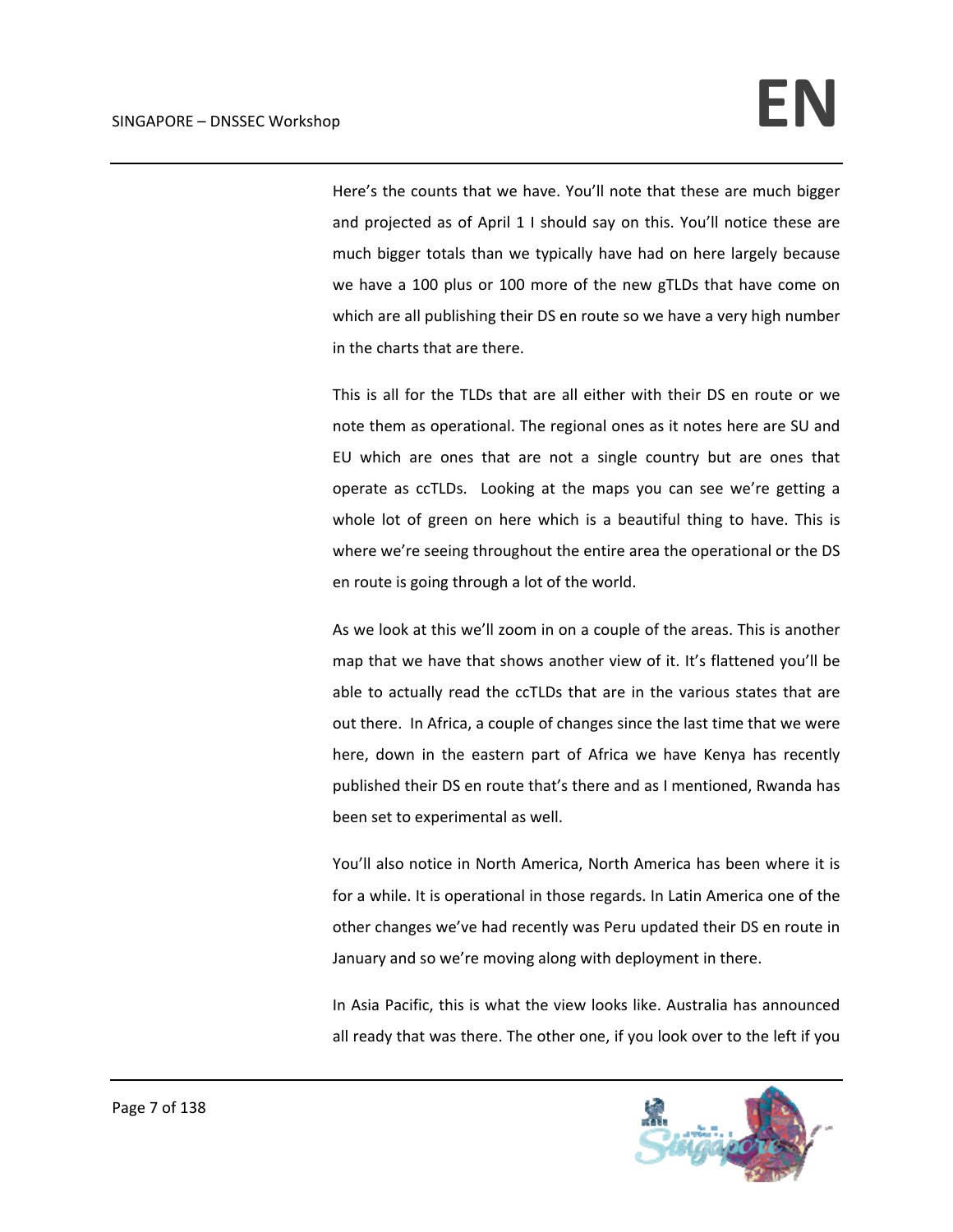Here's the counts that we have. You'll note that these are much bigger and projected as of April 1 I should say on this. You'll notice these are much bigger totals than we typically have had on here largely because we have a 100 plus or 100 more of the new gTLDs that have come on which are all publishing their DS en route so we have a very high number in the charts that are there.

This is all for the TLDs that are all either with their DS en route or we note them as operational. The regional ones as it notes here are SU and EU which are ones that are not a single country but are ones that operate as ccTLDs. Looking at the maps you can see we're getting a whole lot of green on here which is a beautiful thing to have. This is where we're seeing throughout the entire area the operational or the DS en route is going through a lot of the world.

As we look at this we'll zoom in on a couple of the areas. This is another map that we have that shows another view of it. It's flattened you'll be able to actually read the ccTLDs that are in the various states that are out there. In Africa, a couple of changes since the last time that we were here, down in the eastern part of Africa we have Kenya has recently published their DS en route that's there and as I mentioned, Rwanda has been set to experimental as well.

You'll also notice in North America, North America has been where it is for a while. It is operational in those regards. In Latin America one of the other changes we've had recently was Peru updated their DS en route in January and so we're moving along with deployment in there.

In Asia Pacific, this is what the view looks like. Australia has announced all ready that was there. The other one, if you look over to the left if you

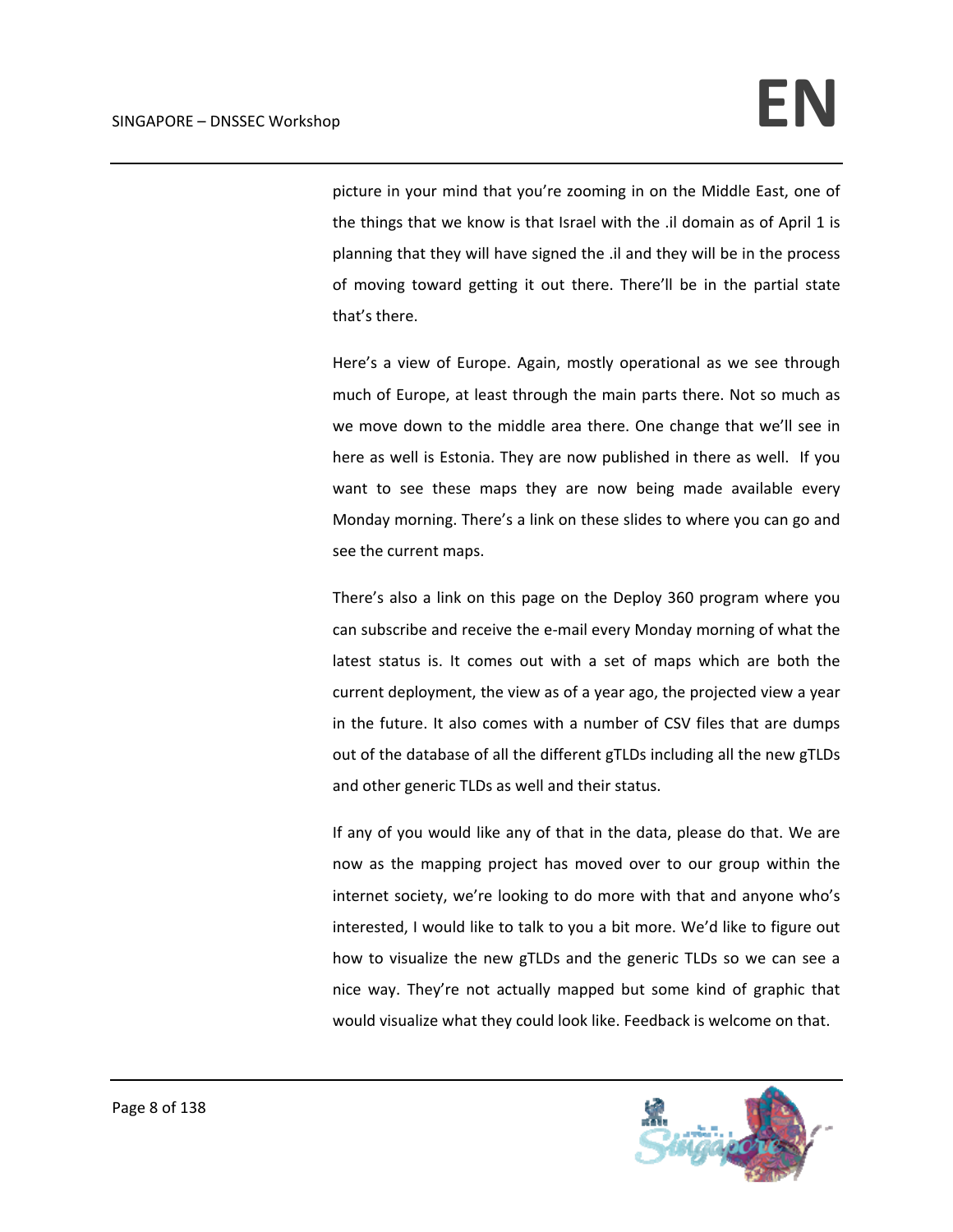picture in your mind that you're zooming in on the Middle East, one of the things that we know is that Israel with the .il domain as of April 1 is planning that they will have signed the .il and they will be in the process of moving toward getting it out there. There'll be in the partial state that's there.

Here's a view of Europe. Again, mostly operational as we see through much of Europe, at least through the main parts there. Not so much as we move down to the middle area there. One change that we'll see in here as well is Estonia. They are now published in there as well. If you want to see these maps they are now being made available every Monday morning. There's a link on these slides to where you can go and see the current maps.

There's also a link on this page on the Deploy 360 program where you can subscribe and receive the e‐mail every Monday morning of what the latest status is. It comes out with a set of maps which are both the current deployment, the view as of a year ago, the projected view a year in the future. It also comes with a number of CSV files that are dumps out of the database of all the different gTLDs including all the new gTLDs and other generic TLDs as well and their status.

If any of you would like any of that in the data, please do that. We are now as the mapping project has moved over to our group within the internet society, we're looking to do more with that and anyone who's interested, I would like to talk to you a bit more. We'd like to figure out how to visualize the new gTLDs and the generic TLDs so we can see a nice way. They're not actually mapped but some kind of graphic that would visualize what they could look like. Feedback is welcome on that.

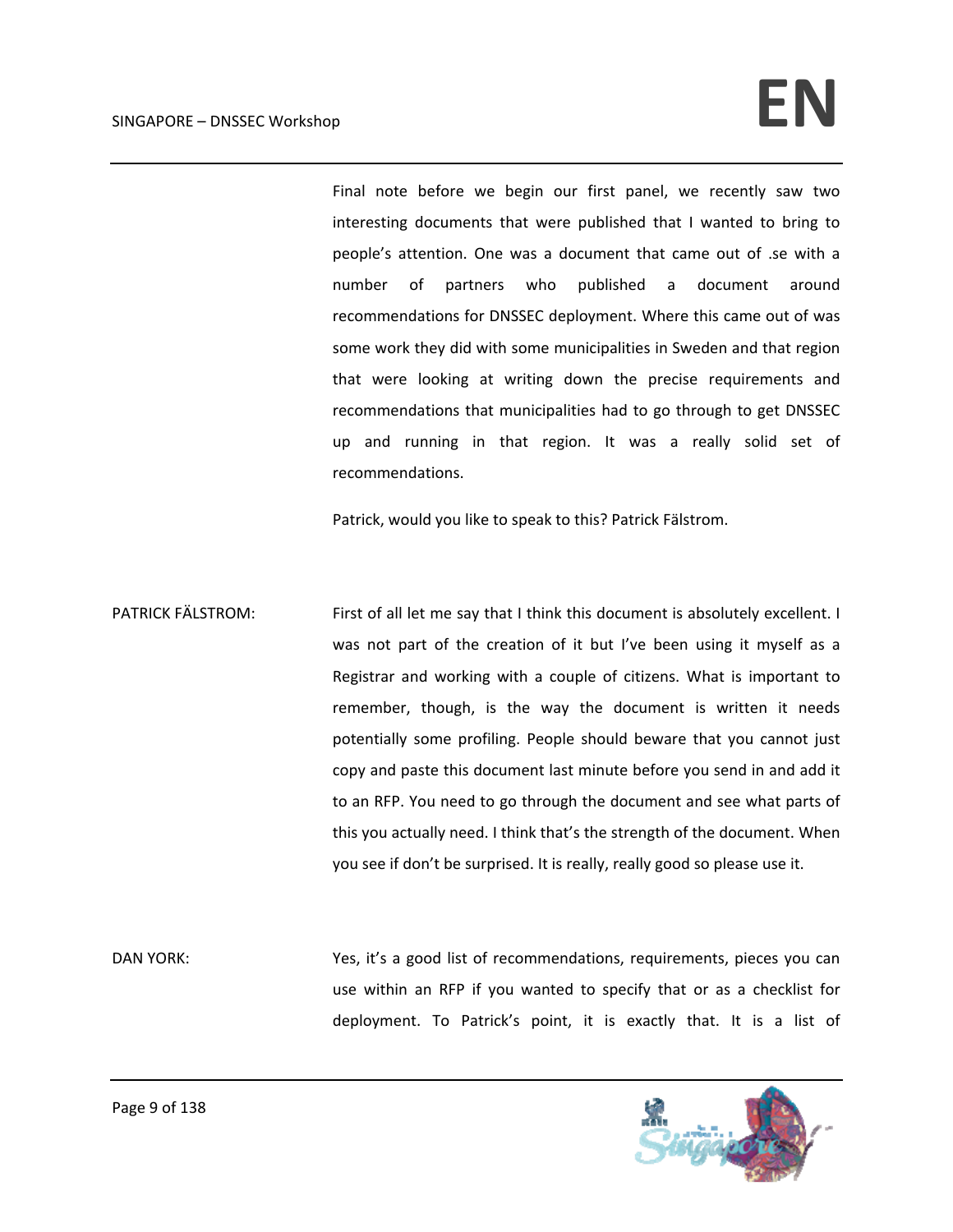## $SINGAPORE - DNSSEC. Workshop$

Final note before we begin our first panel, we recently saw two interesting documents that were published that I wanted to bring to people's attention. One was a document that came out of .se with a number of partners who published a document around recommendations for DNSSEC deployment. Where this came out of was some work they did with some municipalities in Sweden and that region that were looking at writing down the precise requirements and recommendations that municipalities had to go through to get DNSSEC up and running in that region. It was a really solid set of recommendations.

Patrick, would you like to speak to this? Patrick Fälstrom.

PATRICK FÄLSTROM: First of all let me say that I think this document is absolutely excellent. I was not part of the creation of it but I've been using it myself as a Registrar and working with a couple of citizens. What is important to remember, though, is the way the document is written it needs potentially some profiling. People should beware that you cannot just copy and paste this document last minute before you send in and add it to an RFP. You need to go through the document and see what parts of this you actually need. I think that's the strength of the document. When you see if don't be surprised. It is really, really good so please use it.

DAN YORK: Yes, it's a good list of recommendations, requirements, pieces you can use within an RFP if you wanted to specify that or as a checklist for deployment. To Patrick's point, it is exactly that. It is a list of

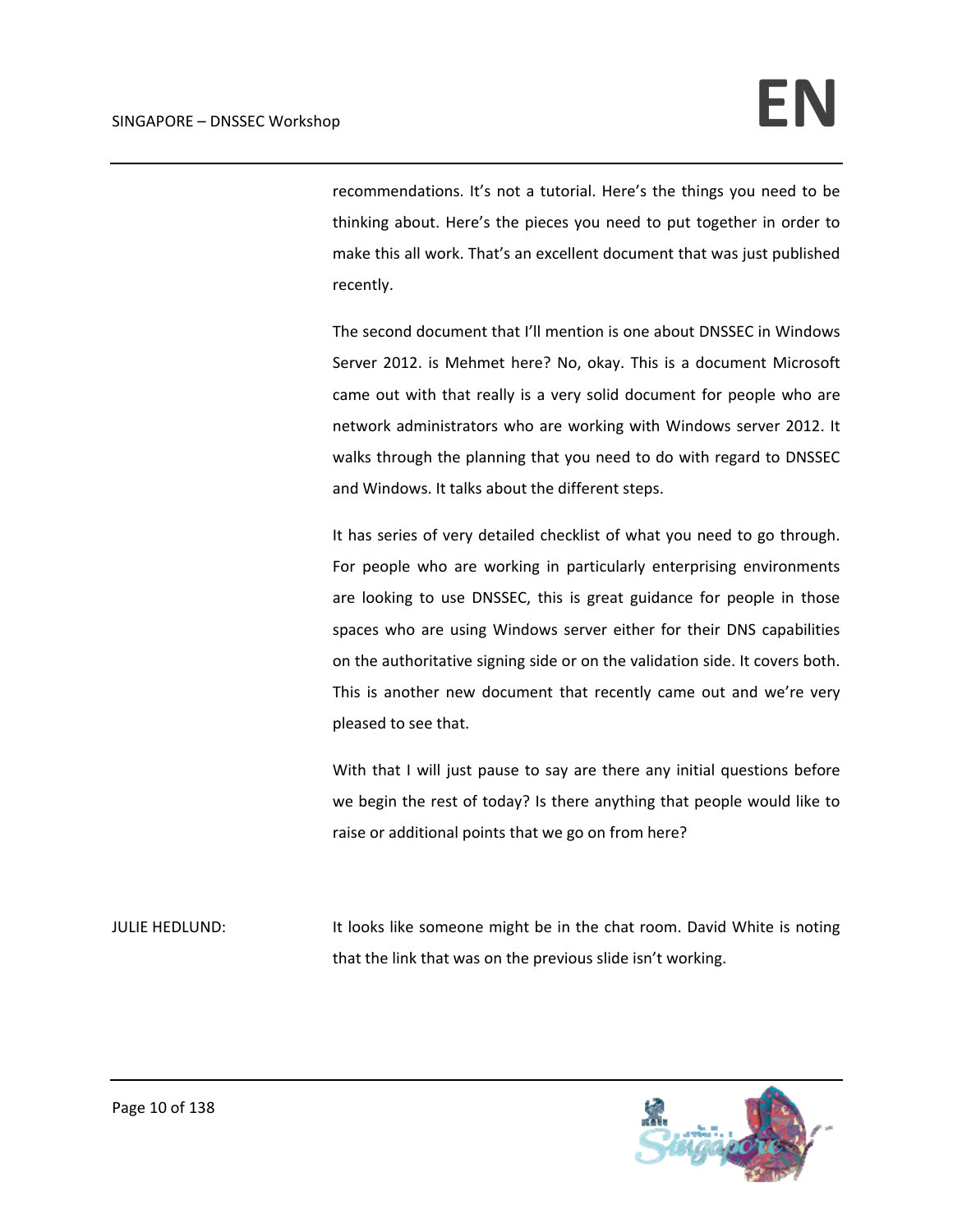recommendations. It's not a tutorial. Here's the things you need to be thinking about. Here's the pieces you need to put together in order to make this all work. That's an excellent document that was just published recently.

The second document that I'll mention is one about DNSSEC in Windows Server 2012. is Mehmet here? No, okay. This is a document Microsoft came out with that really is a very solid document for people who are network administrators who are working with Windows server 2012. It walks through the planning that you need to do with regard to DNSSEC and Windows. It talks about the different steps.

It has series of very detailed checklist of what you need to go through. For people who are working in particularly enterprising environments are looking to use DNSSEC, this is great guidance for people in those spaces who are using Windows server either for their DNS capabilities on the authoritative signing side or on the validation side. It covers both. This is another new document that recently came out and we're very pleased to see that.

With that I will just pause to say are there any initial questions before we begin the rest of today? Is there anything that people would like to raise or additional points that we go on from here?

JULIE HEDLUND: It looks like someone might be in the chat room. David White is noting that the link that was on the previous slide isn't working.

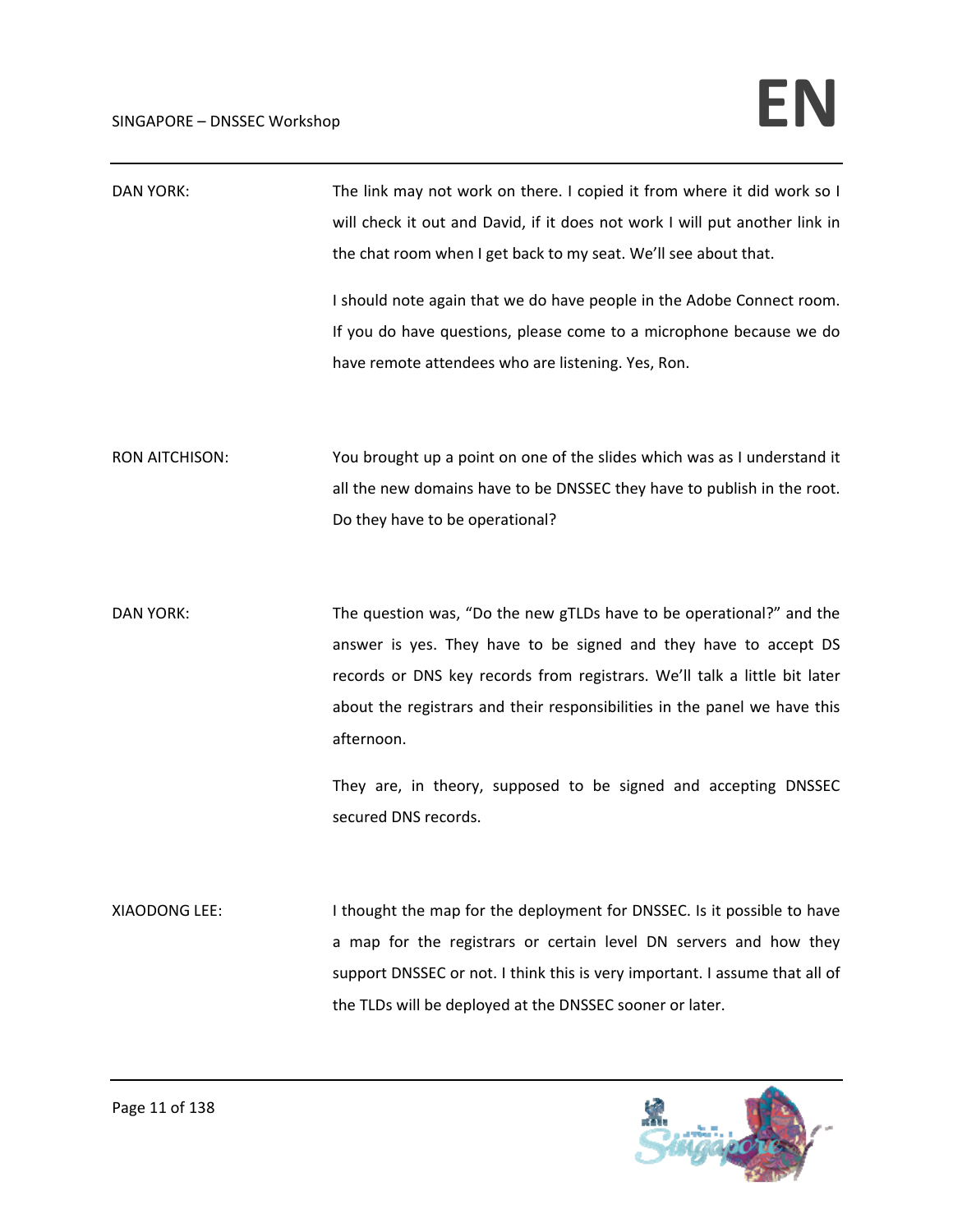| <b>DAN YORK:</b>      | The link may not work on there. I copied it from where it did work so I<br>will check it out and David, if it does not work I will put another link in<br>the chat room when I get back to my seat. We'll see about that.<br>I should note again that we do have people in the Adobe Connect room.<br>If you do have questions, please come to a microphone because we do<br>have remote attendees who are listening. Yes, Ron. |
|-----------------------|---------------------------------------------------------------------------------------------------------------------------------------------------------------------------------------------------------------------------------------------------------------------------------------------------------------------------------------------------------------------------------------------------------------------------------|
| <b>RON AITCHISON:</b> | You brought up a point on one of the slides which was as I understand it<br>all the new domains have to be DNSSEC they have to publish in the root.<br>Do they have to be operational?                                                                                                                                                                                                                                          |
| <b>DAN YORK:</b>      | The question was, "Do the new gTLDs have to be operational?" and the<br>answer is yes. They have to be signed and they have to accept DS<br>records or DNS key records from registrars. We'll talk a little bit later<br>about the registrars and their responsibilities in the panel we have this<br>afternoon.<br>They are, in theory, supposed to be signed and accepting DNSSEC<br>secured DNS records.                     |
| XIAODONG LEE:         | I thought the map for the deployment for DNSSEC. Is it possible to have<br>a map for the registrars or certain level DN servers and how they<br>support DNSSEC or not. I think this is very important. I assume that all of<br>the TLDs will be deployed at the DNSSEC sooner or later.                                                                                                                                         |

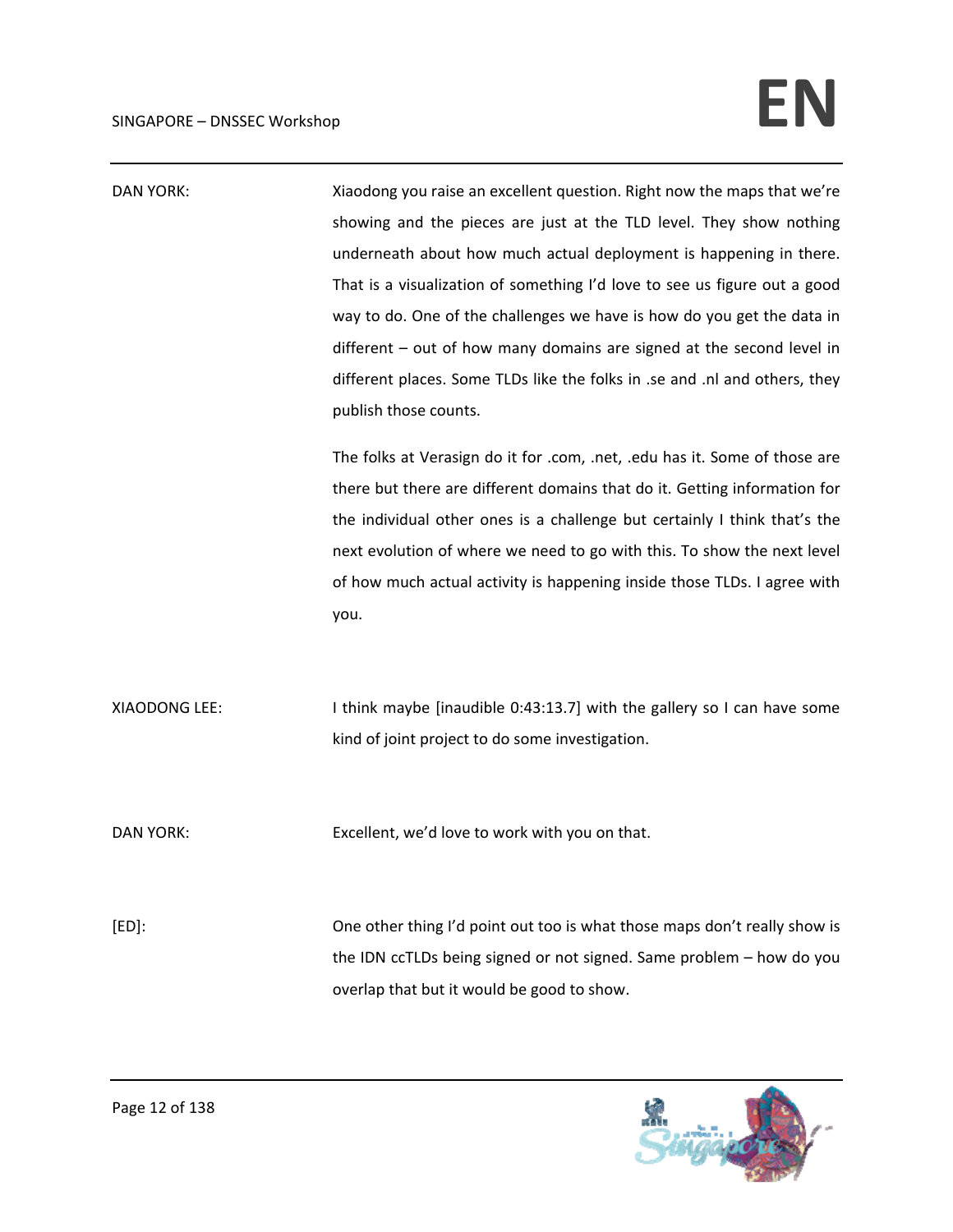| <b>DAN YORK:</b> | Xiaodong you raise an excellent question. Right now the maps that we're<br>showing and the pieces are just at the TLD level. They show nothing<br>underneath about how much actual deployment is happening in there.<br>That is a visualization of something I'd love to see us figure out a good<br>way to do. One of the challenges we have is how do you get the data in<br>$d$ ifferent $-$ out of how many domains are signed at the second level in<br>different places. Some TLDs like the folks in .se and .nl and others, they<br>publish those counts. |
|------------------|------------------------------------------------------------------------------------------------------------------------------------------------------------------------------------------------------------------------------------------------------------------------------------------------------------------------------------------------------------------------------------------------------------------------------------------------------------------------------------------------------------------------------------------------------------------|
|                  | The folks at Verasign do it for .com, .net, .edu has it. Some of those are<br>there but there are different domains that do it. Getting information for<br>the individual other ones is a challenge but certainly I think that's the<br>next evolution of where we need to go with this. To show the next level<br>of how much actual activity is happening inside those TLDs. I agree with<br>you.                                                                                                                                                              |
| XIAODONG LEE:    | I think maybe [inaudible 0:43:13.7] with the gallery so I can have some<br>kind of joint project to do some investigation.                                                                                                                                                                                                                                                                                                                                                                                                                                       |
| <b>DAN YORK:</b> | Excellent, we'd love to work with you on that.                                                                                                                                                                                                                                                                                                                                                                                                                                                                                                                   |
| $[ED]$ :         | One other thing I'd point out too is what those maps don't really show is<br>the IDN ccTLDs being signed or not signed. Same problem - how do you<br>overlap that but it would be good to show.                                                                                                                                                                                                                                                                                                                                                                  |

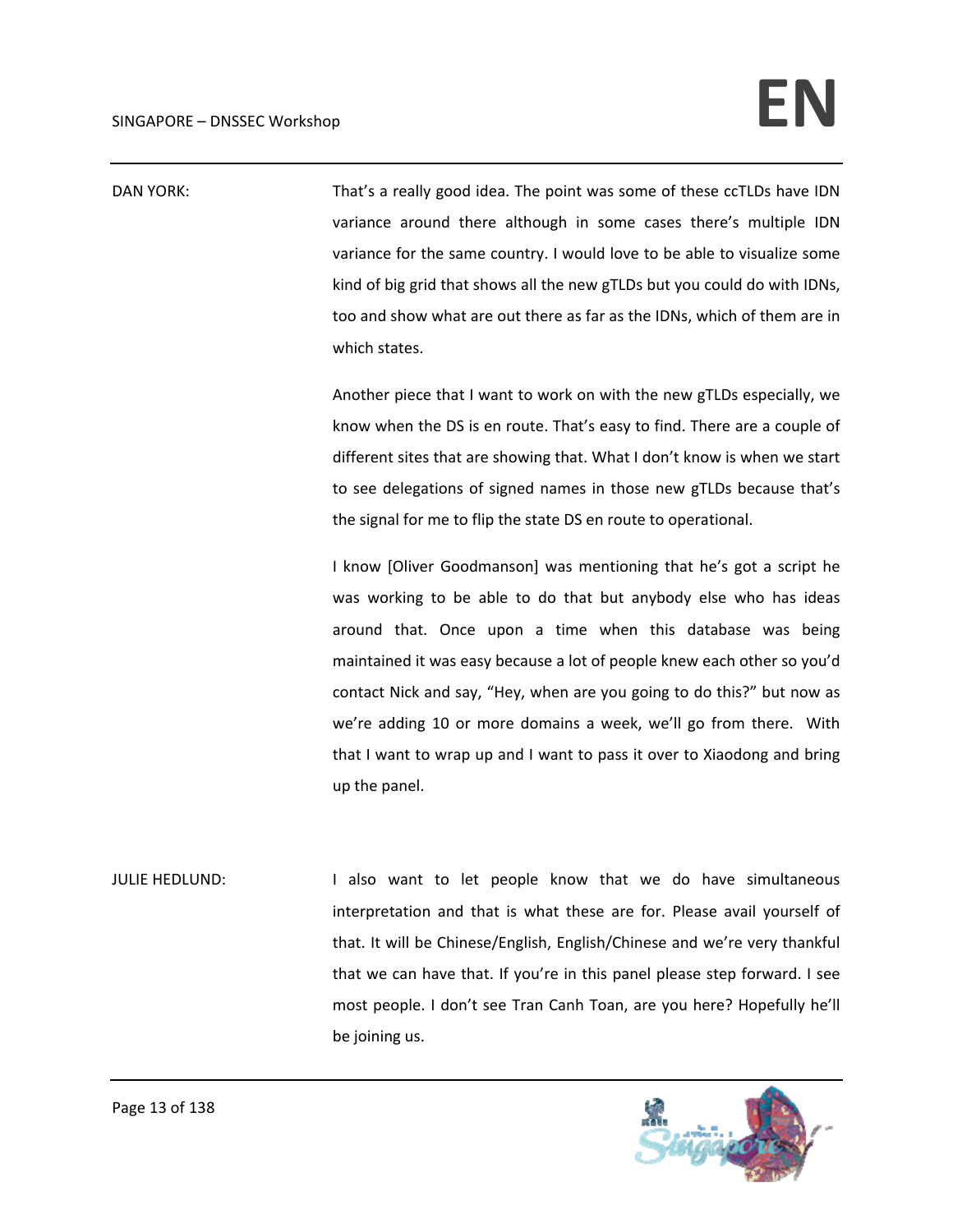DAN YORK: That's a really good idea. The point was some of these ccTLDs have IDN variance around there although in some cases there's multiple IDN variance for the same country. I would love to be able to visualize some kind of big grid that shows all the new gTLDs but you could do with IDNs, too and show what are out there as far as the IDNs, which of them are in which states.

> Another piece that I want to work on with the new gTLDs especially, we know when the DS is en route. That's easy to find. There are a couple of different sites that are showing that. What I don't know is when we start to see delegations of signed names in those new gTLDs because that's the signal for me to flip the state DS en route to operational.

> I know [Oliver Goodmanson] was mentioning that he's got a script he was working to be able to do that but anybody else who has ideas around that. Once upon a time when this database was being maintained it was easy because a lot of people knew each other so you'd contact Nick and say, "Hey, when are you going to do this?" but now as we're adding 10 or more domains a week, we'll go from there. With that I want to wrap up and I want to pass it over to Xiaodong and bring up the panel.

JULIE HEDLUND: I also want to let people know that we do have simultaneous interpretation and that is what these are for. Please avail yourself of that. It will be Chinese/English, English/Chinese and we're very thankful that we can have that. If you're in this panel please step forward. I see most people. I don't see Tran Canh Toan, are you here? Hopefully he'll be joining us.



Page 13 of 138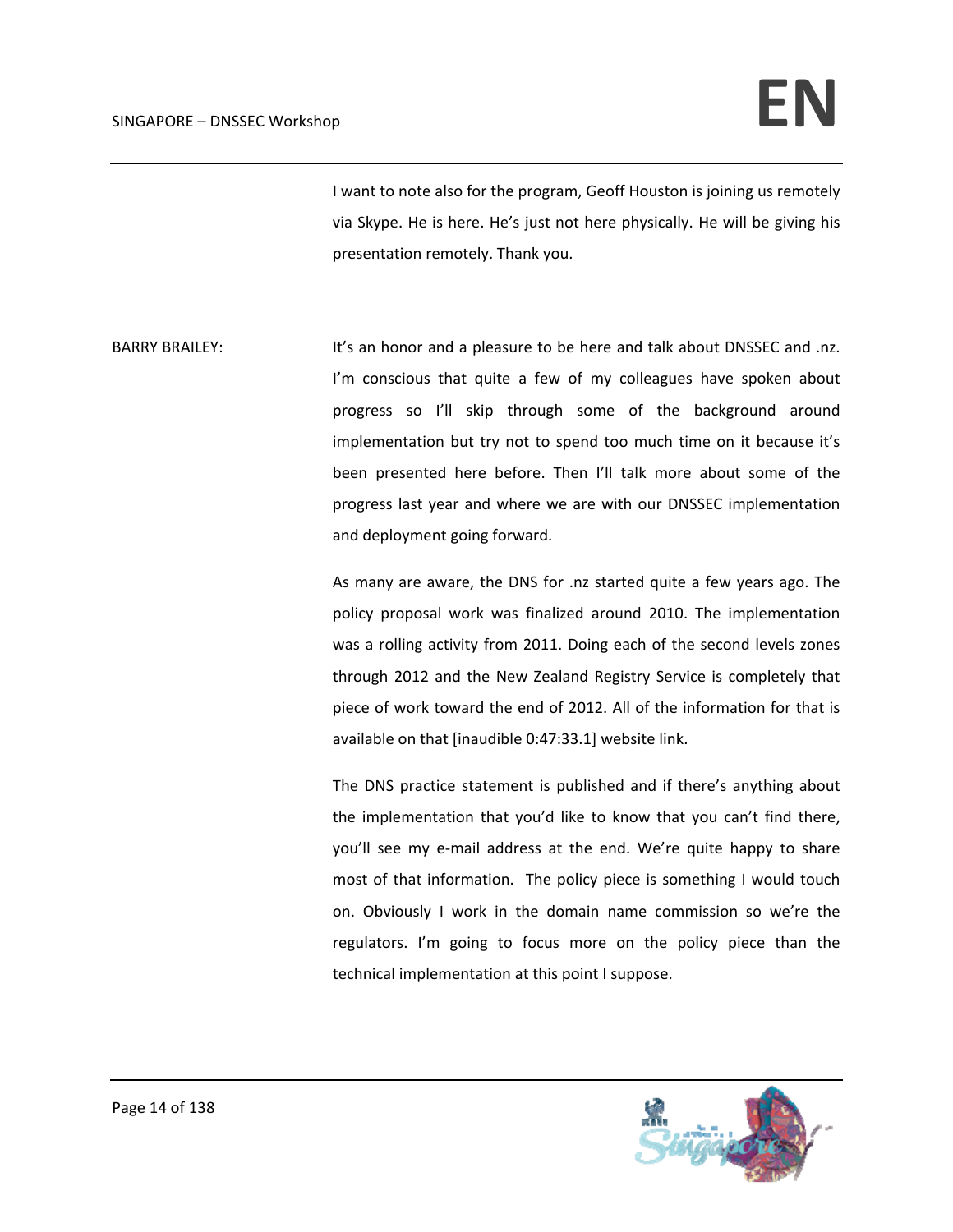I want to note also for the program, Geoff Houston is joining us remotely via Skype. He is here. He's just not here physically. He will be giving his presentation remotely. Thank you.

BARRY BRAILEY: It's an honor and a pleasure to be here and talk about DNSSEC and .nz. I'm conscious that quite a few of my colleagues have spoken about progress so I'll skip through some of the background around implementation but try not to spend too much time on it because it's been presented here before. Then I'll talk more about some of the progress last year and where we are with our DNSSEC implementation and deployment going forward.

> As many are aware, the DNS for .nz started quite a few years ago. The policy proposal work was finalized around 2010. The implementation was a rolling activity from 2011. Doing each of the second levels zones through 2012 and the New Zealand Registry Service is completely that piece of work toward the end of 2012. All of the information for that is available on that [inaudible 0:47:33.1] website link.

> The DNS practice statement is published and if there's anything about the implementation that you'd like to know that you can't find there, you'll see my e‐mail address at the end. We're quite happy to share most of that information. The policy piece is something I would touch on. Obviously I work in the domain name commission so we're the regulators. I'm going to focus more on the policy piece than the technical implementation at this point I suppose.

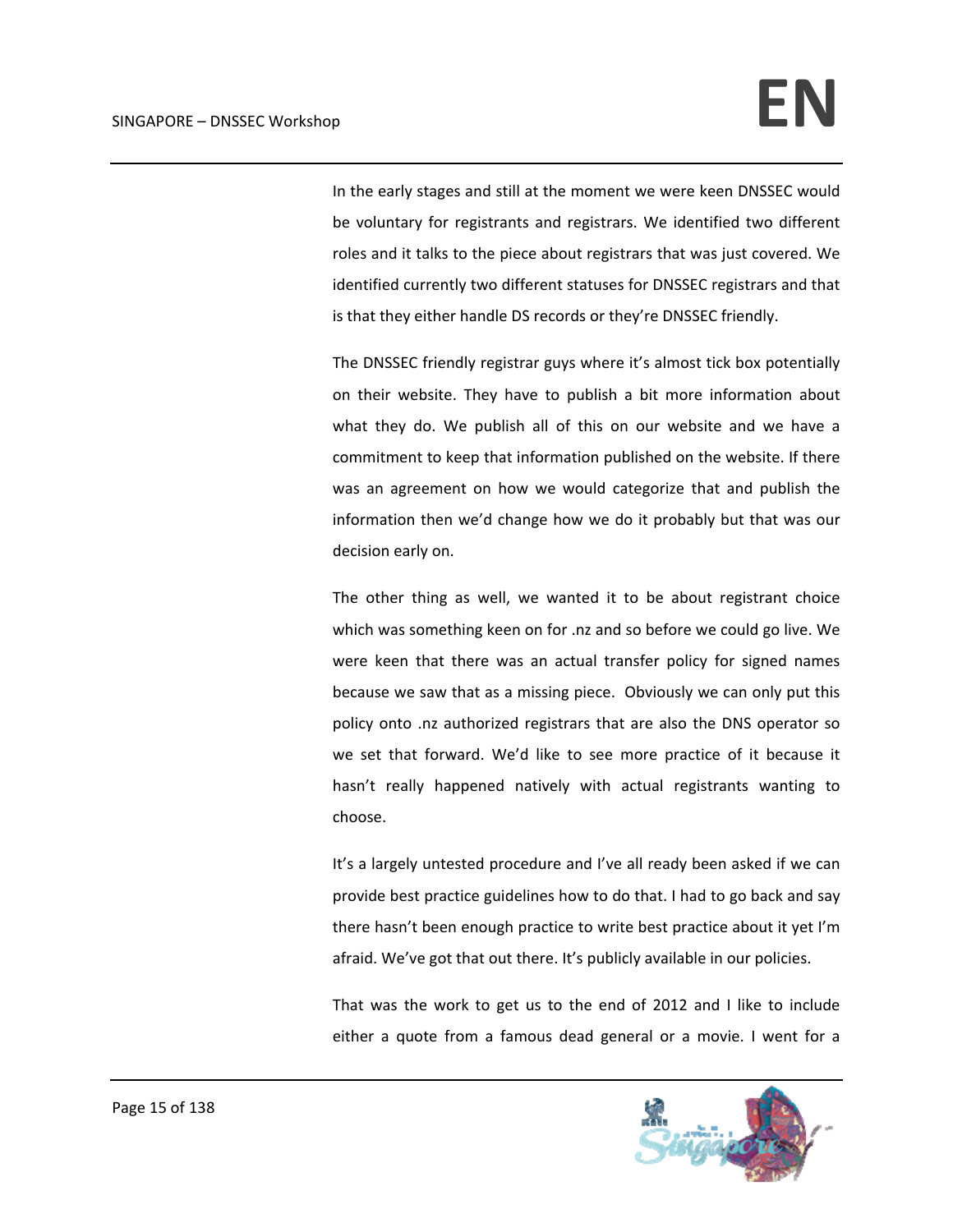In the early stages and still at the moment we were keen DNSSEC would be voluntary for registrants and registrars. We identified two different roles and it talks to the piece about registrars that was just covered. We identified currently two different statuses for DNSSEC registrars and that is that they either handle DS records or they're DNSSEC friendly.

The DNSSEC friendly registrar guys where it's almost tick box potentially on their website. They have to publish a bit more information about what they do. We publish all of this on our website and we have a commitment to keep that information published on the website. If there was an agreement on how we would categorize that and publish the information then we'd change how we do it probably but that was our decision early on.

The other thing as well, we wanted it to be about registrant choice which was something keen on for .nz and so before we could go live. We were keen that there was an actual transfer policy for signed names because we saw that as a missing piece. Obviously we can only put this policy onto .nz authorized registrars that are also the DNS operator so we set that forward. We'd like to see more practice of it because it hasn't really happened natively with actual registrants wanting to choose.

It's a largely untested procedure and I've all ready been asked if we can provide best practice guidelines how to do that. I had to go back and say there hasn't been enough practice to write best practice about it yet I'm afraid. We've got that out there. It's publicly available in our policies.

That was the work to get us to the end of 2012 and I like to include either a quote from a famous dead general or a movie. I went for a

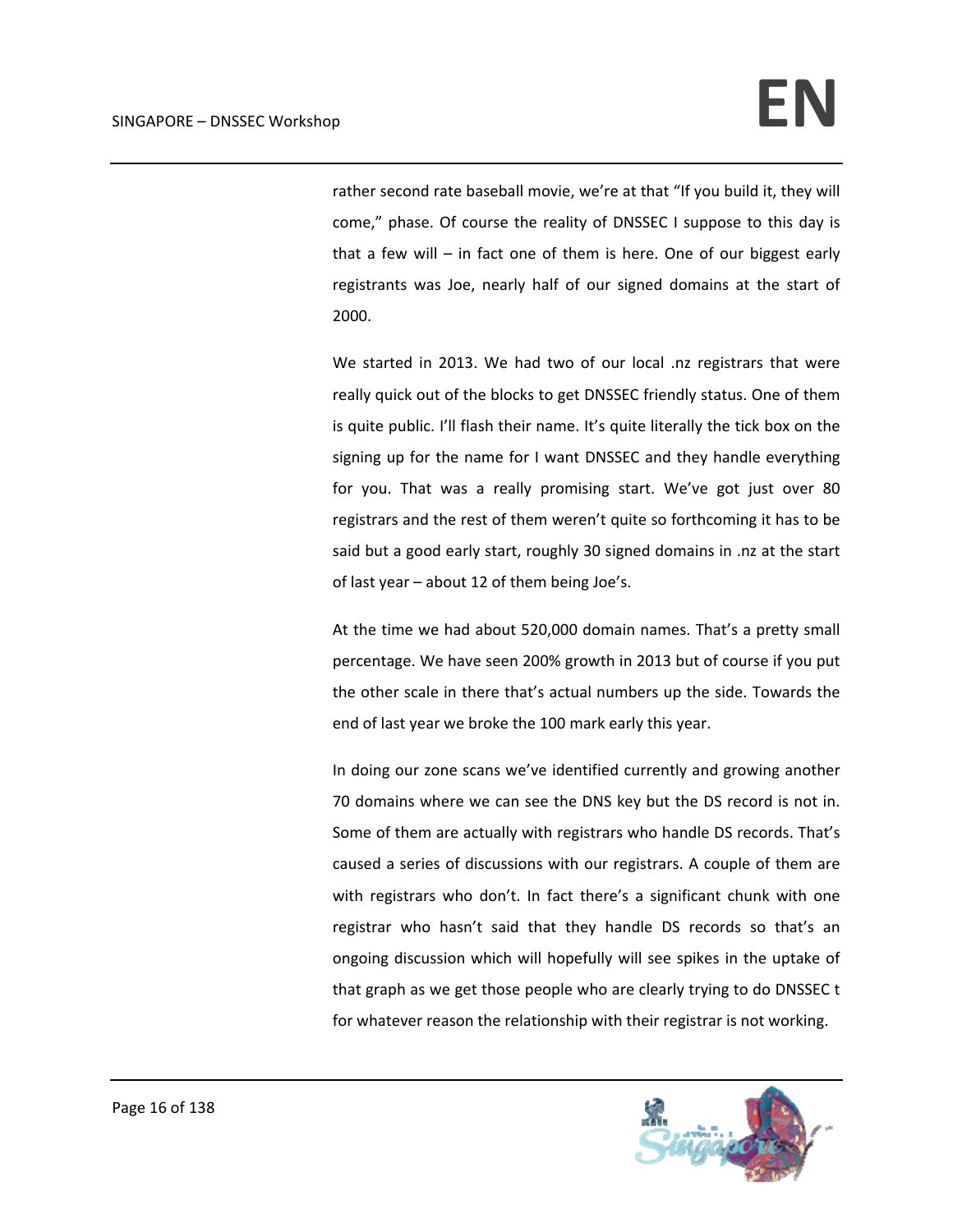rather second rate baseball movie, we're at that "If you build it, they will come," phase. Of course the reality of DNSSEC I suppose to this day is that a few will – in fact one of them is here. One of our biggest early registrants was Joe, nearly half of our signed domains at the start of 2000.

We started in 2013. We had two of our local .nz registrars that were really quick out of the blocks to get DNSSEC friendly status. One of them is quite public. I'll flash their name. It's quite literally the tick box on the signing up for the name for I want DNSSEC and they handle everything for you. That was a really promising start. We've got just over 80 registrars and the rest of them weren't quite so forthcoming it has to be said but a good early start, roughly 30 signed domains in .nz at the start of last year – about 12 of them being Joe's.

At the time we had about 520,000 domain names. That's a pretty small percentage. We have seen 200% growth in 2013 but of course if you put the other scale in there that's actual numbers up the side. Towards the end of last year we broke the 100 mark early this year.

In doing our zone scans we've identified currently and growing another 70 domains where we can see the DNS key but the DS record is not in. Some of them are actually with registrars who handle DS records. That's caused a series of discussions with our registrars. A couple of them are with registrars who don't. In fact there's a significant chunk with one registrar who hasn't said that they handle DS records so that's an ongoing discussion which will hopefully will see spikes in the uptake of that graph as we get those people who are clearly trying to do DNSSEC t for whatever reason the relationship with their registrar is not working.

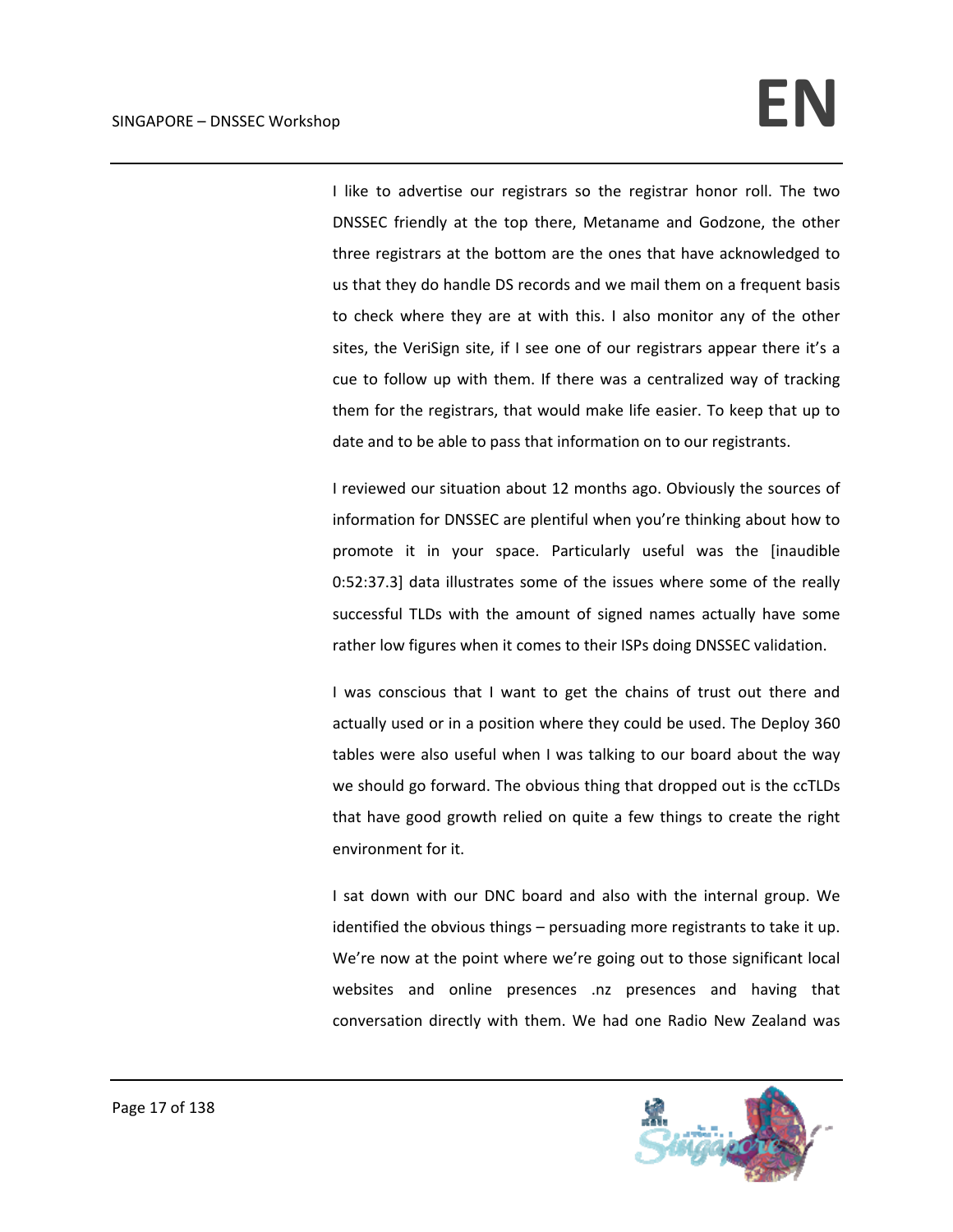I like to advertise our registrars so the registrar honor roll. The two DNSSEC friendly at the top there, Metaname and Godzone, the other three registrars at the bottom are the ones that have acknowledged to us that they do handle DS records and we mail them on a frequent basis to check where they are at with this. I also monitor any of the other sites, the VeriSign site, if I see one of our registrars appear there it's a cue to follow up with them. If there was a centralized way of tracking them for the registrars, that would make life easier. To keep that up to date and to be able to pass that information on to our registrants.

I reviewed our situation about 12 months ago. Obviously the sources of information for DNSSEC are plentiful when you're thinking about how to promote it in your space. Particularly useful was the [inaudible 0:52:37.3] data illustrates some of the issues where some of the really successful TLDs with the amount of signed names actually have some rather low figures when it comes to their ISPs doing DNSSEC validation.

I was conscious that I want to get the chains of trust out there and actually used or in a position where they could be used. The Deploy 360 tables were also useful when I was talking to our board about the way we should go forward. The obvious thing that dropped out is the ccTLDs that have good growth relied on quite a few things to create the right environment for it.

I sat down with our DNC board and also with the internal group. We identified the obvious things – persuading more registrants to take it up. We're now at the point where we're going out to those significant local websites and online presences .nz presences and having that conversation directly with them. We had one Radio New Zealand was

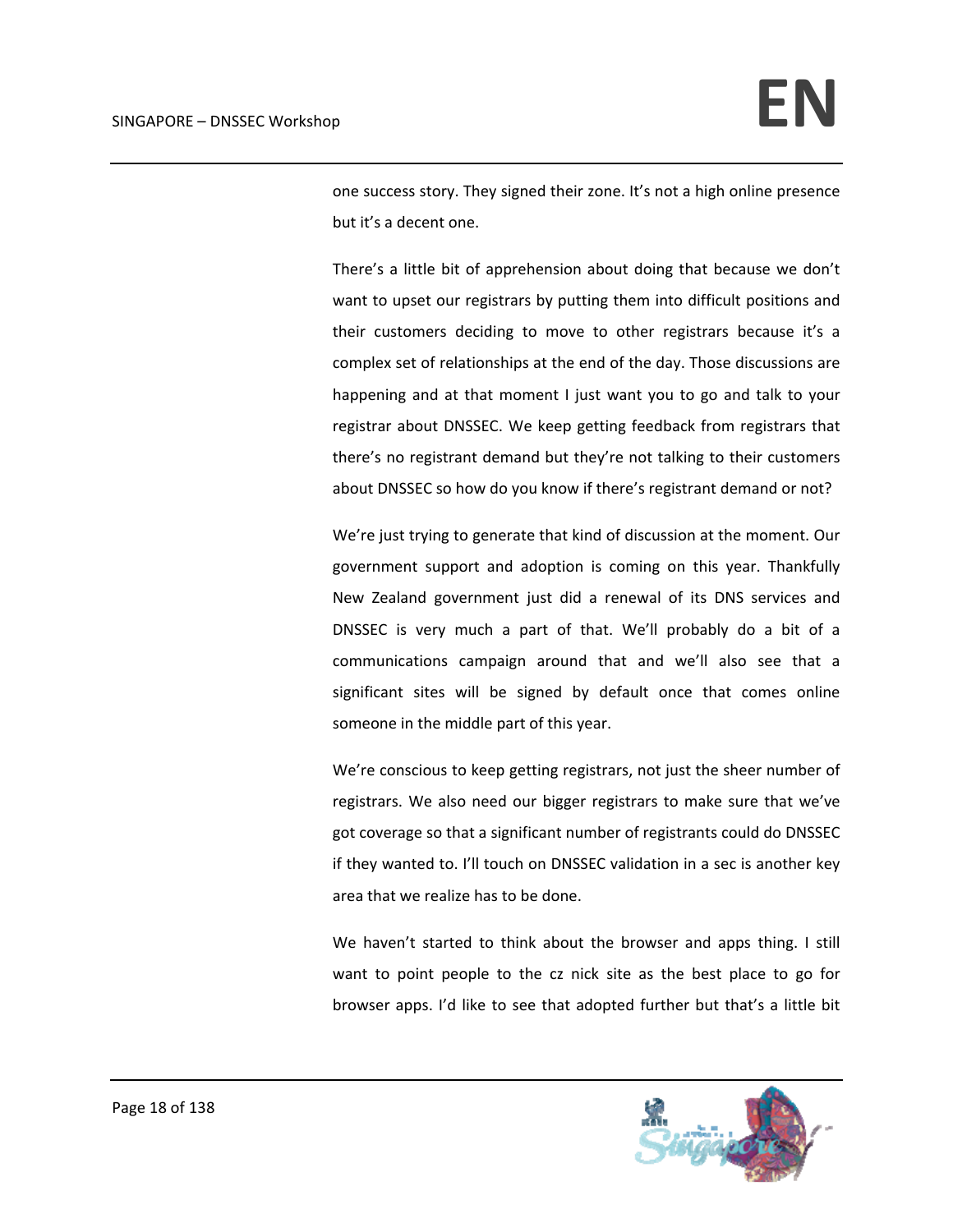one success story. They signed their zone. It's not a high online presence but it's a decent one.

There's a little bit of apprehension about doing that because we don't want to upset our registrars by putting them into difficult positions and their customers deciding to move to other registrars because it's a complex set of relationships at the end of the day. Those discussions are happening and at that moment I just want you to go and talk to your registrar about DNSSEC. We keep getting feedback from registrars that there's no registrant demand but they're not talking to their customers about DNSSEC so how do you know if there's registrant demand or not?

We're just trying to generate that kind of discussion at the moment. Our government support and adoption is coming on this year. Thankfully New Zealand government just did a renewal of its DNS services and DNSSEC is very much a part of that. We'll probably do a bit of a communications campaign around that and we'll also see that a significant sites will be signed by default once that comes online someone in the middle part of this year.

We're conscious to keep getting registrars, not just the sheer number of registrars. We also need our bigger registrars to make sure that we've got coverage so that a significant number of registrants could do DNSSEC if they wanted to. I'll touch on DNSSEC validation in a sec is another key area that we realize has to be done.

We haven't started to think about the browser and apps thing. I still want to point people to the cz nick site as the best place to go for browser apps. I'd like to see that adopted further but that's a little bit

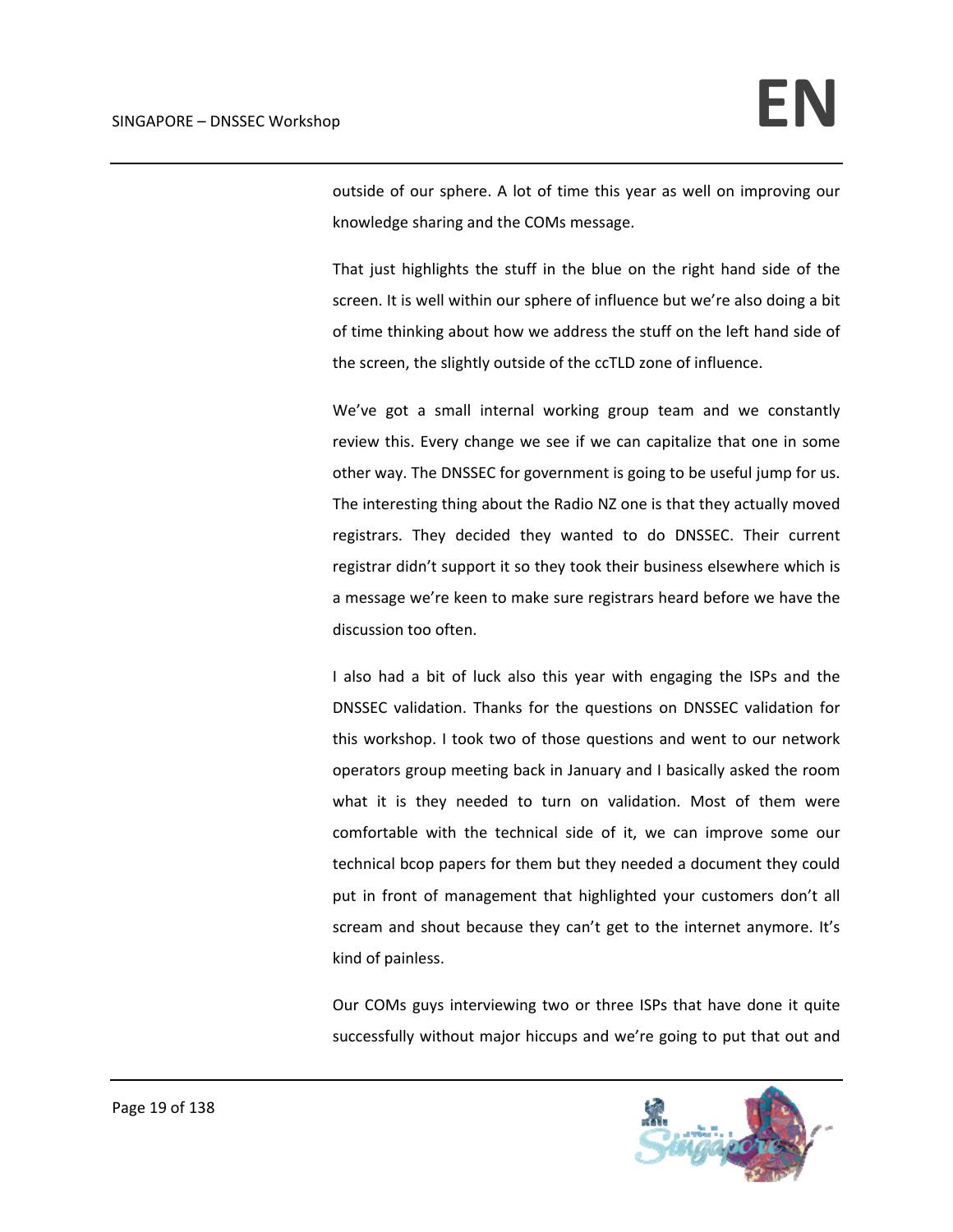outside of our sphere. A lot of time this year as well on improving our knowledge sharing and the COMs message.

That just highlights the stuff in the blue on the right hand side of the screen. It is well within our sphere of influence but we're also doing a bit of time thinking about how we address the stuff on the left hand side of the screen, the slightly outside of the ccTLD zone of influence.

We've got a small internal working group team and we constantly review this. Every change we see if we can capitalize that one in some other way. The DNSSEC for government is going to be useful jump for us. The interesting thing about the Radio NZ one is that they actually moved registrars. They decided they wanted to do DNSSEC. Their current registrar didn't support it so they took their business elsewhere which is a message we're keen to make sure registrars heard before we have the discussion too often.

I also had a bit of luck also this year with engaging the ISPs and the DNSSEC validation. Thanks for the questions on DNSSEC validation for this workshop. I took two of those questions and went to our network operators group meeting back in January and I basically asked the room what it is they needed to turn on validation. Most of them were comfortable with the technical side of it, we can improve some our technical bcop papers for them but they needed a document they could put in front of management that highlighted your customers don't all scream and shout because they can't get to the internet anymore. It's kind of painless.

Our COMs guys interviewing two or three ISPs that have done it quite successfully without major hiccups and we're going to put that out and

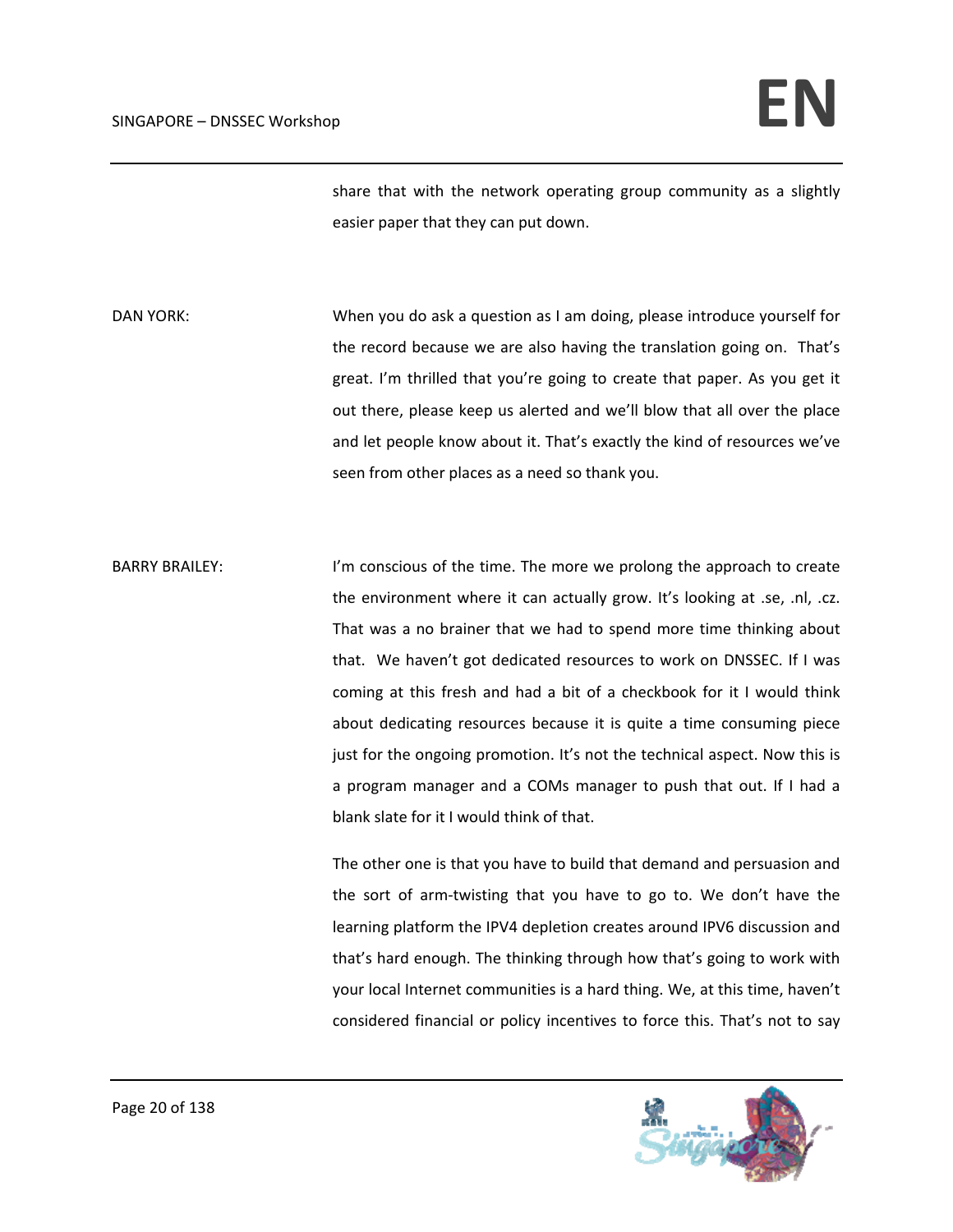share that with the network operating group community as a slightly easier paper that they can put down.

DAN YORK: When you do ask a question as I am doing, please introduce yourself for the record because we are also having the translation going on. That's great. I'm thrilled that you're going to create that paper. As you get it out there, please keep us alerted and we'll blow that all over the place and let people know about it. That's exactly the kind of resources we've seen from other places as a need so thank you.

BARRY BRAILEY: I'm conscious of the time. The more we prolong the approach to create the environment where it can actually grow. It's looking at .se, .nl, .cz. That was a no brainer that we had to spend more time thinking about that. We haven't got dedicated resources to work on DNSSEC. If I was coming at this fresh and had a bit of a checkbook for it I would think about dedicating resources because it is quite a time consuming piece just for the ongoing promotion. It's not the technical aspect. Now this is a program manager and a COMs manager to push that out. If I had a blank slate for it I would think of that.

> The other one is that you have to build that demand and persuasion and the sort of arm‐twisting that you have to go to. We don't have the learning platform the IPV4 depletion creates around IPV6 discussion and that's hard enough. The thinking through how that's going to work with your local Internet communities is a hard thing. We, at this time, haven't considered financial or policy incentives to force this. That's not to say

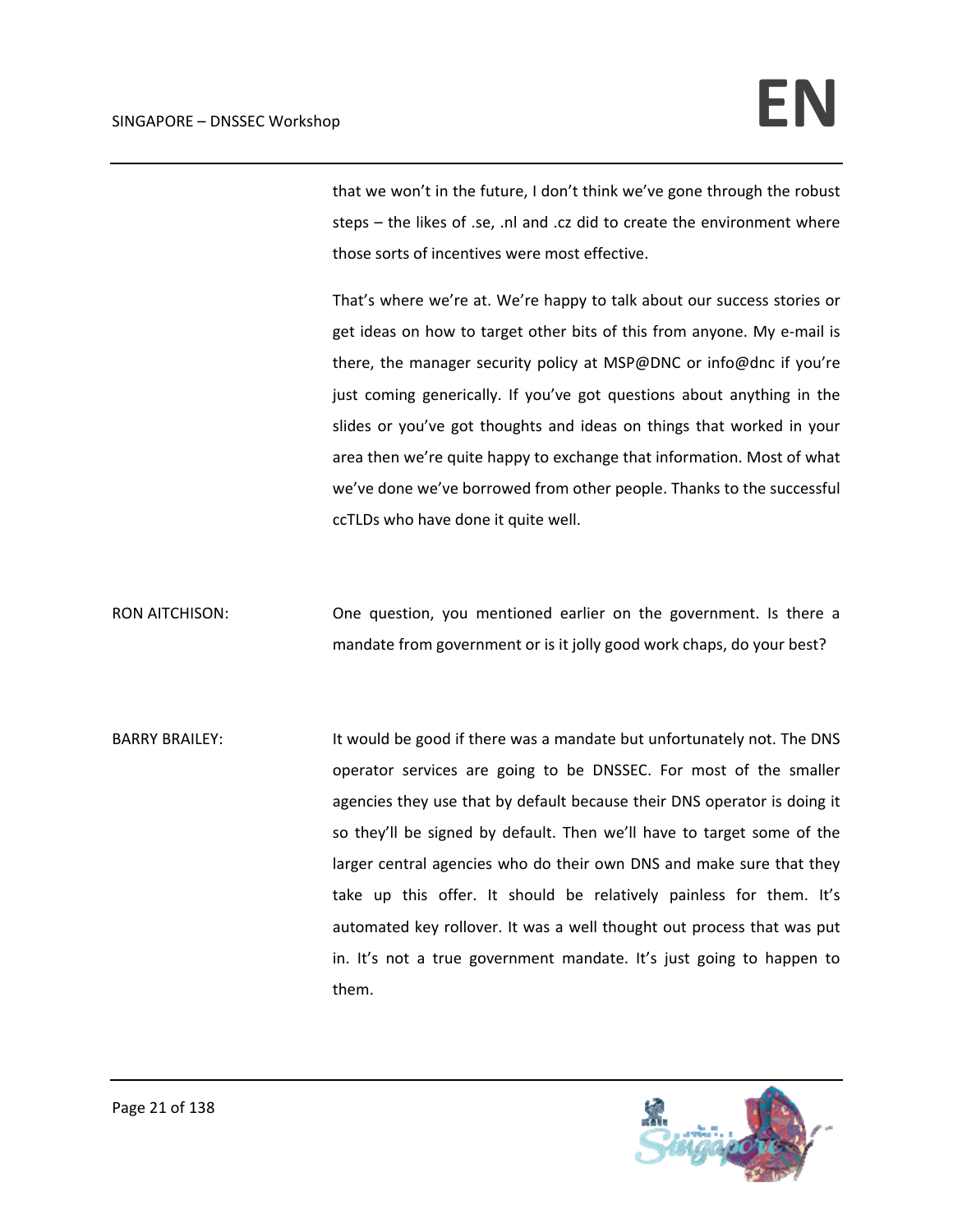that we won't in the future, I don't think we've gone through the robust steps – the likes of .se, .nl and .cz did to create the environment where those sorts of incentives were most effective.

That's where we're at. We're happy to talk about our success stories or get ideas on how to target other bits of this from anyone. My e‐mail is there, the manager security policy at MSP@DNC or info@dnc if you're just coming generically. If you've got questions about anything in the slides or you've got thoughts and ideas on things that worked in your area then we're quite happy to exchange that information. Most of what we've done we've borrowed from other people. Thanks to the successful ccTLDs who have done it quite well.

RON AITCHISON: One question, you mentioned earlier on the government. Is there a mandate from government or is it jolly good work chaps, do your best?

BARRY BRAILEY: It would be good if there was a mandate but unfortunately not. The DNS operator services are going to be DNSSEC. For most of the smaller agencies they use that by default because their DNS operator is doing it so they'll be signed by default. Then we'll have to target some of the larger central agencies who do their own DNS and make sure that they take up this offer. It should be relatively painless for them. It's automated key rollover. It was a well thought out process that was put in. It's not a true government mandate. It's just going to happen to them.

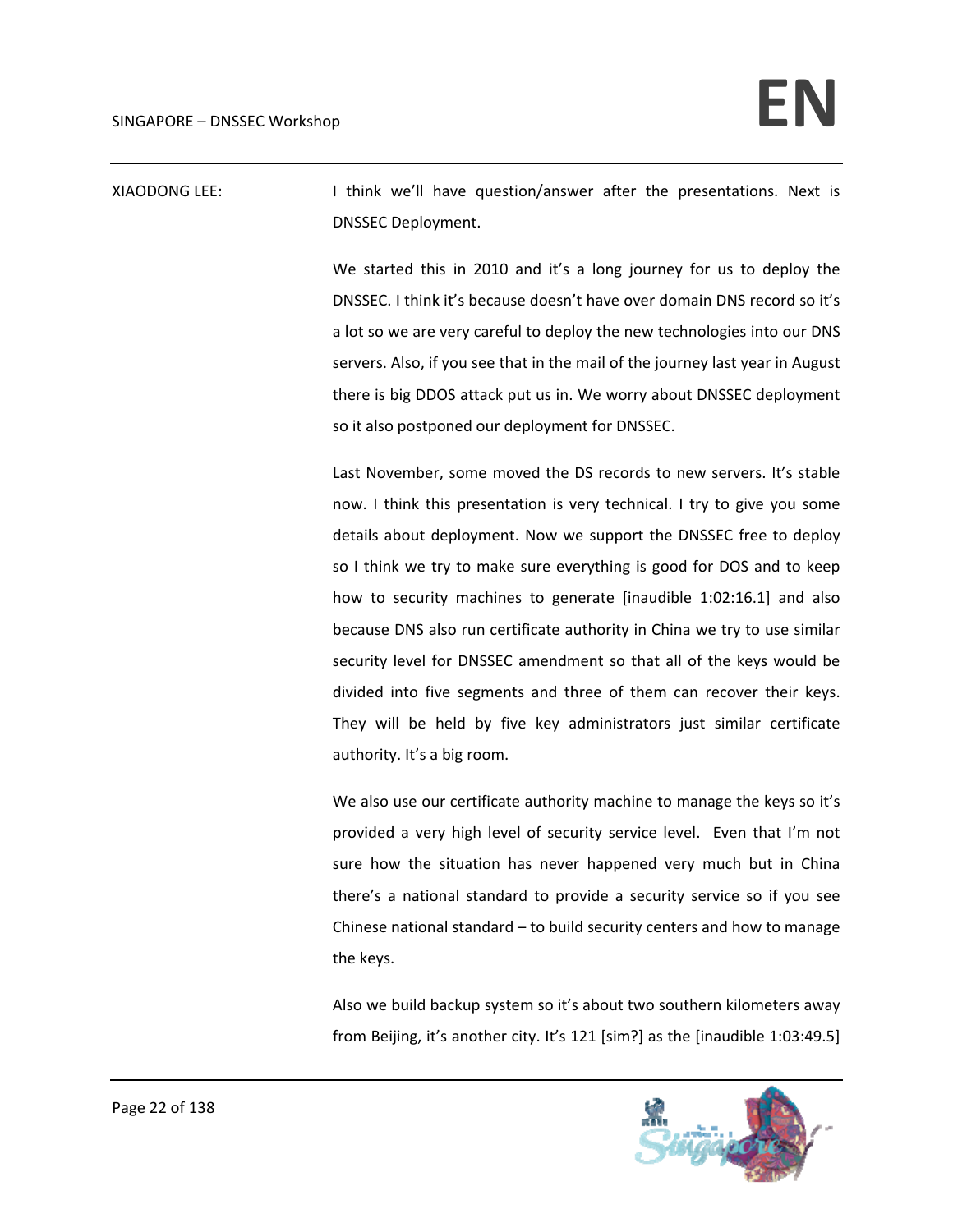XIAODONG LEE: In think we'll have question/answer after the presentations. Next is DNSSEC Deployment.

> We started this in 2010 and it's a long journey for us to deploy the DNSSEC. I think it's because doesn't have over domain DNS record so it's a lot so we are very careful to deploy the new technologies into our DNS servers. Also, if you see that in the mail of the journey last year in August there is big DDOS attack put us in. We worry about DNSSEC deployment so it also postponed our deployment for DNSSEC.

> Last November, some moved the DS records to new servers. It's stable now. I think this presentation is very technical. I try to give you some details about deployment. Now we support the DNSSEC free to deploy so I think we try to make sure everything is good for DOS and to keep how to security machines to generate [inaudible 1:02:16.1] and also because DNS also run certificate authority in China we try to use similar security level for DNSSEC amendment so that all of the keys would be divided into five segments and three of them can recover their keys. They will be held by five key administrators just similar certificate authority. It's a big room.

> We also use our certificate authority machine to manage the keys so it's provided a very high level of security service level. Even that I'm not sure how the situation has never happened very much but in China there's a national standard to provide a security service so if you see Chinese national standard – to build security centers and how to manage the keys.

> Also we build backup system so it's about two southern kilometers away from Beijing, it's another city. It's 121 [sim?] as the [inaudible 1:03:49.5]

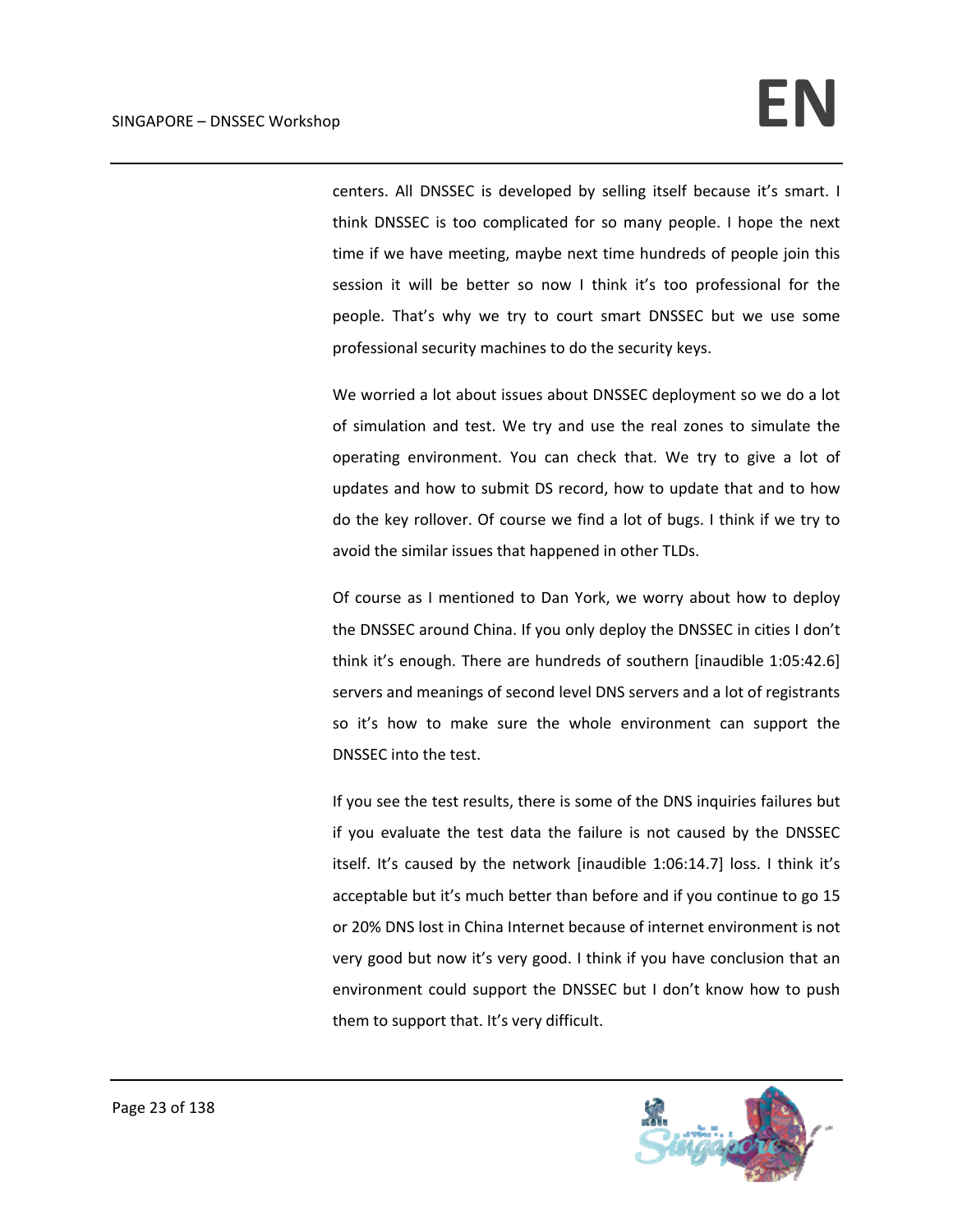centers. All DNSSEC is developed by selling itself because it's smart. I think DNSSEC is too complicated for so many people. I hope the next time if we have meeting, maybe next time hundreds of people join this session it will be better so now I think it's too professional for the people. That's why we try to court smart DNSSEC but we use some professional security machines to do the security keys.

We worried a lot about issues about DNSSEC deployment so we do a lot of simulation and test. We try and use the real zones to simulate the operating environment. You can check that. We try to give a lot of updates and how to submit DS record, how to update that and to how do the key rollover. Of course we find a lot of bugs. I think if we try to avoid the similar issues that happened in other TLDs.

Of course as I mentioned to Dan York, we worry about how to deploy the DNSSEC around China. If you only deploy the DNSSEC in cities I don't think it's enough. There are hundreds of southern [inaudible 1:05:42.6] servers and meanings of second level DNS servers and a lot of registrants so it's how to make sure the whole environment can support the DNSSEC into the test.

If you see the test results, there is some of the DNS inquiries failures but if you evaluate the test data the failure is not caused by the DNSSEC itself. It's caused by the network [inaudible 1:06:14.7] loss. I think it's acceptable but it's much better than before and if you continue to go 15 or 20% DNS lost in China Internet because of internet environment is not very good but now it's very good. I think if you have conclusion that an environment could support the DNSSEC but I don't know how to push them to support that. It's very difficult.

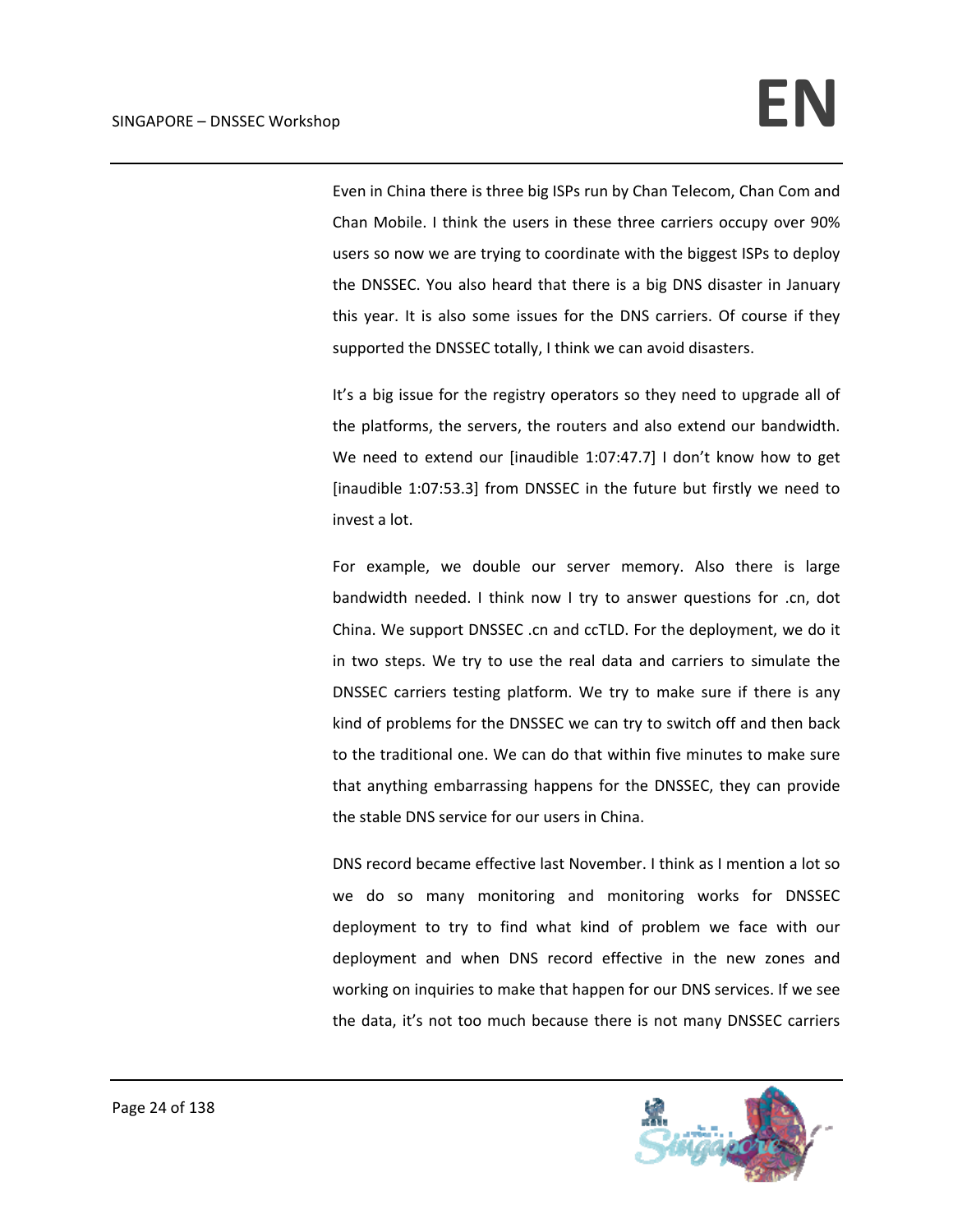Even in China there is three big ISPs run by Chan Telecom, Chan Com and Chan Mobile. I think the users in these three carriers occupy over 90% users so now we are trying to coordinate with the biggest ISPs to deploy the DNSSEC. You also heard that there is a big DNS disaster in January this year. It is also some issues for the DNS carriers. Of course if they supported the DNSSEC totally, I think we can avoid disasters.

It's a big issue for the registry operators so they need to upgrade all of the platforms, the servers, the routers and also extend our bandwidth. We need to extend our [inaudible 1:07:47.7] I don't know how to get [inaudible 1:07:53.3] from DNSSEC in the future but firstly we need to invest a lot.

For example, we double our server memory. Also there is large bandwidth needed. I think now I try to answer questions for .cn, dot China. We support DNSSEC .cn and ccTLD. For the deployment, we do it in two steps. We try to use the real data and carriers to simulate the DNSSEC carriers testing platform. We try to make sure if there is any kind of problems for the DNSSEC we can try to switch off and then back to the traditional one. We can do that within five minutes to make sure that anything embarrassing happens for the DNSSEC, they can provide the stable DNS service for our users in China.

DNS record became effective last November. I think as I mention a lot so we do so many monitoring and monitoring works for DNSSEC deployment to try to find what kind of problem we face with our deployment and when DNS record effective in the new zones and working on inquiries to make that happen for our DNS services. If we see the data, it's not too much because there is not many DNSSEC carriers

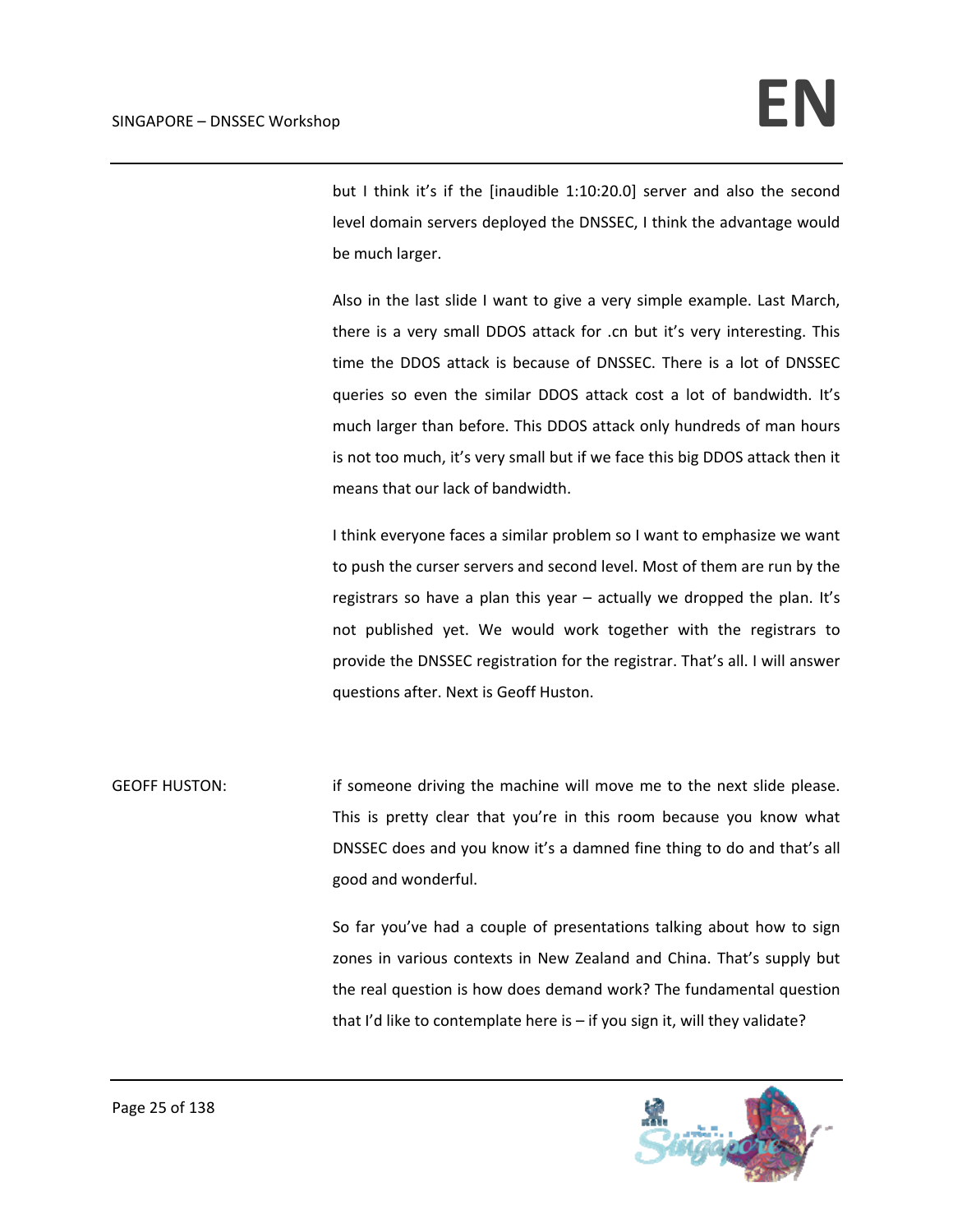but I think it's if the [inaudible 1:10:20.0] server and also the second level domain servers deployed the DNSSEC, I think the advantage would be much larger.

Also in the last slide I want to give a very simple example. Last March, there is a very small DDOS attack for .cn but it's very interesting. This time the DDOS attack is because of DNSSEC. There is a lot of DNSSEC queries so even the similar DDOS attack cost a lot of bandwidth. It's much larger than before. This DDOS attack only hundreds of man hours is not too much, it's very small but if we face this big DDOS attack then it means that our lack of bandwidth.

I think everyone faces a similar problem so I want to emphasize we want to push the curser servers and second level. Most of them are run by the registrars so have a plan this year – actually we dropped the plan. It's not published yet. We would work together with the registrars to provide the DNSSEC registration for the registrar. That's all. I will answer questions after. Next is Geoff Huston.

GEOFF HUSTON: if someone driving the machine will move me to the next slide please. This is pretty clear that you're in this room because you know what DNSSEC does and you know it's a damned fine thing to do and that's all good and wonderful.

> So far you've had a couple of presentations talking about how to sign zones in various contexts in New Zealand and China. That's supply but the real question is how does demand work? The fundamental question that I'd like to contemplate here is – if you sign it, will they validate?

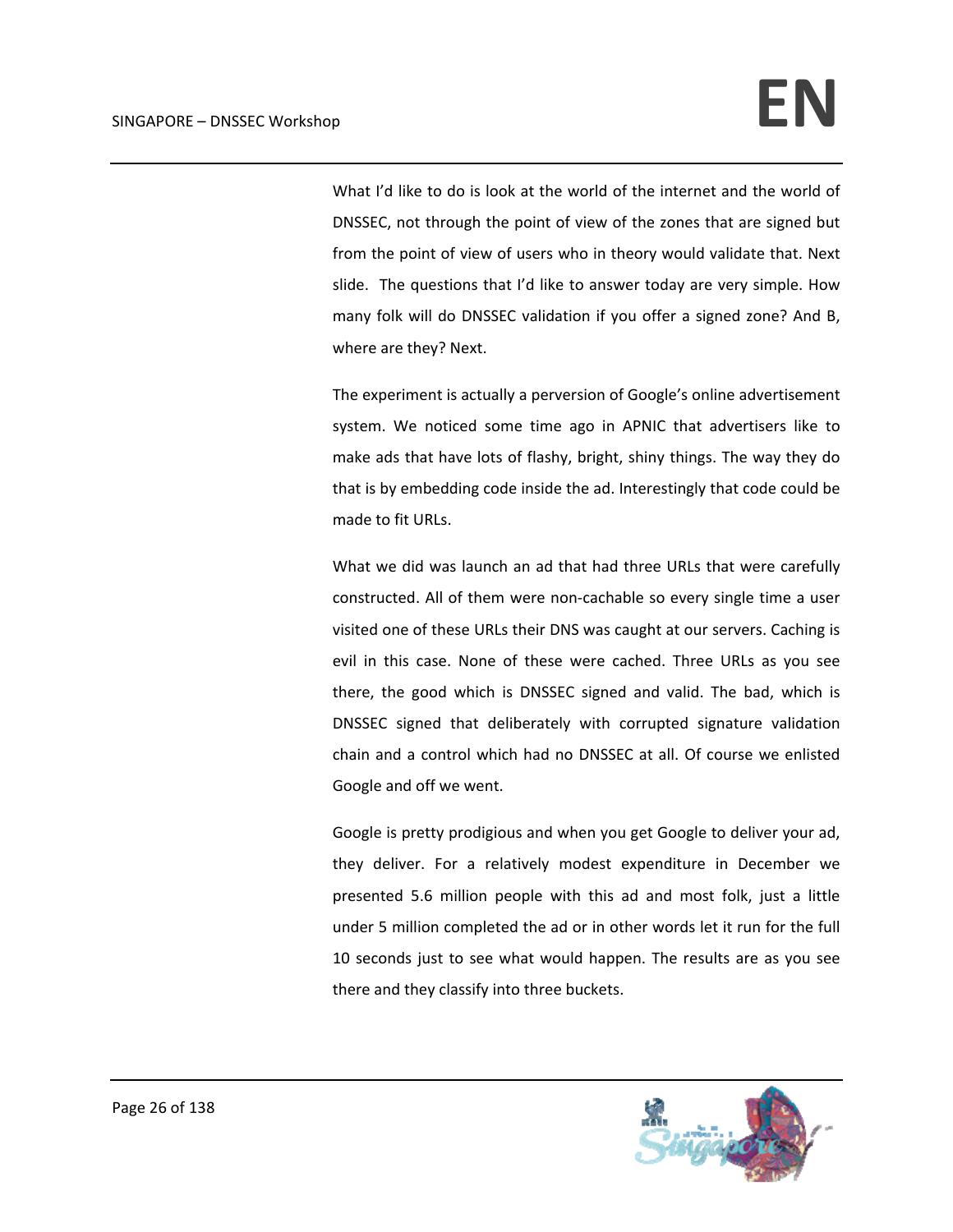What I'd like to do is look at the world of the internet and the world of DNSSEC, not through the point of view of the zones that are signed but from the point of view of users who in theory would validate that. Next slide. The questions that I'd like to answer today are very simple. How many folk will do DNSSEC validation if you offer a signed zone? And B, where are they? Next.

The experiment is actually a perversion of Google's online advertisement system. We noticed some time ago in APNIC that advertisers like to make ads that have lots of flashy, bright, shiny things. The way they do that is by embedding code inside the ad. Interestingly that code could be made to fit URLs.

What we did was launch an ad that had three URLs that were carefully constructed. All of them were non‐cachable so every single time a user visited one of these URLs their DNS was caught at our servers. Caching is evil in this case. None of these were cached. Three URLs as you see there, the good which is DNSSEC signed and valid. The bad, which is DNSSEC signed that deliberately with corrupted signature validation chain and a control which had no DNSSEC at all. Of course we enlisted Google and off we went.

Google is pretty prodigious and when you get Google to deliver your ad, they deliver. For a relatively modest expenditure in December we presented 5.6 million people with this ad and most folk, just a little under 5 million completed the ad or in other words let it run for the full 10 seconds just to see what would happen. The results are as you see there and they classify into three buckets.

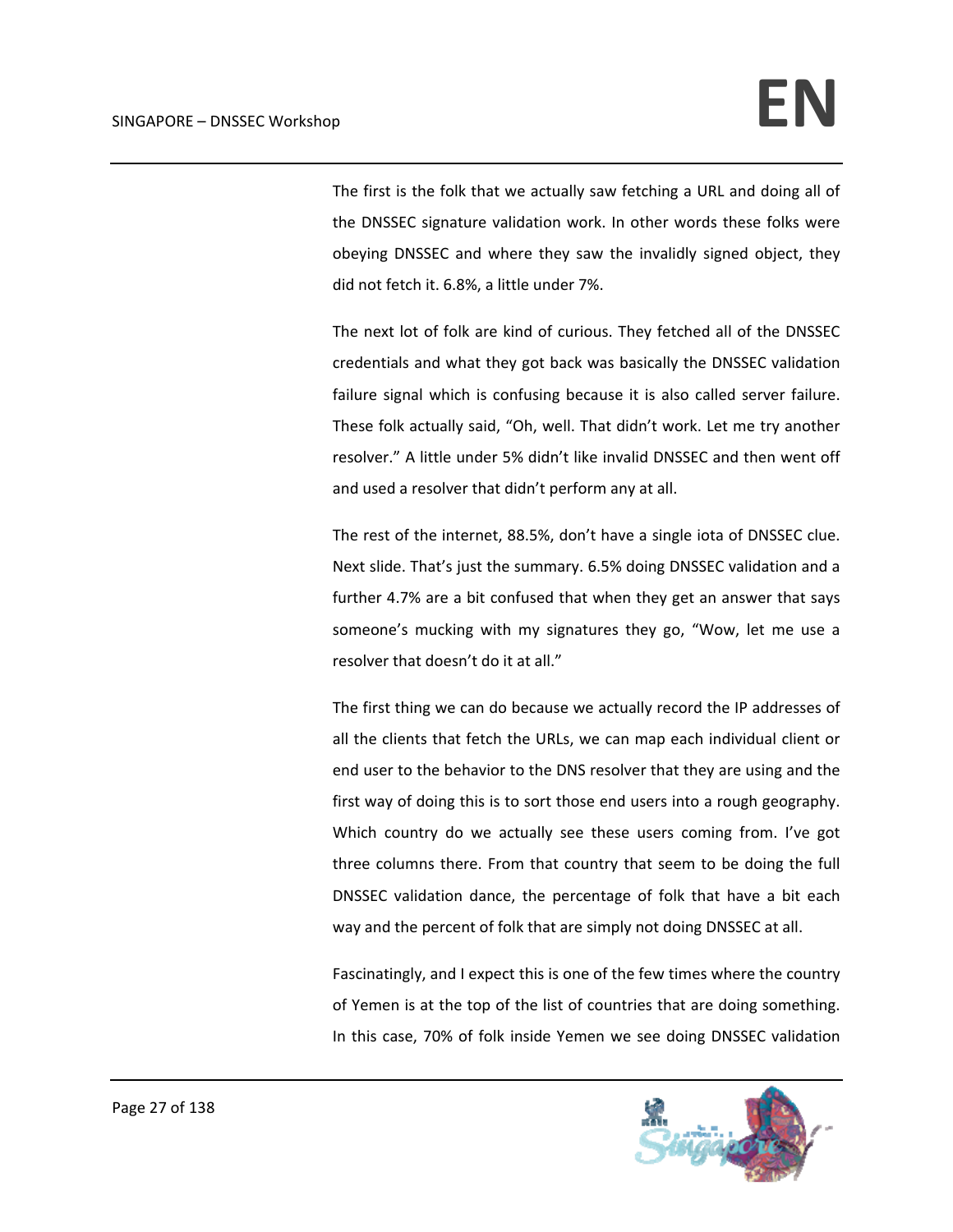The first is the folk that we actually saw fetching a URL and doing all of the DNSSEC signature validation work. In other words these folks were obeying DNSSEC and where they saw the invalidly signed object, they did not fetch it. 6.8%, a little under 7%.

The next lot of folk are kind of curious. They fetched all of the DNSSEC credentials and what they got back was basically the DNSSEC validation failure signal which is confusing because it is also called server failure. These folk actually said, "Oh, well. That didn't work. Let me try another resolver." A little under 5% didn't like invalid DNSSEC and then went off and used a resolver that didn't perform any at all.

The rest of the internet, 88.5%, don't have a single iota of DNSSEC clue. Next slide. That's just the summary. 6.5% doing DNSSEC validation and a further 4.7% are a bit confused that when they get an answer that says someone's mucking with my signatures they go, "Wow, let me use a resolver that doesn't do it at all."

The first thing we can do because we actually record the IP addresses of all the clients that fetch the URLs, we can map each individual client or end user to the behavior to the DNS resolver that they are using and the first way of doing this is to sort those end users into a rough geography. Which country do we actually see these users coming from. I've got three columns there. From that country that seem to be doing the full DNSSEC validation dance, the percentage of folk that have a bit each way and the percent of folk that are simply not doing DNSSEC at all.

Fascinatingly, and I expect this is one of the few times where the country of Yemen is at the top of the list of countries that are doing something. In this case, 70% of folk inside Yemen we see doing DNSSEC validation

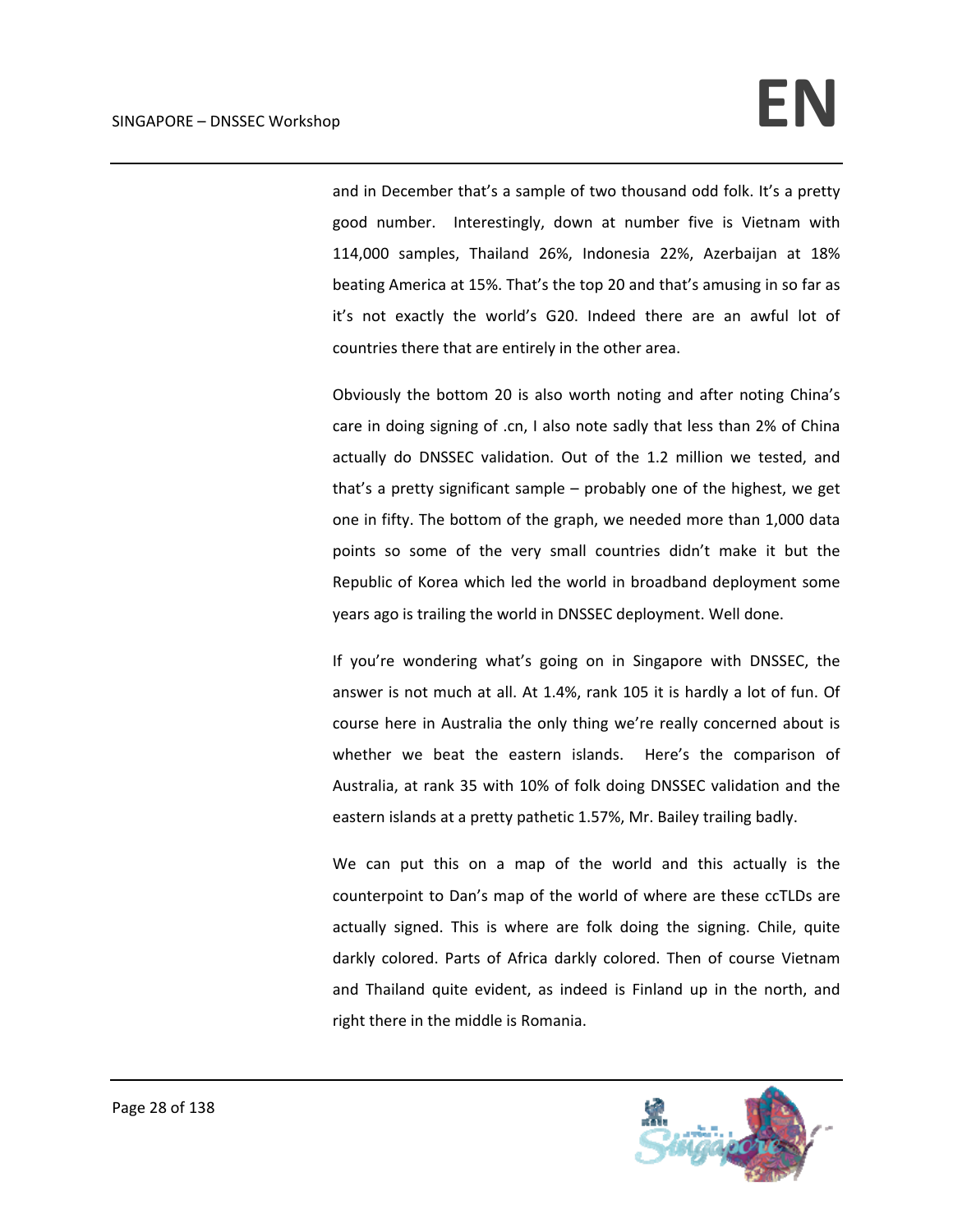and in December that's a sample of two thousand odd folk. It's a pretty good number. Interestingly, down at number five is Vietnam with 114,000 samples, Thailand 26%, Indonesia 22%, Azerbaijan at 18% beating America at 15%. That's the top 20 and that's amusing in so far as it's not exactly the world's G20. Indeed there are an awful lot of countries there that are entirely in the other area.

Obviously the bottom 20 is also worth noting and after noting China's care in doing signing of .cn, I also note sadly that less than 2% of China actually do DNSSEC validation. Out of the 1.2 million we tested, and that's a pretty significant sample – probably one of the highest, we get one in fifty. The bottom of the graph, we needed more than 1,000 data points so some of the very small countries didn't make it but the Republic of Korea which led the world in broadband deployment some years ago is trailing the world in DNSSEC deployment. Well done.

If you're wondering what's going on in Singapore with DNSSEC, the answer is not much at all. At 1.4%, rank 105 it is hardly a lot of fun. Of course here in Australia the only thing we're really concerned about is whether we beat the eastern islands. Here's the comparison of Australia, at rank 35 with 10% of folk doing DNSSEC validation and the eastern islands at a pretty pathetic 1.57%, Mr. Bailey trailing badly.

We can put this on a map of the world and this actually is the counterpoint to Dan's map of the world of where are these ccTLDs are actually signed. This is where are folk doing the signing. Chile, quite darkly colored. Parts of Africa darkly colored. Then of course Vietnam and Thailand quite evident, as indeed is Finland up in the north, and right there in the middle is Romania.

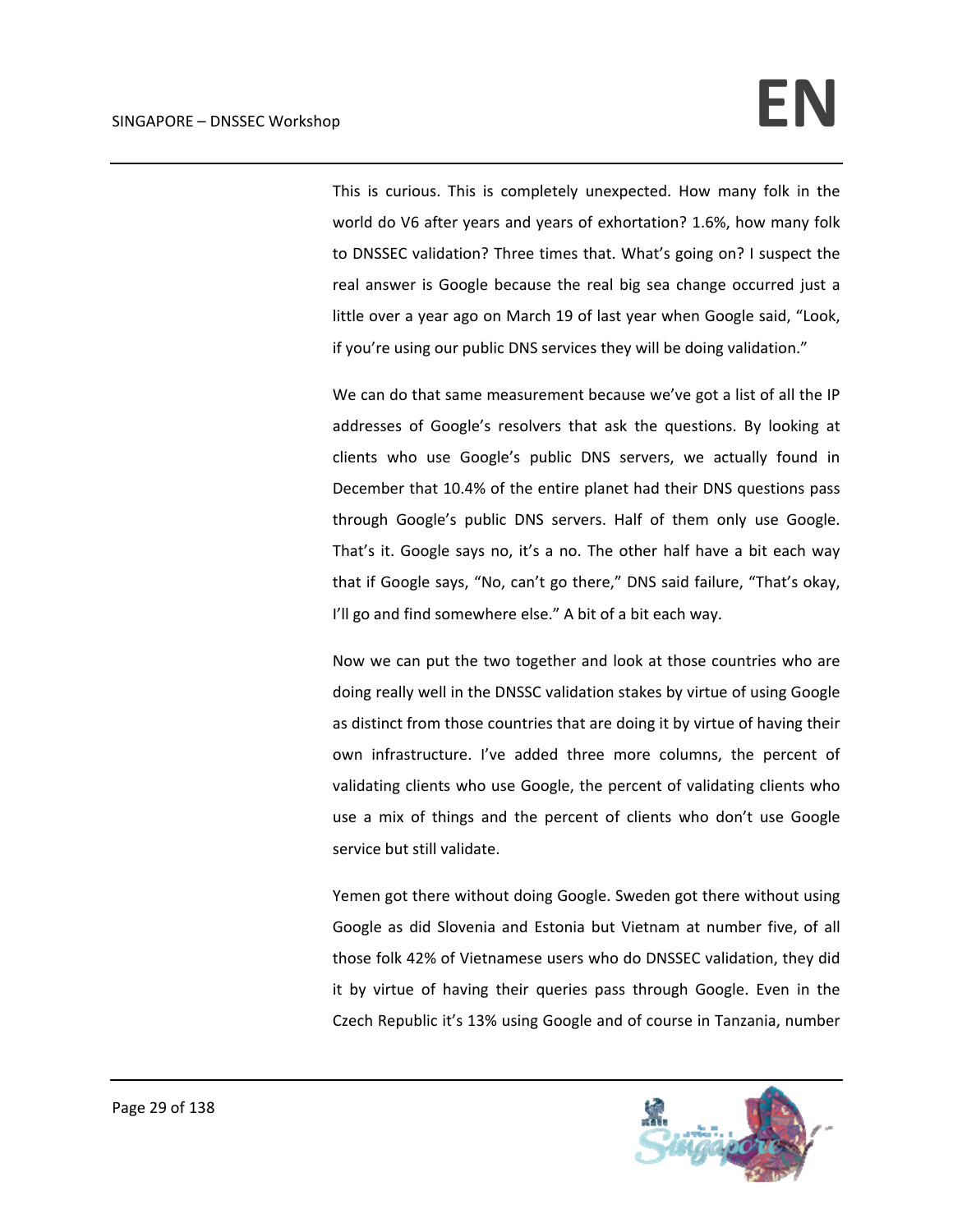This is curious. This is completely unexpected. How many folk in the world do V6 after years and years of exhortation? 1.6%, how many folk to DNSSEC validation? Three times that. What's going on? I suspect the real answer is Google because the real big sea change occurred just a little over a year ago on March 19 of last year when Google said, "Look, if you're using our public DNS services they will be doing validation."

We can do that same measurement because we've got a list of all the IP addresses of Google's resolvers that ask the questions. By looking at clients who use Google's public DNS servers, we actually found in December that 10.4% of the entire planet had their DNS questions pass through Google's public DNS servers. Half of them only use Google. That's it. Google says no, it's a no. The other half have a bit each way that if Google says, "No, can't go there," DNS said failure, "That's okay, I'll go and find somewhere else." A bit of a bit each way.

Now we can put the two together and look at those countries who are doing really well in the DNSSC validation stakes by virtue of using Google as distinct from those countries that are doing it by virtue of having their own infrastructure. I've added three more columns, the percent of validating clients who use Google, the percent of validating clients who use a mix of things and the percent of clients who don't use Google service but still validate.

Yemen got there without doing Google. Sweden got there without using Google as did Slovenia and Estonia but Vietnam at number five, of all those folk 42% of Vietnamese users who do DNSSEC validation, they did it by virtue of having their queries pass through Google. Even in the Czech Republic it's 13% using Google and of course in Tanzania, number

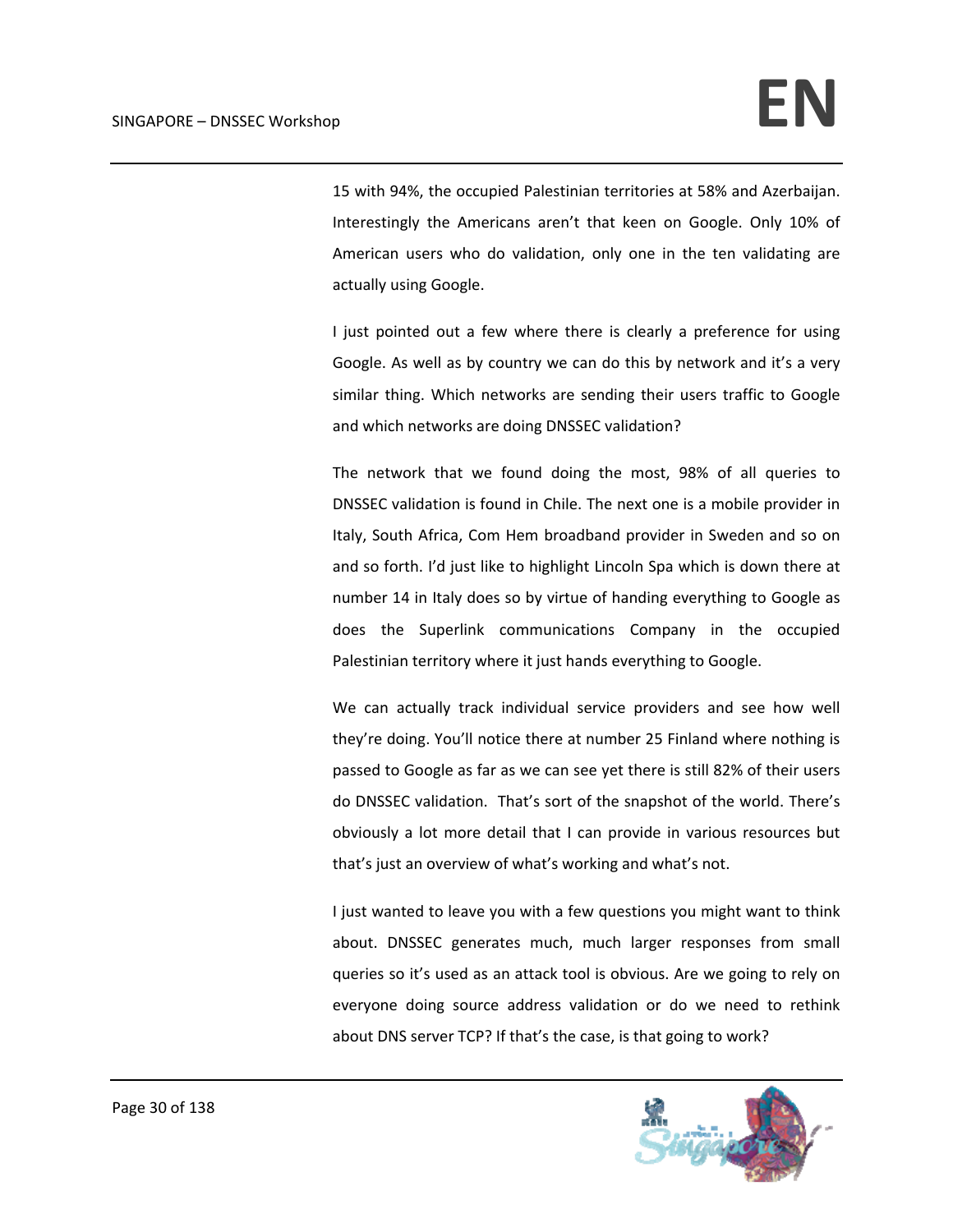15 with 94%, the occupied Palestinian territories at 58% and Azerbaijan. Interestingly the Americans aren't that keen on Google. Only 10% of American users who do validation, only one in the ten validating are actually using Google.

I just pointed out a few where there is clearly a preference for using Google. As well as by country we can do this by network and it's a very similar thing. Which networks are sending their users traffic to Google and which networks are doing DNSSEC validation?

The network that we found doing the most, 98% of all queries to DNSSEC validation is found in Chile. The next one is a mobile provider in Italy, South Africa, Com Hem broadband provider in Sweden and so on and so forth. I'd just like to highlight Lincoln Spa which is down there at number 14 in Italy does so by virtue of handing everything to Google as does the Superlink communications Company in the occupied Palestinian territory where it just hands everything to Google.

We can actually track individual service providers and see how well they're doing. You'll notice there at number 25 Finland where nothing is passed to Google as far as we can see yet there is still 82% of their users do DNSSEC validation. That's sort of the snapshot of the world. There's obviously a lot more detail that I can provide in various resources but that's just an overview of what's working and what's not.

I just wanted to leave you with a few questions you might want to think about. DNSSEC generates much, much larger responses from small queries so it's used as an attack tool is obvious. Are we going to rely on everyone doing source address validation or do we need to rethink about DNS server TCP? If that's the case, is that going to work?

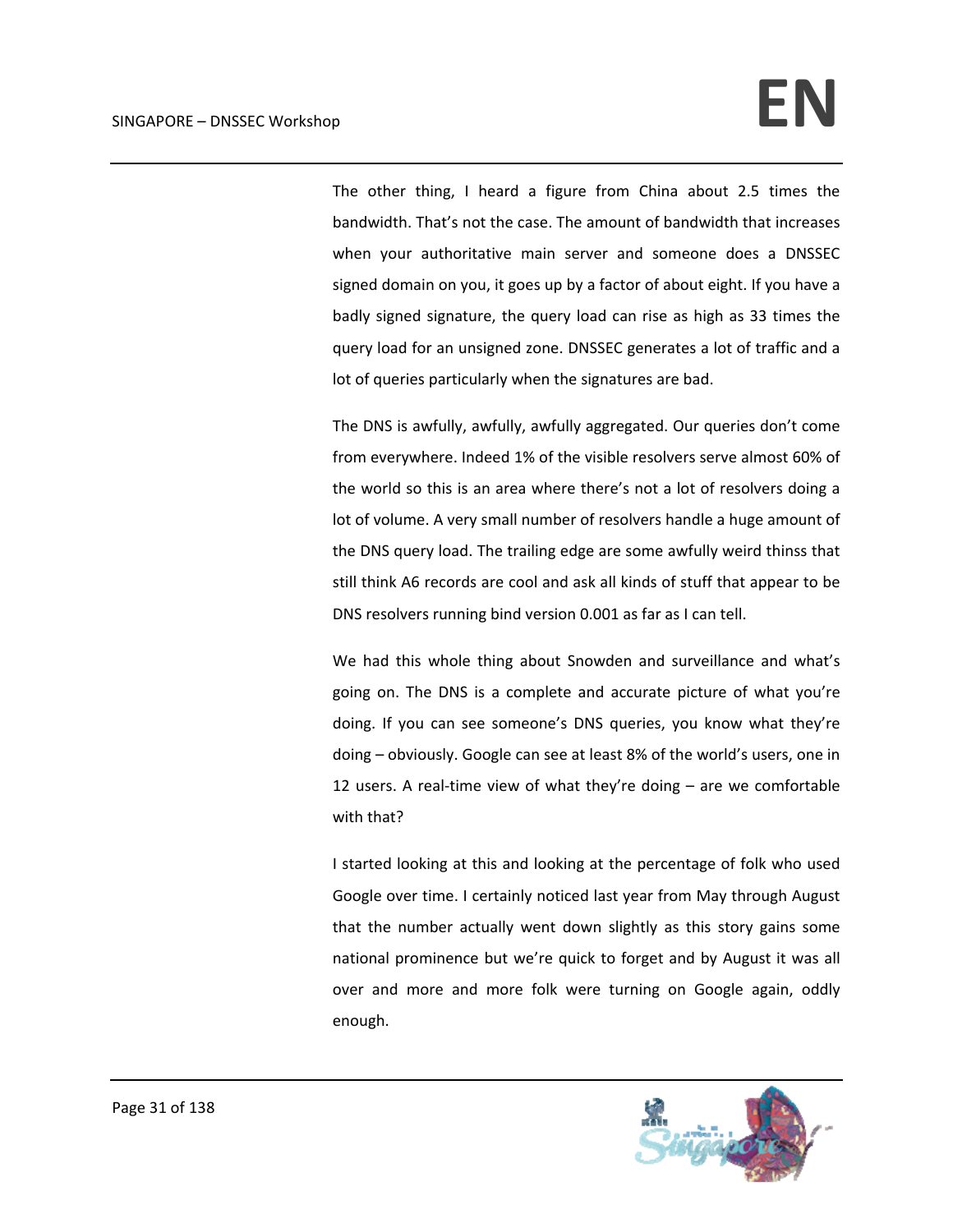The other thing, I heard a figure from China about 2.5 times the bandwidth. That's not the case. The amount of bandwidth that increases when your authoritative main server and someone does a DNSSEC signed domain on you, it goes up by a factor of about eight. If you have a badly signed signature, the query load can rise as high as 33 times the query load for an unsigned zone. DNSSEC generates a lot of traffic and a lot of queries particularly when the signatures are bad.

The DNS is awfully, awfully, awfully aggregated. Our queries don't come from everywhere. Indeed 1% of the visible resolvers serve almost 60% of the world so this is an area where there's not a lot of resolvers doing a lot of volume. A very small number of resolvers handle a huge amount of the DNS query load. The trailing edge are some awfully weird thinss that still think A6 records are cool and ask all kinds of stuff that appear to be DNS resolvers running bind version 0.001 as far as I can tell.

We had this whole thing about Snowden and surveillance and what's going on. The DNS is a complete and accurate picture of what you're doing. If you can see someone's DNS queries, you know what they're doing – obviously. Google can see at least 8% of the world's users, one in 12 users. A real-time view of what they're doing  $-$  are we comfortable with that?

I started looking at this and looking at the percentage of folk who used Google over time. I certainly noticed last year from May through August that the number actually went down slightly as this story gains some national prominence but we're quick to forget and by August it was all over and more and more folk were turning on Google again, oddly enough.

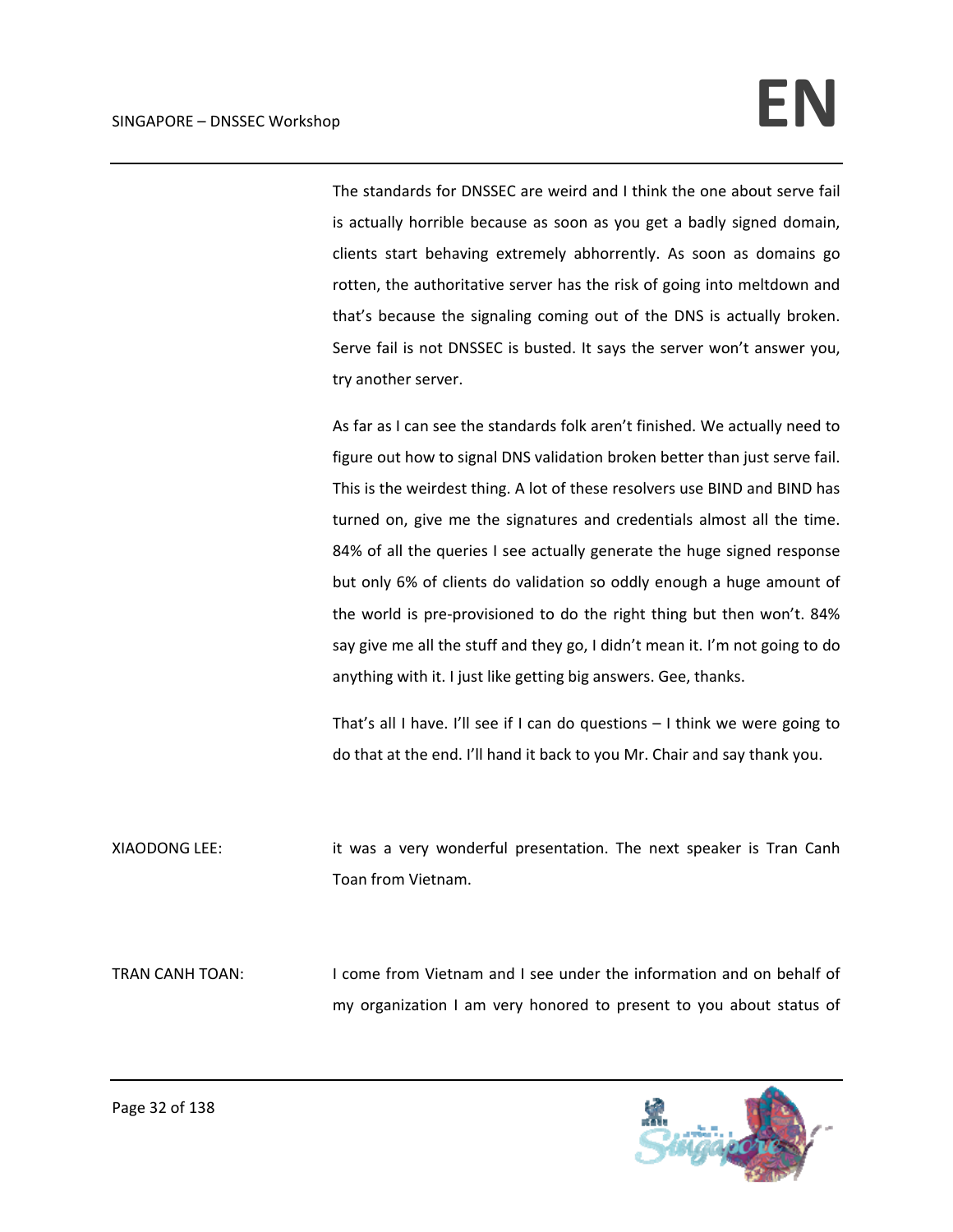The standards for DNSSEC are weird and I think the one about serve fail is actually horrible because as soon as you get a badly signed domain, clients start behaving extremely abhorrently. As soon as domains go rotten, the authoritative server has the risk of going into meltdown and that's because the signaling coming out of the DNS is actually broken. Serve fail is not DNSSEC is busted. It says the server won't answer you, try another server.

As far as I can see the standards folk aren't finished. We actually need to figure out how to signal DNS validation broken better than just serve fail. This is the weirdest thing. A lot of these resolvers use BIND and BIND has turned on, give me the signatures and credentials almost all the time. 84% of all the queries I see actually generate the huge signed response but only 6% of clients do validation so oddly enough a huge amount of the world is pre‐provisioned to do the right thing but then won't. 84% say give me all the stuff and they go, I didn't mean it. I'm not going to do anything with it. I just like getting big answers. Gee, thanks.

That's all I have. I'll see if I can do questions – I think we were going to do that at the end. I'll hand it back to you Mr. Chair and say thank you.

XIAODONG LEE: it was a very wonderful presentation. The next speaker is Tran Canh Toan from Vietnam.

TRAN CANH TOAN: I come from Vietnam and I see under the information and on behalf of my organization I am very honored to present to you about status of

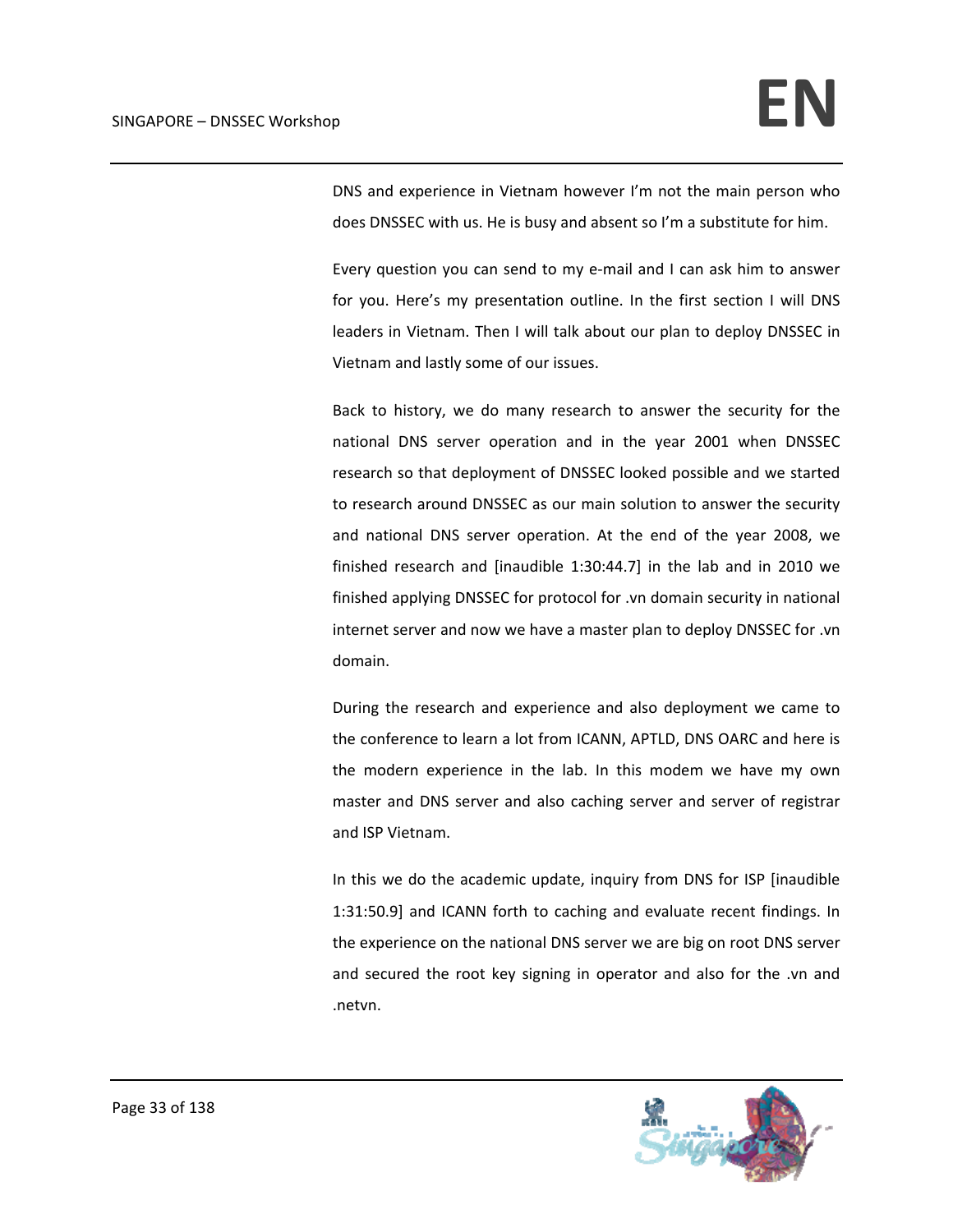DNS and experience in Vietnam however I'm not the main person who does DNSSEC with us. He is busy and absent so I'm a substitute for him.

Every question you can send to my e‐mail and I can ask him to answer for you. Here's my presentation outline. In the first section I will DNS leaders in Vietnam. Then I will talk about our plan to deploy DNSSEC in Vietnam and lastly some of our issues.

Back to history, we do many research to answer the security for the national DNS server operation and in the year 2001 when DNSSEC research so that deployment of DNSSEC looked possible and we started to research around DNSSEC as our main solution to answer the security and national DNS server operation. At the end of the year 2008, we finished research and [inaudible 1:30:44.7] in the lab and in 2010 we finished applying DNSSEC for protocol for .vn domain security in national internet server and now we have a master plan to deploy DNSSEC for .vn domain.

During the research and experience and also deployment we came to the conference to learn a lot from ICANN, APTLD, DNS OARC and here is the modern experience in the lab. In this modem we have my own master and DNS server and also caching server and server of registrar and ISP Vietnam.

In this we do the academic update, inquiry from DNS for ISP [inaudible 1:31:50.9] and ICANN forth to caching and evaluate recent findings. In the experience on the national DNS server we are big on root DNS server and secured the root key signing in operator and also for the .vn and .netvn.

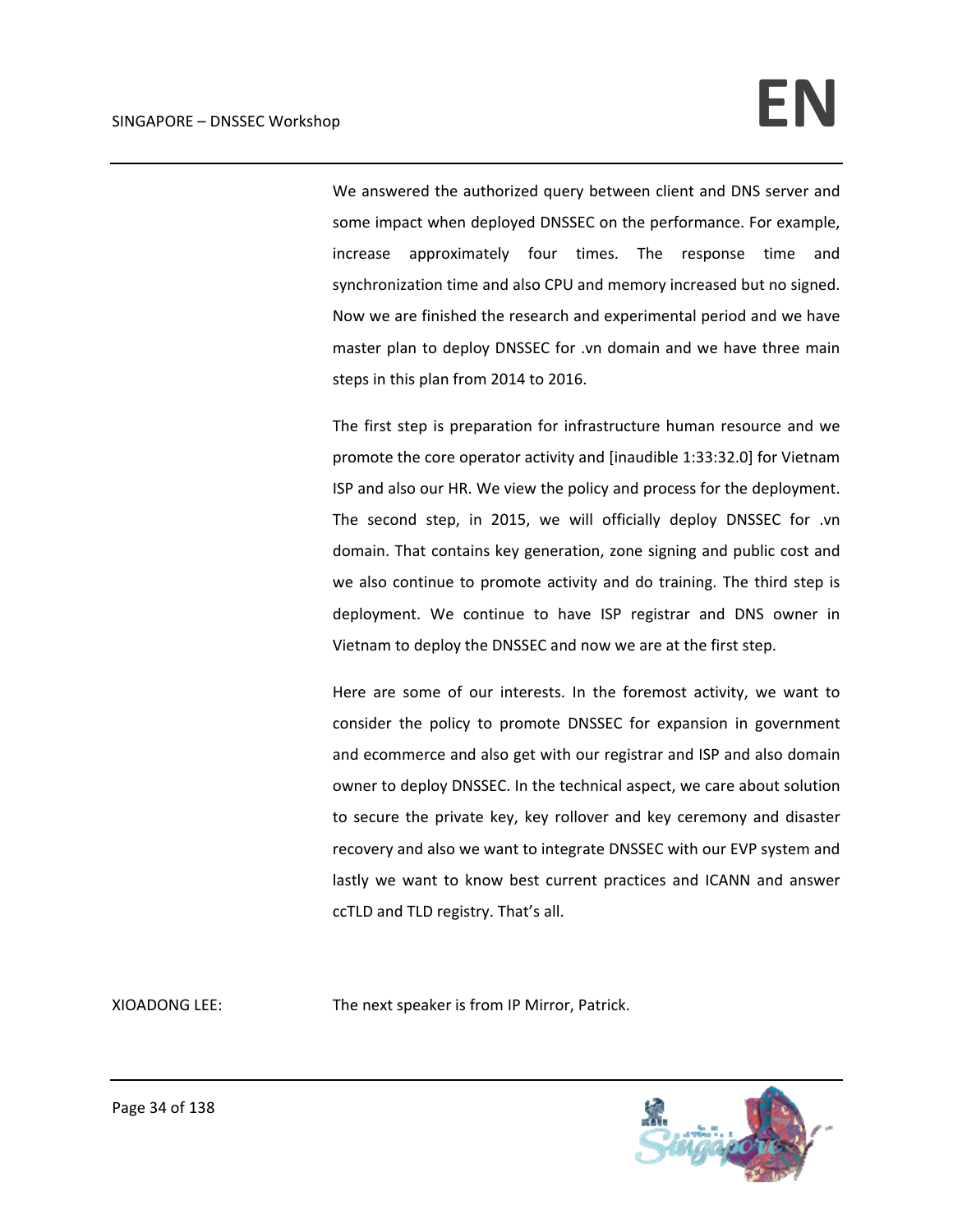We answered the authorized query between client and DNS server and some impact when deployed DNSSEC on the performance. For example, increase approximately four times. The response time and synchronization time and also CPU and memory increased but no signed. Now we are finished the research and experimental period and we have master plan to deploy DNSSEC for .vn domain and we have three main steps in this plan from 2014 to 2016.

The first step is preparation for infrastructure human resource and we promote the core operator activity and [inaudible 1:33:32.0] for Vietnam ISP and also our HR. We view the policy and process for the deployment. The second step, in 2015, we will officially deploy DNSSEC for .vn domain. That contains key generation, zone signing and public cost and we also continue to promote activity and do training. The third step is deployment. We continue to have ISP registrar and DNS owner in Vietnam to deploy the DNSSEC and now we are at the first step.

Here are some of our interests. In the foremost activity, we want to consider the policy to promote DNSSEC for expansion in government and ecommerce and also get with our registrar and ISP and also domain owner to deploy DNSSEC. In the technical aspect, we care about solution to secure the private key, key rollover and key ceremony and disaster recovery and also we want to integrate DNSSEC with our EVP system and lastly we want to know best current practices and ICANN and answer ccTLD and TLD registry. That's all.

XIOADONG LEE: The next speaker is from IP Mirror, Patrick.

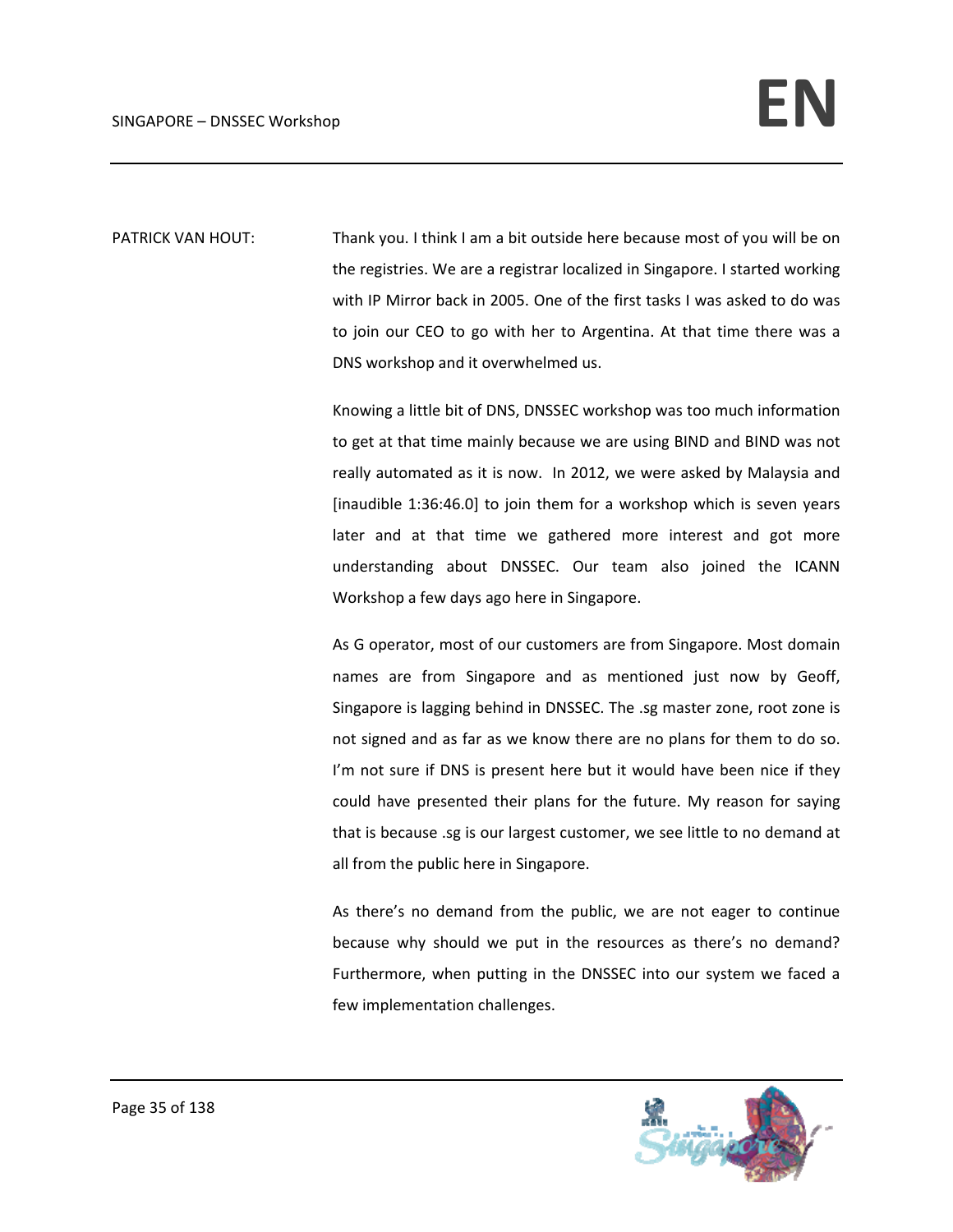PATRICK VAN HOUT: Thank you. I think I am a bit outside here because most of you will be on the registries. We are a registrar localized in Singapore. I started working with IP Mirror back in 2005. One of the first tasks I was asked to do was to join our CEO to go with her to Argentina. At that time there was a DNS workshop and it overwhelmed us.

> Knowing a little bit of DNS, DNSSEC workshop was too much information to get at that time mainly because we are using BIND and BIND was not really automated as it is now. In 2012, we were asked by Malaysia and [inaudible 1:36:46.0] to join them for a workshop which is seven years later and at that time we gathered more interest and got more understanding about DNSSEC. Our team also joined the ICANN Workshop a few days ago here in Singapore.

> As G operator, most of our customers are from Singapore. Most domain names are from Singapore and as mentioned just now by Geoff, Singapore is lagging behind in DNSSEC. The .sg master zone, root zone is not signed and as far as we know there are no plans for them to do so. I'm not sure if DNS is present here but it would have been nice if they could have presented their plans for the future. My reason for saying that is because .sg is our largest customer, we see little to no demand at all from the public here in Singapore.

> As there's no demand from the public, we are not eager to continue because why should we put in the resources as there's no demand? Furthermore, when putting in the DNSSEC into our system we faced a few implementation challenges.

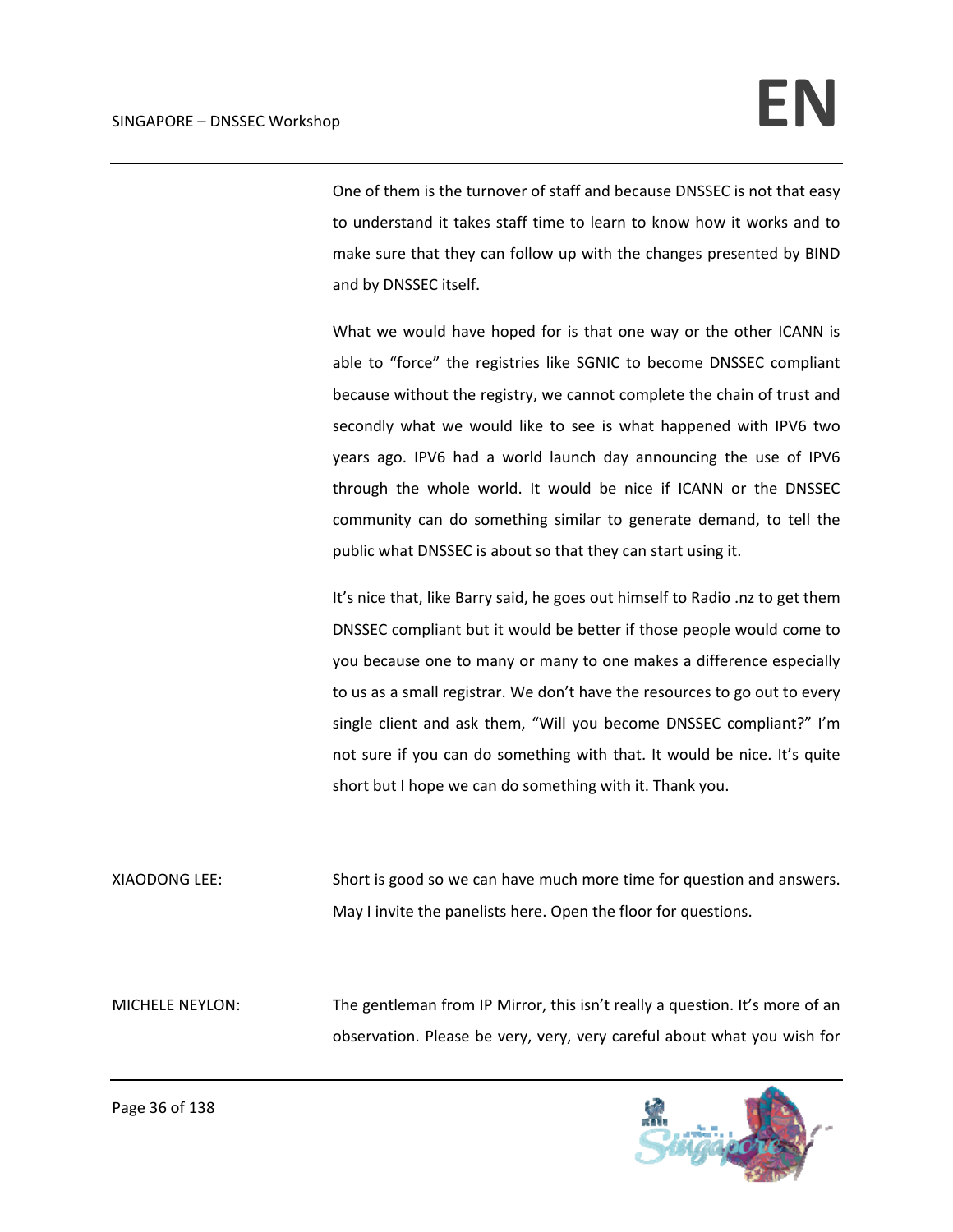One of them is the turnover of staff and because DNSSEC is not that easy to understand it takes staff time to learn to know how it works and to make sure that they can follow up with the changes presented by BIND and by DNSSEC itself.

What we would have hoped for is that one way or the other ICANN is able to "force" the registries like SGNIC to become DNSSEC compliant because without the registry, we cannot complete the chain of trust and secondly what we would like to see is what happened with IPV6 two years ago. IPV6 had a world launch day announcing the use of IPV6 through the whole world. It would be nice if ICANN or the DNSSEC community can do something similar to generate demand, to tell the public what DNSSEC is about so that they can start using it.

It's nice that, like Barry said, he goes out himself to Radio .nz to get them DNSSEC compliant but it would be better if those people would come to you because one to many or many to one makes a difference especially to us as a small registrar. We don't have the resources to go out to every single client and ask them, "Will you become DNSSEC compliant?" I'm not sure if you can do something with that. It would be nice. It's quite short but I hope we can do something with it. Thank you.

XIAODONG LEE: Short is good so we can have much more time for question and answers. May I invite the panelists here. Open the floor for questions.

MICHELE NEYLON: The gentleman from IP Mirror, this isn't really a question. It's more of an observation. Please be very, very, very careful about what you wish for

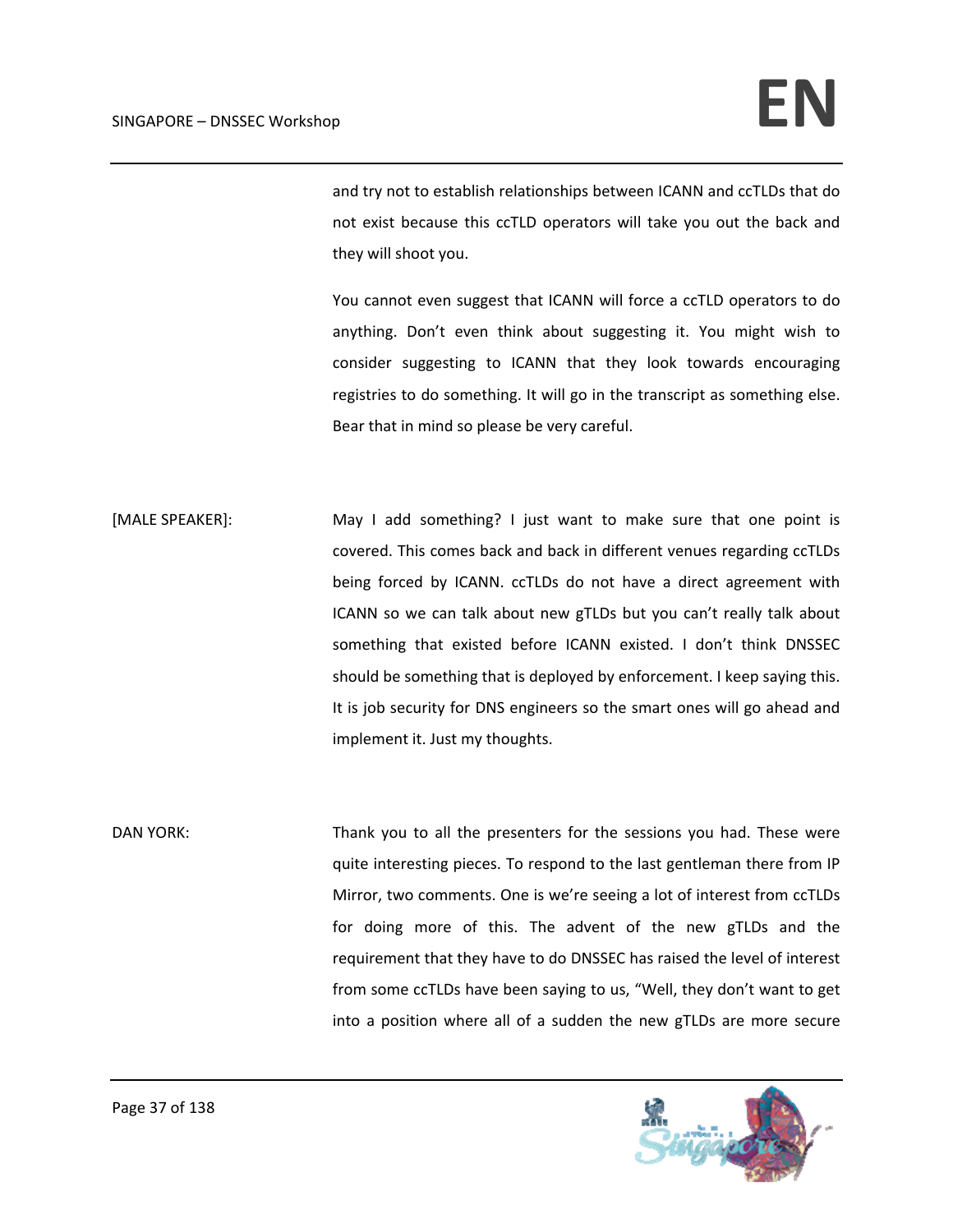and try not to establish relationships between ICANN and ccTLDs that do not exist because this ccTLD operators will take you out the back and they will shoot you.

You cannot even suggest that ICANN will force a ccTLD operators to do anything. Don't even think about suggesting it. You might wish to consider suggesting to ICANN that they look towards encouraging registries to do something. It will go in the transcript as something else. Bear that in mind so please be very careful.

[MALE SPEAKER]: May I add something? I just want to make sure that one point is covered. This comes back and back in different venues regarding ccTLDs being forced by ICANN. ccTLDs do not have a direct agreement with ICANN so we can talk about new gTLDs but you can't really talk about something that existed before ICANN existed. I don't think DNSSEC should be something that is deployed by enforcement. I keep saying this. It is job security for DNS engineers so the smart ones will go ahead and implement it. Just my thoughts.

DAN YORK: Thank you to all the presenters for the sessions you had. These were quite interesting pieces. To respond to the last gentleman there from IP Mirror, two comments. One is we're seeing a lot of interest from ccTLDs for doing more of this. The advent of the new gTLDs and the requirement that they have to do DNSSEC has raised the level of interest from some ccTLDs have been saying to us, "Well, they don't want to get into a position where all of a sudden the new gTLDs are more secure

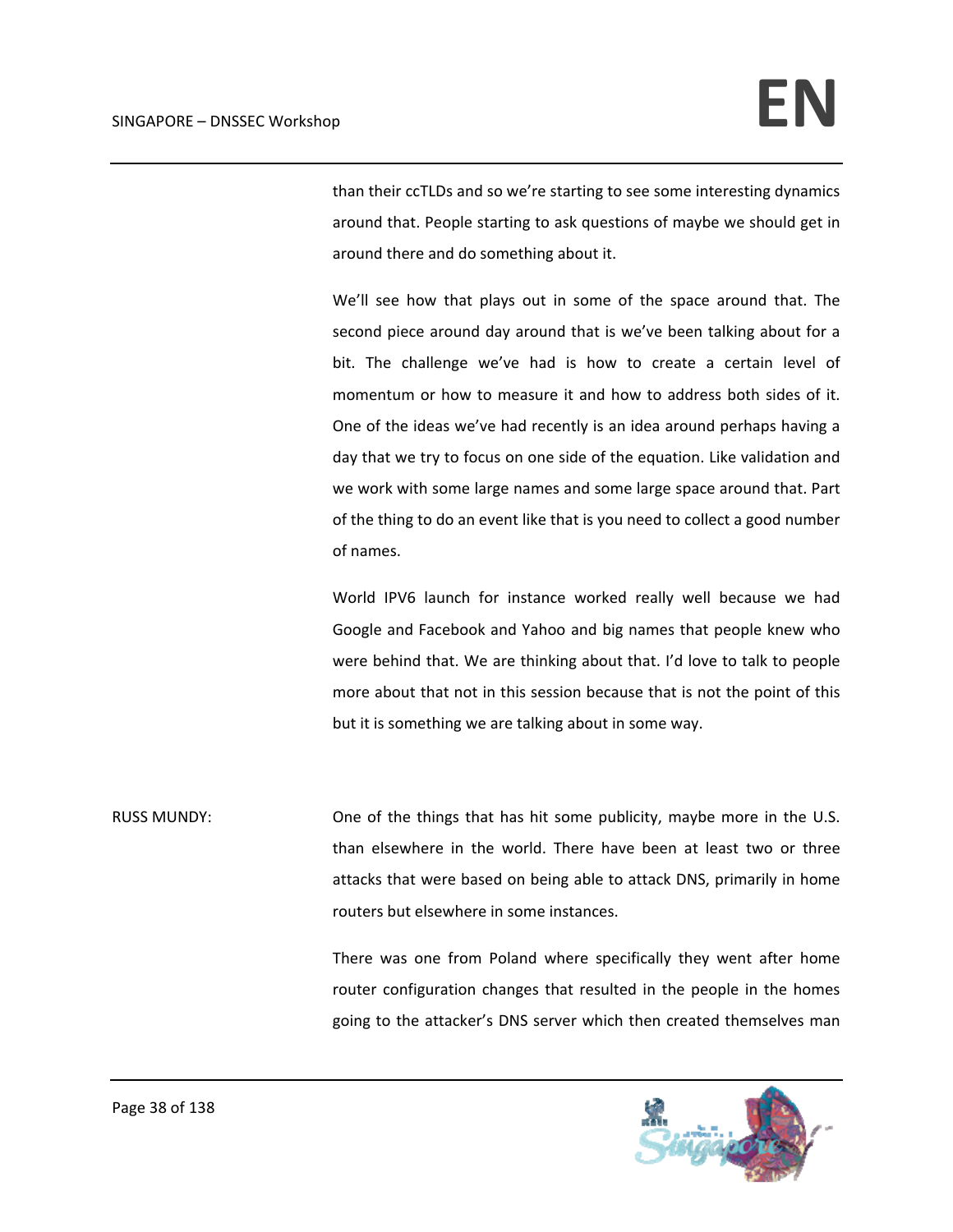than their ccTLDs and so we're starting to see some interesting dynamics around that. People starting to ask questions of maybe we should get in around there and do something about it.

We'll see how that plays out in some of the space around that. The second piece around day around that is we've been talking about for a bit. The challenge we've had is how to create a certain level of momentum or how to measure it and how to address both sides of it. One of the ideas we've had recently is an idea around perhaps having a day that we try to focus on one side of the equation. Like validation and we work with some large names and some large space around that. Part of the thing to do an event like that is you need to collect a good number of names.

World IPV6 launch for instance worked really well because we had Google and Facebook and Yahoo and big names that people knew who were behind that. We are thinking about that. I'd love to talk to people more about that not in this session because that is not the point of this but it is something we are talking about in some way.

RUSS MUNDY: One of the things that has hit some publicity, maybe more in the U.S. than elsewhere in the world. There have been at least two or three attacks that were based on being able to attack DNS, primarily in home routers but elsewhere in some instances.

> There was one from Poland where specifically they went after home router configuration changes that resulted in the people in the homes going to the attacker's DNS server which then created themselves man

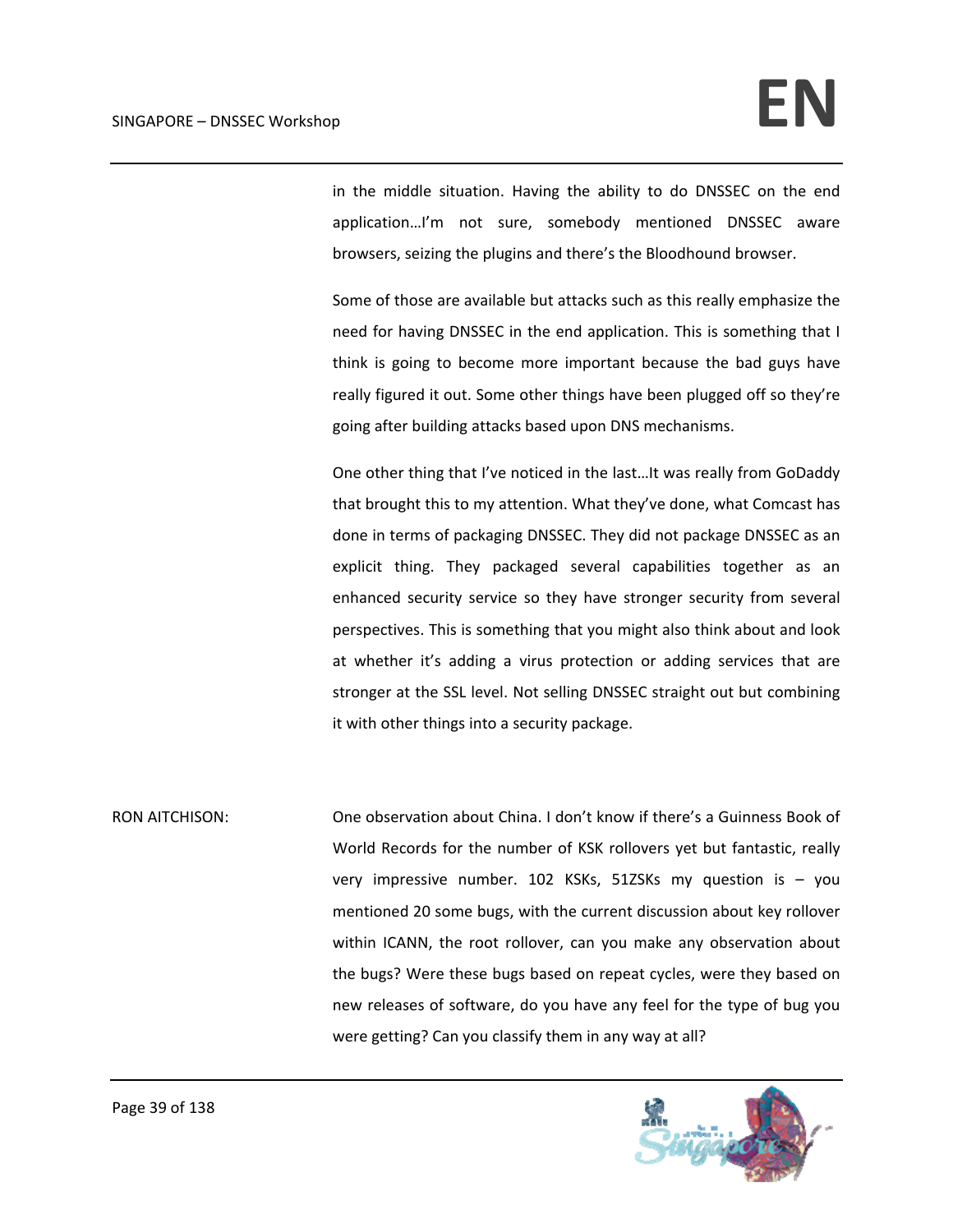in the middle situation. Having the ability to do DNSSEC on the end application…I'm not sure, somebody mentioned DNSSEC aware browsers, seizing the plugins and there's the Bloodhound browser.

Some of those are available but attacks such as this really emphasize the need for having DNSSEC in the end application. This is something that I think is going to become more important because the bad guys have really figured it out. Some other things have been plugged off so they're going after building attacks based upon DNS mechanisms.

One other thing that I've noticed in the last…It was really from GoDaddy that brought this to my attention. What they've done, what Comcast has done in terms of packaging DNSSEC. They did not package DNSSEC as an explicit thing. They packaged several capabilities together as an enhanced security service so they have stronger security from several perspectives. This is something that you might also think about and look at whether it's adding a virus protection or adding services that are stronger at the SSL level. Not selling DNSSEC straight out but combining it with other things into a security package.

RON AITCHISON: One observation about China. I don't know if there's a Guinness Book of World Records for the number of KSK rollovers yet but fantastic, really very impressive number. 102 KSKs, 51ZSKs my question is – you mentioned 20 some bugs, with the current discussion about key rollover within ICANN, the root rollover, can you make any observation about the bugs? Were these bugs based on repeat cycles, were they based on new releases of software, do you have any feel for the type of bug you were getting? Can you classify them in any way at all?

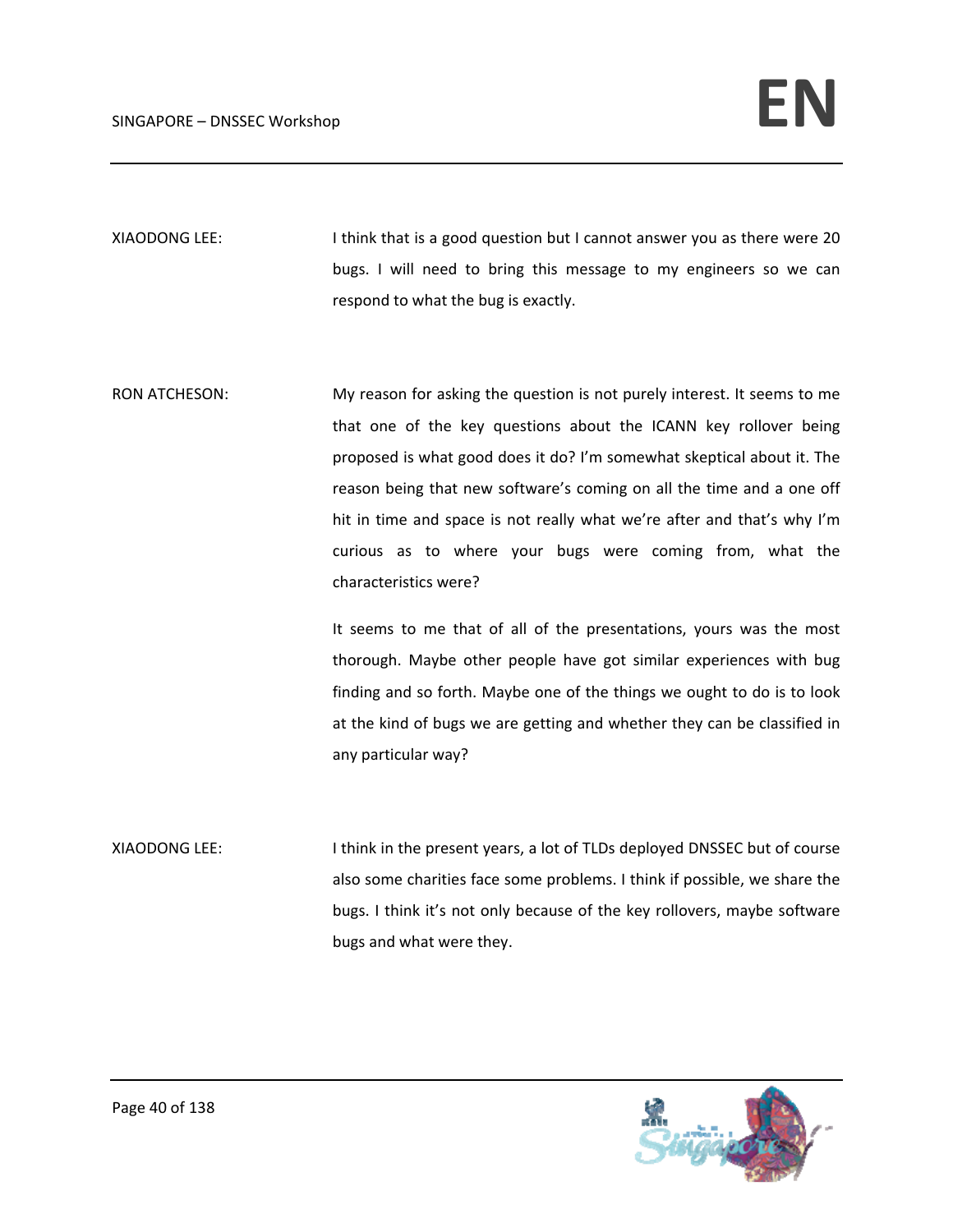XIAODONG LEE: I I think that is a good question but I cannot answer you as there were 20 bugs. I will need to bring this message to my engineers so we can respond to what the bug is exactly.

RON ATCHESON: My reason for asking the question is not purely interest. It seems to me that one of the key questions about the ICANN key rollover being proposed is what good does it do? I'm somewhat skeptical about it. The reason being that new software's coming on all the time and a one off hit in time and space is not really what we're after and that's why I'm curious as to where your bugs were coming from, what the characteristics were?

> It seems to me that of all of the presentations, yours was the most thorough. Maybe other people have got similar experiences with bug finding and so forth. Maybe one of the things we ought to do is to look at the kind of bugs we are getting and whether they can be classified in any particular way?

XIAODONG LEE: I think in the present years, a lot of TLDs deployed DNSSEC but of course also some charities face some problems. I think if possible, we share the bugs. I think it's not only because of the key rollovers, maybe software bugs and what were they.

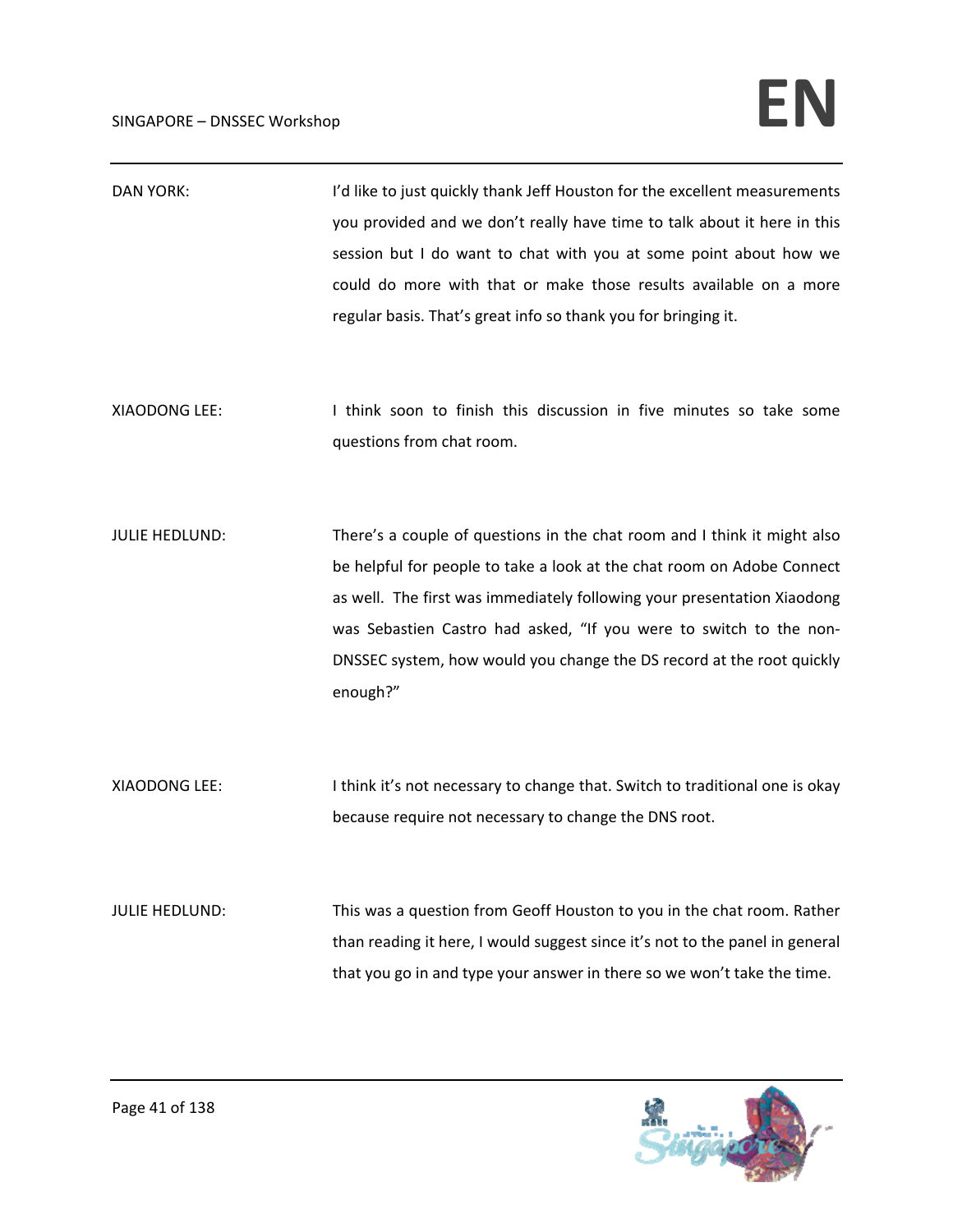| <b>DAN YORK:</b>      | I'd like to just quickly thank Jeff Houston for the excellent measurements<br>you provided and we don't really have time to talk about it here in this<br>session but I do want to chat with you at some point about how we<br>could do more with that or make those results available on a more<br>regular basis. That's great info so thank you for bringing it.                       |
|-----------------------|------------------------------------------------------------------------------------------------------------------------------------------------------------------------------------------------------------------------------------------------------------------------------------------------------------------------------------------------------------------------------------------|
| XIAODONG LEE:         | I think soon to finish this discussion in five minutes so take some<br>questions from chat room.                                                                                                                                                                                                                                                                                         |
| <b>JULIE HEDLUND:</b> | There's a couple of questions in the chat room and I think it might also<br>be helpful for people to take a look at the chat room on Adobe Connect<br>as well. The first was immediately following your presentation Xiaodong<br>was Sebastien Castro had asked, "If you were to switch to the non-<br>DNSSEC system, how would you change the DS record at the root quickly<br>enough?" |
| XIAODONG LEE:         | I think it's not necessary to change that. Switch to traditional one is okay<br>because require not necessary to change the DNS root.                                                                                                                                                                                                                                                    |
| <b>JULIE HEDLUND:</b> | This was a question from Geoff Houston to you in the chat room. Rather<br>than reading it here, I would suggest since it's not to the panel in general<br>that you go in and type your answer in there so we won't take the time.                                                                                                                                                        |

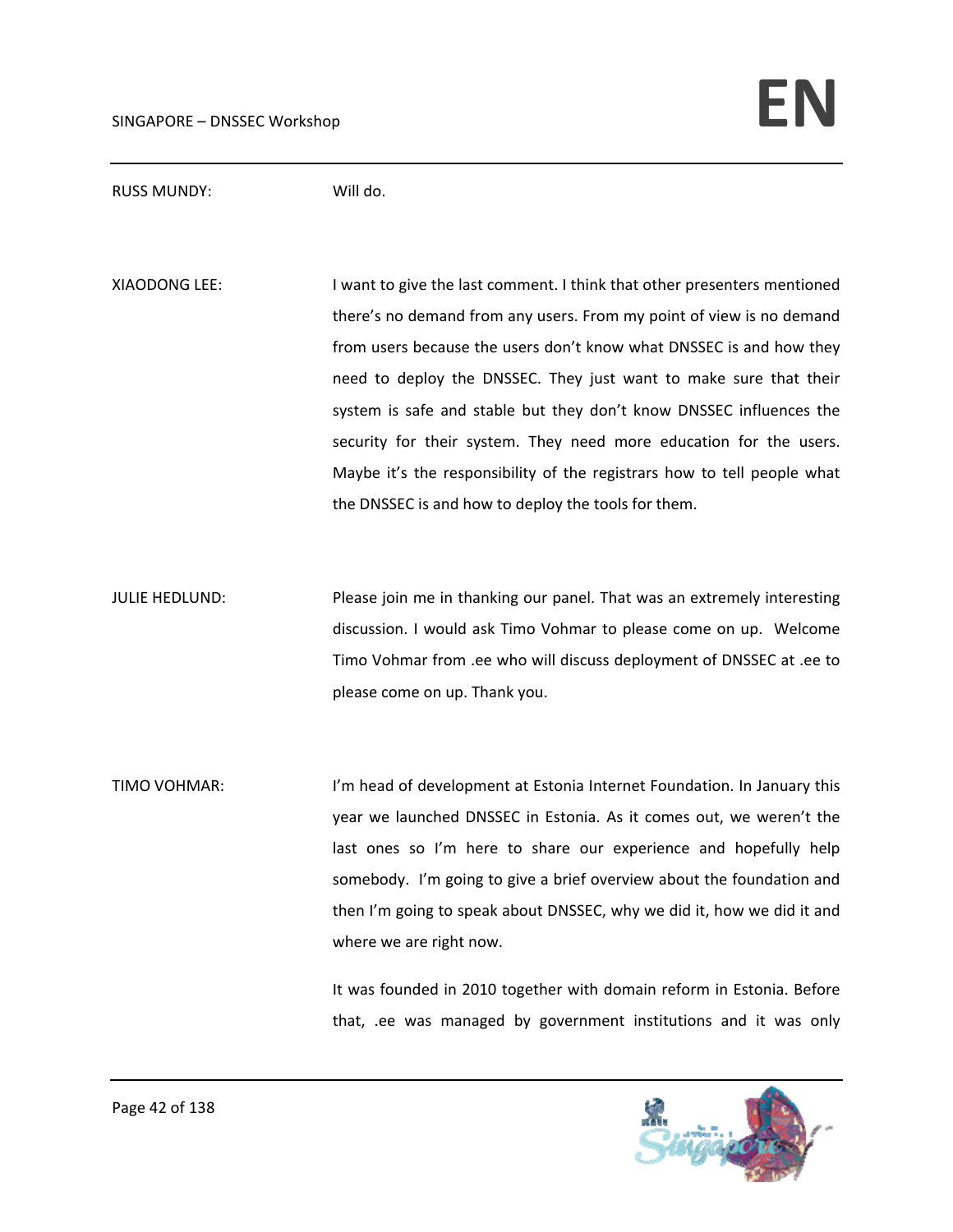## RUSS MUNDY: Will do.

XIAODONG LEE: I want to give the last comment. I think that other presenters mentioned there's no demand from any users. From my point of view is no demand from users because the users don't know what DNSSEC is and how they need to deploy the DNSSEC. They just want to make sure that their system is safe and stable but they don't know DNSSEC influences the security for their system. They need more education for the users. Maybe it's the responsibility of the registrars how to tell people what the DNSSEC is and how to deploy the tools for them.

JULIE HEDLUND: Please join me in thanking our panel. That was an extremely interesting discussion. I would ask Timo Vohmar to please come on up. Welcome Timo Vohmar from .ee who will discuss deployment of DNSSEC at .ee to please come on up. Thank you.

TIMO VOHMAR: I'm head of development at Estonia Internet Foundation. In January this year we launched DNSSEC in Estonia. As it comes out, we weren't the last ones so I'm here to share our experience and hopefully help somebody. I'm going to give a brief overview about the foundation and then I'm going to speak about DNSSEC, why we did it, how we did it and where we are right now.

> It was founded in 2010 together with domain reform in Estonia. Before that, .ee was managed by government institutions and it was only

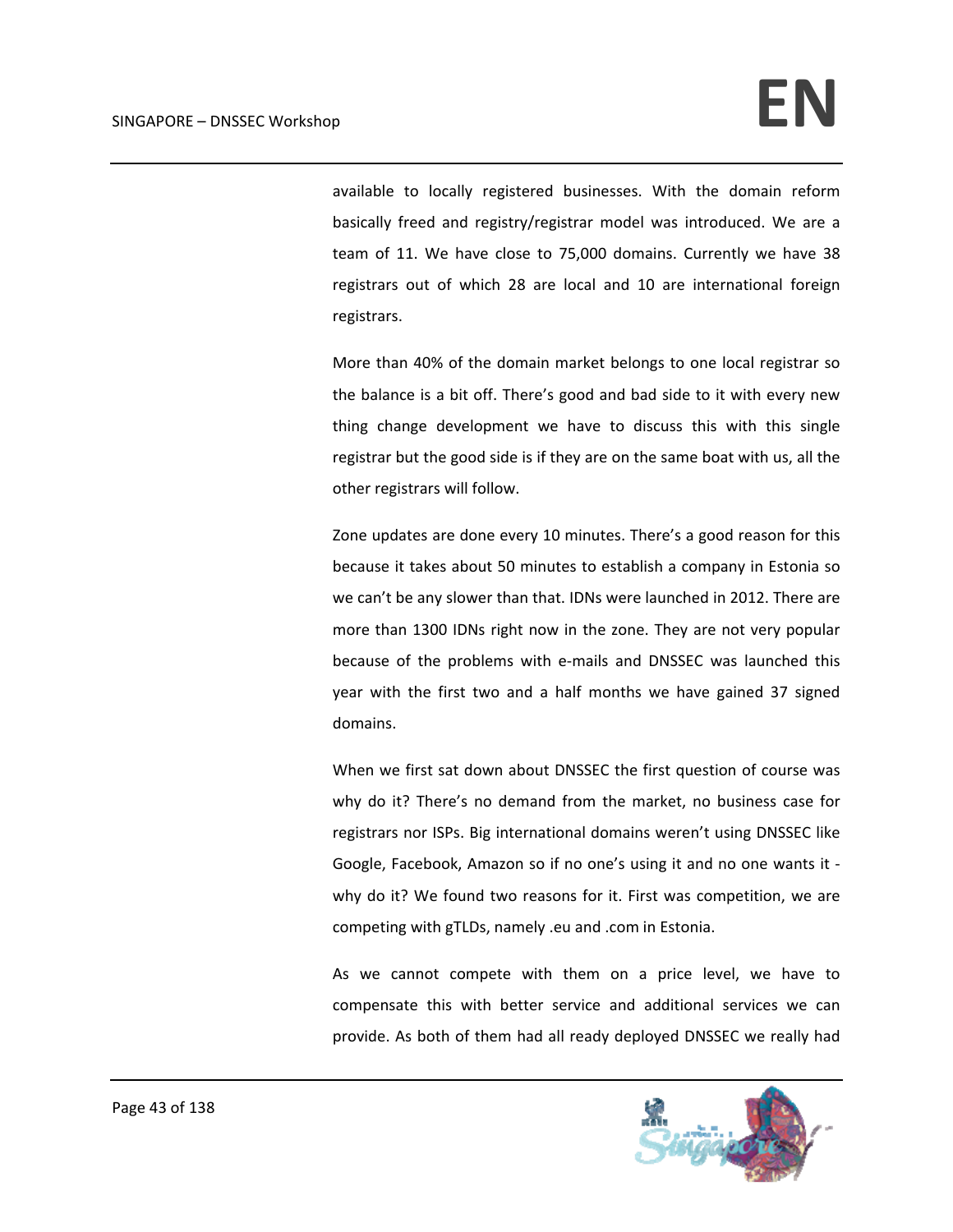available to locally registered businesses. With the domain reform basically freed and registry/registrar model was introduced. We are a team of 11. We have close to 75,000 domains. Currently we have 38 registrars out of which 28 are local and 10 are international foreign registrars.

More than 40% of the domain market belongs to one local registrar so the balance is a bit off. There's good and bad side to it with every new thing change development we have to discuss this with this single registrar but the good side is if they are on the same boat with us, all the other registrars will follow.

Zone updates are done every 10 minutes. There's a good reason for this because it takes about 50 minutes to establish a company in Estonia so we can't be any slower than that. IDNs were launched in 2012. There are more than 1300 IDNs right now in the zone. They are not very popular because of the problems with e-mails and DNSSEC was launched this year with the first two and a half months we have gained 37 signed domains.

When we first sat down about DNSSEC the first question of course was why do it? There's no demand from the market, no business case for registrars nor ISPs. Big international domains weren't using DNSSEC like Google, Facebook, Amazon so if no one's using it and no one wants it ‐ why do it? We found two reasons for it. First was competition, we are competing with gTLDs, namely .eu and .com in Estonia.

As we cannot compete with them on a price level, we have to compensate this with better service and additional services we can provide. As both of them had all ready deployed DNSSEC we really had

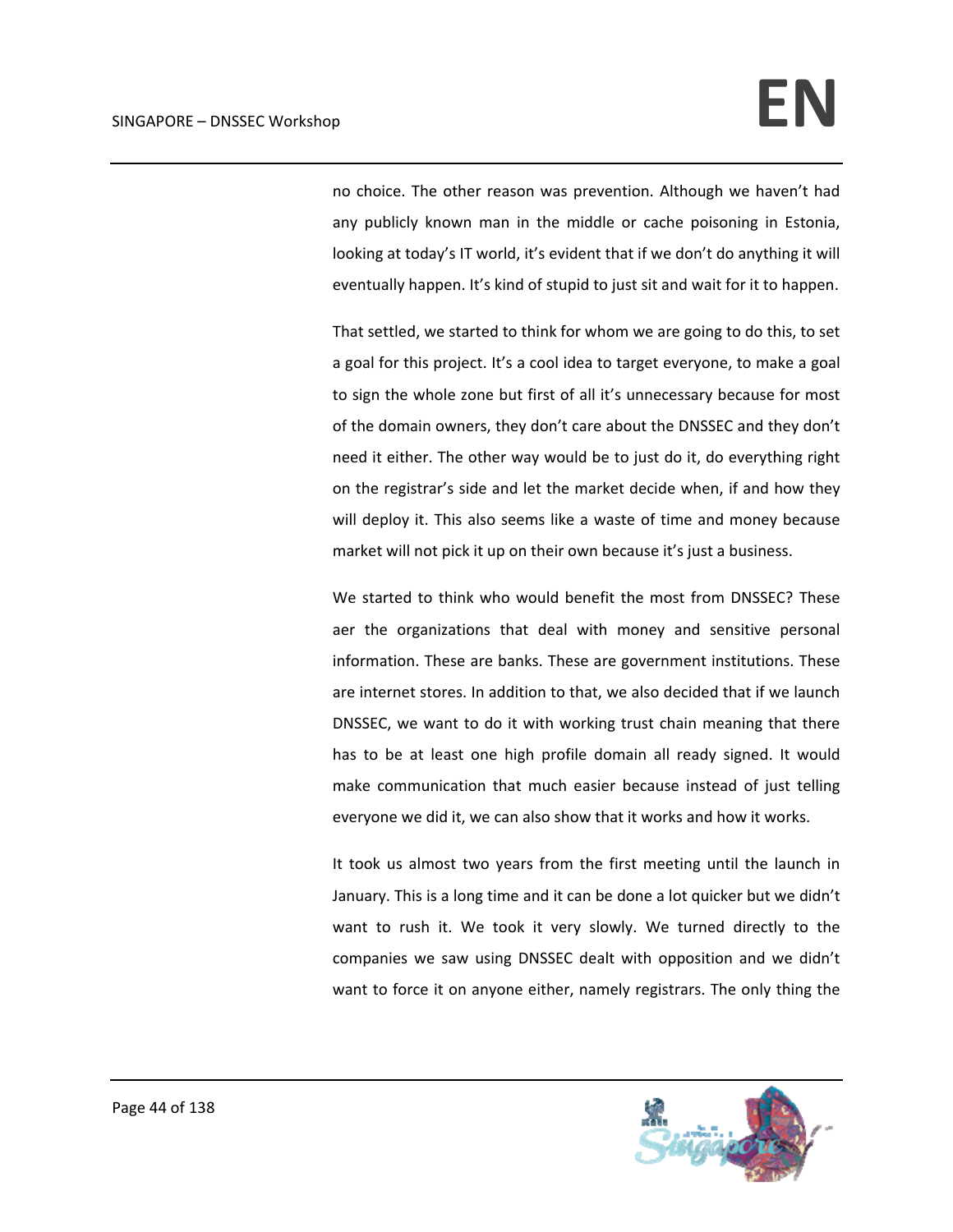no choice. The other reason was prevention. Although we haven't had any publicly known man in the middle or cache poisoning in Estonia, looking at today's IT world, it's evident that if we don't do anything it will eventually happen. It's kind of stupid to just sit and wait for it to happen.

That settled, we started to think for whom we are going to do this, to set a goal for this project. It's a cool idea to target everyone, to make a goal to sign the whole zone but first of all it's unnecessary because for most of the domain owners, they don't care about the DNSSEC and they don't need it either. The other way would be to just do it, do everything right on the registrar's side and let the market decide when, if and how they will deploy it. This also seems like a waste of time and money because market will not pick it up on their own because it's just a business.

We started to think who would benefit the most from DNSSEC? These aer the organizations that deal with money and sensitive personal information. These are banks. These are government institutions. These are internet stores. In addition to that, we also decided that if we launch DNSSEC, we want to do it with working trust chain meaning that there has to be at least one high profile domain all ready signed. It would make communication that much easier because instead of just telling everyone we did it, we can also show that it works and how it works.

It took us almost two years from the first meeting until the launch in January. This is a long time and it can be done a lot quicker but we didn't want to rush it. We took it very slowly. We turned directly to the companies we saw using DNSSEC dealt with opposition and we didn't want to force it on anyone either, namely registrars. The only thing the

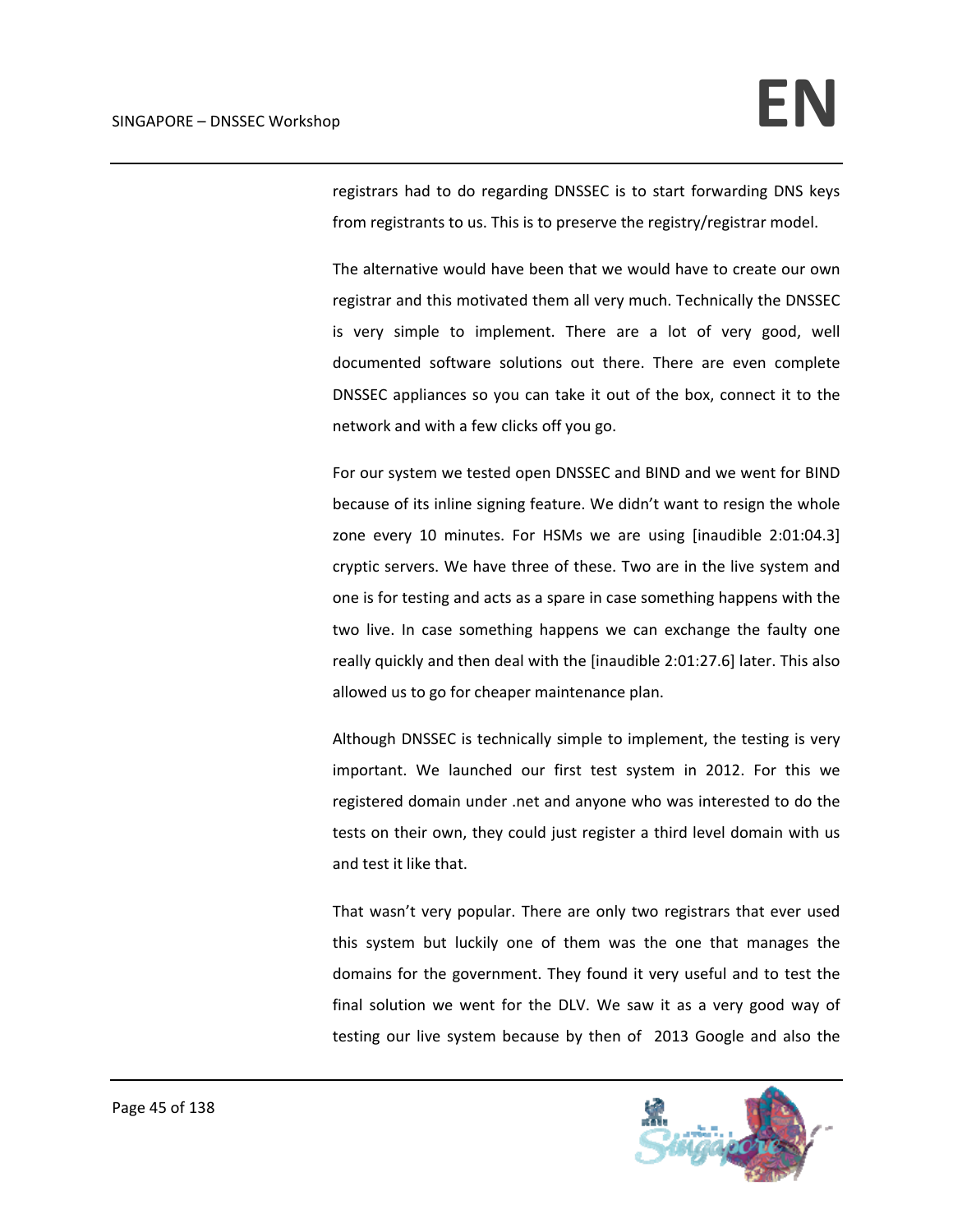registrars had to do regarding DNSSEC is to start forwarding DNS keys from registrants to us. This is to preserve the registry/registrar model.

The alternative would have been that we would have to create our own registrar and this motivated them all very much. Technically the DNSSEC is very simple to implement. There are a lot of very good, well documented software solutions out there. There are even complete DNSSEC appliances so you can take it out of the box, connect it to the network and with a few clicks off you go.

For our system we tested open DNSSEC and BIND and we went for BIND because of its inline signing feature. We didn't want to resign the whole zone every 10 minutes. For HSMs we are using [inaudible 2:01:04.3] cryptic servers. We have three of these. Two are in the live system and one is for testing and acts as a spare in case something happens with the two live. In case something happens we can exchange the faulty one really quickly and then deal with the [inaudible 2:01:27.6] later. This also allowed us to go for cheaper maintenance plan.

Although DNSSEC is technically simple to implement, the testing is very important. We launched our first test system in 2012. For this we registered domain under .net and anyone who was interested to do the tests on their own, they could just register a third level domain with us and test it like that.

That wasn't very popular. There are only two registrars that ever used this system but luckily one of them was the one that manages the domains for the government. They found it very useful and to test the final solution we went for the DLV. We saw it as a very good way of testing our live system because by then of 2013 Google and also the

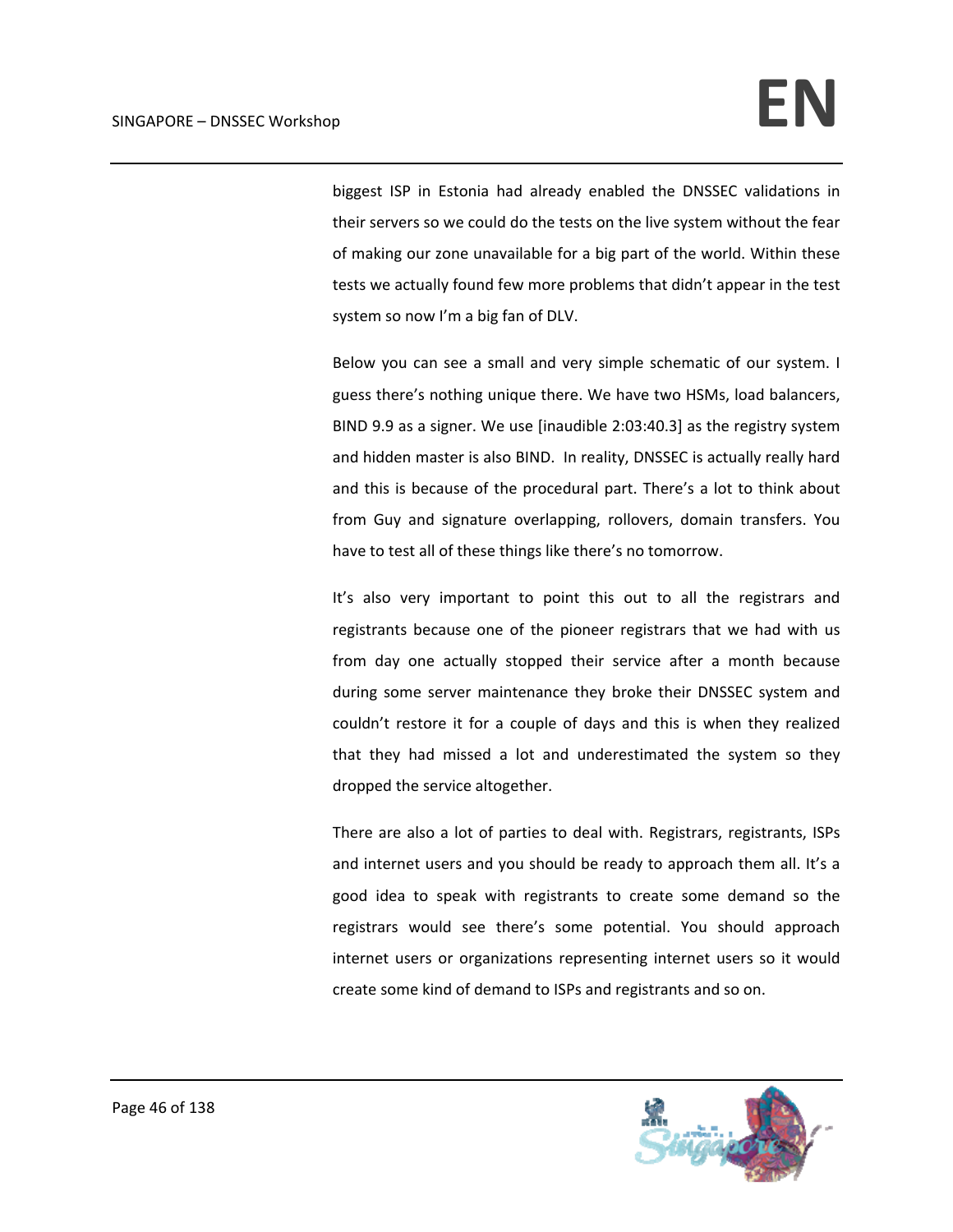biggest ISP in Estonia had already enabled the DNSSEC validations in their servers so we could do the tests on the live system without the fear of making our zone unavailable for a big part of the world. Within these tests we actually found few more problems that didn't appear in the test system so now I'm a big fan of DLV.

Below you can see a small and very simple schematic of our system. I guess there's nothing unique there. We have two HSMs, load balancers, BIND 9.9 as a signer. We use [inaudible 2:03:40.3] as the registry system and hidden master is also BIND. In reality, DNSSEC is actually really hard and this is because of the procedural part. There's a lot to think about from Guy and signature overlapping, rollovers, domain transfers. You have to test all of these things like there's no tomorrow.

 It's also very important to point this out to all the registrars and registrants because one of the pioneer registrars that we had with us from day one actually stopped their service after a month because during some server maintenance they broke their DNSSEC system and couldn't restore it for a couple of days and this is when they realized that they had missed a lot and underestimated the system so they dropped the service altogether.

There are also a lot of parties to deal with. Registrars, registrants, ISPs and internet users and you should be ready to approach them all. It's a good idea to speak with registrants to create some demand so the registrars would see there's some potential. You should approach internet users or organizations representing internet users so it would create some kind of demand to ISPs and registrants and so on.

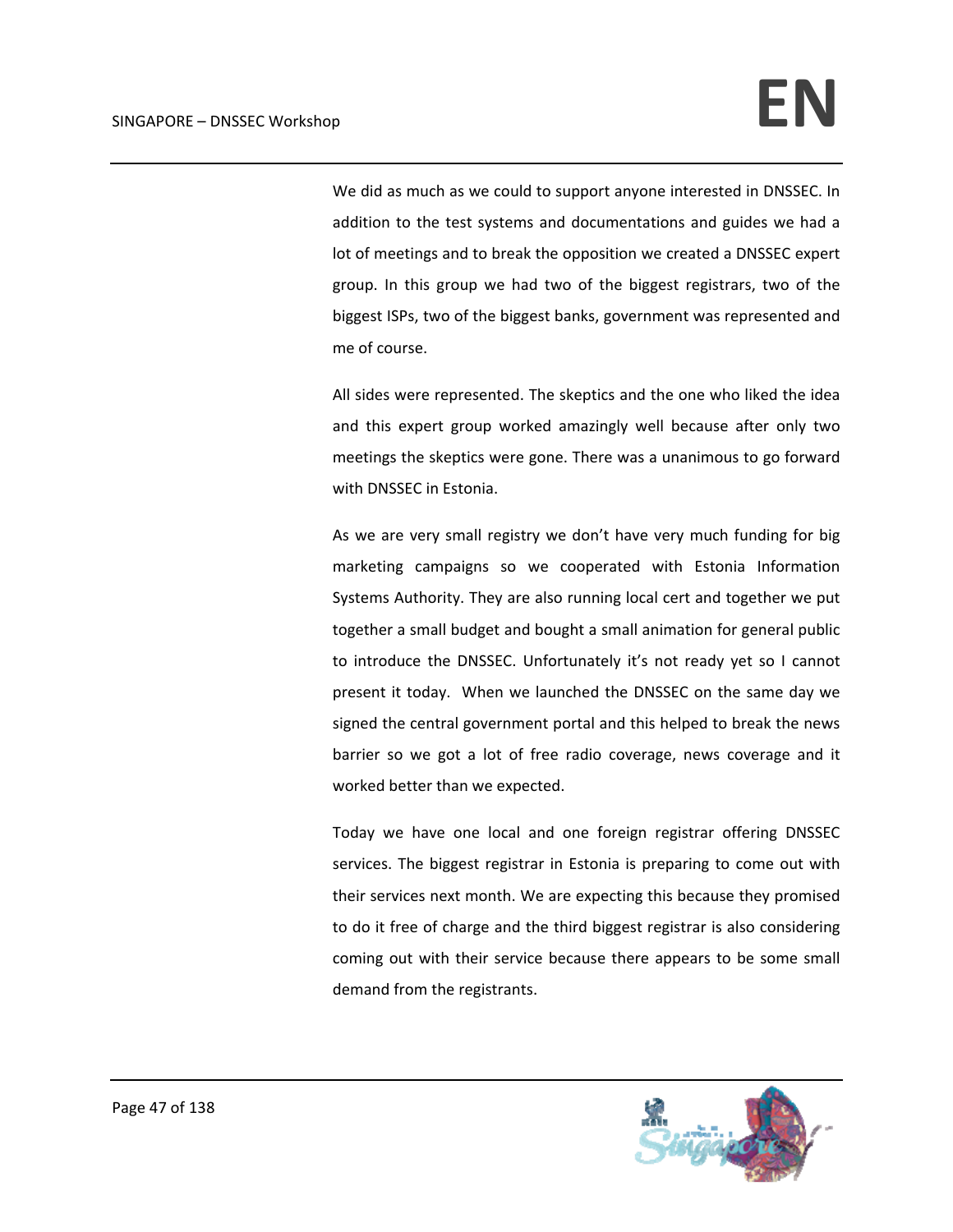We did as much as we could to support anyone interested in DNSSEC. In addition to the test systems and documentations and guides we had a lot of meetings and to break the opposition we created a DNSSEC expert group. In this group we had two of the biggest registrars, two of the biggest ISPs, two of the biggest banks, government was represented and me of course.

All sides were represented. The skeptics and the one who liked the idea and this expert group worked amazingly well because after only two meetings the skeptics were gone. There was a unanimous to go forward with DNSSEC in Estonia.

As we are very small registry we don't have very much funding for big marketing campaigns so we cooperated with Estonia Information Systems Authority. They are also running local cert and together we put together a small budget and bought a small animation for general public to introduce the DNSSEC. Unfortunately it's not ready yet so I cannot present it today. When we launched the DNSSEC on the same day we signed the central government portal and this helped to break the news barrier so we got a lot of free radio coverage, news coverage and it worked better than we expected.

Today we have one local and one foreign registrar offering DNSSEC services. The biggest registrar in Estonia is preparing to come out with their services next month. We are expecting this because they promised to do it free of charge and the third biggest registrar is also considering coming out with their service because there appears to be some small demand from the registrants.

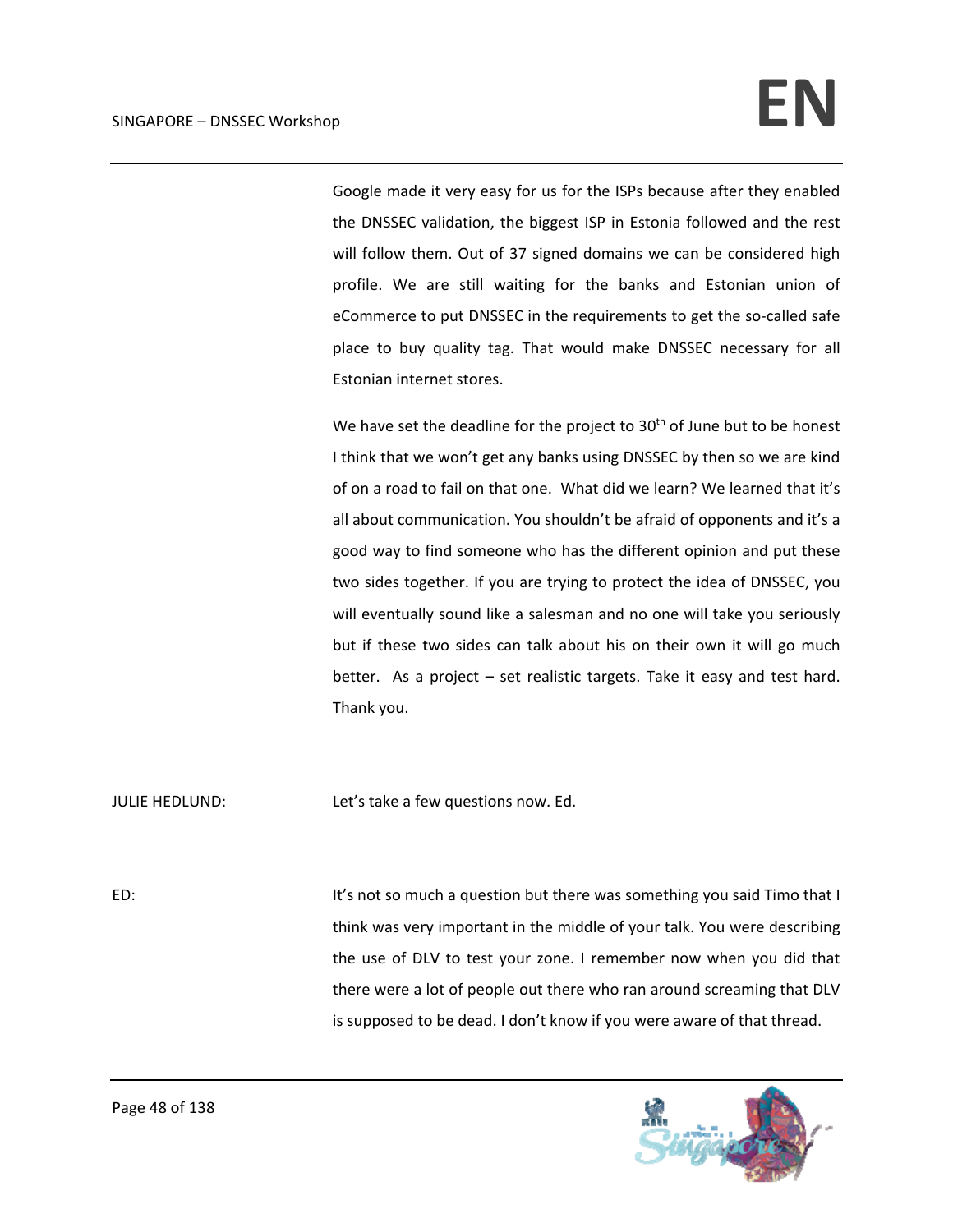Google made it very easy for us for the ISPs because after they enabled the DNSSEC validation, the biggest ISP in Estonia followed and the rest will follow them. Out of 37 signed domains we can be considered high profile. We are still waiting for the banks and Estonian union of eCommerce to put DNSSEC in the requirements to get the so-called safe place to buy quality tag. That would make DNSSEC necessary for all Estonian internet stores.

We have set the deadline for the project to 30<sup>th</sup> of June but to be honest I think that we won't get any banks using DNSSEC by then so we are kind of on a road to fail on that one. What did we learn? We learned that it's all about communication. You shouldn't be afraid of opponents and it's a good way to find someone who has the different opinion and put these two sides together. If you are trying to protect the idea of DNSSEC, you will eventually sound like a salesman and no one will take you seriously but if these two sides can talk about his on their own it will go much better. As a project – set realistic targets. Take it easy and test hard. Thank you.

JULIE HEDLUND: Let's take a few questions now. Ed.

ED: It's not so much a question but there was something you said Timo that I think was very important in the middle of your talk. You were describing the use of DLV to test your zone. I remember now when you did that there were a lot of people out there who ran around screaming that DLV is supposed to be dead. I don't know if you were aware of that thread.

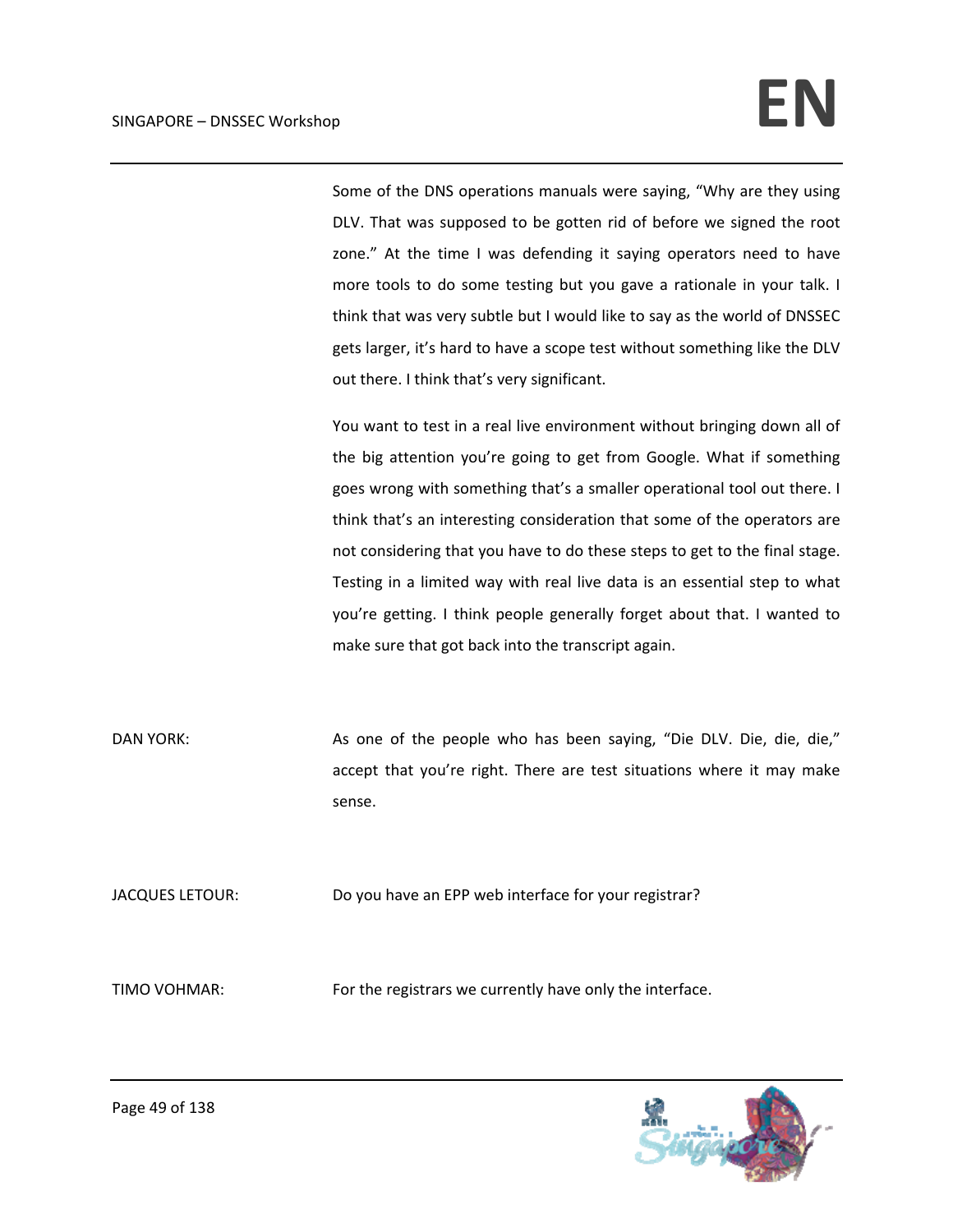Some of the DNS operations manuals were saying, "Why are they using DLV. That was supposed to be gotten rid of before we signed the root zone." At the time I was defending it saying operators need to have more tools to do some testing but you gave a rationale in your talk. I think that was very subtle but I would like to say as the world of DNSSEC gets larger, it's hard to have a scope test without something like the DLV out there. I think that's very significant.

You want to test in a real live environment without bringing down all of the big attention you're going to get from Google. What if something goes wrong with something that's a smaller operational tool out there. I think that's an interesting consideration that some of the operators are not considering that you have to do these steps to get to the final stage. Testing in a limited way with real live data is an essential step to what you're getting. I think people generally forget about that. I wanted to make sure that got back into the transcript again.

DAN YORK: As one of the people who has been saying, "Die DLV. Die, die, die," accept that you're right. There are test situations where it may make sense.

JACQUES LETOUR: Do you have an EPP web interface for your registrar?

TIMO VOHMAR: For the registrars we currently have only the interface.

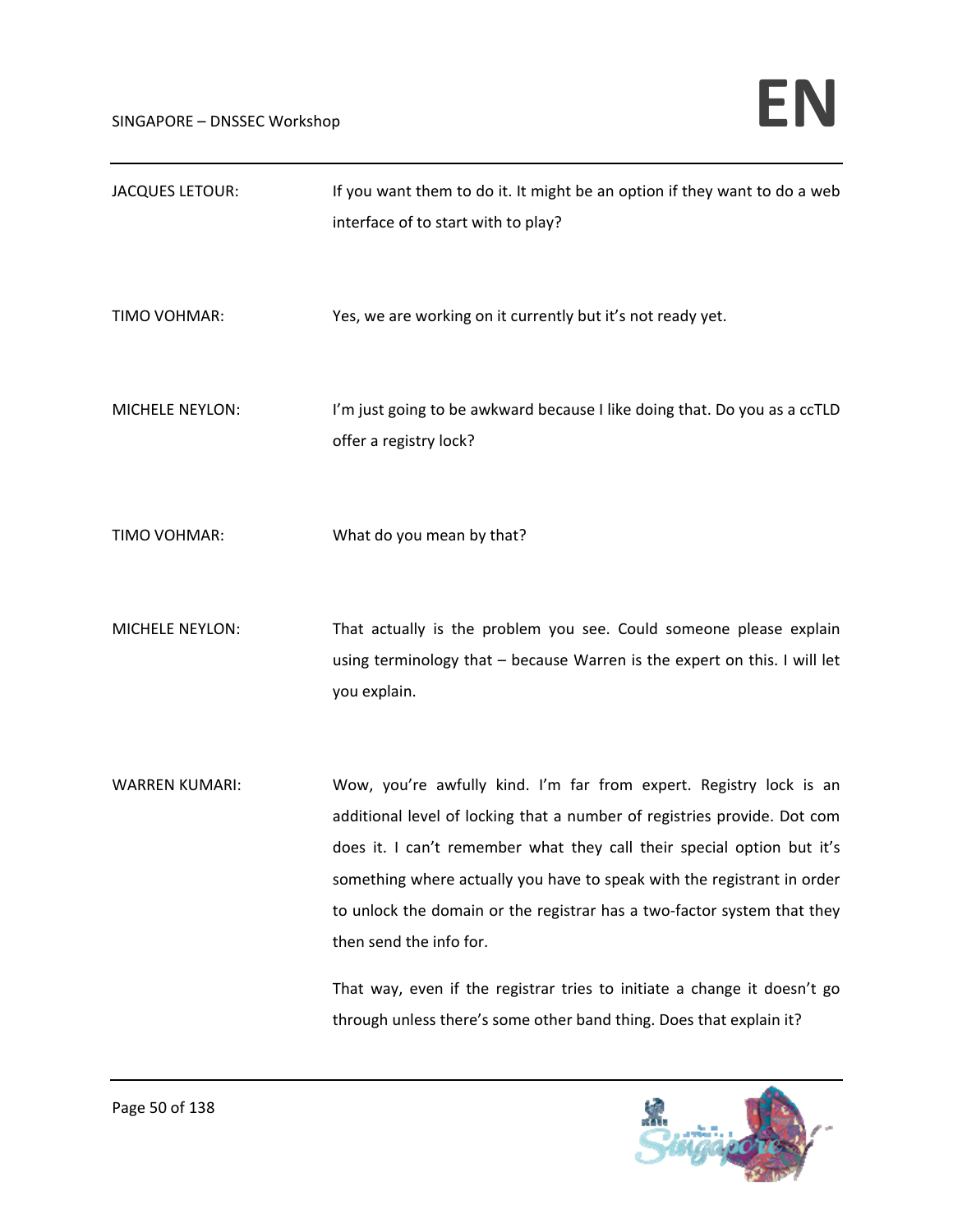| <b>JACQUES LETOUR:</b> | If you want them to do it. It might be an option if they want to do a web<br>interface of to start with to play?                                                                                                                                                                                                                                                                                                                                                                                                                                             |
|------------------------|--------------------------------------------------------------------------------------------------------------------------------------------------------------------------------------------------------------------------------------------------------------------------------------------------------------------------------------------------------------------------------------------------------------------------------------------------------------------------------------------------------------------------------------------------------------|
| TIMO VOHMAR:           | Yes, we are working on it currently but it's not ready yet.                                                                                                                                                                                                                                                                                                                                                                                                                                                                                                  |
| MICHELE NEYLON:        | I'm just going to be awkward because I like doing that. Do you as a ccTLD<br>offer a registry lock?                                                                                                                                                                                                                                                                                                                                                                                                                                                          |
| TIMO VOHMAR:           | What do you mean by that?                                                                                                                                                                                                                                                                                                                                                                                                                                                                                                                                    |
| <b>MICHELE NEYLON:</b> | That actually is the problem you see. Could someone please explain<br>using terminology that - because Warren is the expert on this. I will let<br>you explain.                                                                                                                                                                                                                                                                                                                                                                                              |
| <b>WARREN KUMARI:</b>  | Wow, you're awfully kind. I'm far from expert. Registry lock is an<br>additional level of locking that a number of registries provide. Dot com<br>does it. I can't remember what they call their special option but it's<br>something where actually you have to speak with the registrant in order<br>to unlock the domain or the registrar has a two-factor system that they<br>then send the info for.<br>That way, even if the registrar tries to initiate a change it doesn't go<br>through unless there's some other band thing. Does that explain it? |

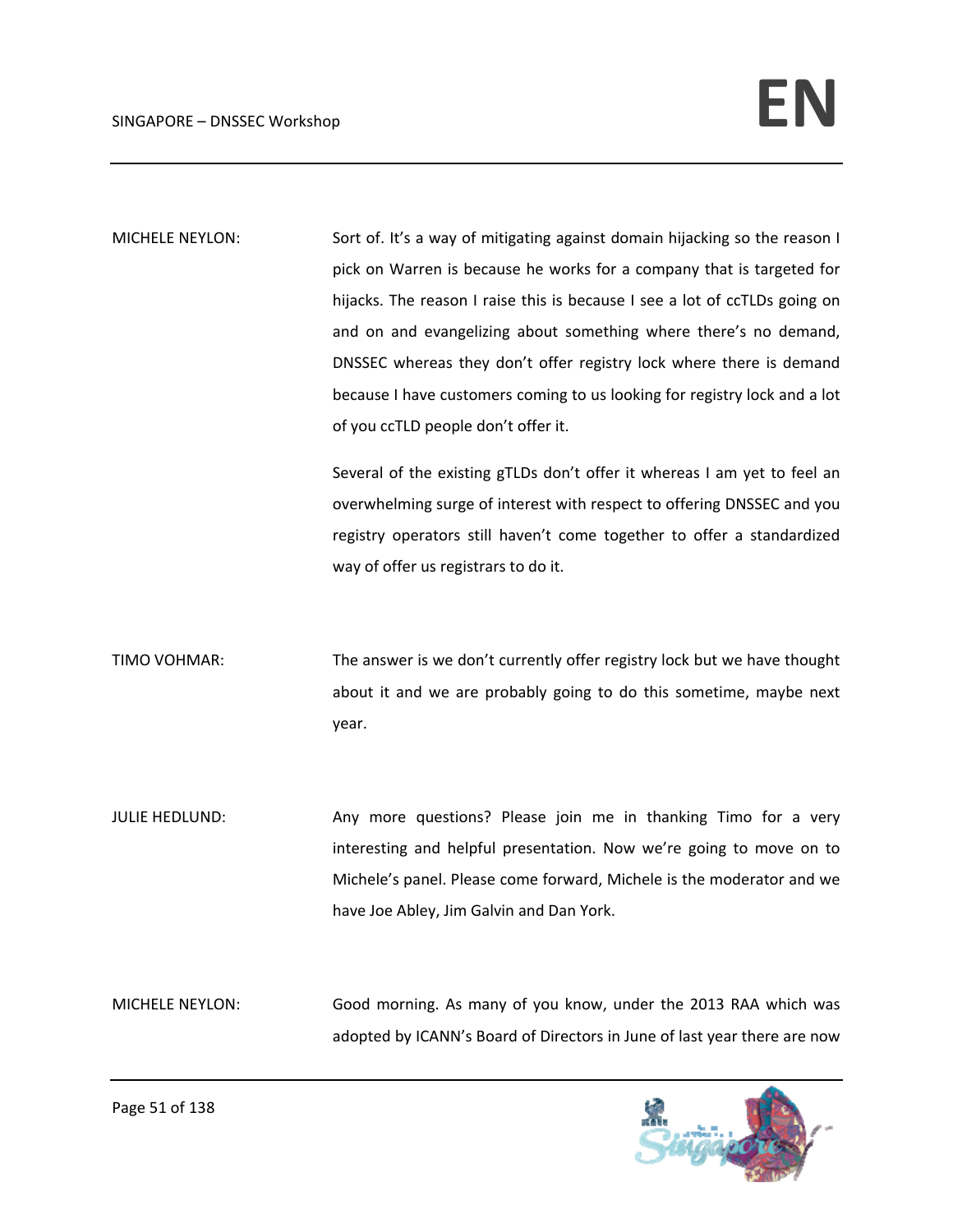MICHELE NEYLON: Sort of. It's a way of mitigating against domain hijacking so the reason I pick on Warren is because he works for a company that is targeted for hijacks. The reason I raise this is because I see a lot of ccTLDs going on and on and evangelizing about something where there's no demand, DNSSEC whereas they don't offer registry lock where there is demand because I have customers coming to us looking for registry lock and a lot of you ccTLD people don't offer it.

> Several of the existing gTLDs don't offer it whereas I am yet to feel an overwhelming surge of interest with respect to offering DNSSEC and you registry operators still haven't come together to offer a standardized way of offer us registrars to do it.

TIMO VOHMAR: The answer is we don't currently offer registry lock but we have thought about it and we are probably going to do this sometime, maybe next year.

JULIE HEDLUND: Any more questions? Please join me in thanking Timo for a very interesting and helpful presentation. Now we're going to move on to Michele's panel. Please come forward, Michele is the moderator and we have Joe Abley, Jim Galvin and Dan York.

MICHELE NEYLON: Good morning. As many of you know, under the 2013 RAA which was adopted by ICANN's Board of Directors in June of last year there are now

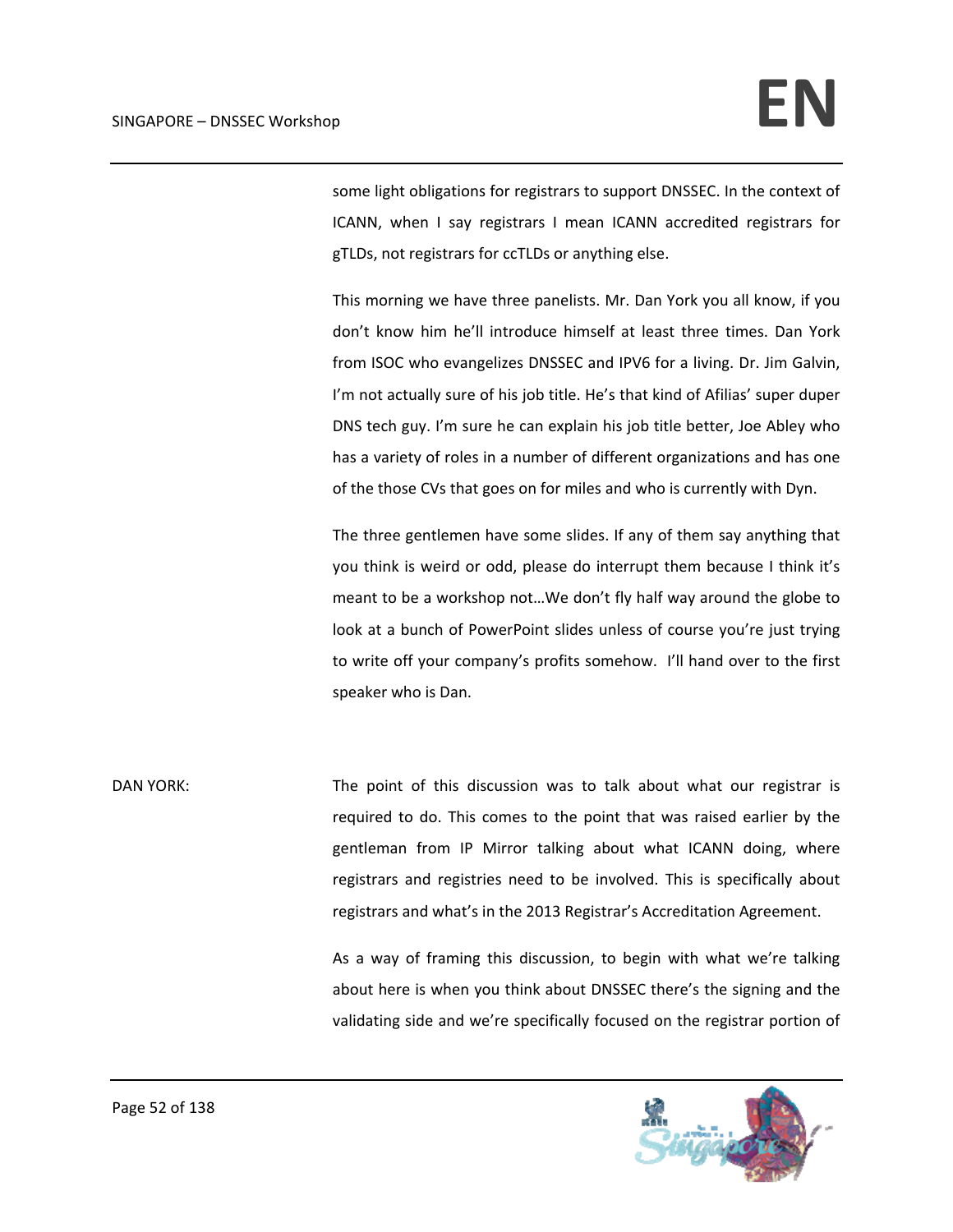some light obligations for registrars to support DNSSEC. In the context of ICANN, when I say registrars I mean ICANN accredited registrars for gTLDs, not registrars for ccTLDs or anything else.

This morning we have three panelists. Mr. Dan York you all know, if you don't know him he'll introduce himself at least three times. Dan York from ISOC who evangelizes DNSSEC and IPV6 for a living. Dr. Jim Galvin, I'm not actually sure of his job title. He's that kind of Afilias' super duper DNS tech guy. I'm sure he can explain his job title better, Joe Abley who has a variety of roles in a number of different organizations and has one of the those CVs that goes on for miles and who is currently with Dyn.

The three gentlemen have some slides. If any of them say anything that you think is weird or odd, please do interrupt them because I think it's meant to be a workshop not…We don't fly half way around the globe to look at a bunch of PowerPoint slides unless of course you're just trying to write off your company's profits somehow. I'll hand over to the first speaker who is Dan.

DAN YORK: The point of this discussion was to talk about what our registrar is required to do. This comes to the point that was raised earlier by the gentleman from IP Mirror talking about what ICANN doing, where registrars and registries need to be involved. This is specifically about registrars and what's in the 2013 Registrar's Accreditation Agreement.

> As a way of framing this discussion, to begin with what we're talking about here is when you think about DNSSEC there's the signing and the validating side and we're specifically focused on the registrar portion of

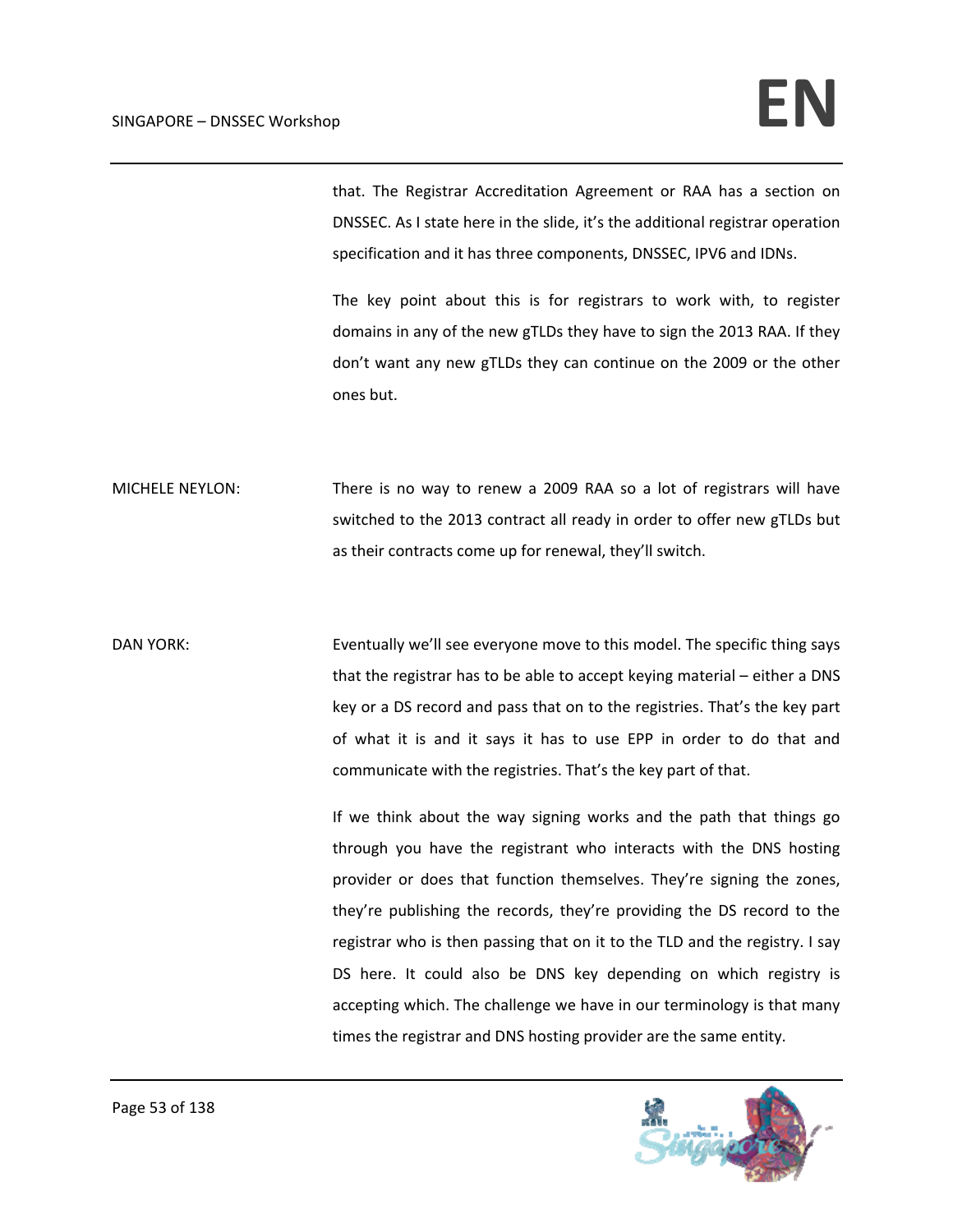that. The Registrar Accreditation Agreement or RAA has a section on DNSSEC. As I state here in the slide, it's the additional registrar operation specification and it has three components, DNSSEC, IPV6 and IDNs.

The key point about this is for registrars to work with, to register domains in any of the new gTLDs they have to sign the 2013 RAA. If they don't want any new gTLDs they can continue on the 2009 or the other ones but.

MICHELE NEYLON: There is no way to renew a 2009 RAA so a lot of registrars will have switched to the 2013 contract all ready in order to offer new gTLDs but as their contracts come up for renewal, they'll switch.

DAN YORK: Eventually we'll see everyone move to this model. The specific thing says that the registrar has to be able to accept keying material – either a DNS key or a DS record and pass that on to the registries. That's the key part of what it is and it says it has to use EPP in order to do that and communicate with the registries. That's the key part of that.

> If we think about the way signing works and the path that things go through you have the registrant who interacts with the DNS hosting provider or does that function themselves. They're signing the zones, they're publishing the records, they're providing the DS record to the registrar who is then passing that on it to the TLD and the registry. I say DS here. It could also be DNS key depending on which registry is accepting which. The challenge we have in our terminology is that many times the registrar and DNS hosting provider are the same entity.

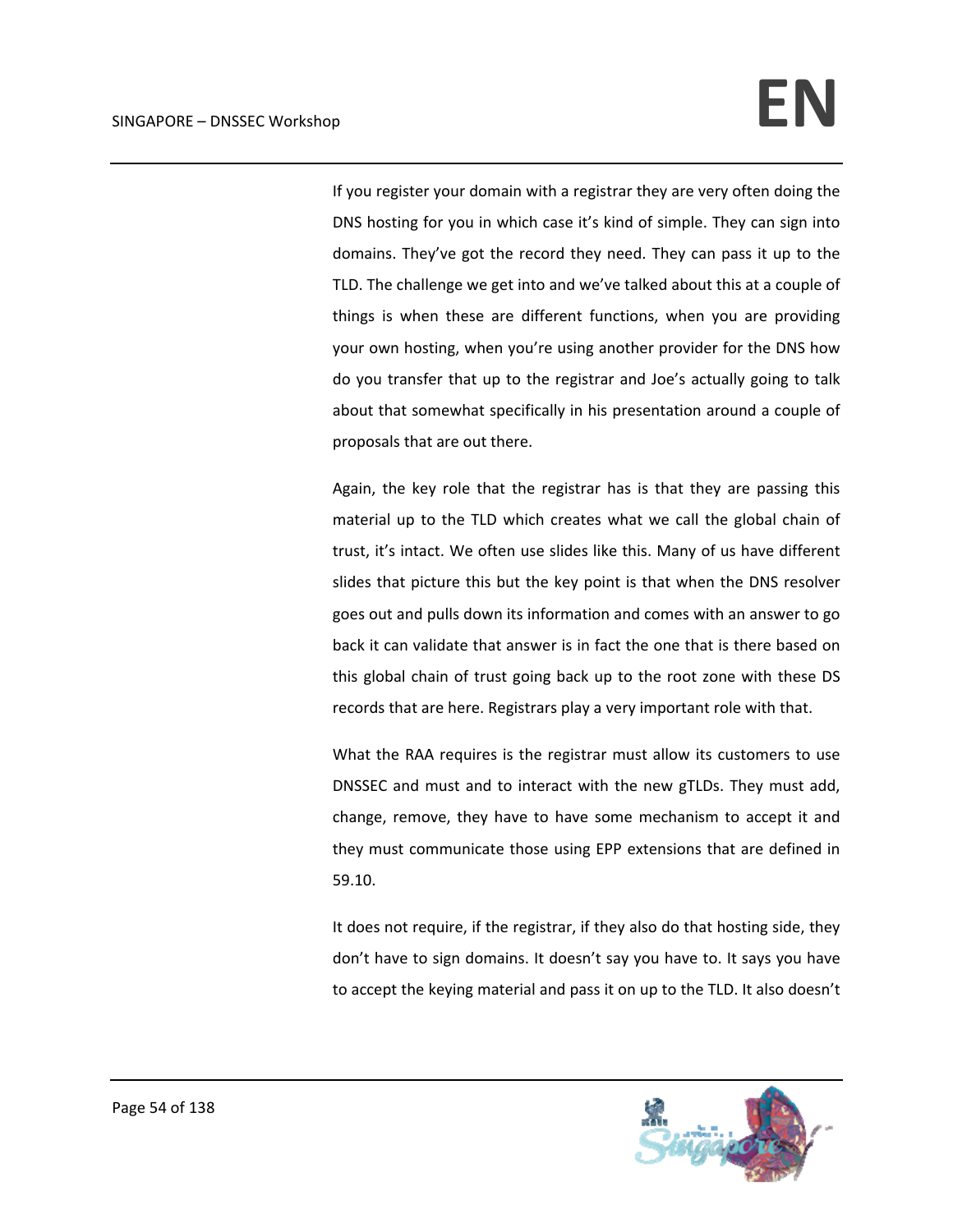If you register your domain with a registrar they are very often doing the DNS hosting for you in which case it's kind of simple. They can sign into domains. They've got the record they need. They can pass it up to the TLD. The challenge we get into and we've talked about this at a couple of things is when these are different functions, when you are providing your own hosting, when you're using another provider for the DNS how do you transfer that up to the registrar and Joe's actually going to talk about that somewhat specifically in his presentation around a couple of proposals that are out there.

Again, the key role that the registrar has is that they are passing this material up to the TLD which creates what we call the global chain of trust, it's intact. We often use slides like this. Many of us have different slides that picture this but the key point is that when the DNS resolver goes out and pulls down its information and comes with an answer to go back it can validate that answer is in fact the one that is there based on this global chain of trust going back up to the root zone with these DS records that are here. Registrars play a very important role with that.

What the RAA requires is the registrar must allow its customers to use DNSSEC and must and to interact with the new gTLDs. They must add, change, remove, they have to have some mechanism to accept it and they must communicate those using EPP extensions that are defined in 59.10.

It does not require, if the registrar, if they also do that hosting side, they don't have to sign domains. It doesn't say you have to. It says you have to accept the keying material and pass it on up to the TLD. It also doesn't

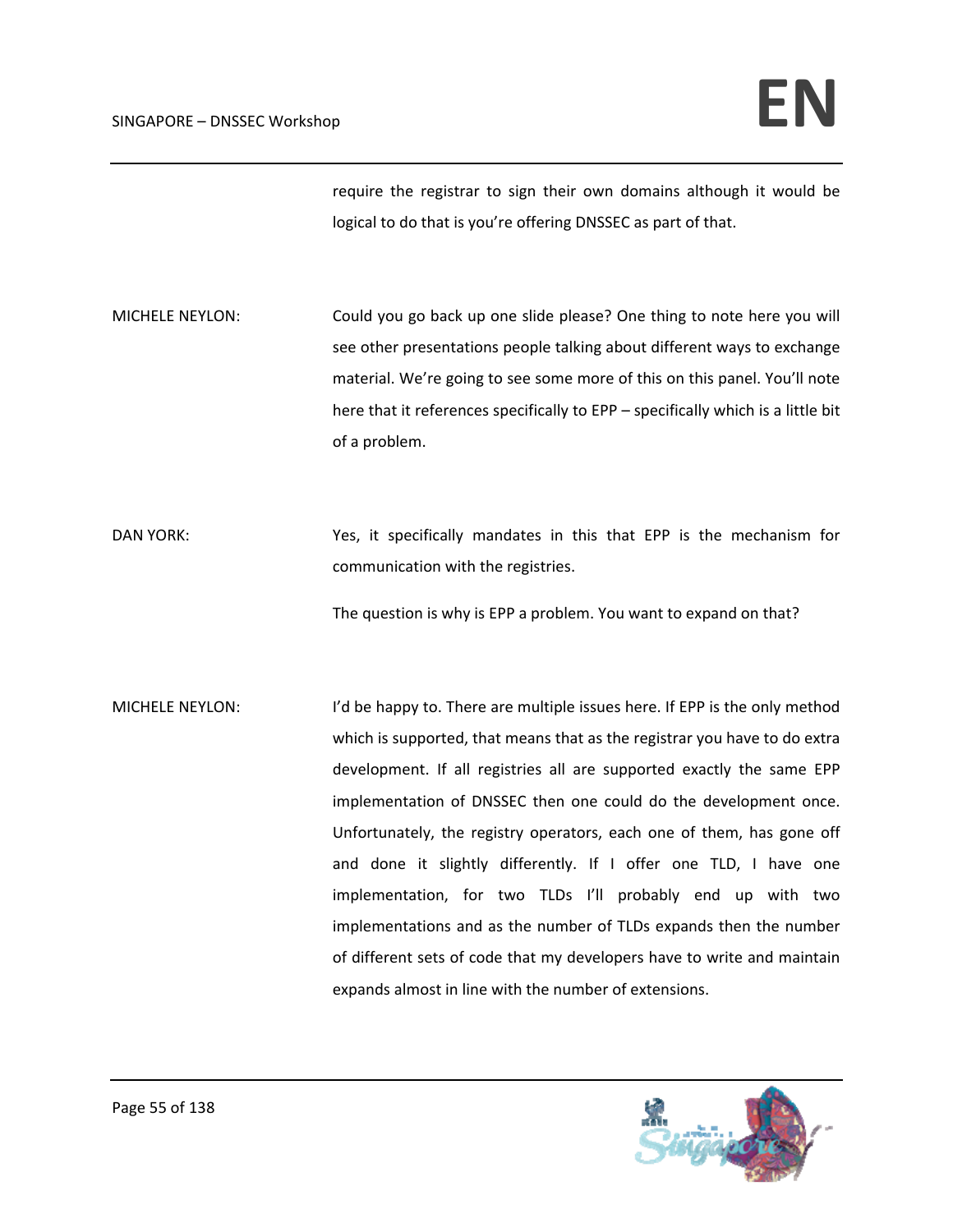require the registrar to sign their own domains although it would be logical to do that is you're offering DNSSEC as part of that.

MICHELE NEYLON: Could you go back up one slide please? One thing to note here you will see other presentations people talking about different ways to exchange material. We're going to see some more of this on this panel. You'll note here that it references specifically to EPP – specifically which is a little bit of a problem.

DAN YORK: Yes, it specifically mandates in this that EPP is the mechanism for communication with the registries.

The question is why is EPP a problem. You want to expand on that?

MICHELE NEYLON: I'd be happy to. There are multiple issues here. If EPP is the only method which is supported, that means that as the registrar you have to do extra development. If all registries all are supported exactly the same EPP implementation of DNSSEC then one could do the development once. Unfortunately, the registry operators, each one of them, has gone off and done it slightly differently. If I offer one TLD, I have one implementation, for two TLDs I'll probably end up with two implementations and as the number of TLDs expands then the number of different sets of code that my developers have to write and maintain expands almost in line with the number of extensions.

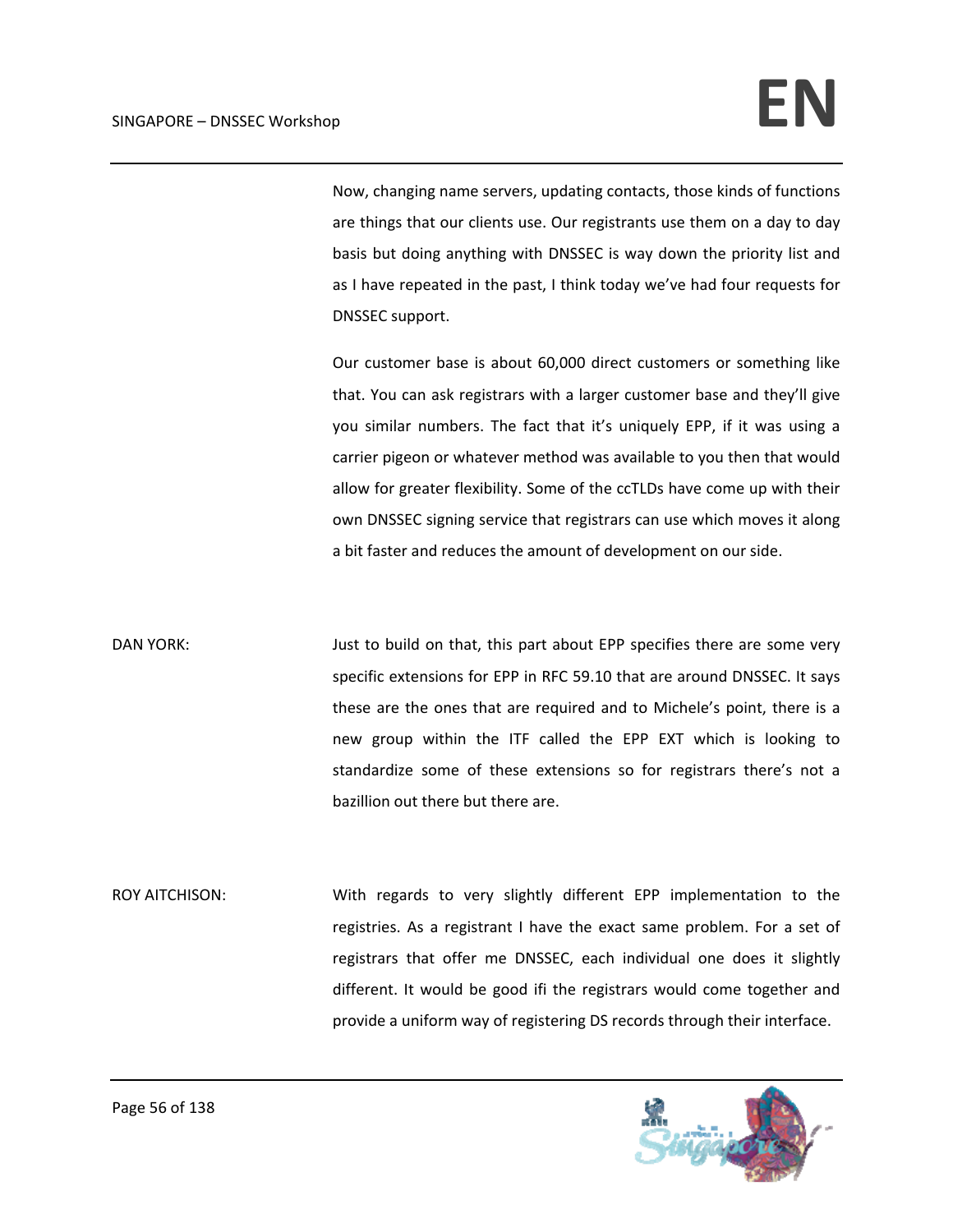Now, changing name servers, updating contacts, those kinds of functions are things that our clients use. Our registrants use them on a day to day basis but doing anything with DNSSEC is way down the priority list and as I have repeated in the past, I think today we've had four requests for DNSSEC support.

Our customer base is about 60,000 direct customers or something like that. You can ask registrars with a larger customer base and they'll give you similar numbers. The fact that it's uniquely EPP, if it was using a carrier pigeon or whatever method was available to you then that would allow for greater flexibility. Some of the ccTLDs have come up with their own DNSSEC signing service that registrars can use which moves it along a bit faster and reduces the amount of development on our side.

DAN YORK: Just to build on that, this part about EPP specifies there are some very specific extensions for EPP in RFC 59.10 that are around DNSSEC. It says these are the ones that are required and to Michele's point, there is a new group within the ITF called the EPP EXT which is looking to standardize some of these extensions so for registrars there's not a bazillion out there but there are.

ROY AITCHISON: With regards to very slightly different EPP implementation to the registries. As a registrant I have the exact same problem. For a set of registrars that offer me DNSSEC, each individual one does it slightly different. It would be good ifi the registrars would come together and provide a uniform way of registering DS records through their interface.

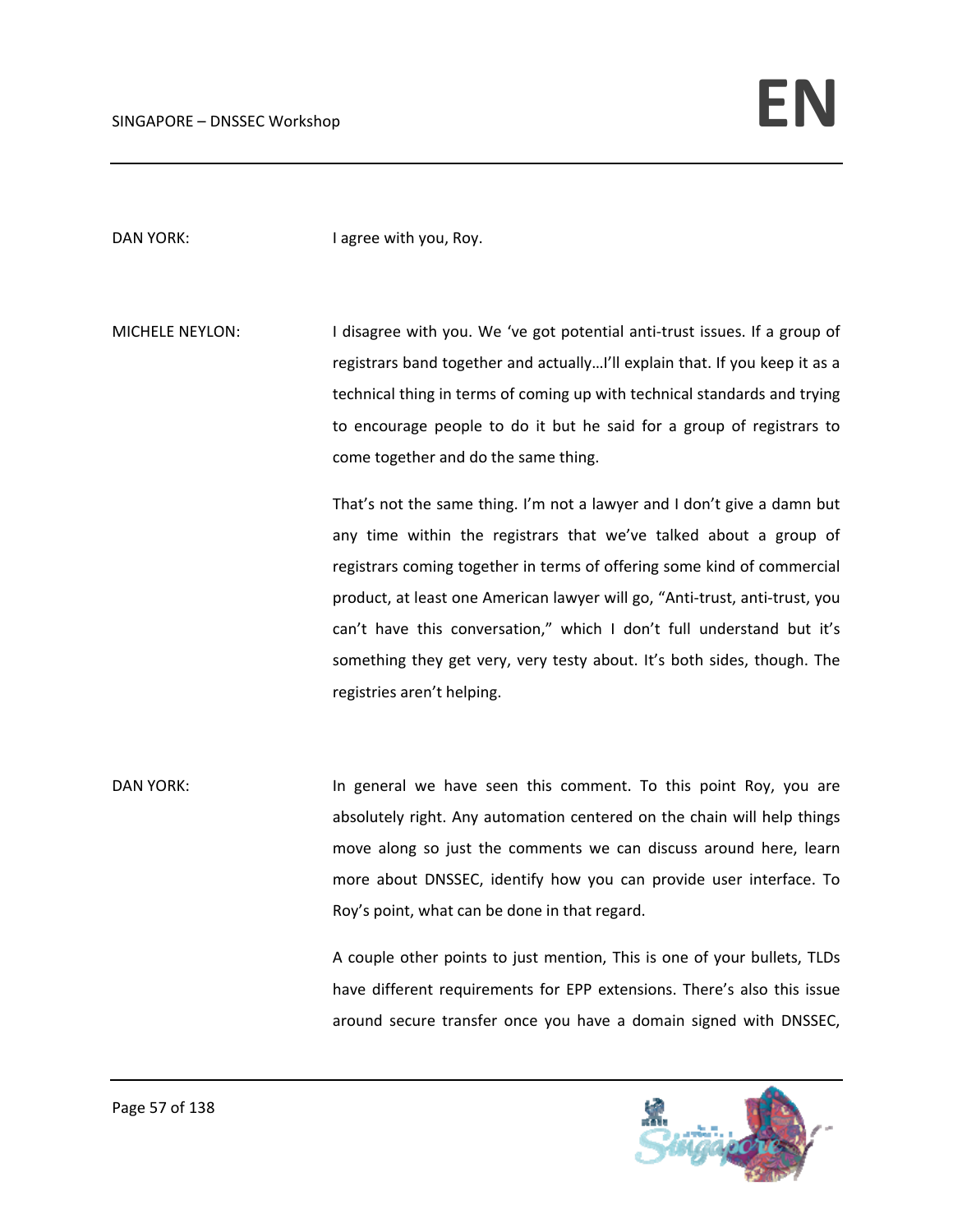DAN YORK: I agree with you, Roy.

MICHELE NEYLON: I disagree with you. We 've got potential anti-trust issues. If a group of registrars band together and actually…I'll explain that. If you keep it as a technical thing in terms of coming up with technical standards and trying to encourage people to do it but he said for a group of registrars to come together and do the same thing.

> That's not the same thing. I'm not a lawyer and I don't give a damn but any time within the registrars that we've talked about a group of registrars coming together in terms of offering some kind of commercial product, at least one American lawyer will go, "Anti‐trust, anti‐trust, you can't have this conversation," which I don't full understand but it's something they get very, very testy about. It's both sides, though. The registries aren't helping.

DAN YORK: In general we have seen this comment. To this point Roy, you are absolutely right. Any automation centered on the chain will help things move along so just the comments we can discuss around here, learn more about DNSSEC, identify how you can provide user interface. To Roy's point, what can be done in that regard.

> A couple other points to just mention, This is one of your bullets, TLDs have different requirements for EPP extensions. There's also this issue around secure transfer once you have a domain signed with DNSSEC,

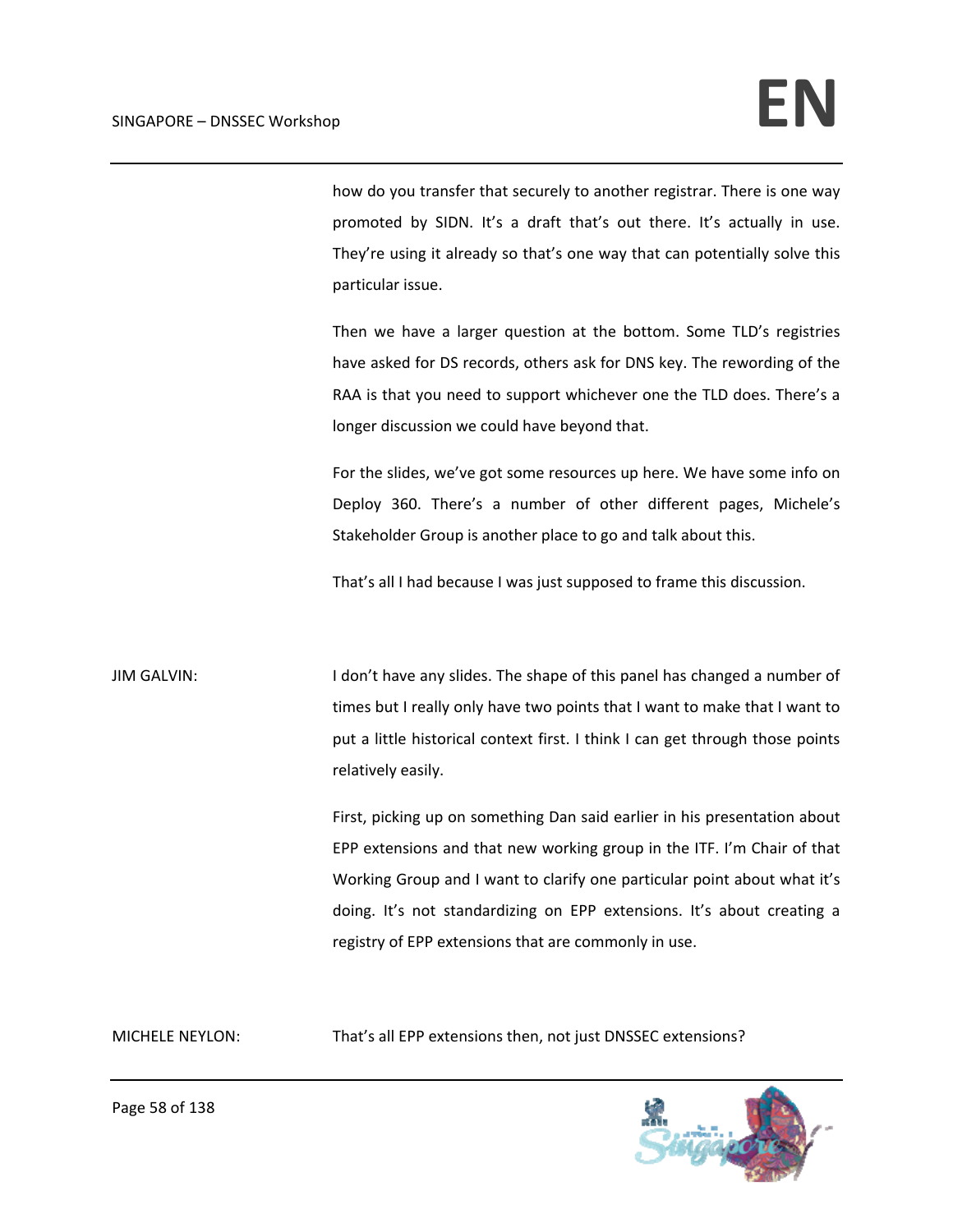how do you transfer that securely to another registrar. There is one way promoted by SIDN. It's a draft that's out there. It's actually in use. They're using it already so that's one way that can potentially solve this particular issue.

Then we have a larger question at the bottom. Some TLD's registries have asked for DS records, others ask for DNS key. The rewording of the RAA is that you need to support whichever one the TLD does. There's a longer discussion we could have beyond that.

For the slides, we've got some resources up here. We have some info on Deploy 360. There's a number of other different pages, Michele's Stakeholder Group is another place to go and talk about this.

That's all I had because I was just supposed to frame this discussion.

JIM GALVIN: I don't have any slides. The shape of this panel has changed a number of times but I really only have two points that I want to make that I want to put a little historical context first. I think I can get through those points relatively easily.

> First, picking up on something Dan said earlier in his presentation about EPP extensions and that new working group in the ITF. I'm Chair of that Working Group and I want to clarify one particular point about what it's doing. It's not standardizing on EPP extensions. It's about creating a registry of EPP extensions that are commonly in use.

MICHELE NEYLON: That's all EPP extensions then, not just DNSSEC extensions?

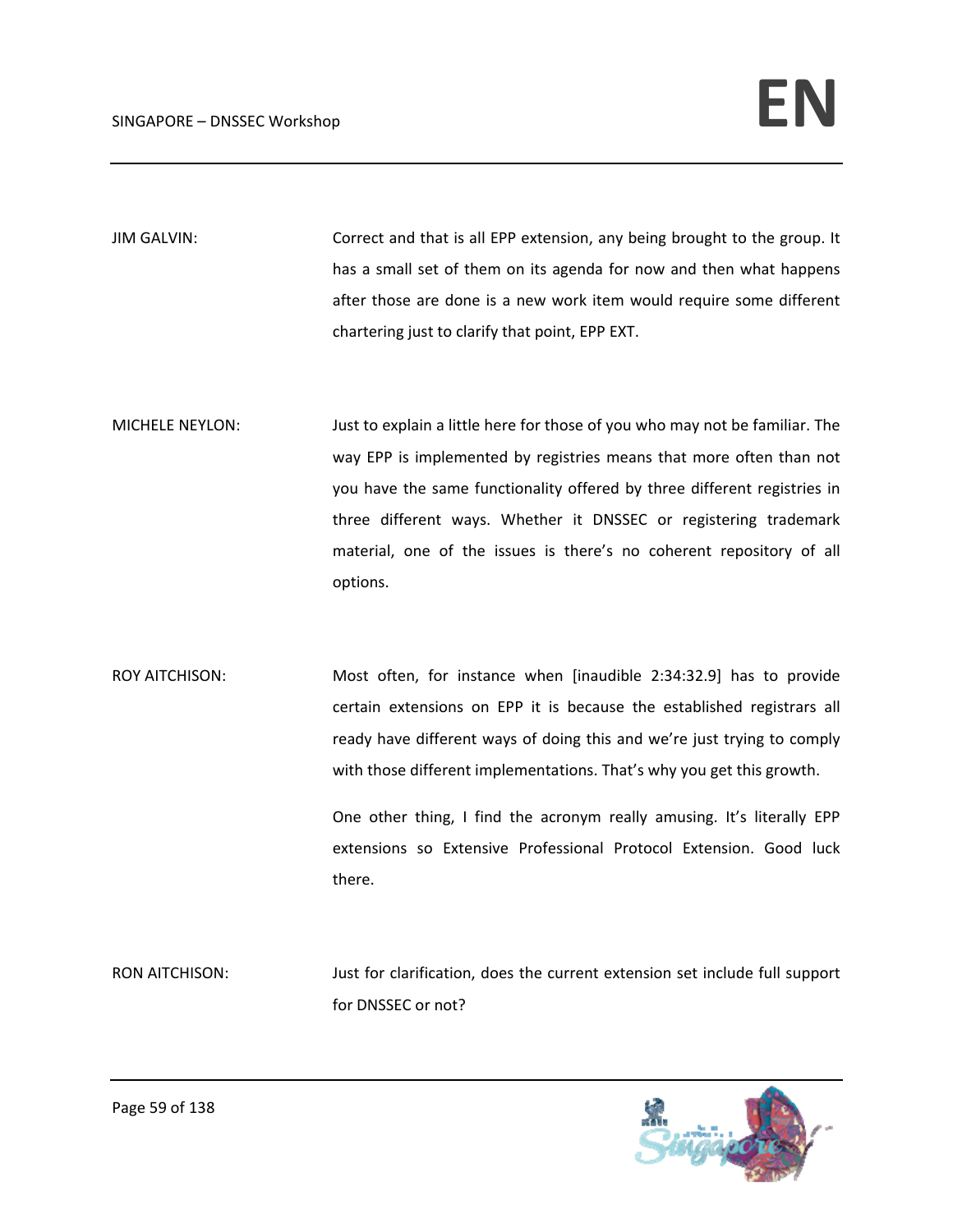JIM GALVIN: Correct and that is all EPP extension, any being brought to the group. It has a small set of them on its agenda for now and then what happens after those are done is a new work item would require some different chartering just to clarify that point, EPP EXT.

MICHELE NEYLON: Just to explain a little here for those of you who may not be familiar. The way EPP is implemented by registries means that more often than not you have the same functionality offered by three different registries in three different ways. Whether it DNSSEC or registering trademark material, one of the issues is there's no coherent repository of all options.

ROY AITCHISON: Most often, for instance when [inaudible 2:34:32.9] has to provide certain extensions on EPP it is because the established registrars all ready have different ways of doing this and we're just trying to comply with those different implementations. That's why you get this growth.

> One other thing, I find the acronym really amusing. It's literally EPP extensions so Extensive Professional Protocol Extension. Good luck there.

RON AITCHISON: Just for clarification, does the current extension set include full support for DNSSEC or not?

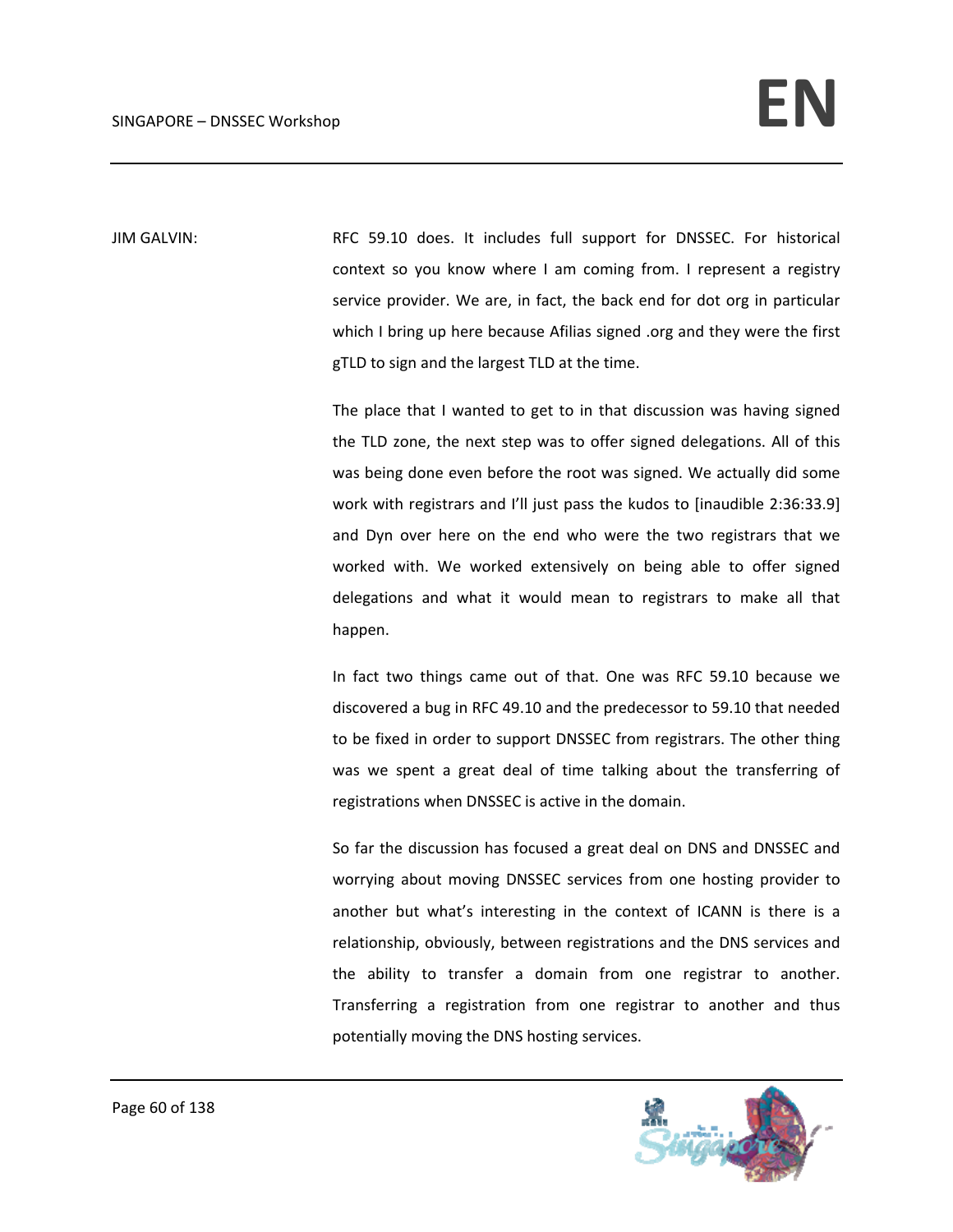JIM GALVIN: RFC 59.10 does. It includes full support for DNSSEC. For historical context so you know where I am coming from. I represent a registry service provider. We are, in fact, the back end for dot org in particular which I bring up here because Afilias signed .org and they were the first gTLD to sign and the largest TLD at the time.

> The place that I wanted to get to in that discussion was having signed the TLD zone, the next step was to offer signed delegations. All of this was being done even before the root was signed. We actually did some work with registrars and I'll just pass the kudos to [inaudible 2:36:33.9] and Dyn over here on the end who were the two registrars that we worked with. We worked extensively on being able to offer signed delegations and what it would mean to registrars to make all that happen.

> In fact two things came out of that. One was RFC 59.10 because we discovered a bug in RFC 49.10 and the predecessor to 59.10 that needed to be fixed in order to support DNSSEC from registrars. The other thing was we spent a great deal of time talking about the transferring of registrations when DNSSEC is active in the domain.

> So far the discussion has focused a great deal on DNS and DNSSEC and worrying about moving DNSSEC services from one hosting provider to another but what's interesting in the context of ICANN is there is a relationship, obviously, between registrations and the DNS services and the ability to transfer a domain from one registrar to another. Transferring a registration from one registrar to another and thus potentially moving the DNS hosting services.

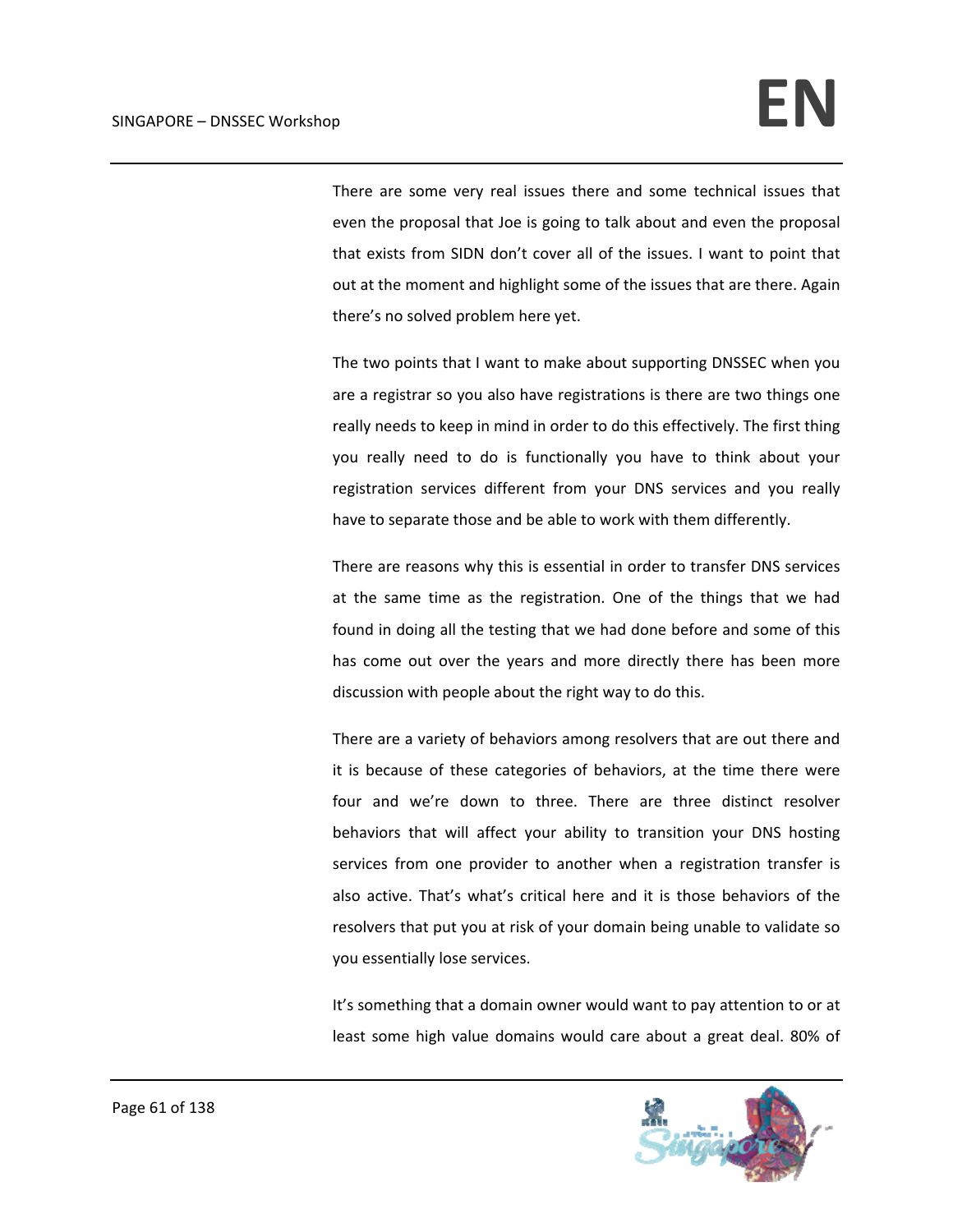There are some very real issues there and some technical issues that even the proposal that Joe is going to talk about and even the proposal that exists from SIDN don't cover all of the issues. I want to point that out at the moment and highlight some of the issues that are there. Again there's no solved problem here yet.

The two points that I want to make about supporting DNSSEC when you are a registrar so you also have registrations is there are two things one really needs to keep in mind in order to do this effectively. The first thing you really need to do is functionally you have to think about your registration services different from your DNS services and you really have to separate those and be able to work with them differently.

There are reasons why this is essential in order to transfer DNS services at the same time as the registration. One of the things that we had found in doing all the testing that we had done before and some of this has come out over the years and more directly there has been more discussion with people about the right way to do this.

There are a variety of behaviors among resolvers that are out there and it is because of these categories of behaviors, at the time there were four and we're down to three. There are three distinct resolver behaviors that will affect your ability to transition your DNS hosting services from one provider to another when a registration transfer is also active. That's what's critical here and it is those behaviors of the resolvers that put you at risk of your domain being unable to validate so you essentially lose services.

It's something that a domain owner would want to pay attention to or at least some high value domains would care about a great deal. 80% of

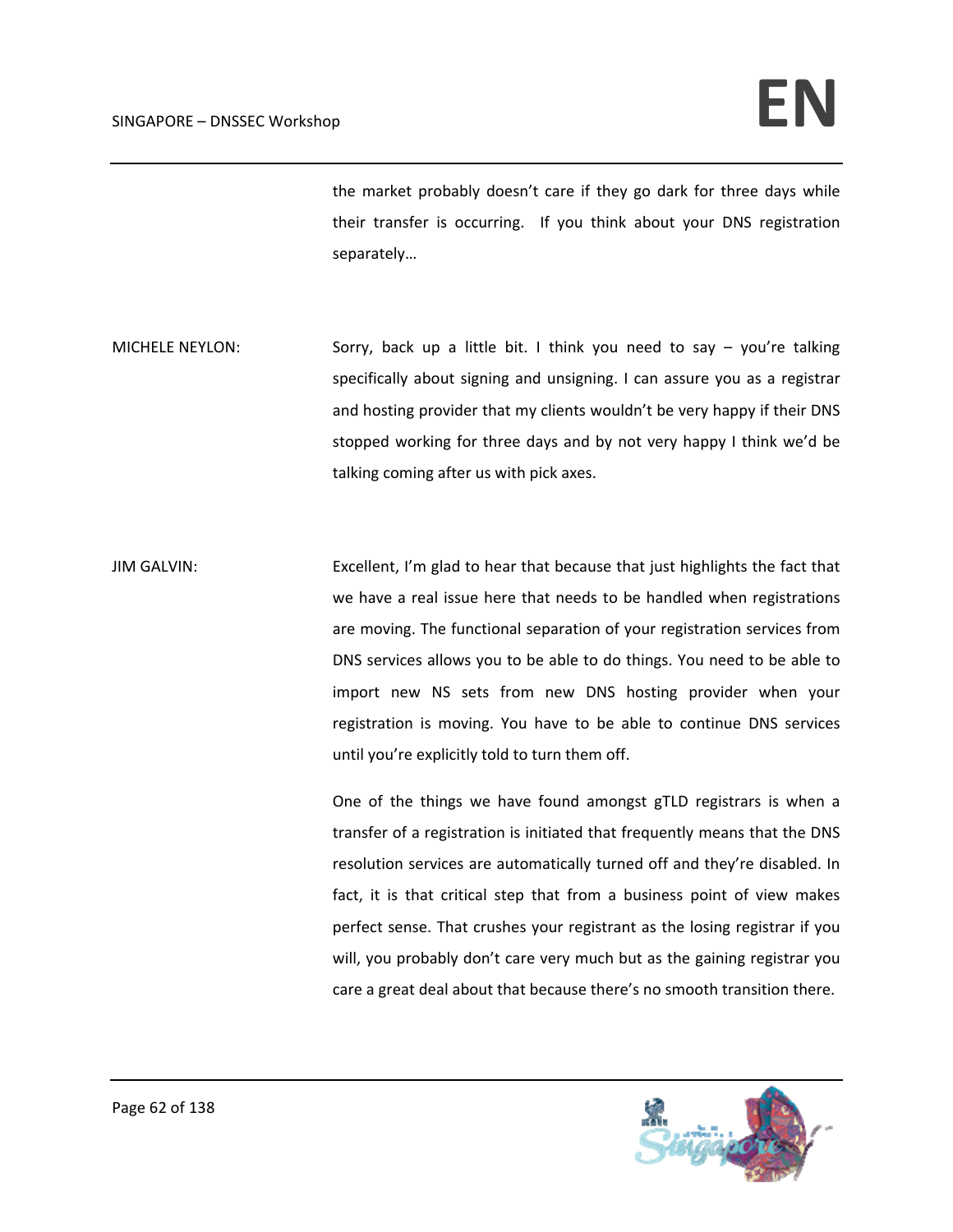the market probably doesn't care if they go dark for three days while their transfer is occurring. If you think about your DNS registration separately…

MICHELE NEYLON: Sorry, back up a little bit. I think you need to say – you're talking specifically about signing and unsigning. I can assure you as a registrar and hosting provider that my clients wouldn't be very happy if their DNS stopped working for three days and by not very happy I think we'd be talking coming after us with pick axes.

JIM GALVIN: Excellent, I'm glad to hear that because that just highlights the fact that we have a real issue here that needs to be handled when registrations are moving. The functional separation of your registration services from DNS services allows you to be able to do things. You need to be able to import new NS sets from new DNS hosting provider when your registration is moving. You have to be able to continue DNS services until you're explicitly told to turn them off.

> One of the things we have found amongst gTLD registrars is when a transfer of a registration is initiated that frequently means that the DNS resolution services are automatically turned off and they're disabled. In fact, it is that critical step that from a business point of view makes perfect sense. That crushes your registrant as the losing registrar if you will, you probably don't care very much but as the gaining registrar you care a great deal about that because there's no smooth transition there.

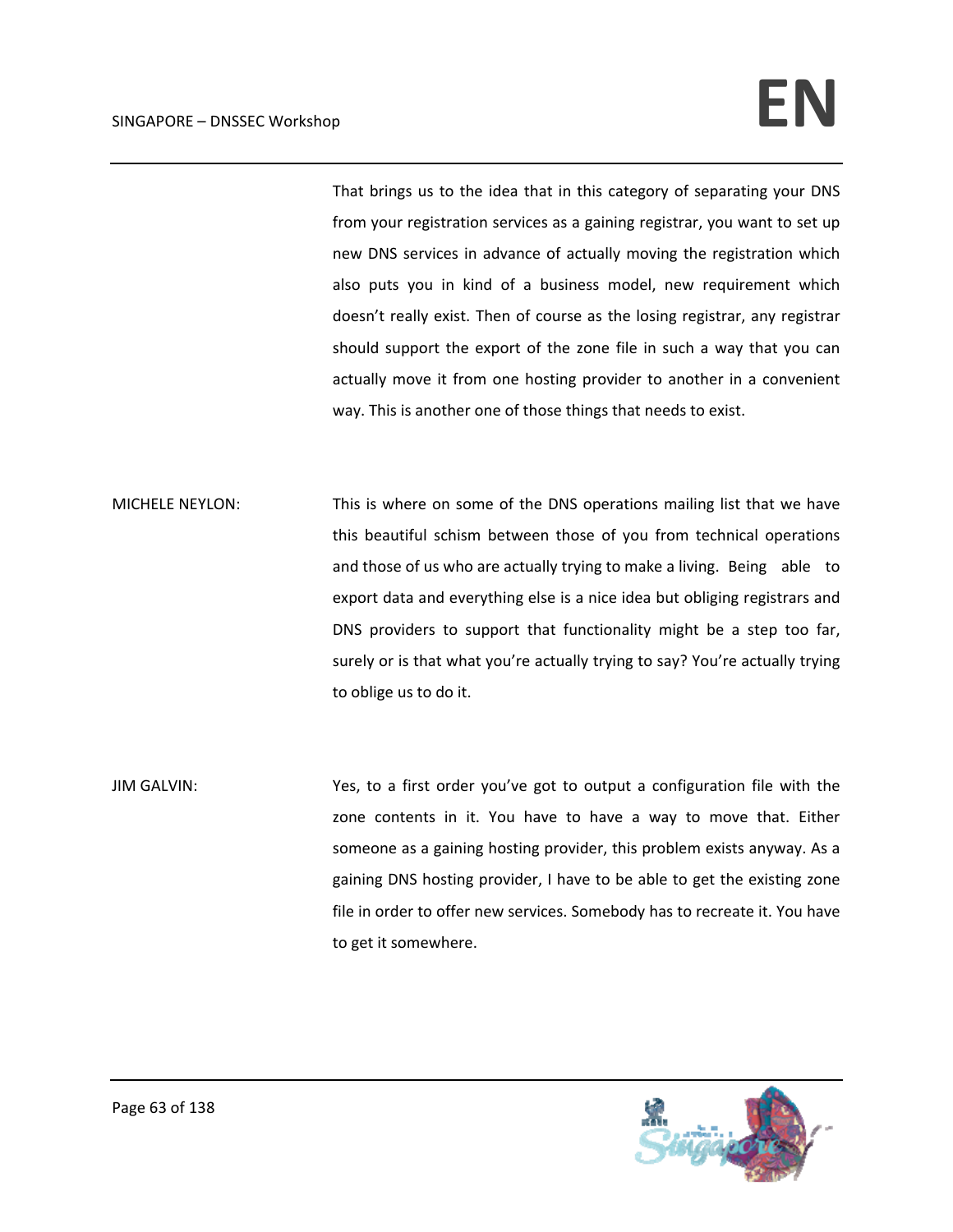That brings us to the idea that in this category of separating your DNS from your registration services as a gaining registrar, you want to set up new DNS services in advance of actually moving the registration which also puts you in kind of a business model, new requirement which doesn't really exist. Then of course as the losing registrar, any registrar should support the export of the zone file in such a way that you can actually move it from one hosting provider to another in a convenient way. This is another one of those things that needs to exist.

MICHELE NEYLON: This is where on some of the DNS operations mailing list that we have this beautiful schism between those of you from technical operations and those of us who are actually trying to make a living. Being able to export data and everything else is a nice idea but obliging registrars and DNS providers to support that functionality might be a step too far, surely or is that what you're actually trying to say? You're actually trying to oblige us to do it.

JIM GALVIN: Yes, to a first order you've got to output a configuration file with the zone contents in it. You have to have a way to move that. Either someone as a gaining hosting provider, this problem exists anyway. As a gaining DNS hosting provider, I have to be able to get the existing zone file in order to offer new services. Somebody has to recreate it. You have to get it somewhere.

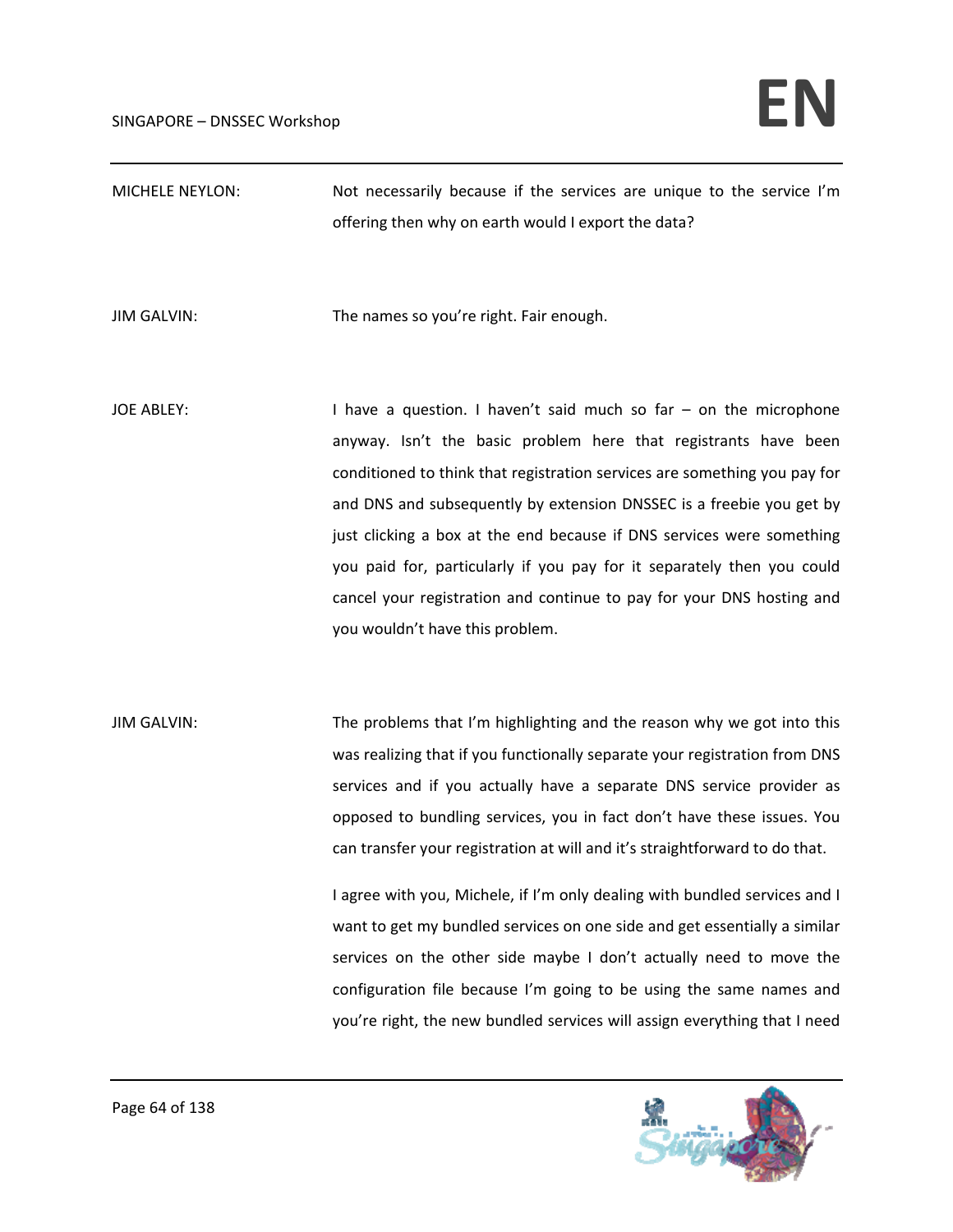| <b>MICHELE NEYLON:</b> | Not necessarily because if the services are unique to the service I'm                                                                                                                                                                                                                                                                                                                                                                                                                                                                                                                                                                                                                                                                                                      |
|------------------------|----------------------------------------------------------------------------------------------------------------------------------------------------------------------------------------------------------------------------------------------------------------------------------------------------------------------------------------------------------------------------------------------------------------------------------------------------------------------------------------------------------------------------------------------------------------------------------------------------------------------------------------------------------------------------------------------------------------------------------------------------------------------------|
|                        | offering then why on earth would I export the data?                                                                                                                                                                                                                                                                                                                                                                                                                                                                                                                                                                                                                                                                                                                        |
| <b>JIM GALVIN:</b>     | The names so you're right. Fair enough.                                                                                                                                                                                                                                                                                                                                                                                                                                                                                                                                                                                                                                                                                                                                    |
| <b>JOE ABLEY:</b>      | I have a question. I haven't said much so far $-$ on the microphone<br>anyway. Isn't the basic problem here that registrants have been<br>conditioned to think that registration services are something you pay for<br>and DNS and subsequently by extension DNSSEC is a freebie you get by<br>just clicking a box at the end because if DNS services were something<br>you paid for, particularly if you pay for it separately then you could<br>cancel your registration and continue to pay for your DNS hosting and<br>you wouldn't have this problem.                                                                                                                                                                                                                 |
| <b>JIM GALVIN:</b>     | The problems that I'm highlighting and the reason why we got into this<br>was realizing that if you functionally separate your registration from DNS<br>services and if you actually have a separate DNS service provider as<br>opposed to bundling services, you in fact don't have these issues. You<br>can transfer your registration at will and it's straightforward to do that.<br>I agree with you, Michele, if I'm only dealing with bundled services and I<br>want to get my bundled services on one side and get essentially a similar<br>services on the other side maybe I don't actually need to move the<br>configuration file because I'm going to be using the same names and<br>you're right, the new bundled services will assign everything that I need |

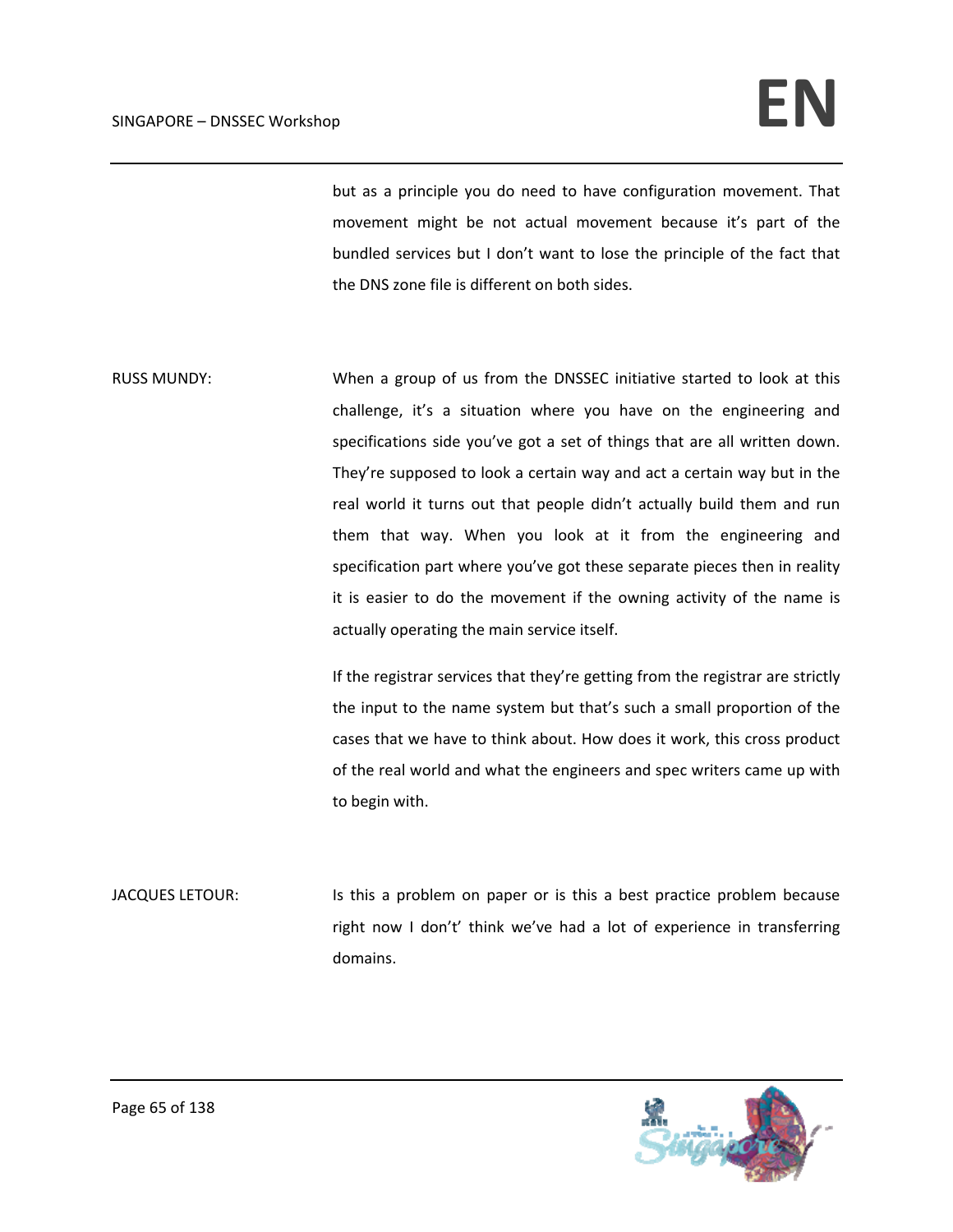but as a principle you do need to have configuration movement. That movement might be not actual movement because it's part of the bundled services but I don't want to lose the principle of the fact that the DNS zone file is different on both sides.

RUSS MUNDY: When a group of us from the DNSSEC initiative started to look at this challenge, it's a situation where you have on the engineering and specifications side you've got a set of things that are all written down. They're supposed to look a certain way and act a certain way but in the real world it turns out that people didn't actually build them and run them that way. When you look at it from the engineering and specification part where you've got these separate pieces then in reality it is easier to do the movement if the owning activity of the name is actually operating the main service itself.

> If the registrar services that they're getting from the registrar are strictly the input to the name system but that's such a small proportion of the cases that we have to think about. How does it work, this cross product of the real world and what the engineers and spec writers came up with to begin with.

JACQUES LETOUR: Is this a problem on paper or is this a best practice problem because right now I don't' think we've had a lot of experience in transferring domains.

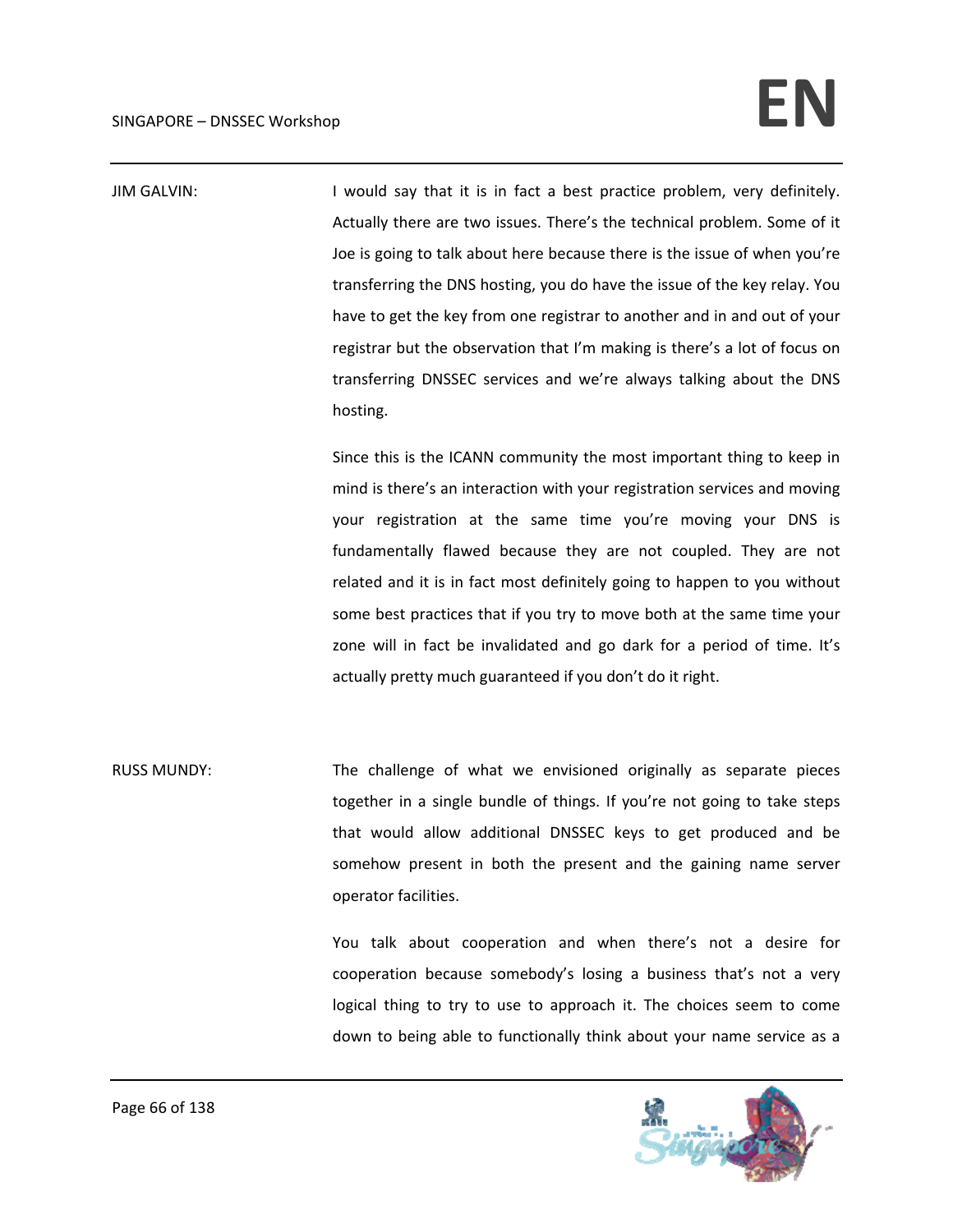JIM GALVIN: I would say that it is in fact a best practice problem, very definitely. Actually there are two issues. There's the technical problem. Some of it Joe is going to talk about here because there is the issue of when you're transferring the DNS hosting, you do have the issue of the key relay. You have to get the key from one registrar to another and in and out of your registrar but the observation that I'm making is there's a lot of focus on transferring DNSSEC services and we're always talking about the DNS hosting. Since this is the ICANN community the most important thing to keep in mind is there's an interaction with your registration services and moving

your registration at the same time you're moving your DNS is fundamentally flawed because they are not coupled. They are not related and it is in fact most definitely going to happen to you without some best practices that if you try to move both at the same time your zone will in fact be invalidated and go dark for a period of time. It's actually pretty much guaranteed if you don't do it right.

RUSS MUNDY: The challenge of what we envisioned originally as separate pieces together in a single bundle of things. If you're not going to take steps that would allow additional DNSSEC keys to get produced and be somehow present in both the present and the gaining name server operator facilities.

> You talk about cooperation and when there's not a desire for cooperation because somebody's losing a business that's not a very logical thing to try to use to approach it. The choices seem to come down to being able to functionally think about your name service as a

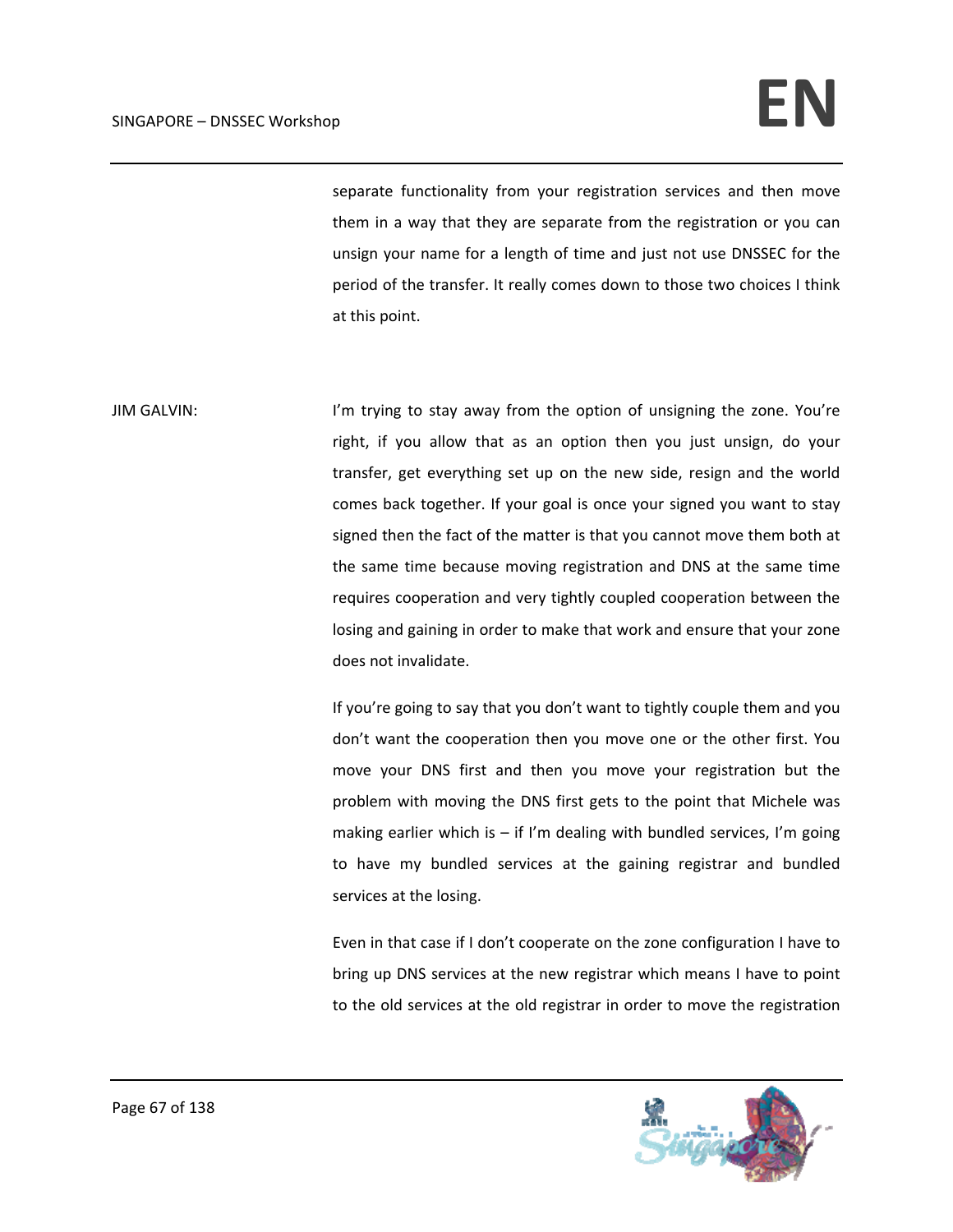## $SINGAPORE - DNSSEC. Workshop$

separate functionality from your registration services and then move them in a way that they are separate from the registration or you can unsign your name for a length of time and just not use DNSSEC for the period of the transfer. It really comes down to those two choices I think at this point.

JIM GALVIN: I'm trying to stay away from the option of unsigning the zone. You're right, if you allow that as an option then you just unsign, do your transfer, get everything set up on the new side, resign and the world comes back together. If your goal is once your signed you want to stay signed then the fact of the matter is that you cannot move them both at the same time because moving registration and DNS at the same time requires cooperation and very tightly coupled cooperation between the losing and gaining in order to make that work and ensure that your zone does not invalidate.

> If you're going to say that you don't want to tightly couple them and you don't want the cooperation then you move one or the other first. You move your DNS first and then you move your registration but the problem with moving the DNS first gets to the point that Michele was making earlier which is  $-$  if I'm dealing with bundled services, I'm going to have my bundled services at the gaining registrar and bundled services at the losing.

> Even in that case if I don't cooperate on the zone configuration I have to bring up DNS services at the new registrar which means I have to point to the old services at the old registrar in order to move the registration

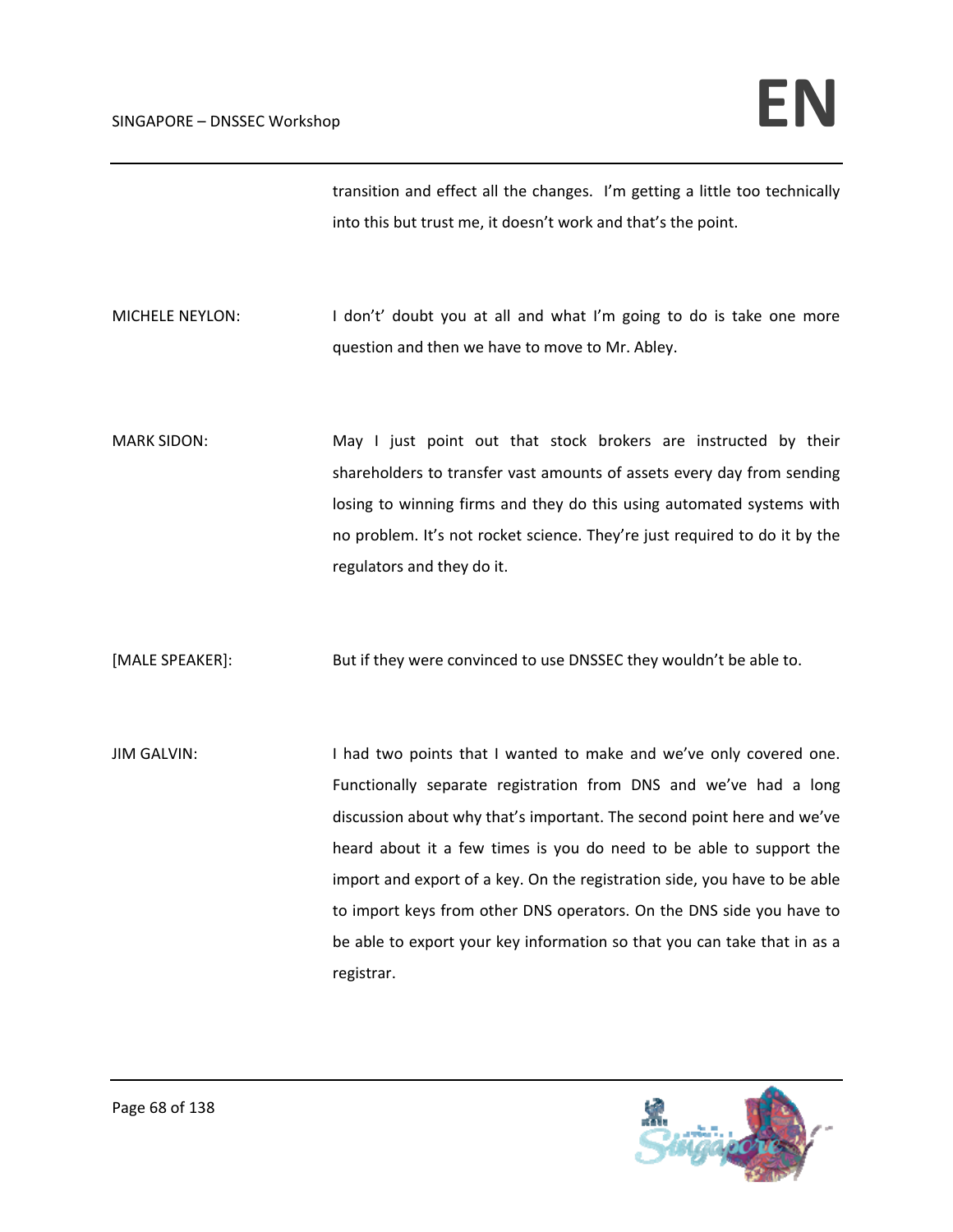transition and effect all the changes. I'm getting a little too technically into this but trust me, it doesn't work and that's the point.

MICHELE NEYLON: I don't' doubt you at all and what I'm going to do is take one more question and then we have to move to Mr. Abley.

MARK SIDON: May I just point out that stock brokers are instructed by their shareholders to transfer vast amounts of assets every day from sending losing to winning firms and they do this using automated systems with no problem. It's not rocket science. They're just required to do it by the regulators and they do it.

[MALE SPEAKER]: But if they were convinced to use DNSSEC they wouldn't be able to.

JIM GALVIN: I had two points that I wanted to make and we've only covered one. Functionally separate registration from DNS and we've had a long discussion about why that's important. The second point here and we've heard about it a few times is you do need to be able to support the import and export of a key. On the registration side, you have to be able to import keys from other DNS operators. On the DNS side you have to be able to export your key information so that you can take that in as a registrar.

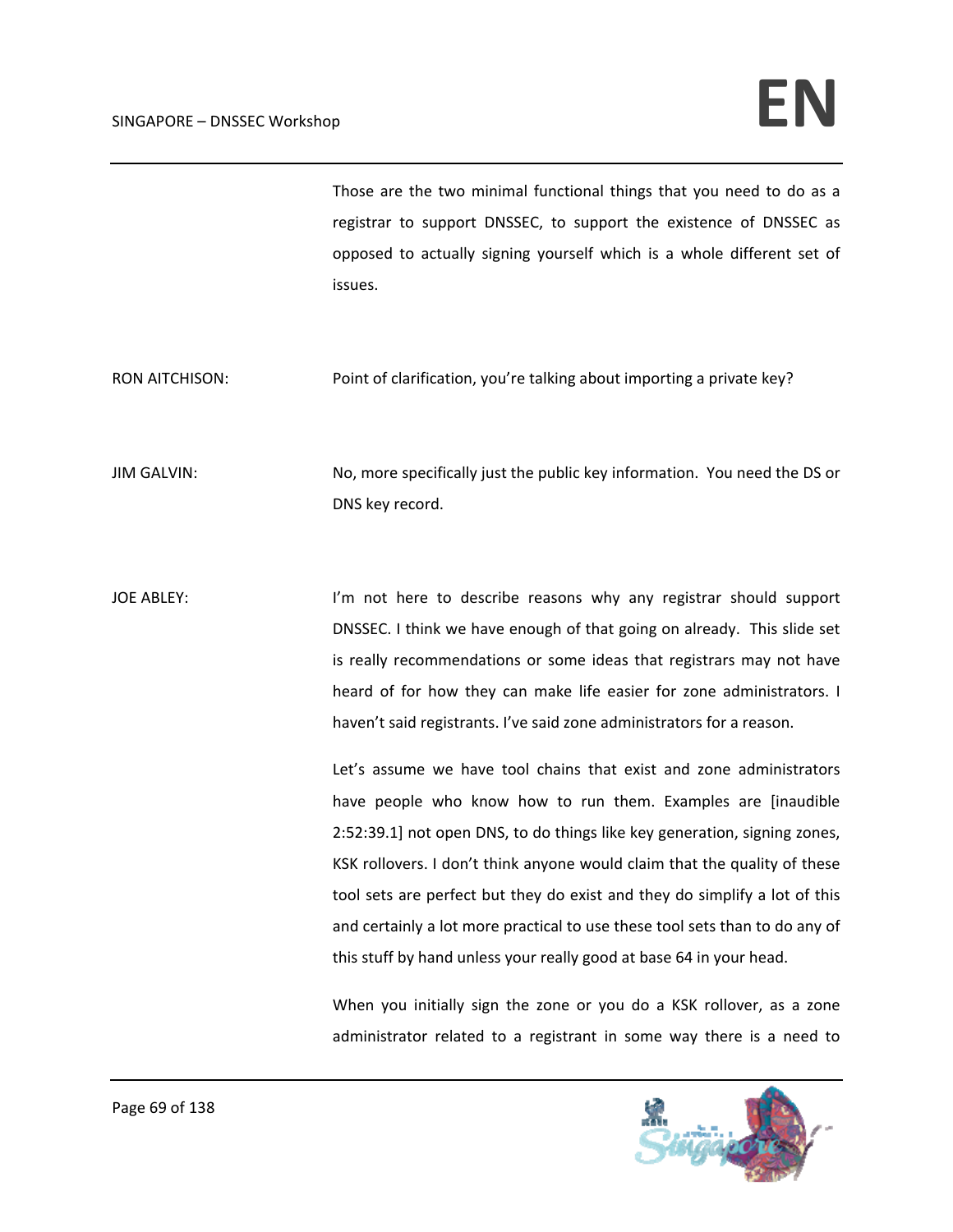## $SINGAPORE - DNSSEC. Workshop$

Those are the two minimal functional things that you need to do as a registrar to support DNSSEC, to support the existence of DNSSEC as opposed to actually signing yourself which is a whole different set of issues.

RON AITCHISON: Point of clarification, you're talking about importing a private key?

JIM GALVIN: No, more specifically just the public key information. You need the DS or DNS key record.

JOE ABLEY: I'm not here to describe reasons why any registrar should support DNSSEC. I think we have enough of that going on already. This slide set is really recommendations or some ideas that registrars may not have heard of for how they can make life easier for zone administrators. I haven't said registrants. I've said zone administrators for a reason.

> Let's assume we have tool chains that exist and zone administrators have people who know how to run them. Examples are [inaudible 2:52:39.1] not open DNS, to do things like key generation, signing zones, KSK rollovers. I don't think anyone would claim that the quality of these tool sets are perfect but they do exist and they do simplify a lot of this and certainly a lot more practical to use these tool sets than to do any of this stuff by hand unless your really good at base 64 in your head.

> When you initially sign the zone or you do a KSK rollover, as a zone administrator related to a registrant in some way there is a need to

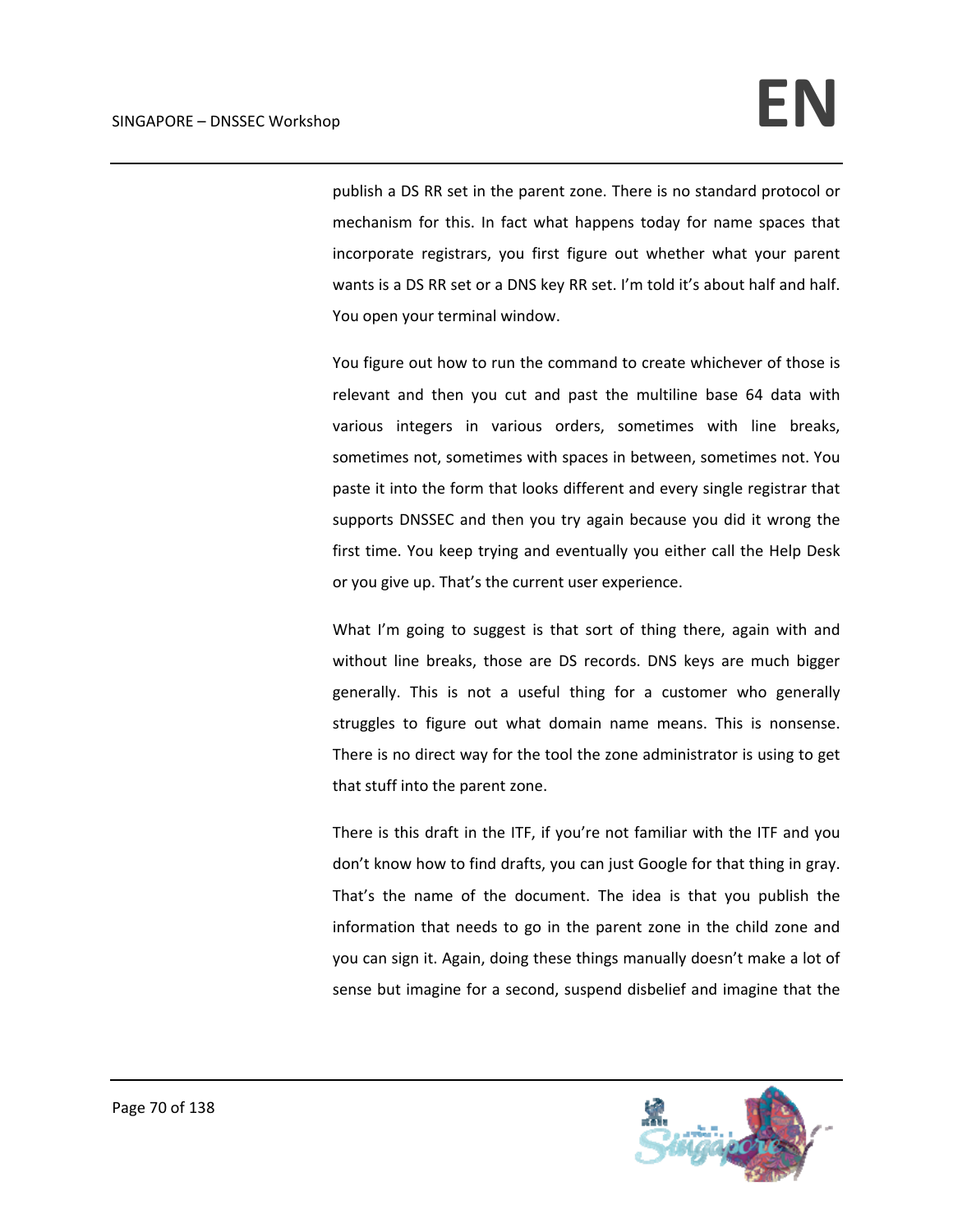publish a DS RR set in the parent zone. There is no standard protocol or mechanism for this. In fact what happens today for name spaces that incorporate registrars, you first figure out whether what your parent wants is a DS RR set or a DNS key RR set. I'm told it's about half and half. You open your terminal window.

You figure out how to run the command to create whichever of those is relevant and then you cut and past the multiline base 64 data with various integers in various orders, sometimes with line breaks, sometimes not, sometimes with spaces in between, sometimes not. You paste it into the form that looks different and every single registrar that supports DNSSEC and then you try again because you did it wrong the first time. You keep trying and eventually you either call the Help Desk or you give up. That's the current user experience.

What I'm going to suggest is that sort of thing there, again with and without line breaks, those are DS records. DNS keys are much bigger generally. This is not a useful thing for a customer who generally struggles to figure out what domain name means. This is nonsense. There is no direct way for the tool the zone administrator is using to get that stuff into the parent zone.

There is this draft in the ITF, if you're not familiar with the ITF and you don't know how to find drafts, you can just Google for that thing in gray. That's the name of the document. The idea is that you publish the information that needs to go in the parent zone in the child zone and you can sign it. Again, doing these things manually doesn't make a lot of sense but imagine for a second, suspend disbelief and imagine that the

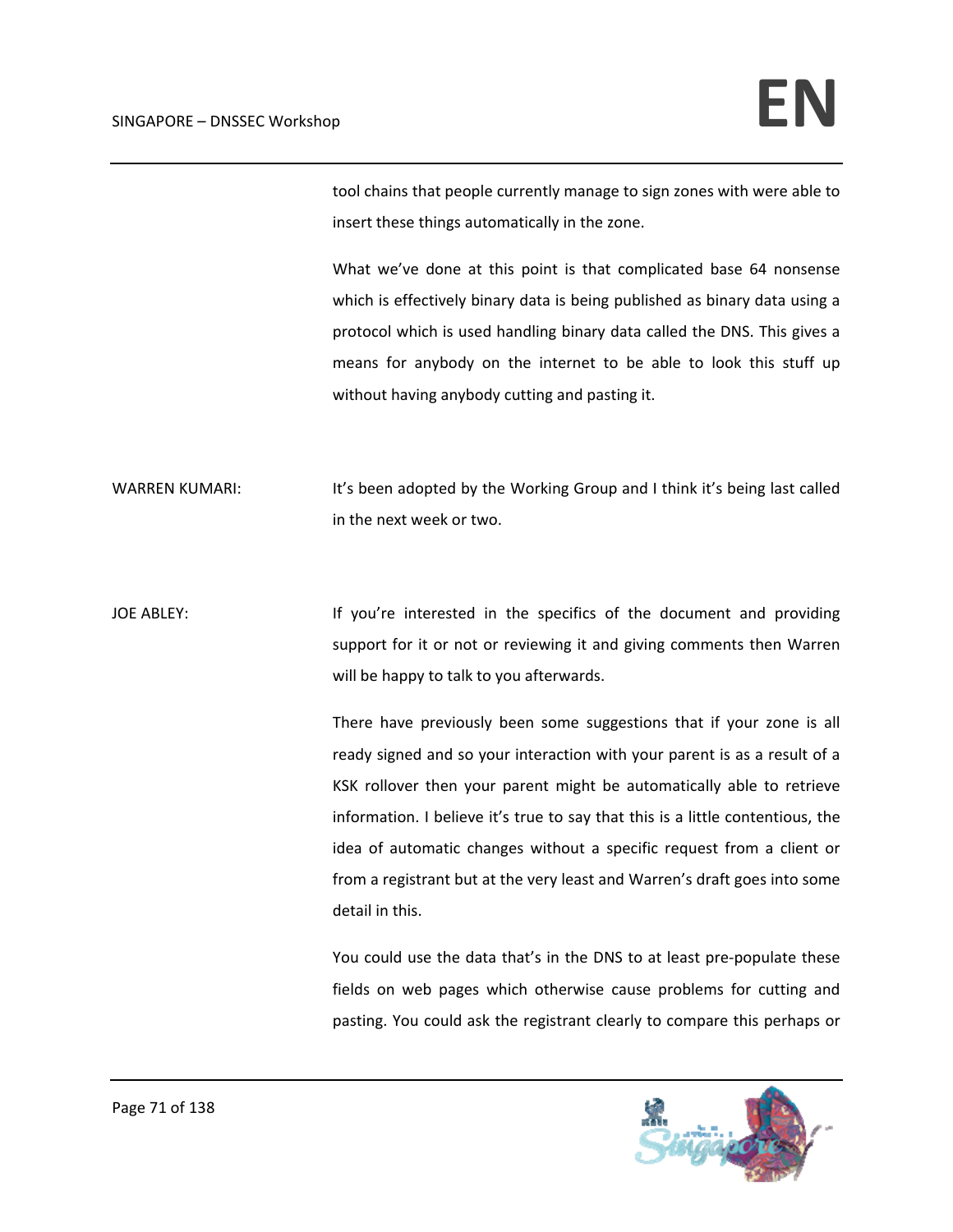tool chains that people currently manage to sign zones with were able to insert these things automatically in the zone.

What we've done at this point is that complicated base 64 nonsense which is effectively binary data is being published as binary data using a protocol which is used handling binary data called the DNS. This gives a means for anybody on the internet to be able to look this stuff up without having anybody cutting and pasting it.

WARREN KUMARI: It's been adopted by the Working Group and I think it's being last called in the next week or two.

JOE ABLEY: If you're interested in the specifics of the document and providing support for it or not or reviewing it and giving comments then Warren will be happy to talk to you afterwards.

> There have previously been some suggestions that if your zone is all ready signed and so your interaction with your parent is as a result of a KSK rollover then your parent might be automatically able to retrieve information. I believe it's true to say that this is a little contentious, the idea of automatic changes without a specific request from a client or from a registrant but at the very least and Warren's draft goes into some detail in this.

> You could use the data that's in the DNS to at least pre-populate these fields on web pages which otherwise cause problems for cutting and pasting. You could ask the registrant clearly to compare this perhaps or

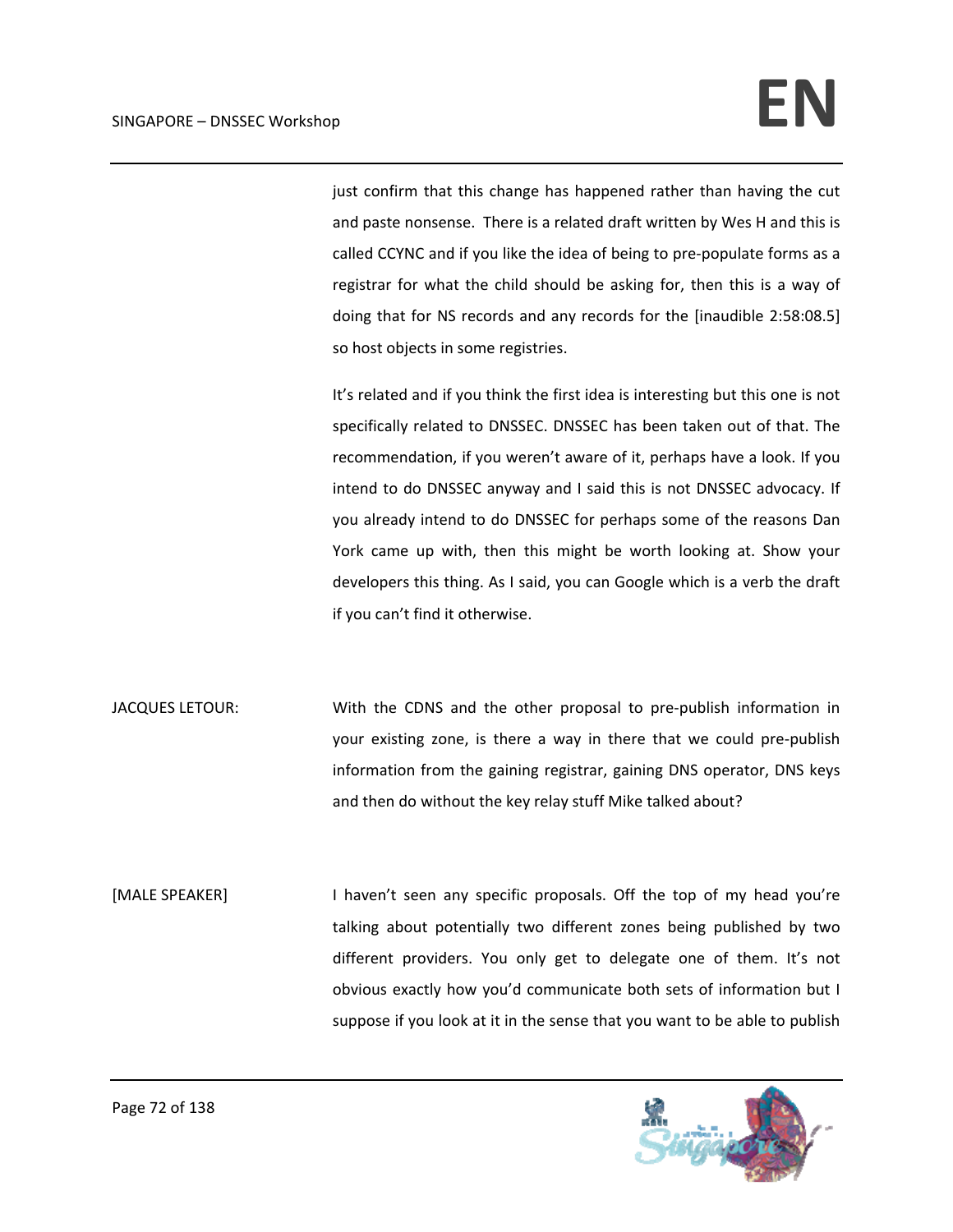just confirm that this change has happened rather than having the cut and paste nonsense. There is a related draft written by Wes H and this is called CCYNC and if you like the idea of being to pre‐populate forms as a registrar for what the child should be asking for, then this is a way of doing that for NS records and any records for the [inaudible 2:58:08.5] so host objects in some registries.

It's related and if you think the first idea is interesting but this one is not specifically related to DNSSEC. DNSSEC has been taken out of that. The recommendation, if you weren't aware of it, perhaps have a look. If you intend to do DNSSEC anyway and I said this is not DNSSEC advocacy. If you already intend to do DNSSEC for perhaps some of the reasons Dan York came up with, then this might be worth looking at. Show your developers this thing. As I said, you can Google which is a verb the draft if you can't find it otherwise.

- JACQUES LETOUR: With the CDNS and the other proposal to pre‐publish information in your existing zone, is there a way in there that we could pre‐publish information from the gaining registrar, gaining DNS operator, DNS keys and then do without the key relay stuff Mike talked about?
- [MALE SPEAKER] I haven't seen any specific proposals. Off the top of my head you're talking about potentially two different zones being published by two different providers. You only get to delegate one of them. It's not obvious exactly how you'd communicate both sets of information but I suppose if you look at it in the sense that you want to be able to publish

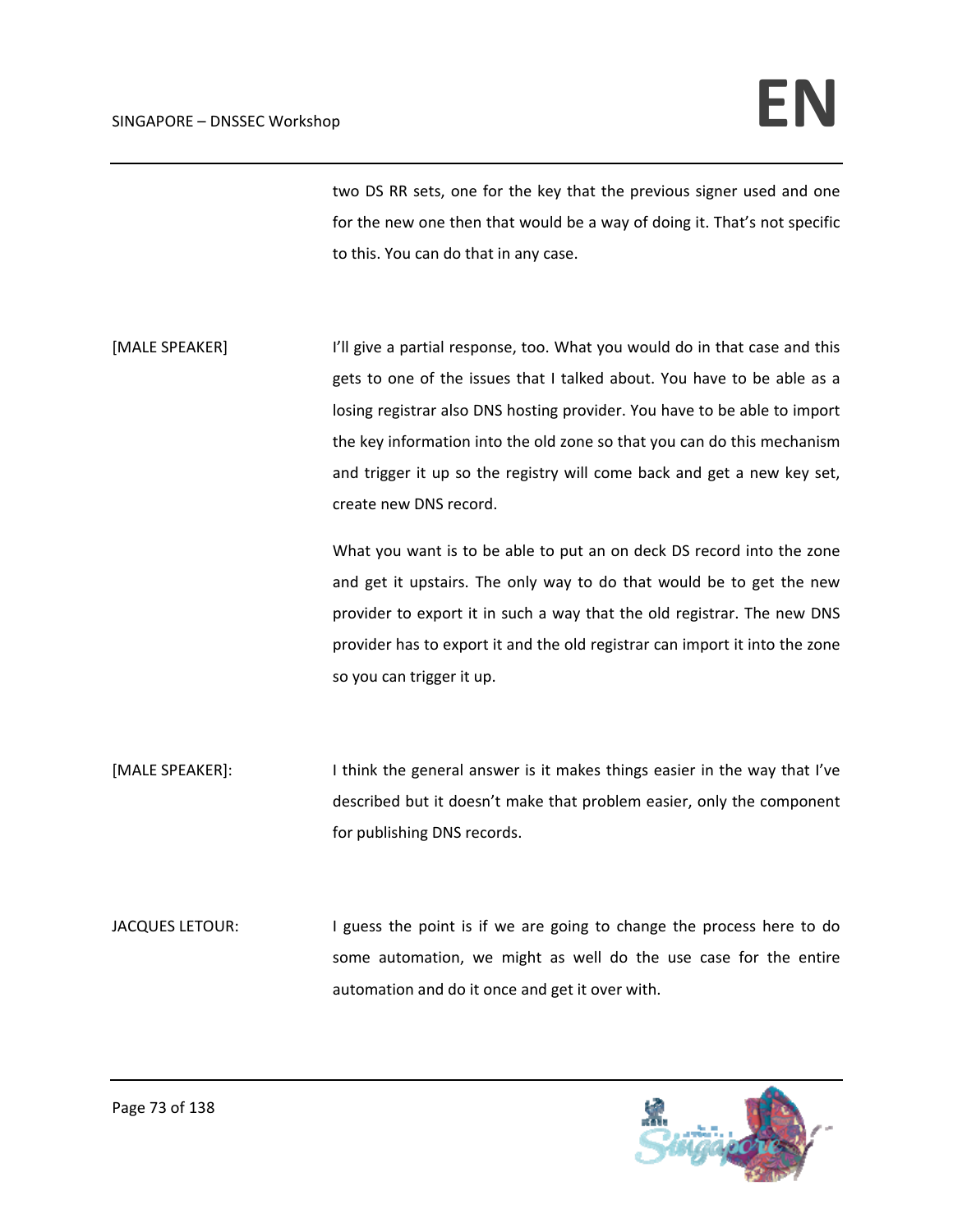two DS RR sets, one for the key that the previous signer used and one for the new one then that would be a way of doing it. That's not specific to this. You can do that in any case.

[MALE SPEAKER] I'll give a partial response, too. What you would do in that case and this gets to one of the issues that I talked about. You have to be able as a losing registrar also DNS hosting provider. You have to be able to import the key information into the old zone so that you can do this mechanism and trigger it up so the registry will come back and get a new key set, create new DNS record.

> What you want is to be able to put an on deck DS record into the zone and get it upstairs. The only way to do that would be to get the new provider to export it in such a way that the old registrar. The new DNS provider has to export it and the old registrar can import it into the zone so you can trigger it up.

[MALE SPEAKER]: I think the general answer is it makes things easier in the way that I've described but it doesn't make that problem easier, only the component for publishing DNS records.

JACQUES LETOUR: I guess the point is if we are going to change the process here to do some automation, we might as well do the use case for the entire automation and do it once and get it over with.

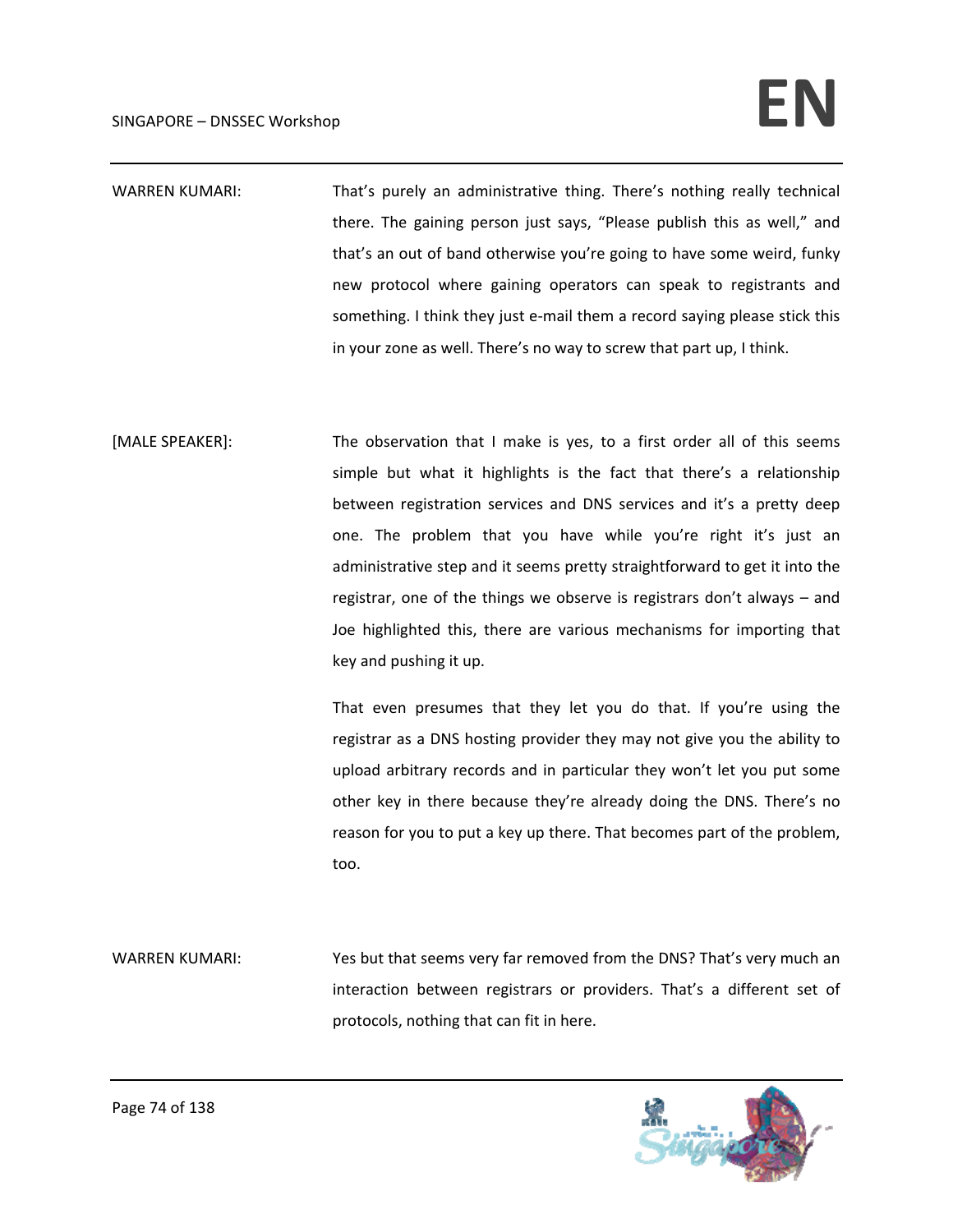## $SINGAPORE - DNSSEC. Workshop$

- WARREN KUMARI: That's purely an administrative thing. There's nothing really technical there. The gaining person just says, "Please publish this as well," and that's an out of band otherwise you're going to have some weird, funky new protocol where gaining operators can speak to registrants and something. I think they just e-mail them a record saying please stick this in your zone as well. There's no way to screw that part up, I think.
- [MALE SPEAKER]: The observation that I make is yes, to a first order all of this seems simple but what it highlights is the fact that there's a relationship between registration services and DNS services and it's a pretty deep one. The problem that you have while you're right it's just an administrative step and it seems pretty straightforward to get it into the registrar, one of the things we observe is registrars don't always – and Joe highlighted this, there are various mechanisms for importing that key and pushing it up.

That even presumes that they let you do that. If you're using the registrar as a DNS hosting provider they may not give you the ability to upload arbitrary records and in particular they won't let you put some other key in there because they're already doing the DNS. There's no reason for you to put a key up there. That becomes part of the problem, too.

WARREN KUMARI: Yes but that seems very far removed from the DNS? That's very much an interaction between registrars or providers. That's a different set of protocols, nothing that can fit in here.

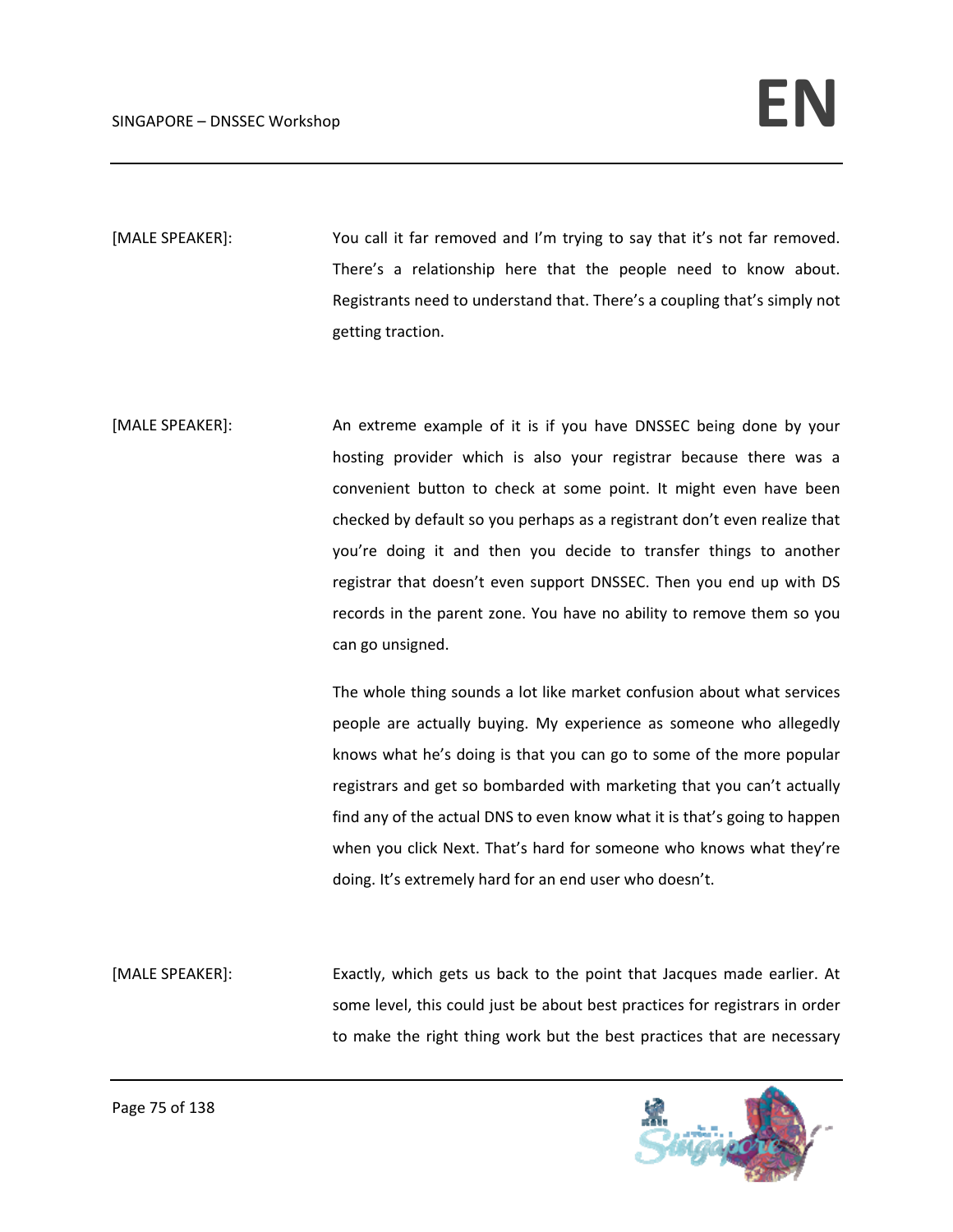[MALE SPEAKER]: You call it far removed and I'm trying to say that it's not far removed. There's a relationship here that the people need to know about. Registrants need to understand that. There's a coupling that's simply not getting traction.

[MALE SPEAKER]: An extreme example of it is if you have DNSSEC being done by your hosting provider which is also your registrar because there was a convenient button to check at some point. It might even have been checked by default so you perhaps as a registrant don't even realize that you're doing it and then you decide to transfer things to another registrar that doesn't even support DNSSEC. Then you end up with DS records in the parent zone. You have no ability to remove them so you can go unsigned.

> The whole thing sounds a lot like market confusion about what services people are actually buying. My experience as someone who allegedly knows what he's doing is that you can go to some of the more popular registrars and get so bombarded with marketing that you can't actually find any of the actual DNS to even know what it is that's going to happen when you click Next. That's hard for someone who knows what they're doing. It's extremely hard for an end user who doesn't.

[MALE SPEAKER]: Exactly, which gets us back to the point that Jacques made earlier. At some level, this could just be about best practices for registrars in order to make the right thing work but the best practices that are necessary

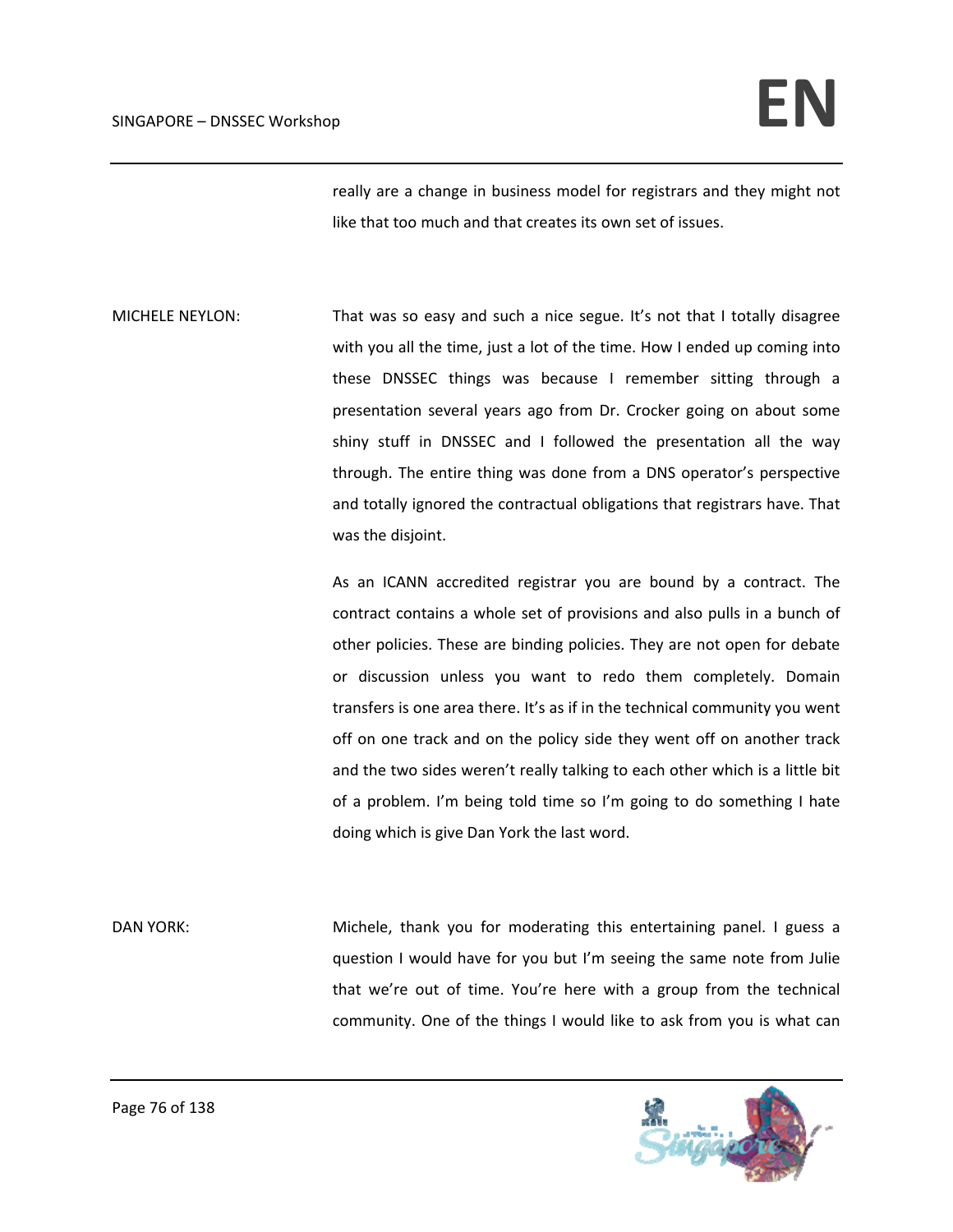really are a change in business model for registrars and they might not like that too much and that creates its own set of issues.

MICHELE NEYLON: That was so easy and such a nice segue. It's not that I totally disagree with you all the time, just a lot of the time. How I ended up coming into these DNSSEC things was because I remember sitting through a presentation several years ago from Dr. Crocker going on about some shiny stuff in DNSSEC and I followed the presentation all the way through. The entire thing was done from a DNS operator's perspective and totally ignored the contractual obligations that registrars have. That was the disjoint.

> As an ICANN accredited registrar you are bound by a contract. The contract contains a whole set of provisions and also pulls in a bunch of other policies. These are binding policies. They are not open for debate or discussion unless you want to redo them completely. Domain transfers is one area there. It's as if in the technical community you went off on one track and on the policy side they went off on another track and the two sides weren't really talking to each other which is a little bit of a problem. I'm being told time so I'm going to do something I hate doing which is give Dan York the last word.

DAN YORK: Michele, thank you for moderating this entertaining panel. I guess a question I would have for you but I'm seeing the same note from Julie that we're out of time. You're here with a group from the technical community. One of the things I would like to ask from you is what can

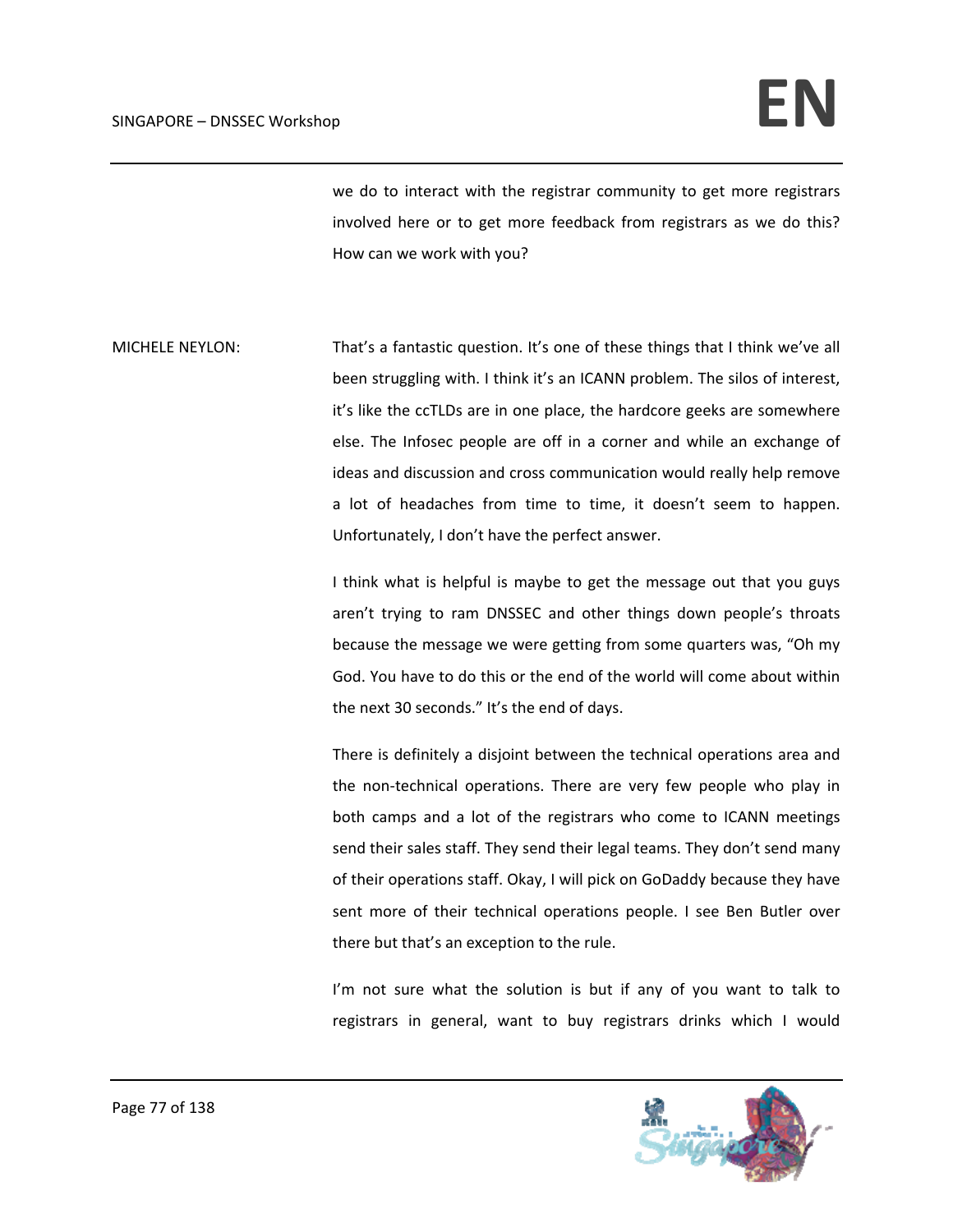we do to interact with the registrar community to get more registrars involved here or to get more feedback from registrars as we do this? How can we work with you?

MICHELE NEYLON: That's a fantastic question. It's one of these things that I think we've all been struggling with. I think it's an ICANN problem. The silos of interest, it's like the ccTLDs are in one place, the hardcore geeks are somewhere else. The Infosec people are off in a corner and while an exchange of ideas and discussion and cross communication would really help remove a lot of headaches from time to time, it doesn't seem to happen. Unfortunately, I don't have the perfect answer.

> I think what is helpful is maybe to get the message out that you guys aren't trying to ram DNSSEC and other things down people's throats because the message we were getting from some quarters was, "Oh my God. You have to do this or the end of the world will come about within the next 30 seconds." It's the end of days.

> There is definitely a disjoint between the technical operations area and the non‐technical operations. There are very few people who play in both camps and a lot of the registrars who come to ICANN meetings send their sales staff. They send their legal teams. They don't send many of their operations staff. Okay, I will pick on GoDaddy because they have sent more of their technical operations people. I see Ben Butler over there but that's an exception to the rule.

> I'm not sure what the solution is but if any of you want to talk to registrars in general, want to buy registrars drinks which I would

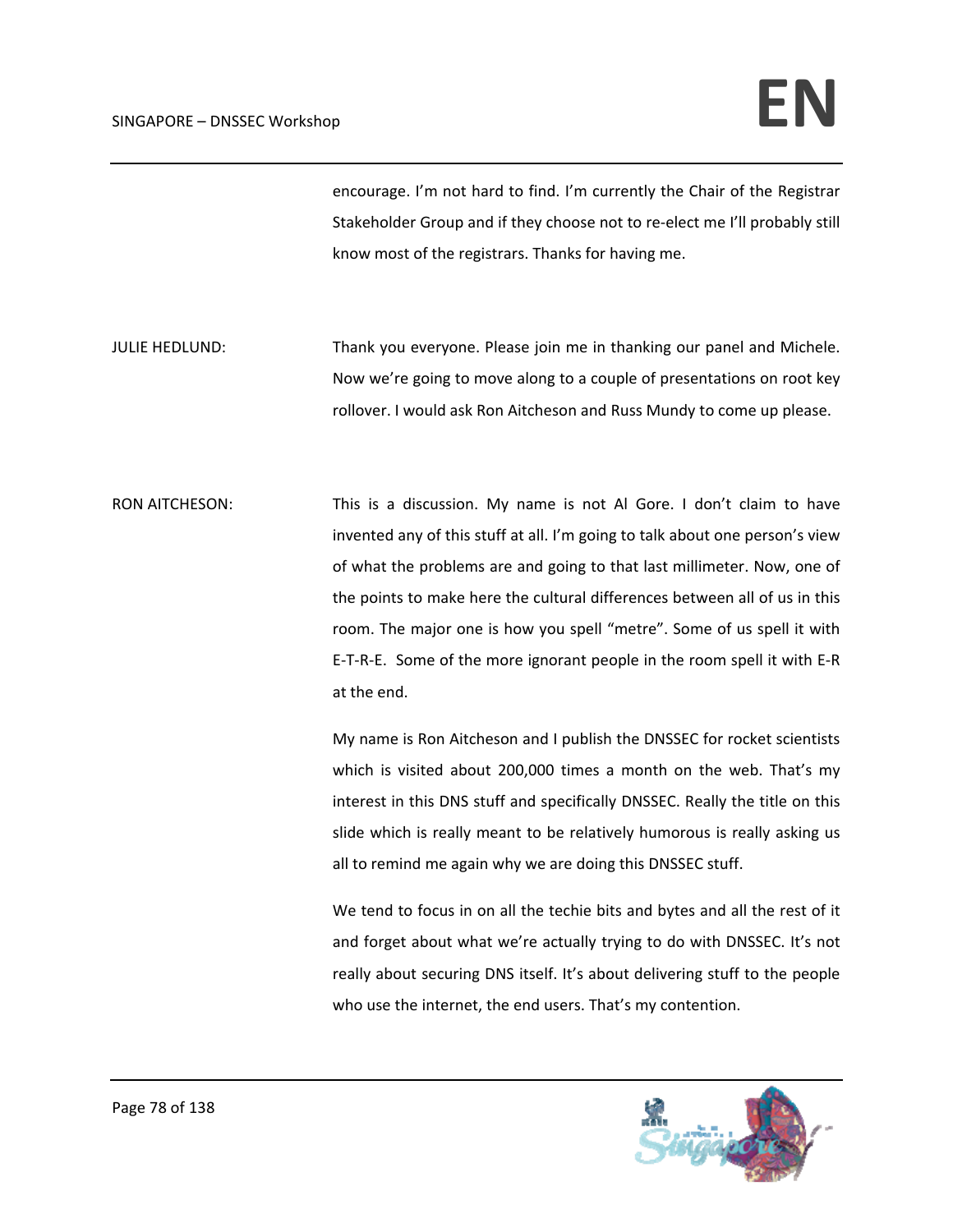encourage. I'm not hard to find. I'm currently the Chair of the Registrar Stakeholder Group and if they choose not to re-elect me I'll probably still know most of the registrars. Thanks for having me.

JULIE HEDLUND: Thank you everyone. Please join me in thanking our panel and Michele. Now we're going to move along to a couple of presentations on root key rollover. I would ask Ron Aitcheson and Russ Mundy to come up please.

RON AITCHESON: This is a discussion. My name is not Al Gore. I don't claim to have invented any of this stuff at all. I'm going to talk about one person's view of what the problems are and going to that last millimeter. Now, one of the points to make here the cultural differences between all of us in this room. The major one is how you spell "metre". Some of us spell it with E‐T‐R‐E. Some of the more ignorant people in the room spell it with E‐R at the end.

> My name is Ron Aitcheson and I publish the DNSSEC for rocket scientists which is visited about 200,000 times a month on the web. That's my interest in this DNS stuff and specifically DNSSEC. Really the title on this slide which is really meant to be relatively humorous is really asking us all to remind me again why we are doing this DNSSEC stuff.

> We tend to focus in on all the techie bits and bytes and all the rest of it and forget about what we're actually trying to do with DNSSEC. It's not really about securing DNS itself. It's about delivering stuff to the people who use the internet, the end users. That's my contention.

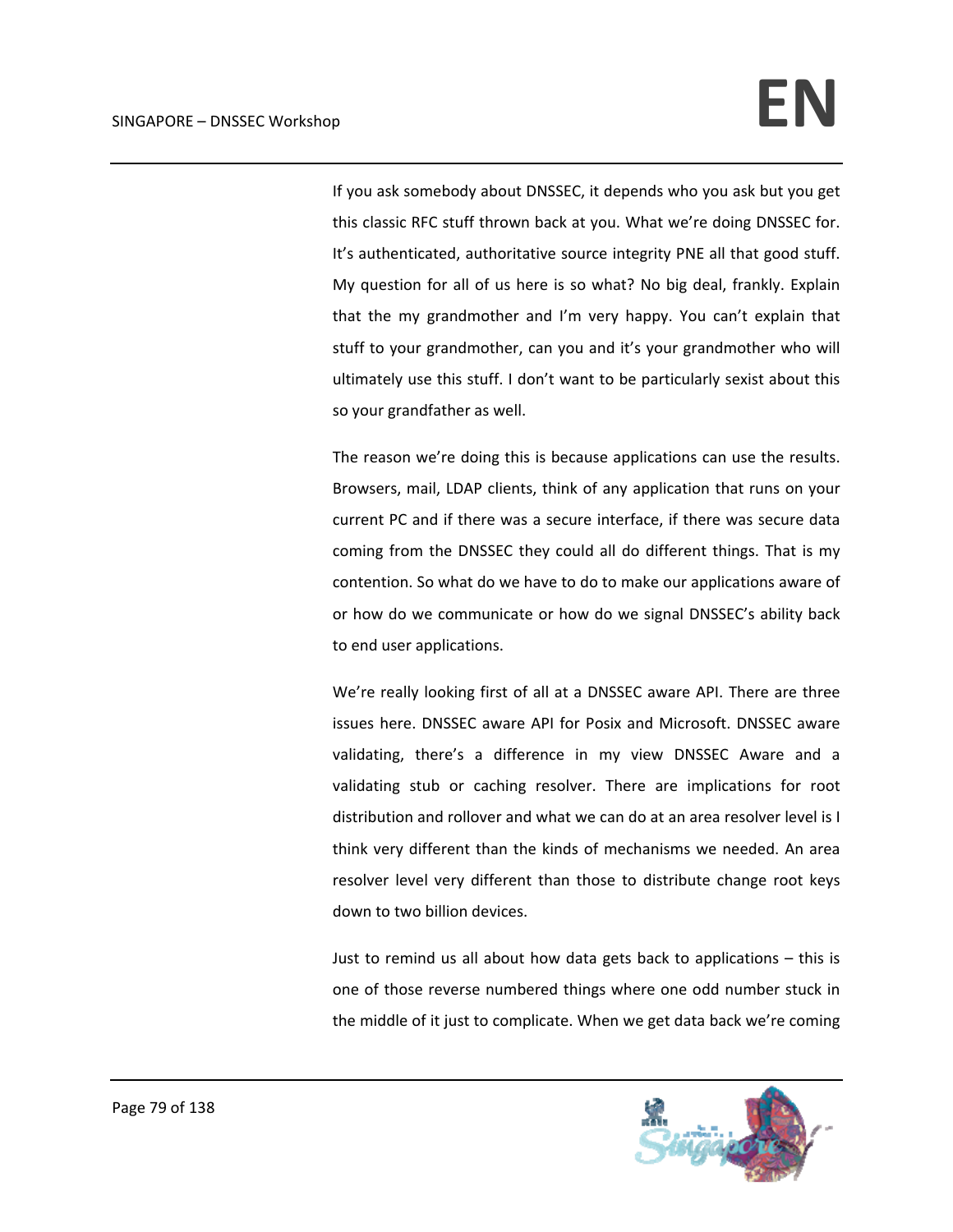If you ask somebody about DNSSEC, it depends who you ask but you get this classic RFC stuff thrown back at you. What we're doing DNSSEC for. It's authenticated, authoritative source integrity PNE all that good stuff. My question for all of us here is so what? No big deal, frankly. Explain that the my grandmother and I'm very happy. You can't explain that stuff to your grandmother, can you and it's your grandmother who will ultimately use this stuff. I don't want to be particularly sexist about this so your grandfather as well.

The reason we're doing this is because applications can use the results. Browsers, mail, LDAP clients, think of any application that runs on your current PC and if there was a secure interface, if there was secure data coming from the DNSSEC they could all do different things. That is my contention. So what do we have to do to make our applications aware of or how do we communicate or how do we signal DNSSEC's ability back to end user applications.

We're really looking first of all at a DNSSEC aware API. There are three issues here. DNSSEC aware API for Posix and Microsoft. DNSSEC aware validating, there's a difference in my view DNSSEC Aware and a validating stub or caching resolver. There are implications for root distribution and rollover and what we can do at an area resolver level is I think very different than the kinds of mechanisms we needed. An area resolver level very different than those to distribute change root keys down to two billion devices.

Just to remind us all about how data gets back to applications – this is one of those reverse numbered things where one odd number stuck in the middle of it just to complicate. When we get data back we're coming

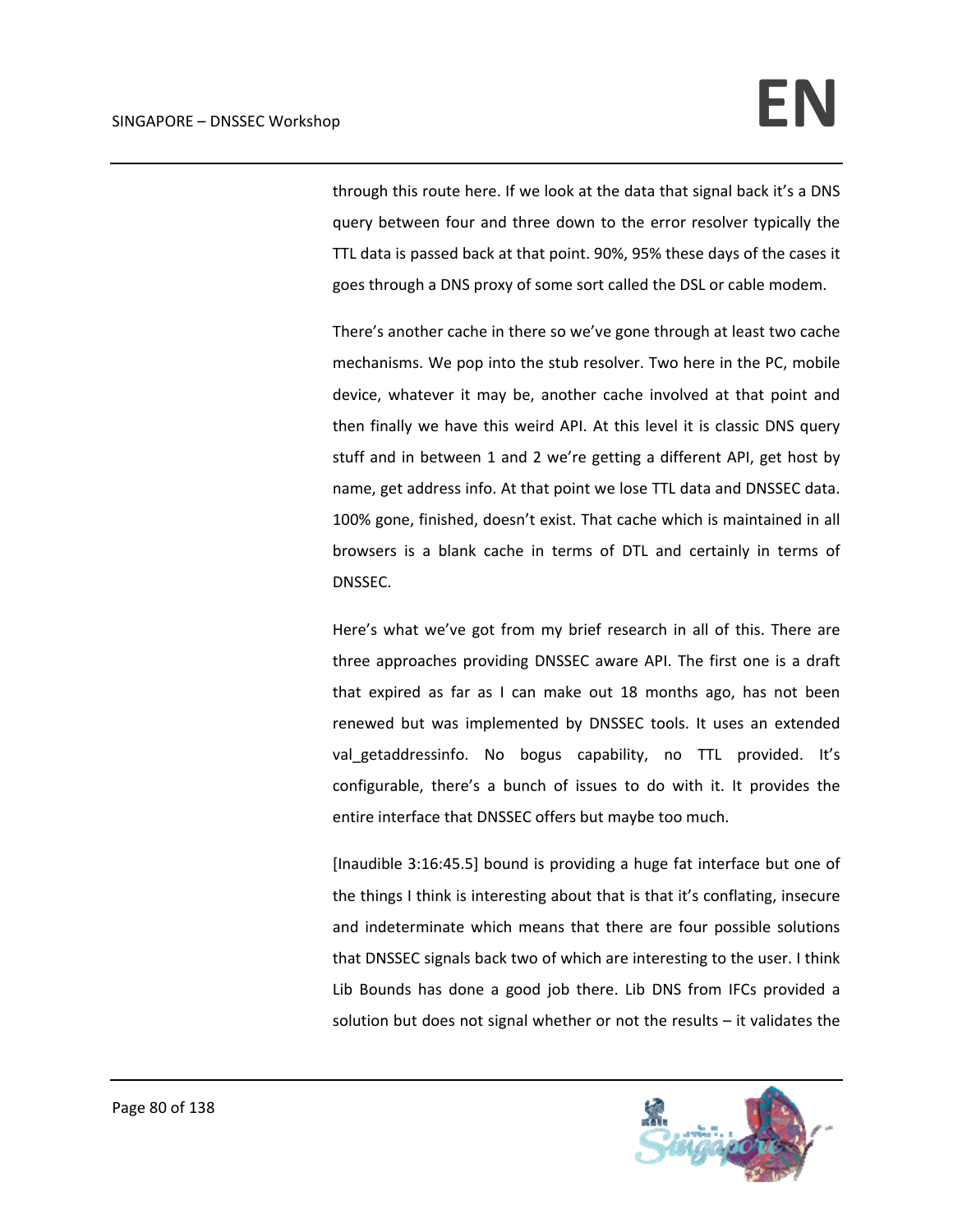through this route here. If we look at the data that signal back it's a DNS query between four and three down to the error resolver typically the TTL data is passed back at that point. 90%, 95% these days of the cases it goes through a DNS proxy of some sort called the DSL or cable modem.

There's another cache in there so we've gone through at least two cache mechanisms. We pop into the stub resolver. Two here in the PC, mobile device, whatever it may be, another cache involved at that point and then finally we have this weird API. At this level it is classic DNS query stuff and in between 1 and 2 we're getting a different API, get host by name, get address info. At that point we lose TTL data and DNSSEC data. 100% gone, finished, doesn't exist. That cache which is maintained in all browsers is a blank cache in terms of DTL and certainly in terms of DNSSEC.

Here's what we've got from my brief research in all of this. There are three approaches providing DNSSEC aware API. The first one is a draft that expired as far as I can make out 18 months ago, has not been renewed but was implemented by DNSSEC tools. It uses an extended val getaddressinfo. No bogus capability, no TTL provided. It's configurable, there's a bunch of issues to do with it. It provides the entire interface that DNSSEC offers but maybe too much.

[Inaudible 3:16:45.5] bound is providing a huge fat interface but one of the things I think is interesting about that is that it's conflating, insecure and indeterminate which means that there are four possible solutions that DNSSEC signals back two of which are interesting to the user. I think Lib Bounds has done a good job there. Lib DNS from IFCs provided a solution but does not signal whether or not the results – it validates the

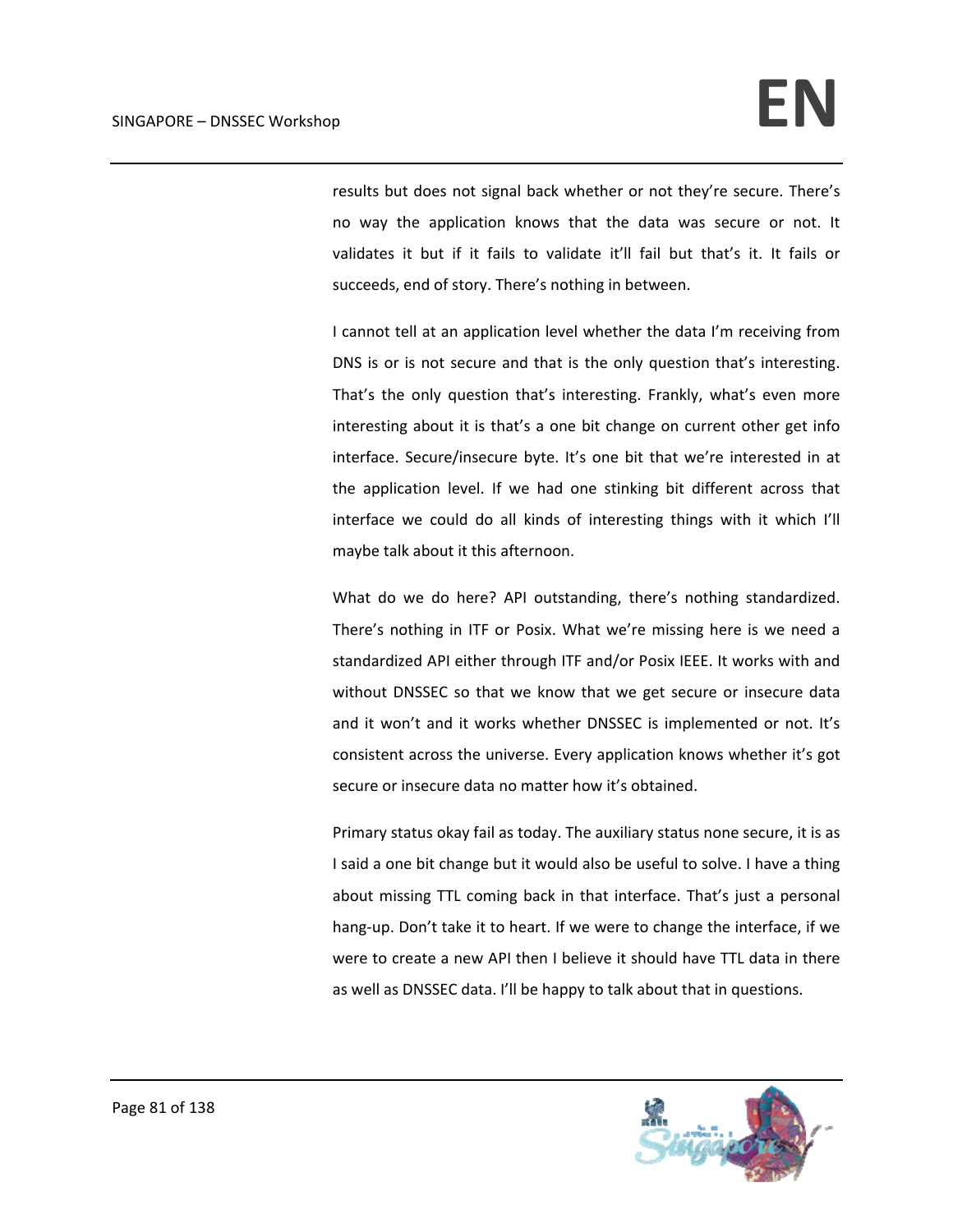results but does not signal back whether or not they're secure. There's no way the application knows that the data was secure or not. It validates it but if it fails to validate it'll fail but that's it. It fails or succeeds, end of story. There's nothing in between.

I cannot tell at an application level whether the data I'm receiving from DNS is or is not secure and that is the only question that's interesting. That's the only question that's interesting. Frankly, what's even more interesting about it is that's a one bit change on current other get info interface. Secure/insecure byte. It's one bit that we're interested in at the application level. If we had one stinking bit different across that interface we could do all kinds of interesting things with it which I'll maybe talk about it this afternoon.

What do we do here? API outstanding, there's nothing standardized. There's nothing in ITF or Posix. What we're missing here is we need a standardized API either through ITF and/or Posix IEEE. It works with and without DNSSEC so that we know that we get secure or insecure data and it won't and it works whether DNSSEC is implemented or not. It's consistent across the universe. Every application knows whether it's got secure or insecure data no matter how it's obtained.

Primary status okay fail as today. The auxiliary status none secure, it is as I said a one bit change but it would also be useful to solve. I have a thing about missing TTL coming back in that interface. That's just a personal hang‐up. Don't take it to heart. If we were to change the interface, if we were to create a new API then I believe it should have TTL data in there as well as DNSSEC data. I'll be happy to talk about that in questions.

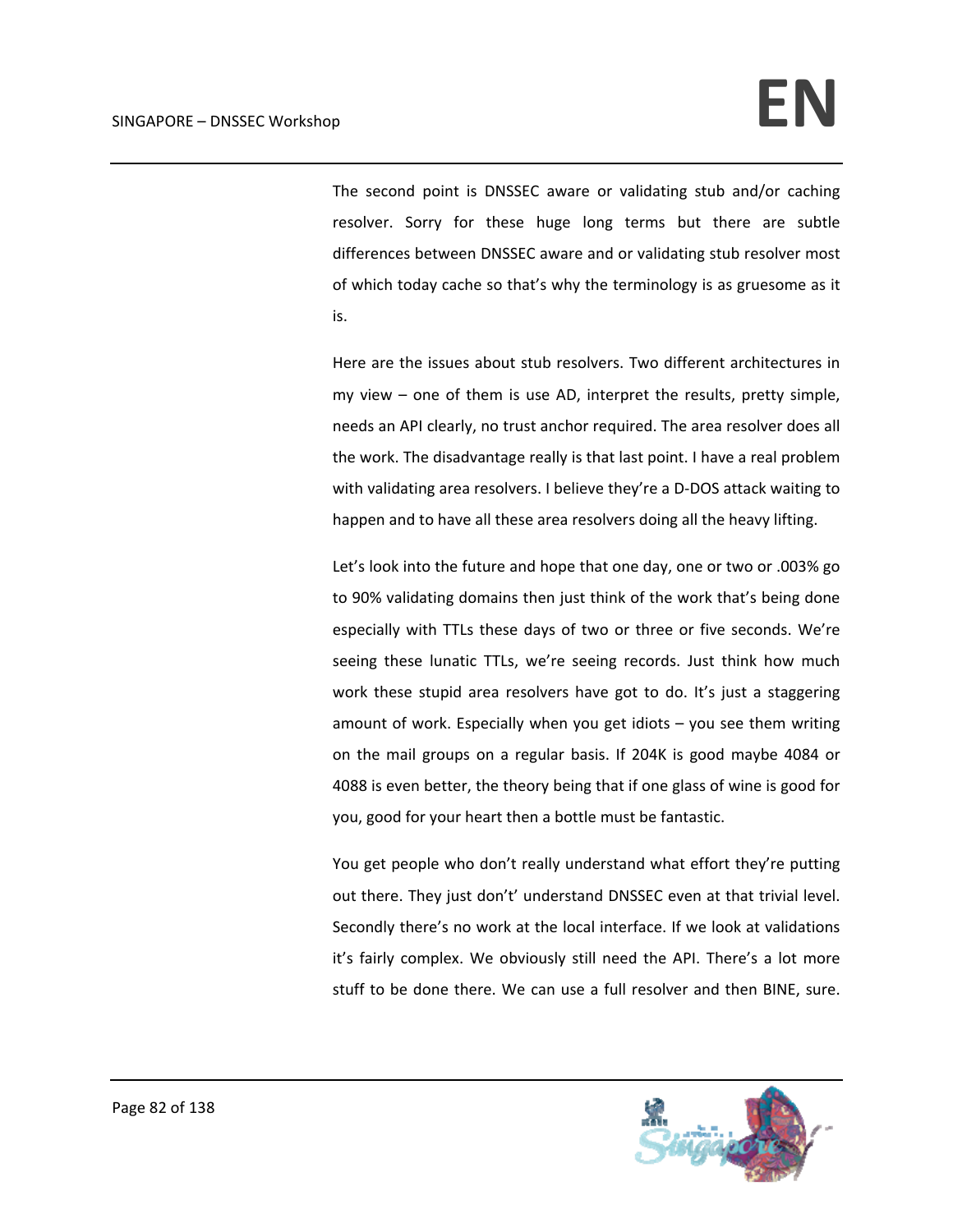The second point is DNSSEC aware or validating stub and/or caching resolver. Sorry for these huge long terms but there are subtle differences between DNSSEC aware and or validating stub resolver most of which today cache so that's why the terminology is as gruesome as it is.

Here are the issues about stub resolvers. Two different architectures in my view – one of them is use AD, interpret the results, pretty simple, needs an API clearly, no trust anchor required. The area resolver does all the work. The disadvantage really is that last point. I have a real problem with validating area resolvers. I believe they're a D-DOS attack waiting to happen and to have all these area resolvers doing all the heavy lifting.

Let's look into the future and hope that one day, one or two or .003% go to 90% validating domains then just think of the work that's being done especially with TTLs these days of two or three or five seconds. We're seeing these lunatic TTLs, we're seeing records. Just think how much work these stupid area resolvers have got to do. It's just a staggering amount of work. Especially when you get idiots – you see them writing on the mail groups on a regular basis. If 204K is good maybe 4084 or 4088 is even better, the theory being that if one glass of wine is good for you, good for your heart then a bottle must be fantastic.

You get people who don't really understand what effort they're putting out there. They just don't' understand DNSSEC even at that trivial level. Secondly there's no work at the local interface. If we look at validations it's fairly complex. We obviously still need the API. There's a lot more stuff to be done there. We can use a full resolver and then BINE, sure.

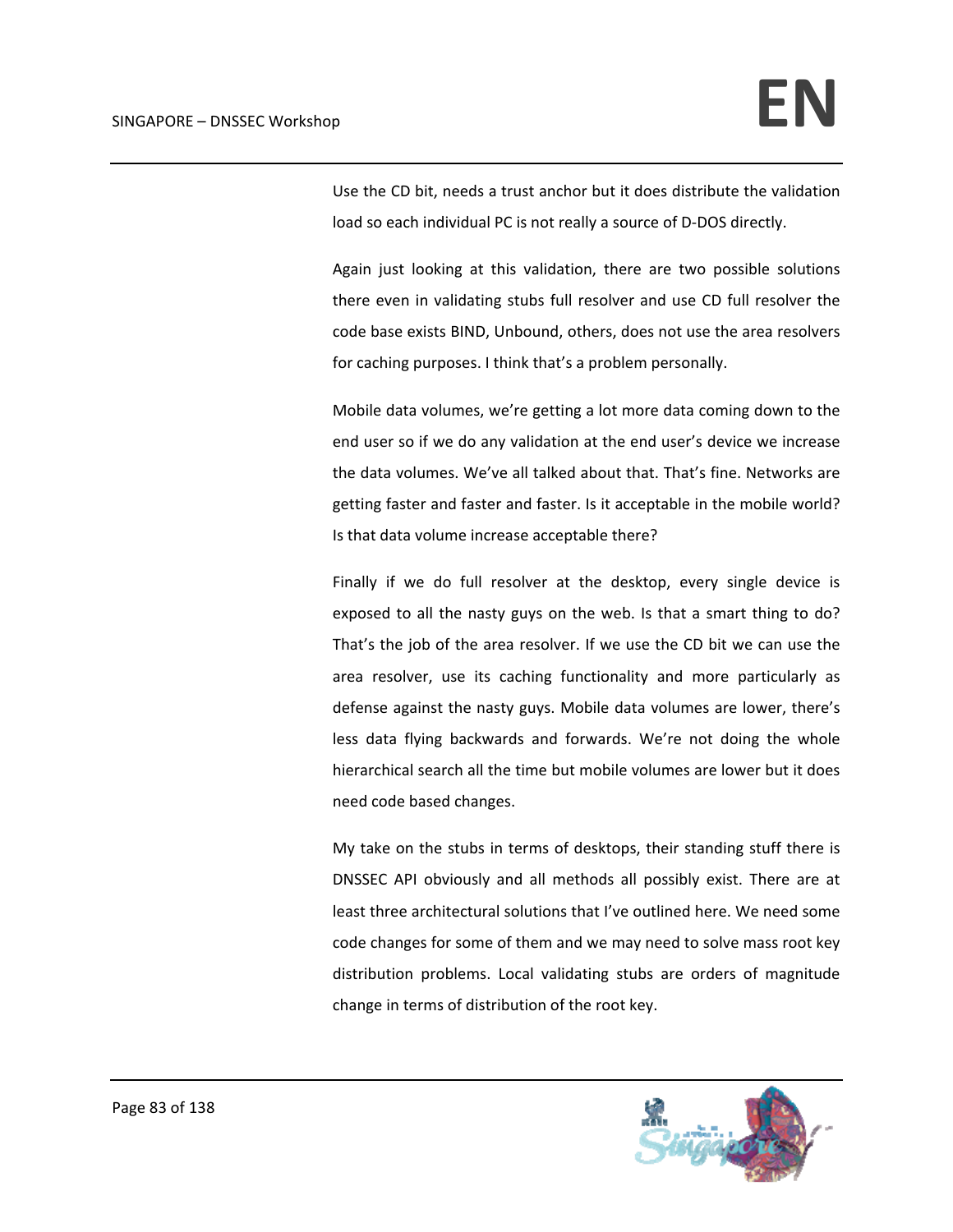Use the CD bit, needs a trust anchor but it does distribute the validation load so each individual PC is not really a source of D‐DOS directly.

Again just looking at this validation, there are two possible solutions there even in validating stubs full resolver and use CD full resolver the code base exists BIND, Unbound, others, does not use the area resolvers for caching purposes. I think that's a problem personally.

Mobile data volumes, we're getting a lot more data coming down to the end user so if we do any validation at the end user's device we increase the data volumes. We've all talked about that. That's fine. Networks are getting faster and faster and faster. Is it acceptable in the mobile world? Is that data volume increase acceptable there?

Finally if we do full resolver at the desktop, every single device is exposed to all the nasty guys on the web. Is that a smart thing to do? That's the job of the area resolver. If we use the CD bit we can use the area resolver, use its caching functionality and more particularly as defense against the nasty guys. Mobile data volumes are lower, there's less data flying backwards and forwards. We're not doing the whole hierarchical search all the time but mobile volumes are lower but it does need code based changes.

My take on the stubs in terms of desktops, their standing stuff there is DNSSEC API obviously and all methods all possibly exist. There are at least three architectural solutions that I've outlined here. We need some code changes for some of them and we may need to solve mass root key distribution problems. Local validating stubs are orders of magnitude change in terms of distribution of the root key.

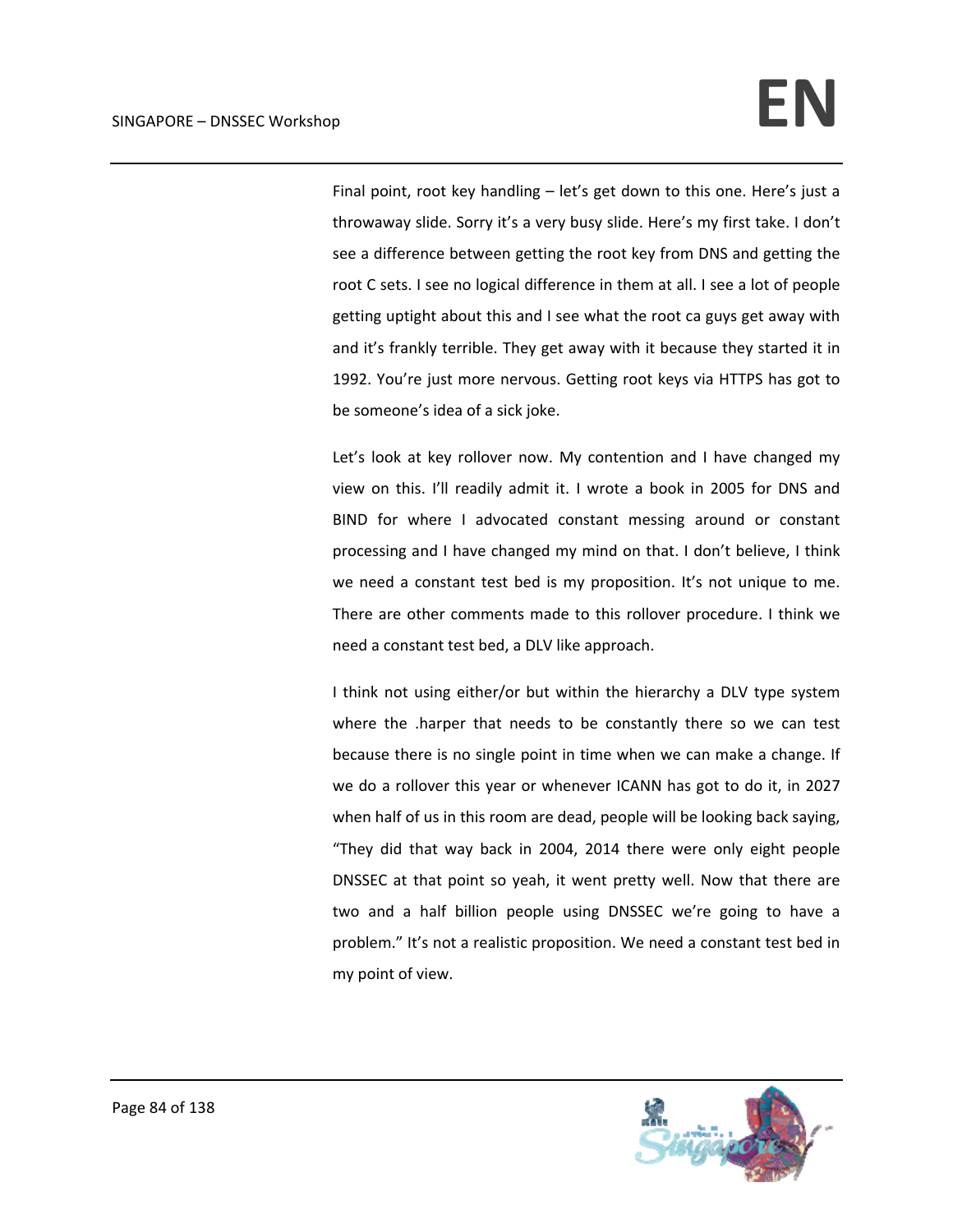Final point, root key handling – let's get down to this one. Here's just a throwaway slide. Sorry it's a very busy slide. Here's my first take. I don't see a difference between getting the root key from DNS and getting the root C sets. I see no logical difference in them at all. I see a lot of people getting uptight about this and I see what the root ca guys get away with and it's frankly terrible. They get away with it because they started it in 1992. You're just more nervous. Getting root keys via HTTPS has got to be someone's idea of a sick joke.

Let's look at key rollover now. My contention and I have changed my view on this. I'll readily admit it. I wrote a book in 2005 for DNS and BIND for where I advocated constant messing around or constant processing and I have changed my mind on that. I don't believe, I think we need a constant test bed is my proposition. It's not unique to me. There are other comments made to this rollover procedure. I think we need a constant test bed, a DLV like approach.

I think not using either/or but within the hierarchy a DLV type system where the .harper that needs to be constantly there so we can test because there is no single point in time when we can make a change. If we do a rollover this year or whenever ICANN has got to do it, in 2027 when half of us in this room are dead, people will be looking back saying, "They did that way back in 2004, 2014 there were only eight people DNSSEC at that point so yeah, it went pretty well. Now that there are two and a half billion people using DNSSEC we're going to have a problem." It's not a realistic proposition. We need a constant test bed in my point of view.

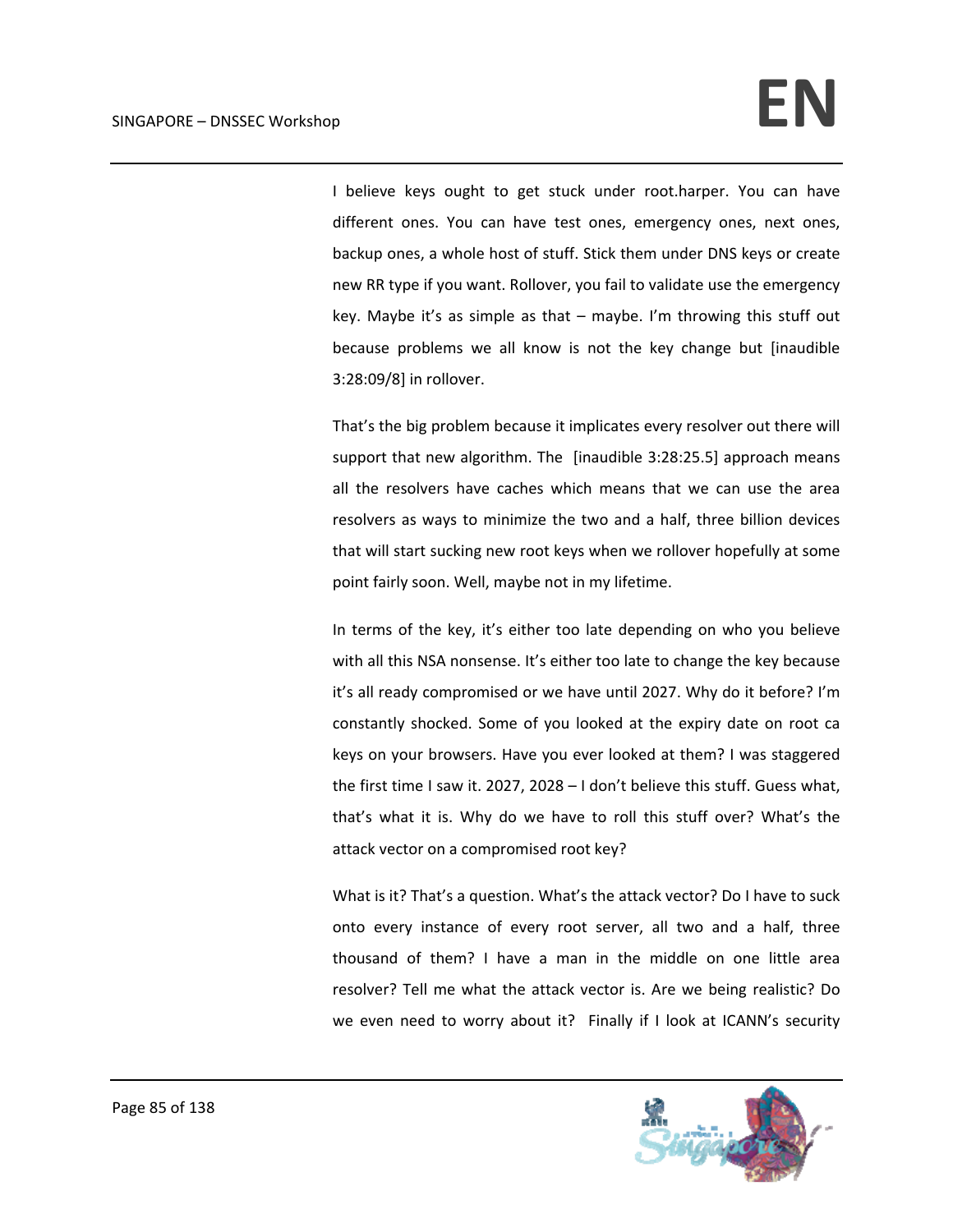I believe keys ought to get stuck under root.harper. You can have different ones. You can have test ones, emergency ones, next ones, backup ones, a whole host of stuff. Stick them under DNS keys or create new RR type if you want. Rollover, you fail to validate use the emergency key. Maybe it's as simple as that – maybe. I'm throwing this stuff out because problems we all know is not the key change but [inaudible 3:28:09/8] in rollover.

That's the big problem because it implicates every resolver out there will support that new algorithm. The [inaudible 3:28:25.5] approach means all the resolvers have caches which means that we can use the area resolvers as ways to minimize the two and a half, three billion devices that will start sucking new root keys when we rollover hopefully at some point fairly soon. Well, maybe not in my lifetime.

In terms of the key, it's either too late depending on who you believe with all this NSA nonsense. It's either too late to change the key because it's all ready compromised or we have until 2027. Why do it before? I'm constantly shocked. Some of you looked at the expiry date on root ca keys on your browsers. Have you ever looked at them? I was staggered the first time I saw it. 2027, 2028 – I don't believe this stuff. Guess what, that's what it is. Why do we have to roll this stuff over? What's the attack vector on a compromised root key?

What is it? That's a question. What's the attack vector? Do I have to suck onto every instance of every root server, all two and a half, three thousand of them? I have a man in the middle on one little area resolver? Tell me what the attack vector is. Are we being realistic? Do we even need to worry about it? Finally if I look at ICANN's security

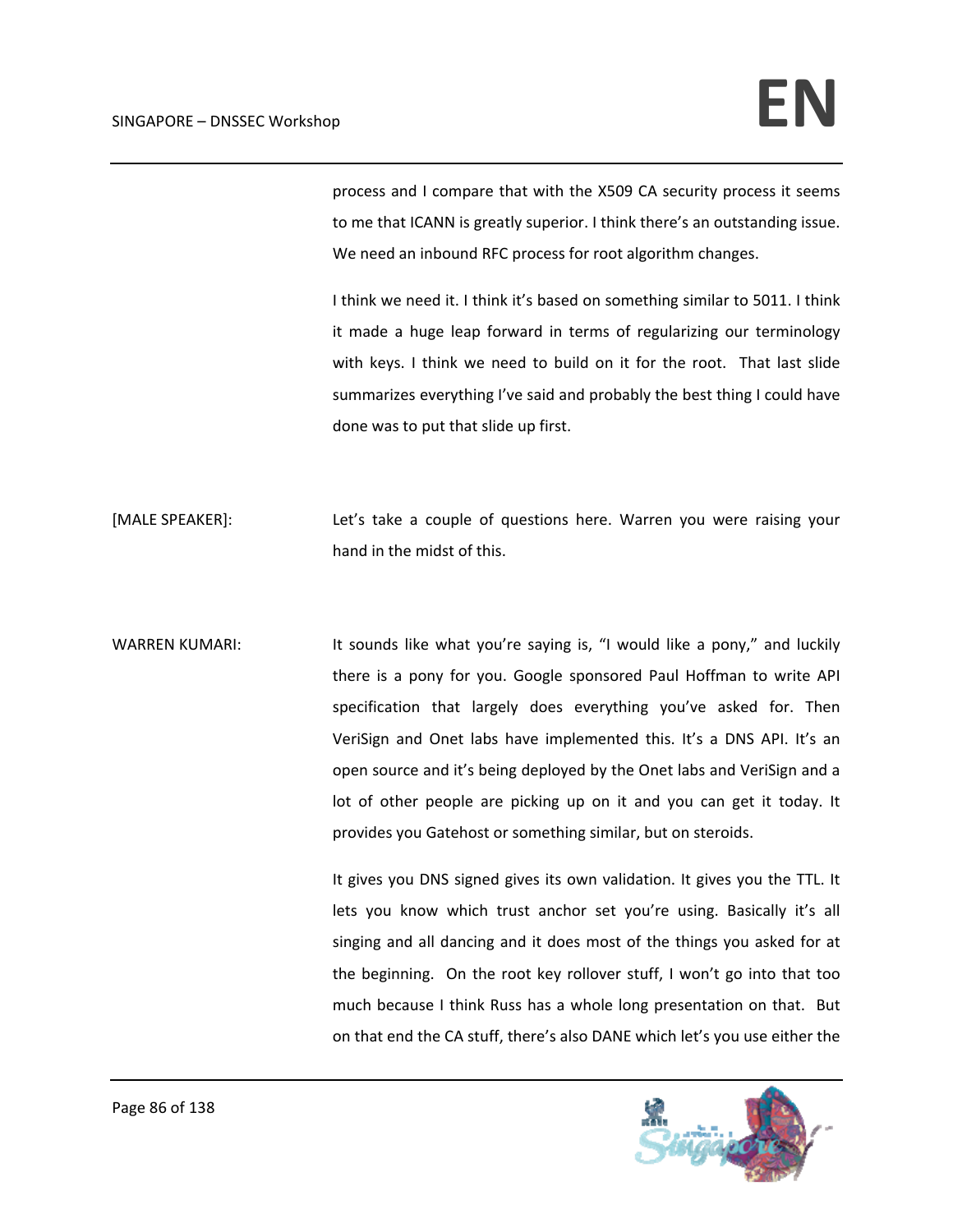process and I compare that with the X509 CA security process it seems to me that ICANN is greatly superior. I think there's an outstanding issue. We need an inbound RFC process for root algorithm changes.

I think we need it. I think it's based on something similar to 5011. I think it made a huge leap forward in terms of regularizing our terminology with keys. I think we need to build on it for the root. That last slide summarizes everything I've said and probably the best thing I could have done was to put that slide up first.

[MALE SPEAKER]: Let's take a couple of questions here. Warren you were raising your hand in the midst of this.

WARREN KUMARI: It sounds like what you're saying is, "I would like a pony," and luckily there is a pony for you. Google sponsored Paul Hoffman to write API specification that largely does everything you've asked for. Then VeriSign and Onet labs have implemented this. It's a DNS API. It's an open source and it's being deployed by the Onet labs and VeriSign and a lot of other people are picking up on it and you can get it today. It provides you Gatehost or something similar, but on steroids.

> It gives you DNS signed gives its own validation. It gives you the TTL. It lets you know which trust anchor set you're using. Basically it's all singing and all dancing and it does most of the things you asked for at the beginning. On the root key rollover stuff, I won't go into that too much because I think Russ has a whole long presentation on that. But on that end the CA stuff, there's also DANE which let's you use either the

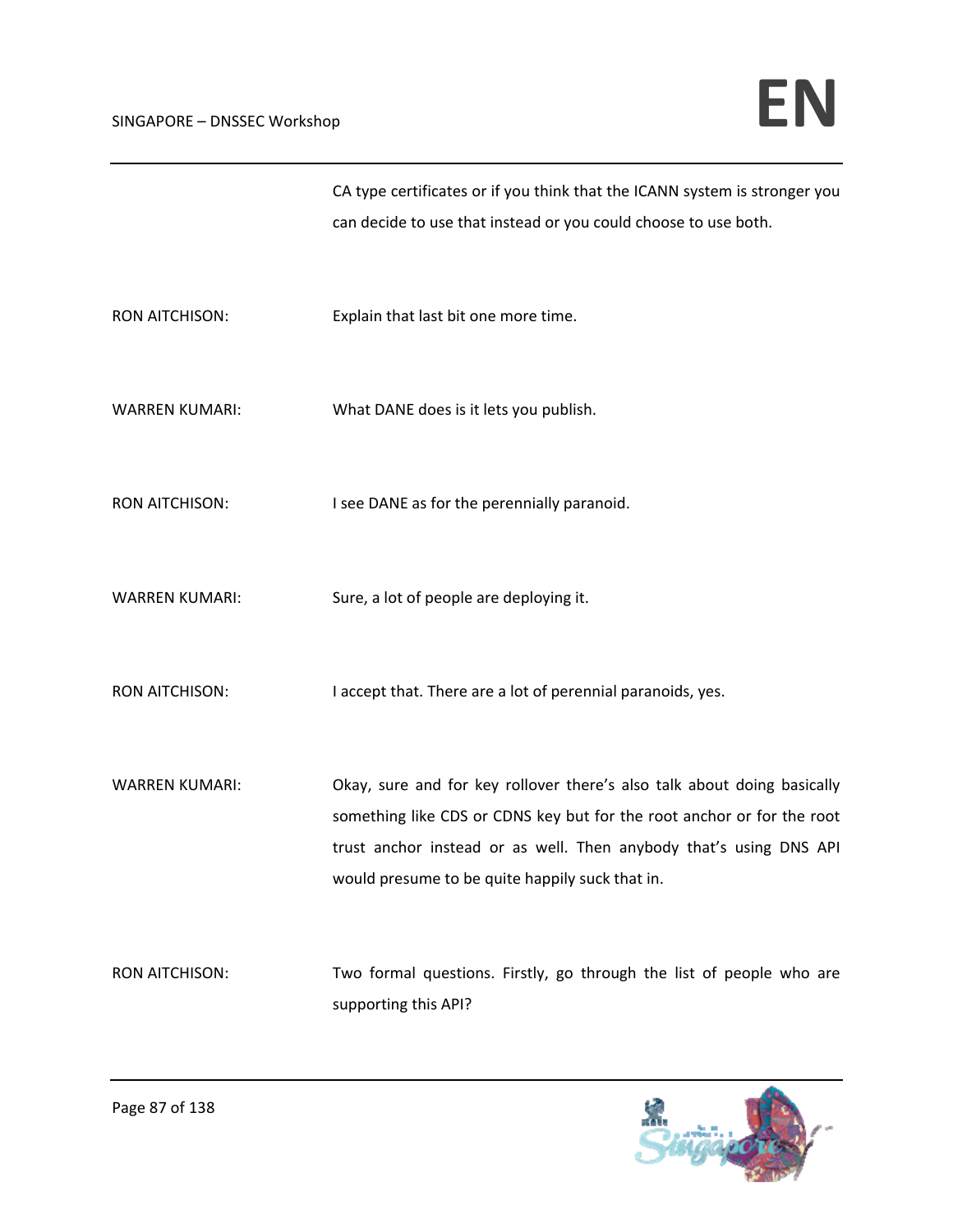|                       | CA type certificates or if you think that the ICANN system is stronger you                                                                                                                                              |
|-----------------------|-------------------------------------------------------------------------------------------------------------------------------------------------------------------------------------------------------------------------|
|                       | can decide to use that instead or you could choose to use both.                                                                                                                                                         |
| <b>RON AITCHISON:</b> | Explain that last bit one more time.                                                                                                                                                                                    |
| <b>WARREN KUMARI:</b> | What DANE does is it lets you publish.                                                                                                                                                                                  |
| <b>RON AITCHISON:</b> | I see DANE as for the perennially paranoid.                                                                                                                                                                             |
| <b>WARREN KUMARI:</b> | Sure, a lot of people are deploying it.                                                                                                                                                                                 |
| <b>RON AITCHISON:</b> | I accept that. There are a lot of perennial paranoids, yes.                                                                                                                                                             |
| <b>WARREN KUMARI:</b> | Okay, sure and for key rollover there's also talk about doing basically<br>something like CDS or CDNS key but for the root anchor or for the root<br>trust anchor instead or as well. Then anybody that's using DNS API |
|                       | would presume to be quite happily suck that in.                                                                                                                                                                         |
| <b>RON AITCHISON:</b> | Two formal questions. Firstly, go through the list of people who are<br>supporting this API?                                                                                                                            |

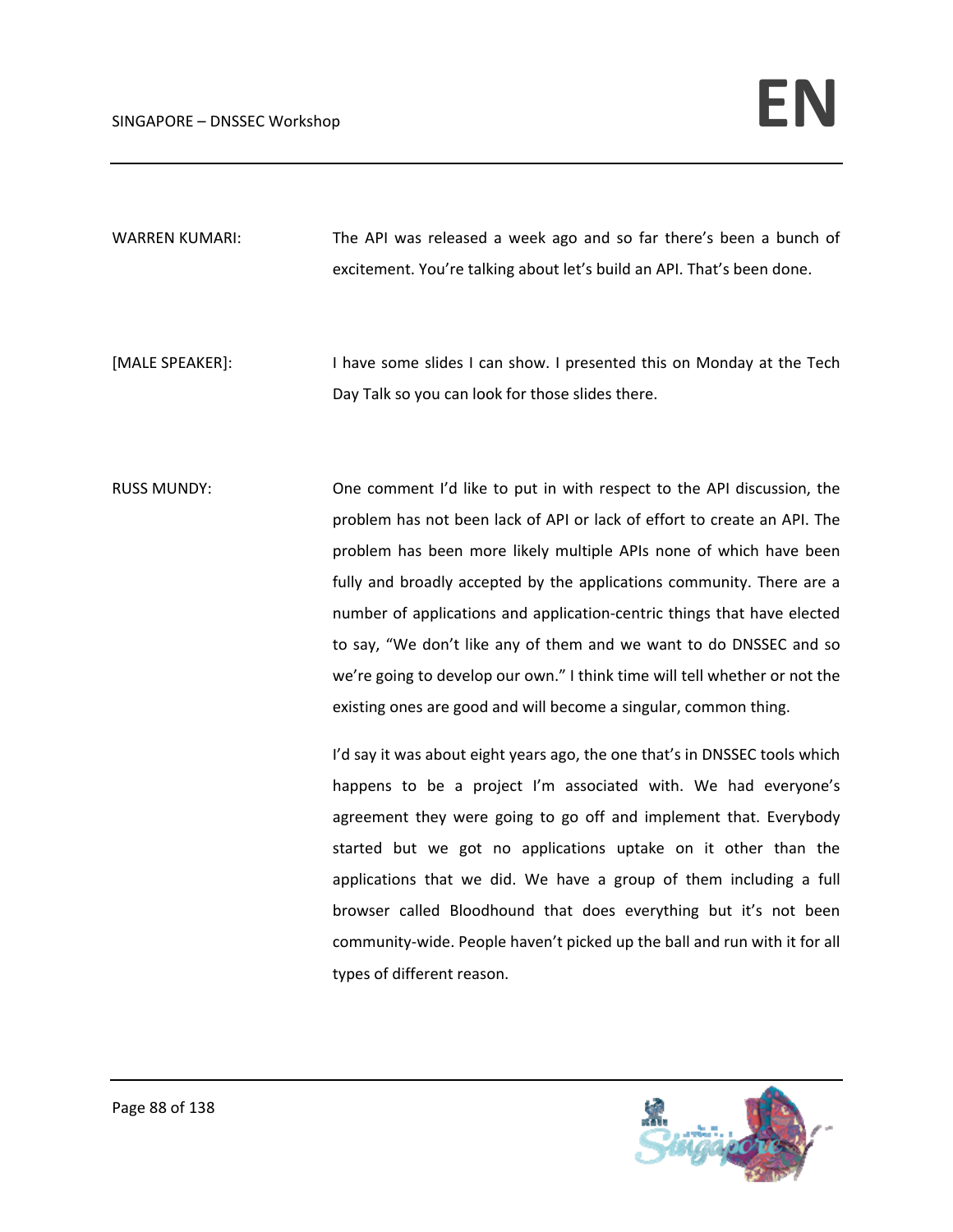WARREN KUMARI: The API was released a week ago and so far there's been a bunch of excitement. You're talking about let's build an API. That's been done.

[MALE SPEAKER]: I have some slides I can show. I presented this on Monday at the Tech Day Talk so you can look for those slides there.

RUSS MUNDY: One comment I'd like to put in with respect to the API discussion, the problem has not been lack of API or lack of effort to create an API. The problem has been more likely multiple APIs none of which have been fully and broadly accepted by the applications community. There are a number of applications and application‐centric things that have elected to say, "We don't like any of them and we want to do DNSSEC and so we're going to develop our own." I think time will tell whether or not the existing ones are good and will become a singular, common thing.

> I'd say it was about eight years ago, the one that's in DNSSEC tools which happens to be a project I'm associated with. We had everyone's agreement they were going to go off and implement that. Everybody started but we got no applications uptake on it other than the applications that we did. We have a group of them including a full browser called Bloodhound that does everything but it's not been community‐wide. People haven't picked up the ball and run with it for all types of different reason.

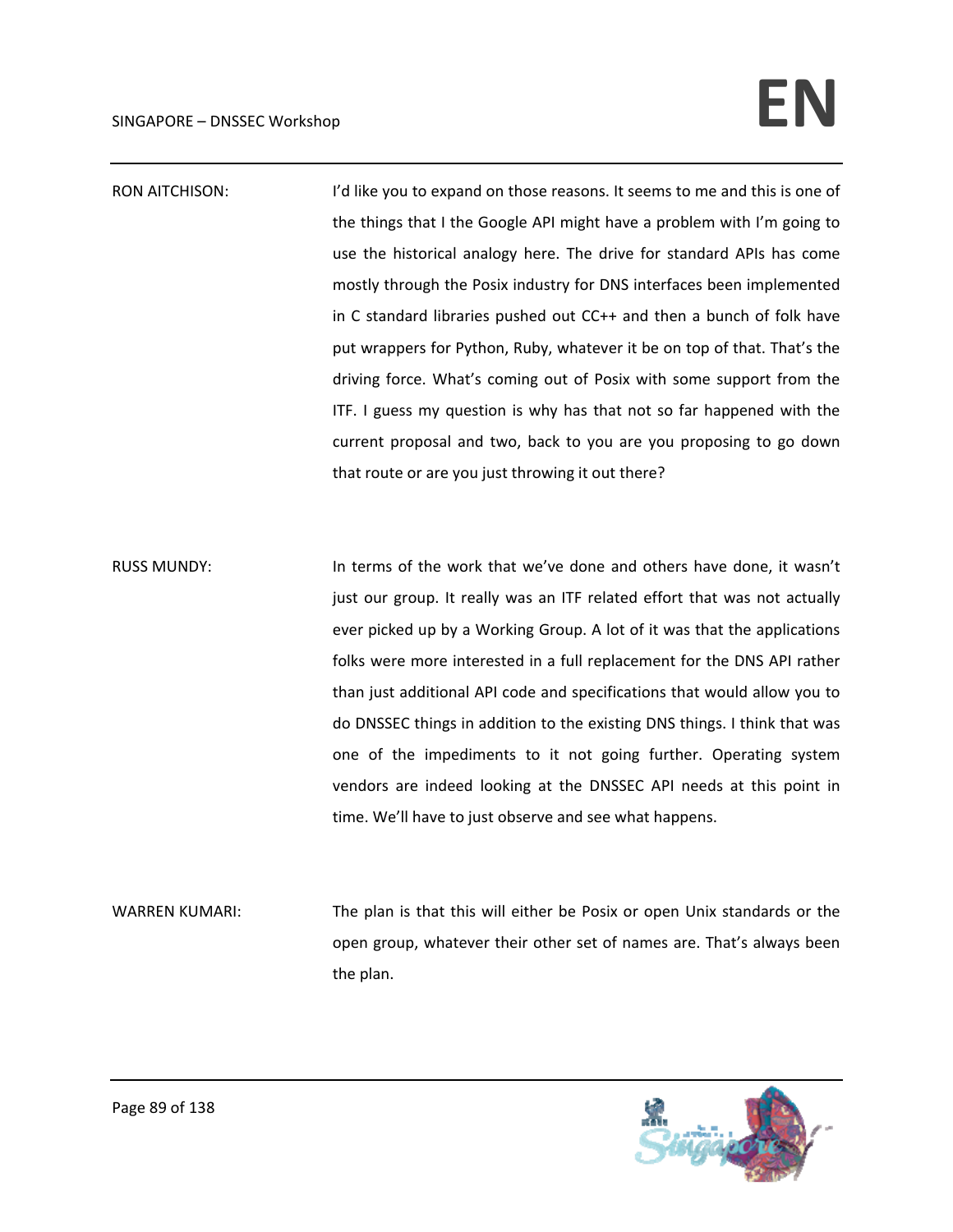## $SINGAPORE - DNSSEC. Workshop$

- RON AITCHISON: I'd like you to expand on those reasons. It seems to me and this is one of the things that I the Google API might have a problem with I'm going to use the historical analogy here. The drive for standard APIs has come mostly through the Posix industry for DNS interfaces been implemented in C standard libraries pushed out CC++ and then a bunch of folk have put wrappers for Python, Ruby, whatever it be on top of that. That's the driving force. What's coming out of Posix with some support from the ITF. I guess my question is why has that not so far happened with the current proposal and two, back to you are you proposing to go down that route or are you just throwing it out there?
- RUSS MUNDY: In terms of the work that we've done and others have done, it wasn't just our group. It really was an ITF related effort that was not actually ever picked up by a Working Group. A lot of it was that the applications folks were more interested in a full replacement for the DNS API rather than just additional API code and specifications that would allow you to do DNSSEC things in addition to the existing DNS things. I think that was one of the impediments to it not going further. Operating system vendors are indeed looking at the DNSSEC API needs at this point in time. We'll have to just observe and see what happens.
- WARREN KUMARI: The plan is that this will either be Posix or open Unix standards or the open group, whatever their other set of names are. That's always been the plan.

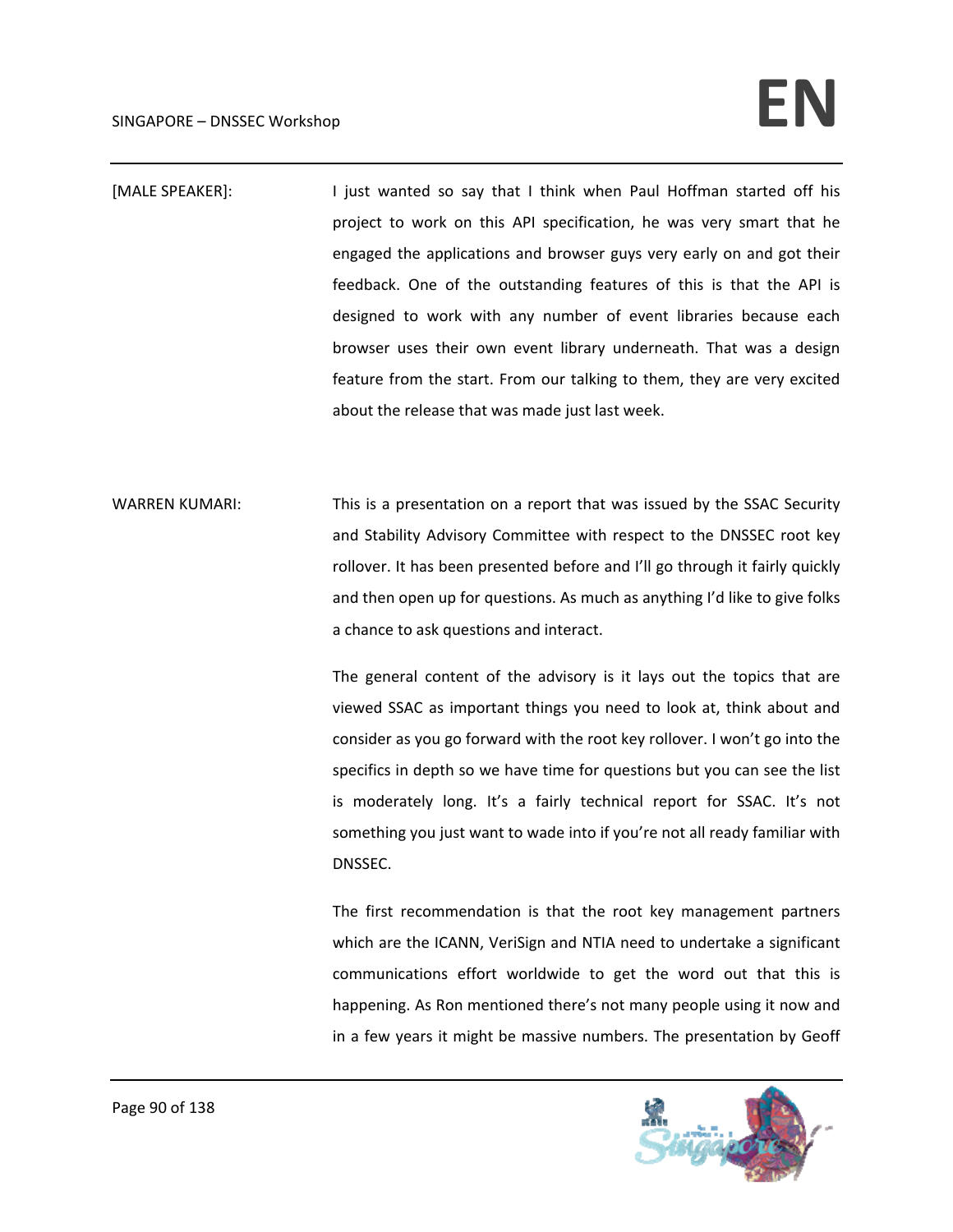## $SINGAPORE - DNSSEC. Workshop$

- [MALE SPEAKER]: I just wanted so say that I think when Paul Hoffman started off his project to work on this API specification, he was very smart that he engaged the applications and browser guys very early on and got their feedback. One of the outstanding features of this is that the API is designed to work with any number of event libraries because each browser uses their own event library underneath. That was a design feature from the start. From our talking to them, they are very excited about the release that was made just last week.
- WARREN KUMARI: This is a presentation on a report that was issued by the SSAC Security and Stability Advisory Committee with respect to the DNSSEC root key rollover. It has been presented before and I'll go through it fairly quickly and then open up for questions. As much as anything I'd like to give folks a chance to ask questions and interact.

The general content of the advisory is it lays out the topics that are viewed SSAC as important things you need to look at, think about and consider as you go forward with the root key rollover. I won't go into the specifics in depth so we have time for questions but you can see the list is moderately long. It's a fairly technical report for SSAC. It's not something you just want to wade into if you're not all ready familiar with DNSSEC.

The first recommendation is that the root key management partners which are the ICANN, VeriSign and NTIA need to undertake a significant communications effort worldwide to get the word out that this is happening. As Ron mentioned there's not many people using it now and in a few years it might be massive numbers. The presentation by Geoff

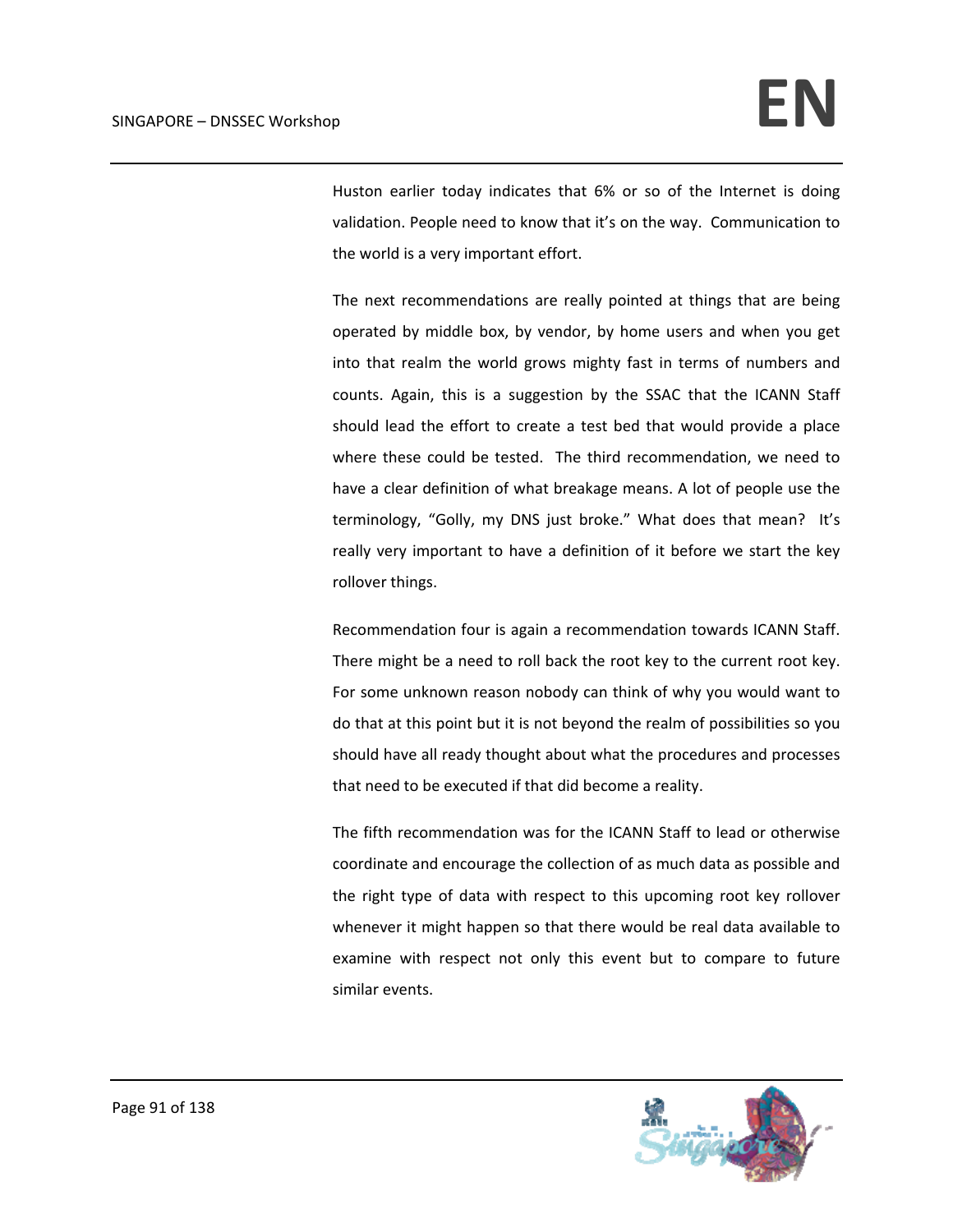Huston earlier today indicates that 6% or so of the Internet is doing validation. People need to know that it's on the way. Communication to the world is a very important effort.

The next recommendations are really pointed at things that are being operated by middle box, by vendor, by home users and when you get into that realm the world grows mighty fast in terms of numbers and counts. Again, this is a suggestion by the SSAC that the ICANN Staff should lead the effort to create a test bed that would provide a place where these could be tested. The third recommendation, we need to have a clear definition of what breakage means. A lot of people use the terminology, "Golly, my DNS just broke." What does that mean? It's really very important to have a definition of it before we start the key rollover things.

Recommendation four is again a recommendation towards ICANN Staff. There might be a need to roll back the root key to the current root key. For some unknown reason nobody can think of why you would want to do that at this point but it is not beyond the realm of possibilities so you should have all ready thought about what the procedures and processes that need to be executed if that did become a reality.

The fifth recommendation was for the ICANN Staff to lead or otherwise coordinate and encourage the collection of as much data as possible and the right type of data with respect to this upcoming root key rollover whenever it might happen so that there would be real data available to examine with respect not only this event but to compare to future similar events.

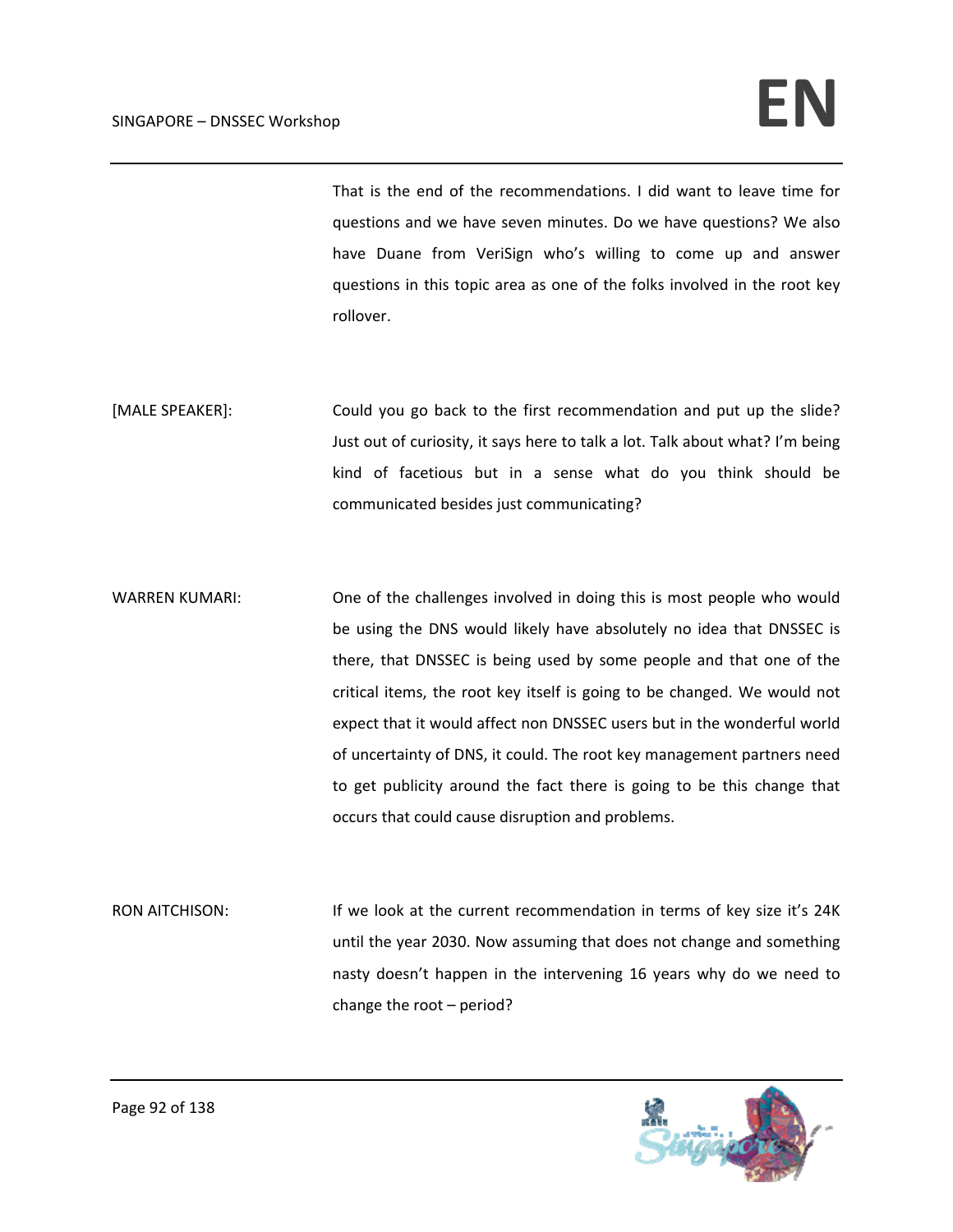## $SINGAPORE - DNSSEC. Workshop$

That is the end of the recommendations. I did want to leave time for questions and we have seven minutes. Do we have questions? We also have Duane from VeriSign who's willing to come up and answer questions in this topic area as one of the folks involved in the root key rollover.

[MALE SPEAKER]: Could you go back to the first recommendation and put up the slide? Just out of curiosity, it says here to talk a lot. Talk about what? I'm being kind of facetious but in a sense what do you think should be communicated besides just communicating?

WARREN KUMARI: One of the challenges involved in doing this is most people who would be using the DNS would likely have absolutely no idea that DNSSEC is there, that DNSSEC is being used by some people and that one of the critical items, the root key itself is going to be changed. We would not expect that it would affect non DNSSEC users but in the wonderful world of uncertainty of DNS, it could. The root key management partners need to get publicity around the fact there is going to be this change that occurs that could cause disruption and problems.

RON AITCHISON: If we look at the current recommendation in terms of key size it's 24K until the year 2030. Now assuming that does not change and something nasty doesn't happen in the intervening 16 years why do we need to change the root – period?

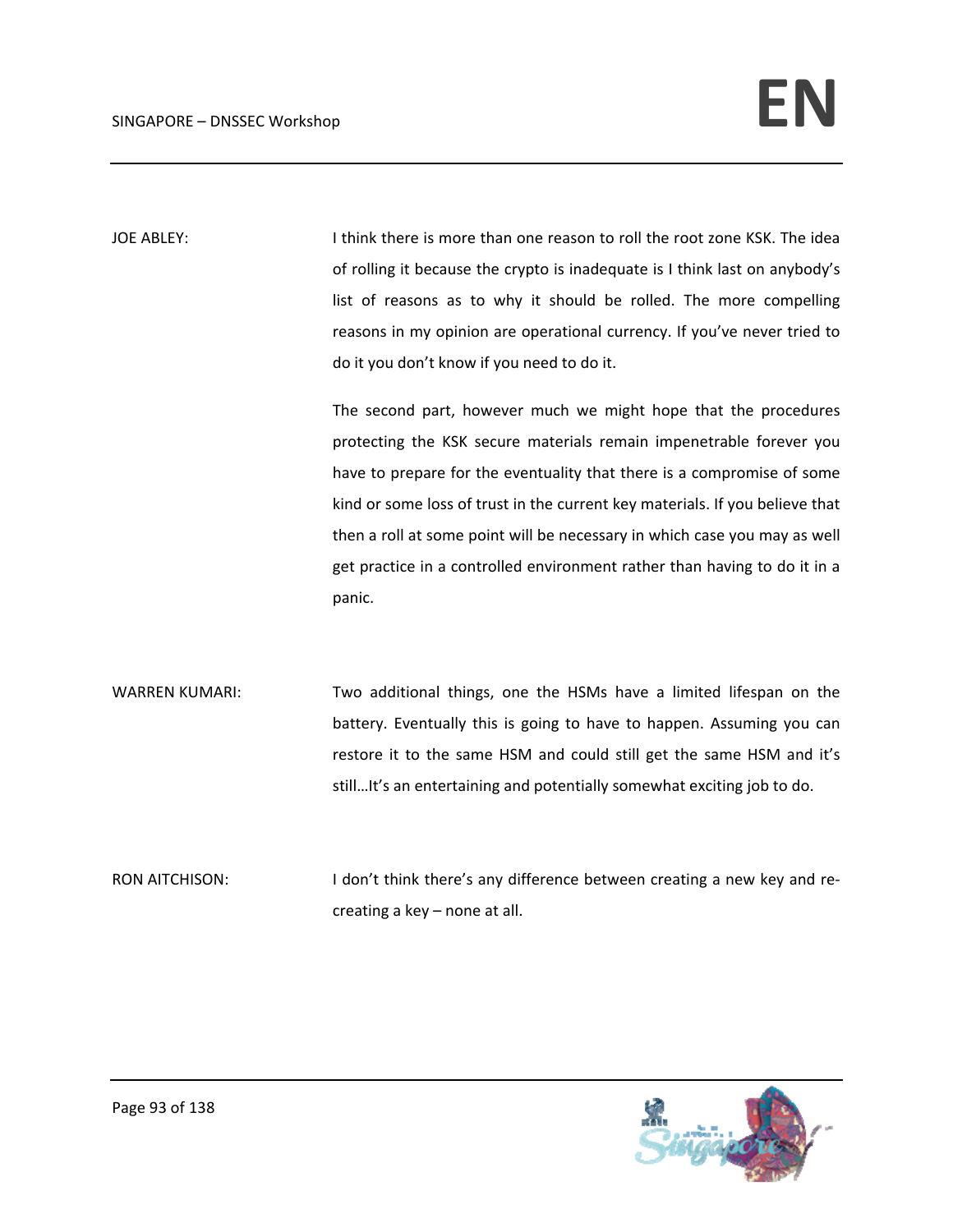JOE ABLEY: Intink there is more than one reason to roll the root zone KSK. The idea of rolling it because the crypto is inadequate is I think last on anybody's list of reasons as to why it should be rolled. The more compelling reasons in my opinion are operational currency. If you've never tried to do it you don't know if you need to do it.

> The second part, however much we might hope that the procedures protecting the KSK secure materials remain impenetrable forever you have to prepare for the eventuality that there is a compromise of some kind or some loss of trust in the current key materials. If you believe that then a roll at some point will be necessary in which case you may as well get practice in a controlled environment rather than having to do it in a panic.

WARREN KUMARI: Two additional things, one the HSMs have a limited lifespan on the battery. Eventually this is going to have to happen. Assuming you can restore it to the same HSM and could still get the same HSM and it's still…It's an entertaining and potentially somewhat exciting job to do.

RON AITCHISON: I don't think there's any difference between creating a new key and recreating a key – none at all.

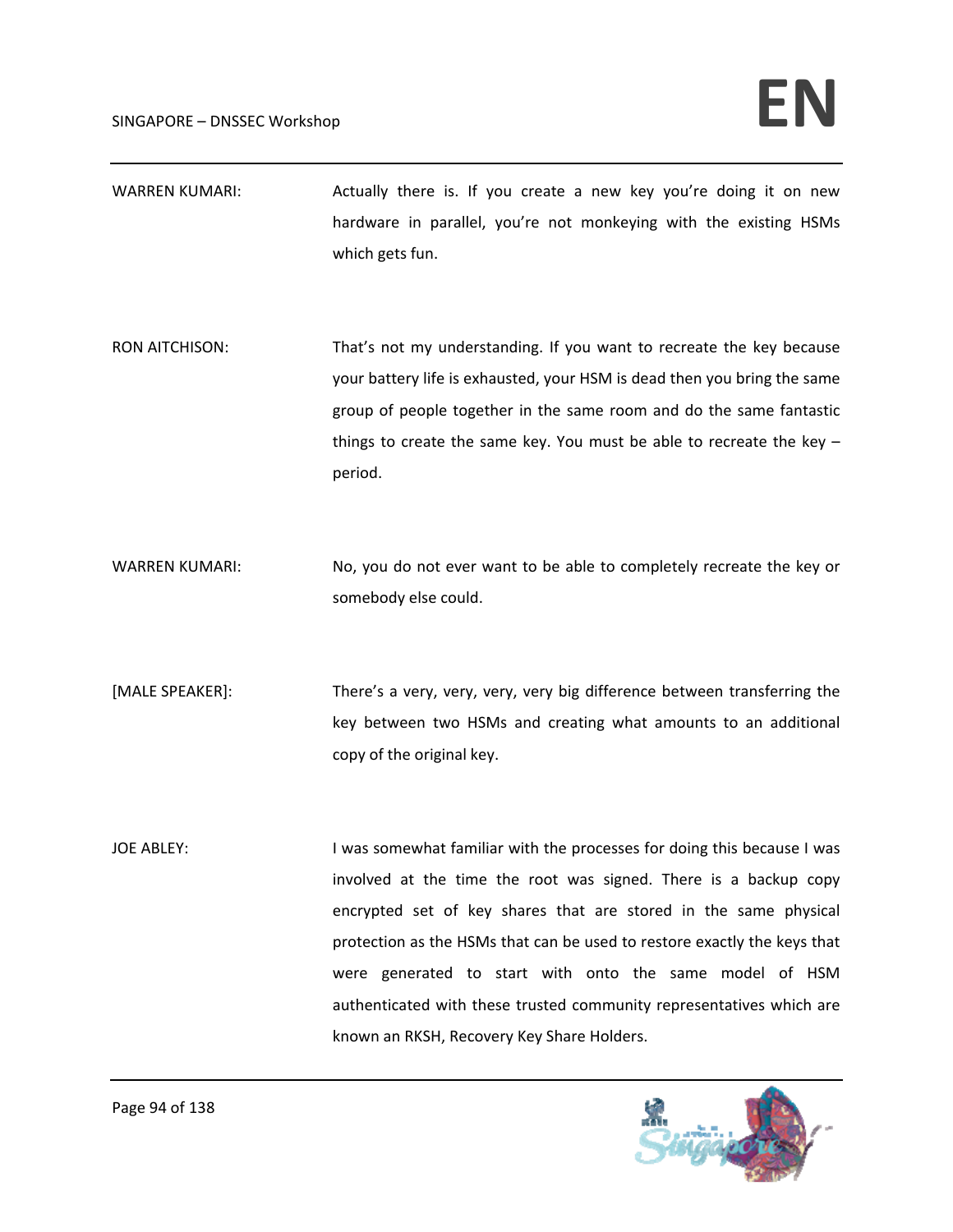- WARREN KUMARI: Actually there is. If you create a new key you're doing it on new hardware in parallel, you're not monkeying with the existing HSMs which gets fun.
- RON AITCHISON: That's not my understanding. If you want to recreate the key because your battery life is exhausted, your HSM is dead then you bring the same group of people together in the same room and do the same fantastic things to create the same key. You must be able to recreate the key – period.
- WARREN KUMARI: No, you do not ever want to be able to completely recreate the key or somebody else could.
- [MALE SPEAKER]: There's a very, very, very, very big difference between transferring the key between two HSMs and creating what amounts to an additional copy of the original key.
- JOE ABLEY: I was somewhat familiar with the processes for doing this because I was involved at the time the root was signed. There is a backup copy encrypted set of key shares that are stored in the same physical protection as the HSMs that can be used to restore exactly the keys that were generated to start with onto the same model of HSM authenticated with these trusted community representatives which are known an RKSH, Recovery Key Share Holders.

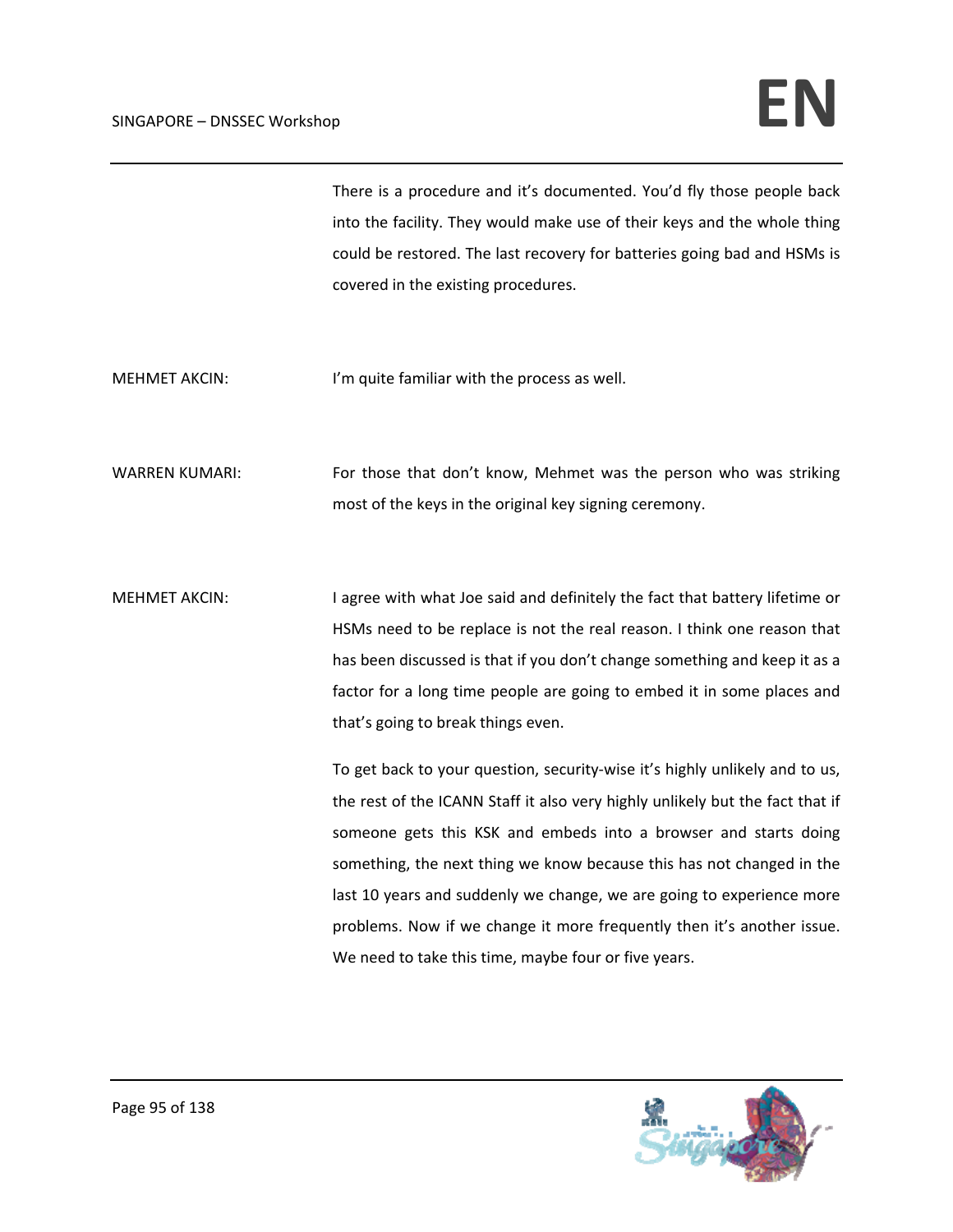There is a procedure and it's documented. You'd fly those people back into the facility. They would make use of their keys and the whole thing could be restored. The last recovery for batteries going bad and HSMs is covered in the existing procedures.

MEHMET AKCIN: I'm quite familiar with the process as well.

WARREN KUMARI: For those that don't know, Mehmet was the person who was striking most of the keys in the original key signing ceremony.

MEHMET AKCIN: I agree with what Joe said and definitely the fact that battery lifetime or HSMs need to be replace is not the real reason. I think one reason that has been discussed is that if you don't change something and keep it as a factor for a long time people are going to embed it in some places and that's going to break things even.

> To get back to your question, security‐wise it's highly unlikely and to us, the rest of the ICANN Staff it also very highly unlikely but the fact that if someone gets this KSK and embeds into a browser and starts doing something, the next thing we know because this has not changed in the last 10 years and suddenly we change, we are going to experience more problems. Now if we change it more frequently then it's another issue. We need to take this time, maybe four or five years.

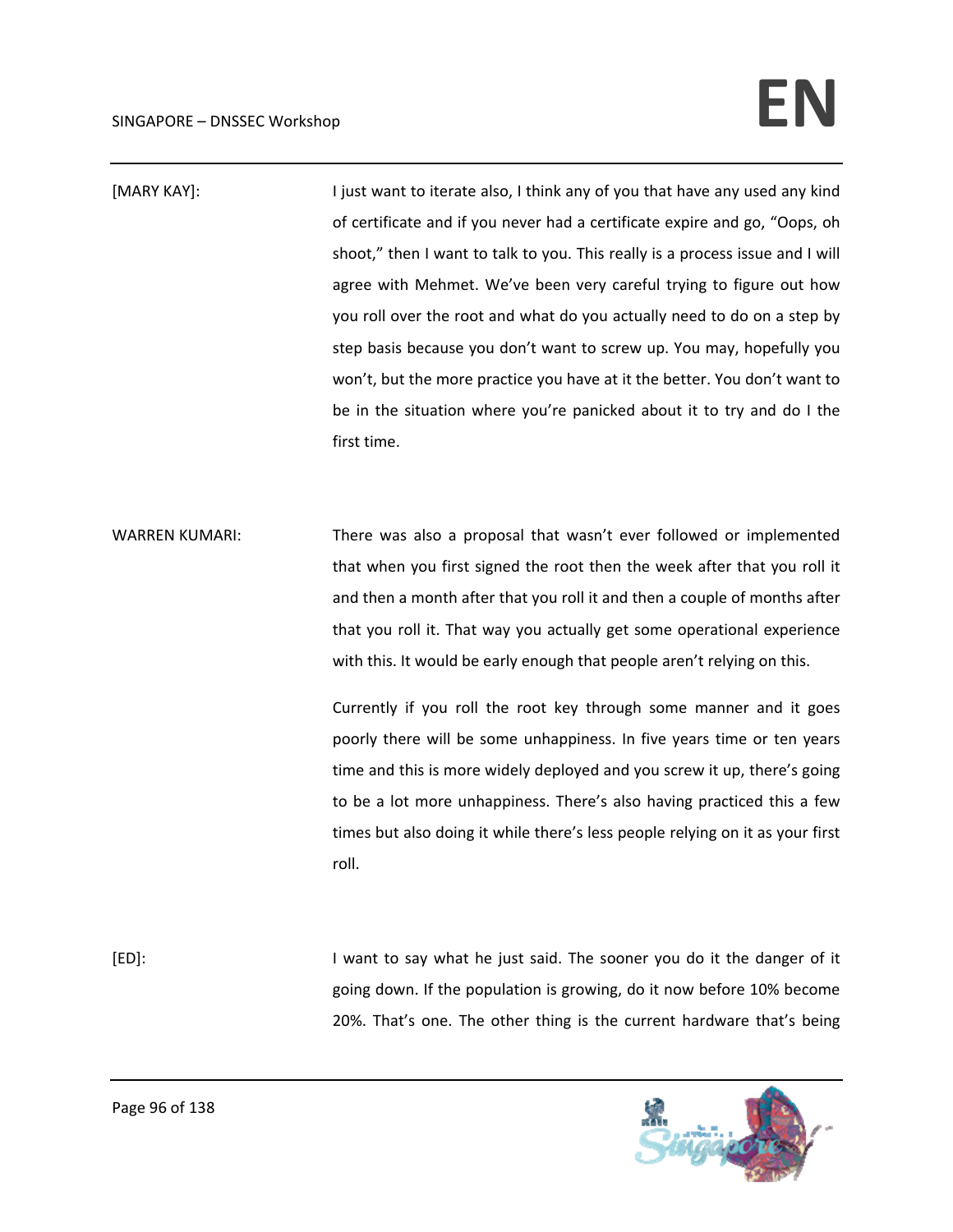[MARY KAY]: I just want to iterate also, I think any of you that have any used any kind of certificate and if you never had a certificate expire and go, "Oops, oh shoot," then I want to talk to you. This really is a process issue and I will agree with Mehmet. We've been very careful trying to figure out how you roll over the root and what do you actually need to do on a step by step basis because you don't want to screw up. You may, hopefully you won't, but the more practice you have at it the better. You don't want to be in the situation where you're panicked about it to try and do I the first time.

WARREN KUMARI: There was also a proposal that wasn't ever followed or implemented that when you first signed the root then the week after that you roll it and then a month after that you roll it and then a couple of months after that you roll it. That way you actually get some operational experience with this. It would be early enough that people aren't relying on this.

> Currently if you roll the root key through some manner and it goes poorly there will be some unhappiness. In five years time or ten years time and this is more widely deployed and you screw it up, there's going to be a lot more unhappiness. There's also having practiced this a few times but also doing it while there's less people relying on it as your first roll.

[ED]: I want to say what he just said. The sooner you do it the danger of it going down. If the population is growing, do it now before 10% become 20%. That's one. The other thing is the current hardware that's being



Page 96 of 138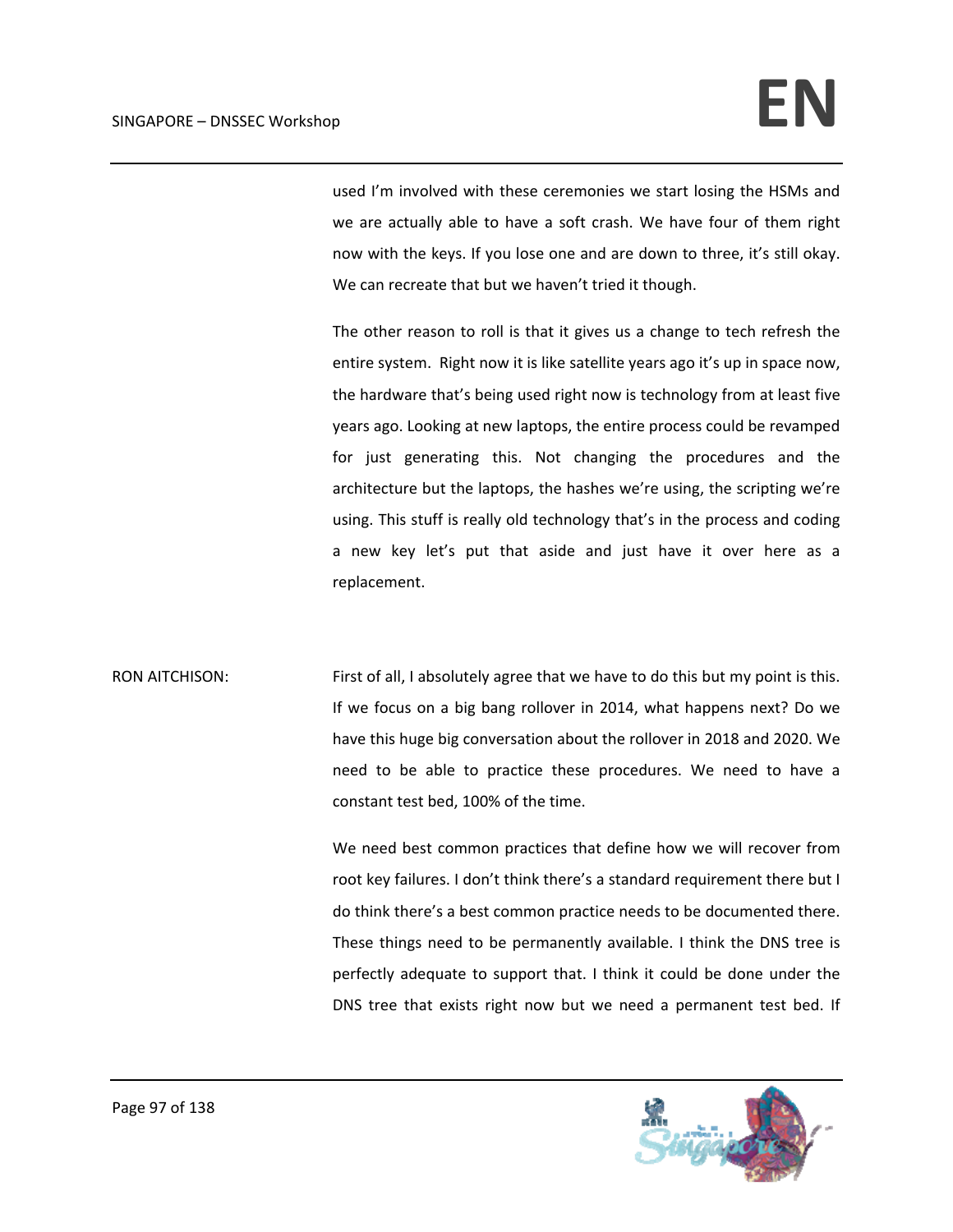used I'm involved with these ceremonies we start losing the HSMs and we are actually able to have a soft crash. We have four of them right now with the keys. If you lose one and are down to three, it's still okay. We can recreate that but we haven't tried it though.

The other reason to roll is that it gives us a change to tech refresh the entire system. Right now it is like satellite years ago it's up in space now, the hardware that's being used right now is technology from at least five years ago. Looking at new laptops, the entire process could be revamped for just generating this. Not changing the procedures and the architecture but the laptops, the hashes we're using, the scripting we're using. This stuff is really old technology that's in the process and coding a new key let's put that aside and just have it over here as a replacement.

RON AITCHISON: First of all, I absolutely agree that we have to do this but my point is this. If we focus on a big bang rollover in 2014, what happens next? Do we have this huge big conversation about the rollover in 2018 and 2020. We need to be able to practice these procedures. We need to have a constant test bed, 100% of the time.

> We need best common practices that define how we will recover from root key failures. I don't think there's a standard requirement there but I do think there's a best common practice needs to be documented there. These things need to be permanently available. I think the DNS tree is perfectly adequate to support that. I think it could be done under the DNS tree that exists right now but we need a permanent test bed. If

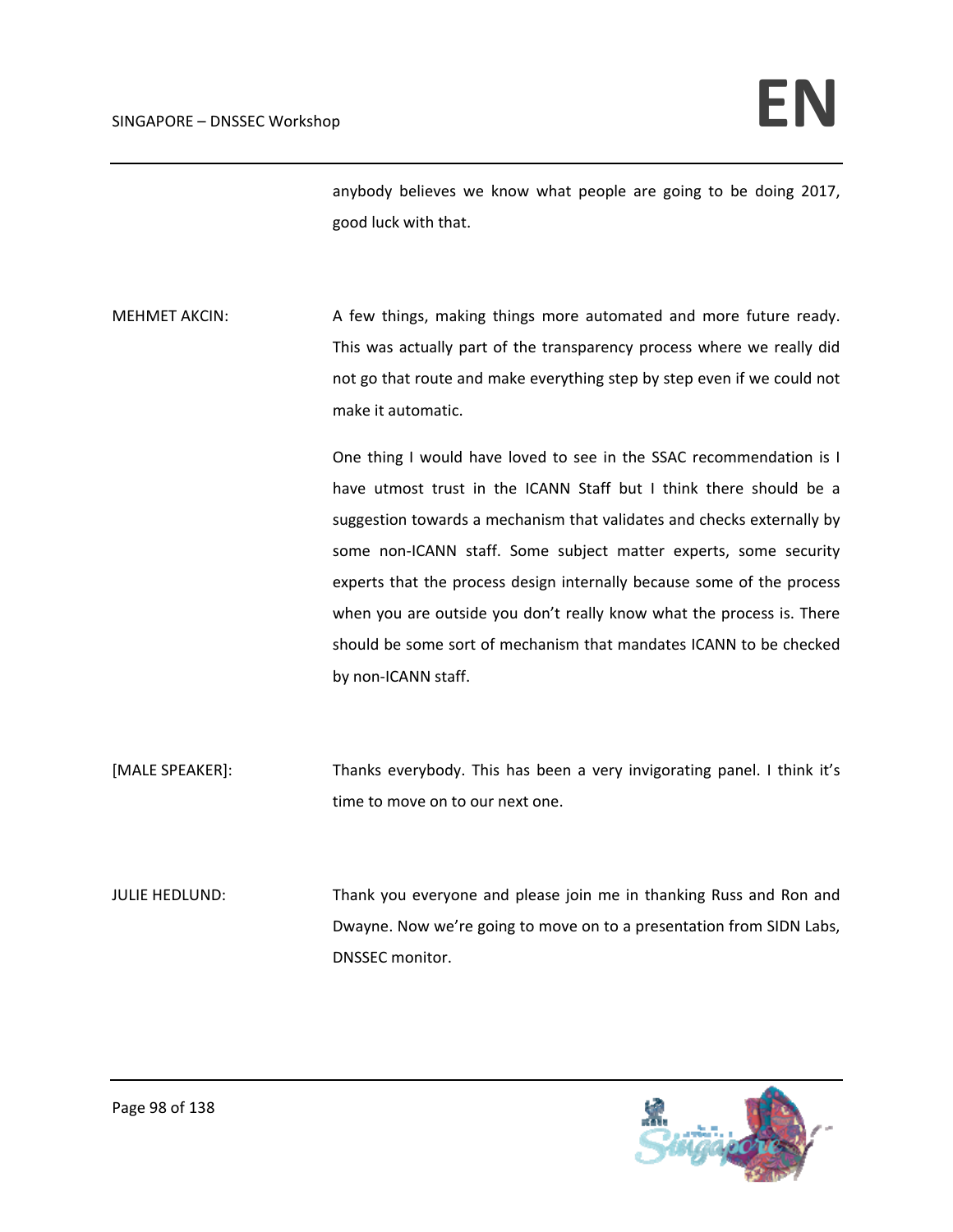anybody believes we know what people are going to be doing 2017, good luck with that.

MEHMET AKCIN: A few things, making things more automated and more future ready. This was actually part of the transparency process where we really did not go that route and make everything step by step even if we could not make it automatic.

> One thing I would have loved to see in the SSAC recommendation is I have utmost trust in the ICANN Staff but I think there should be a suggestion towards a mechanism that validates and checks externally by some non-ICANN staff. Some subject matter experts, some security experts that the process design internally because some of the process when you are outside you don't really know what the process is. There should be some sort of mechanism that mandates ICANN to be checked by non‐ICANN staff.

[MALE SPEAKER]: Thanks everybody. This has been a very invigorating panel. I think it's time to move on to our next one.

JULIE HEDLUND: Thank you everyone and please join me in thanking Russ and Ron and Dwayne. Now we're going to move on to a presentation from SIDN Labs, DNSSEC monitor.

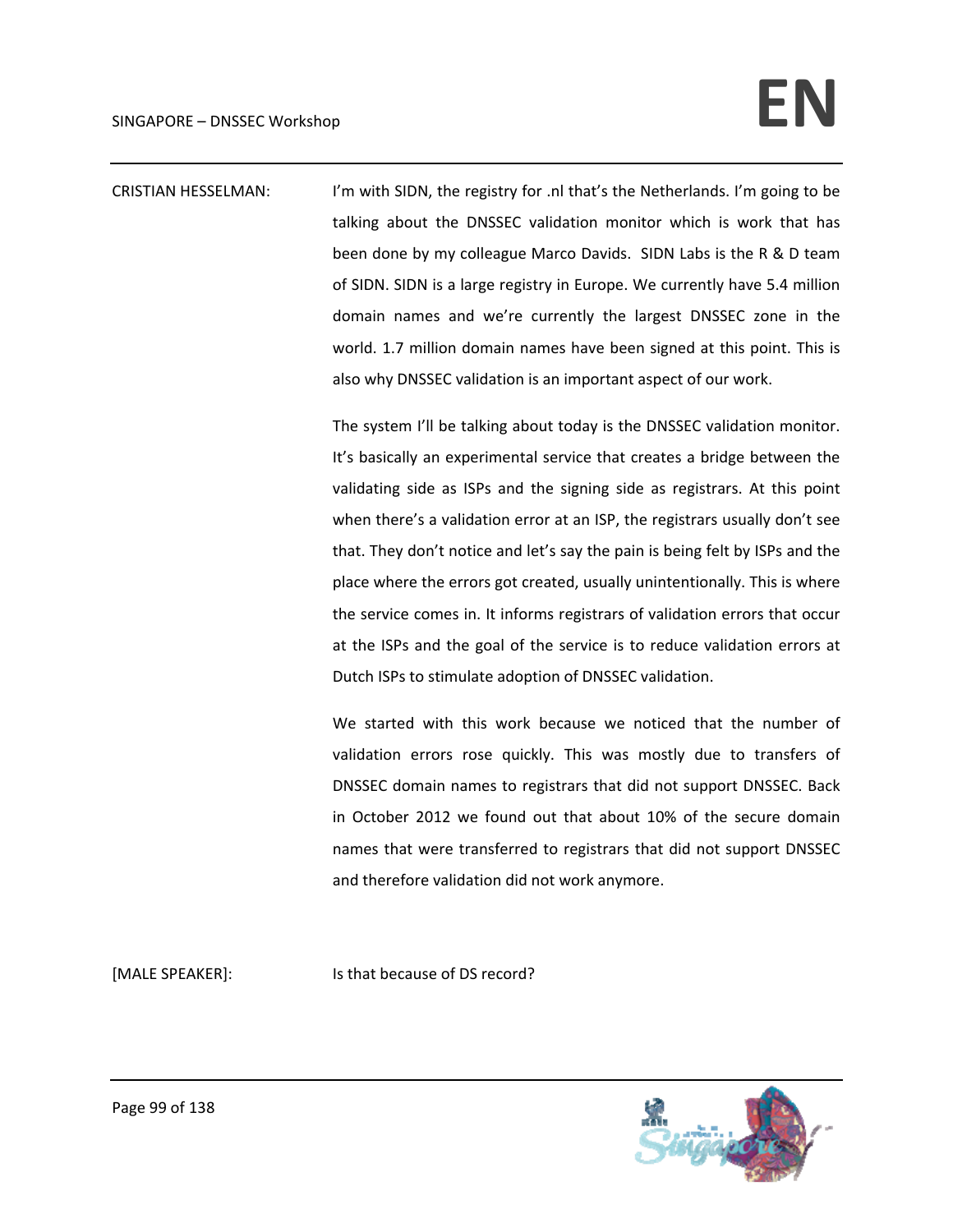CRISTIAN HESSELMAN: I'm with SIDN, the registry for .nl that's the Netherlands. I'm going to be talking about the DNSSEC validation monitor which is work that has been done by my colleague Marco Davids. SIDN Labs is the R & D team of SIDN. SIDN is a large registry in Europe. We currently have 5.4 million domain names and we're currently the largest DNSSEC zone in the world. 1.7 million domain names have been signed at this point. This is also why DNSSEC validation is an important aspect of our work.

> The system I'll be talking about today is the DNSSEC validation monitor. It's basically an experimental service that creates a bridge between the validating side as ISPs and the signing side as registrars. At this point when there's a validation error at an ISP, the registrars usually don't see that. They don't notice and let's say the pain is being felt by ISPs and the place where the errors got created, usually unintentionally. This is where the service comes in. It informs registrars of validation errors that occur at the ISPs and the goal of the service is to reduce validation errors at Dutch ISPs to stimulate adoption of DNSSEC validation.

> We started with this work because we noticed that the number of validation errors rose quickly. This was mostly due to transfers of DNSSEC domain names to registrars that did not support DNSSEC. Back in October 2012 we found out that about 10% of the secure domain names that were transferred to registrars that did not support DNSSEC and therefore validation did not work anymore.

[MALE SPEAKER]: Is that because of DS record?

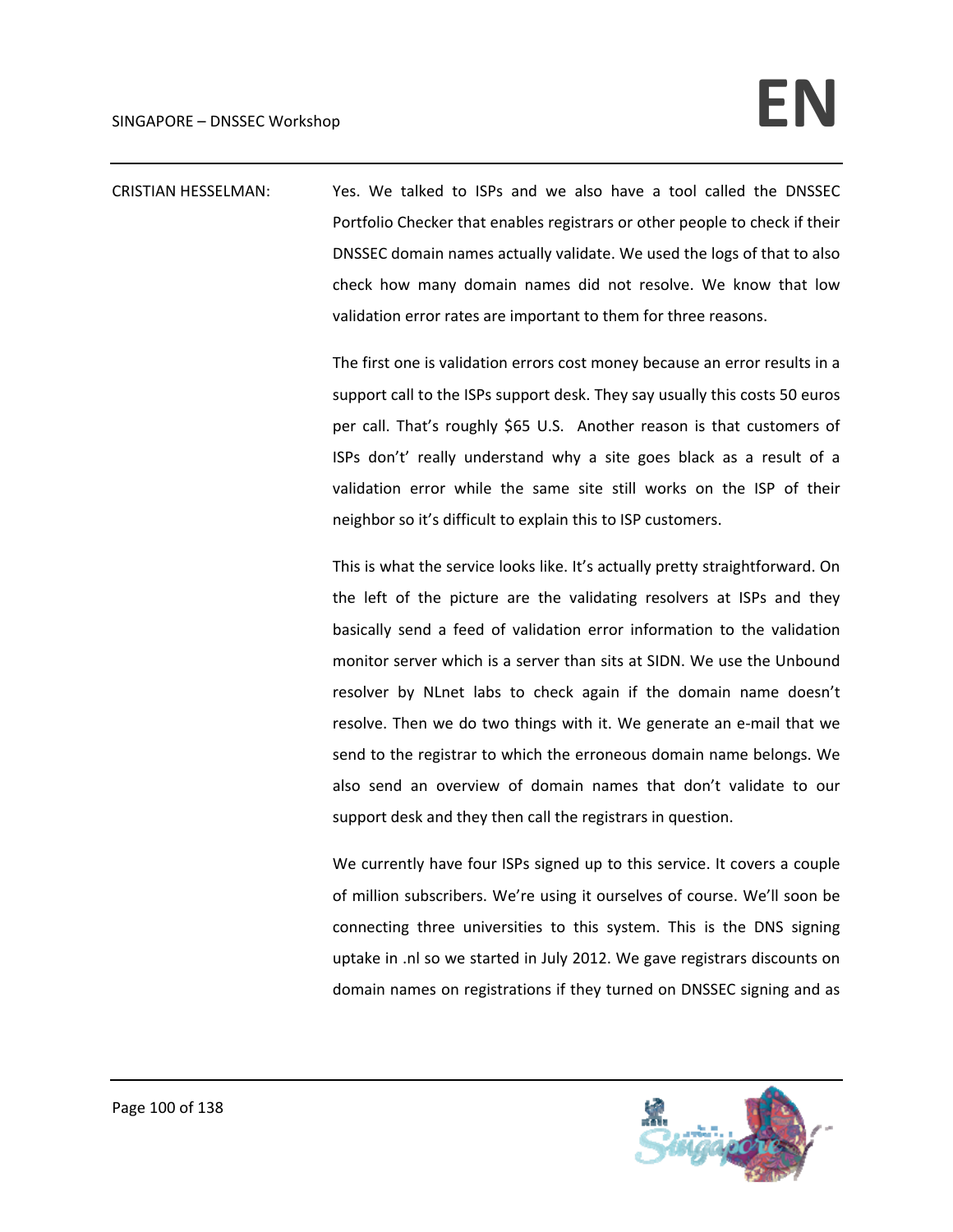CRISTIAN HESSELMAN: Yes. We talked to ISPs and we also have a tool called the DNSSEC Portfolio Checker that enables registrars or other people to check if their DNSSEC domain names actually validate. We used the logs of that to also check how many domain names did not resolve. We know that low validation error rates are important to them for three reasons.

> The first one is validation errors cost money because an error results in a support call to the ISPs support desk. They say usually this costs 50 euros per call. That's roughly \$65 U.S. Another reason is that customers of ISPs don't' really understand why a site goes black as a result of a validation error while the same site still works on the ISP of their neighbor so it's difficult to explain this to ISP customers.

> This is what the service looks like. It's actually pretty straightforward. On the left of the picture are the validating resolvers at ISPs and they basically send a feed of validation error information to the validation monitor server which is a server than sits at SIDN. We use the Unbound resolver by NLnet labs to check again if the domain name doesn't resolve. Then we do two things with it. We generate an e‐mail that we send to the registrar to which the erroneous domain name belongs. We also send an overview of domain names that don't validate to our support desk and they then call the registrars in question.

> We currently have four ISPs signed up to this service. It covers a couple of million subscribers. We're using it ourselves of course. We'll soon be connecting three universities to this system. This is the DNS signing uptake in .nl so we started in July 2012. We gave registrars discounts on domain names on registrations if they turned on DNSSEC signing and as

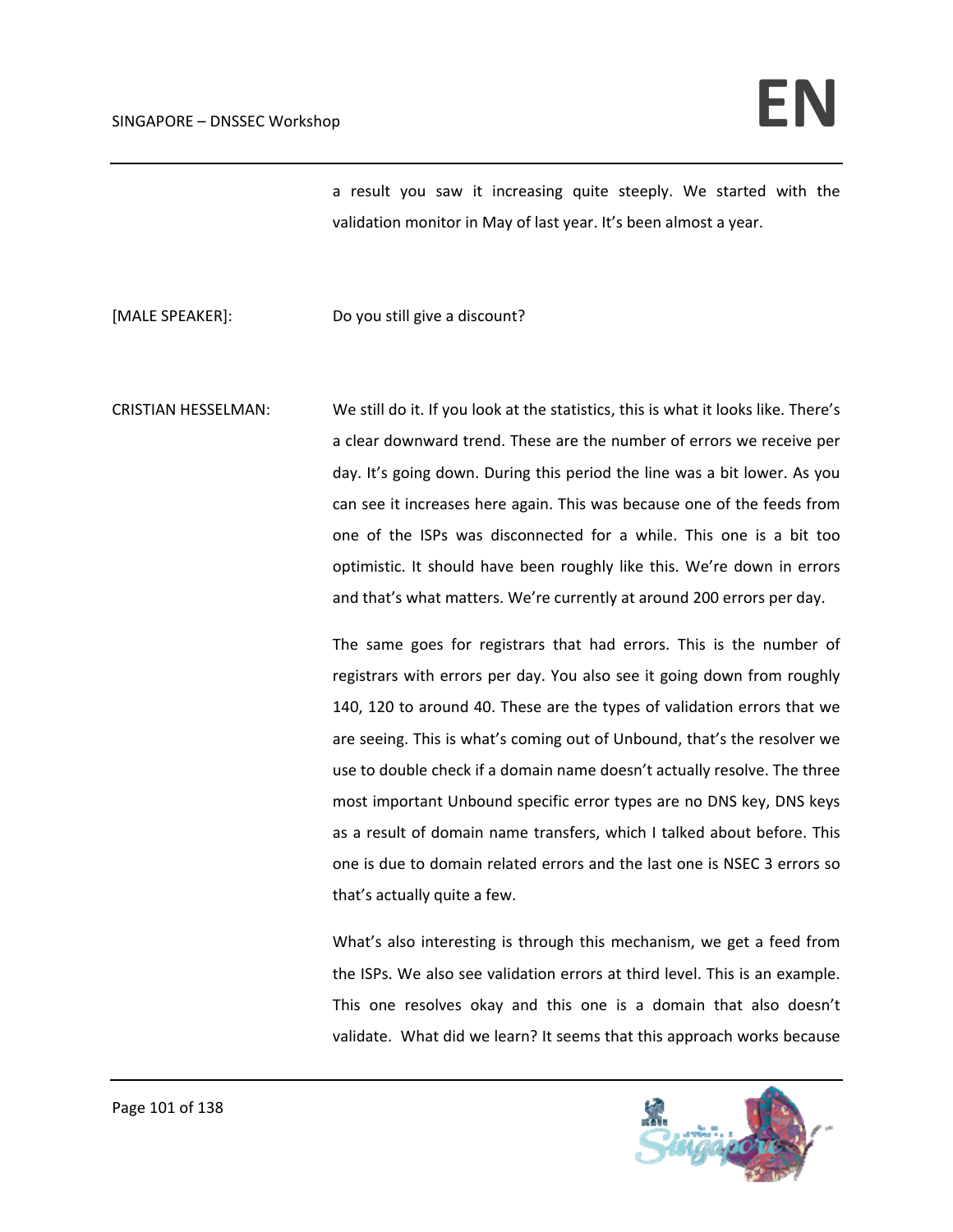a result you saw it increasing quite steeply. We started with the validation monitor in May of last year. It's been almost a year.

[MALE SPEAKER]: Do you still give a discount?

CRISTIAN HESSELMAN: We still do it. If you look at the statistics, this is what it looks like. There's a clear downward trend. These are the number of errors we receive per day. It's going down. During this period the line was a bit lower. As you can see it increases here again. This was because one of the feeds from one of the ISPs was disconnected for a while. This one is a bit too optimistic. It should have been roughly like this. We're down in errors and that's what matters. We're currently at around 200 errors per day.

> The same goes for registrars that had errors. This is the number of registrars with errors per day. You also see it going down from roughly 140, 120 to around 40. These are the types of validation errors that we are seeing. This is what's coming out of Unbound, that's the resolver we use to double check if a domain name doesn't actually resolve. The three most important Unbound specific error types are no DNS key, DNS keys as a result of domain name transfers, which I talked about before. This one is due to domain related errors and the last one is NSEC 3 errors so that's actually quite a few.

> What's also interesting is through this mechanism, we get a feed from the ISPs. We also see validation errors at third level. This is an example. This one resolves okay and this one is a domain that also doesn't validate. What did we learn? It seems that this approach works because

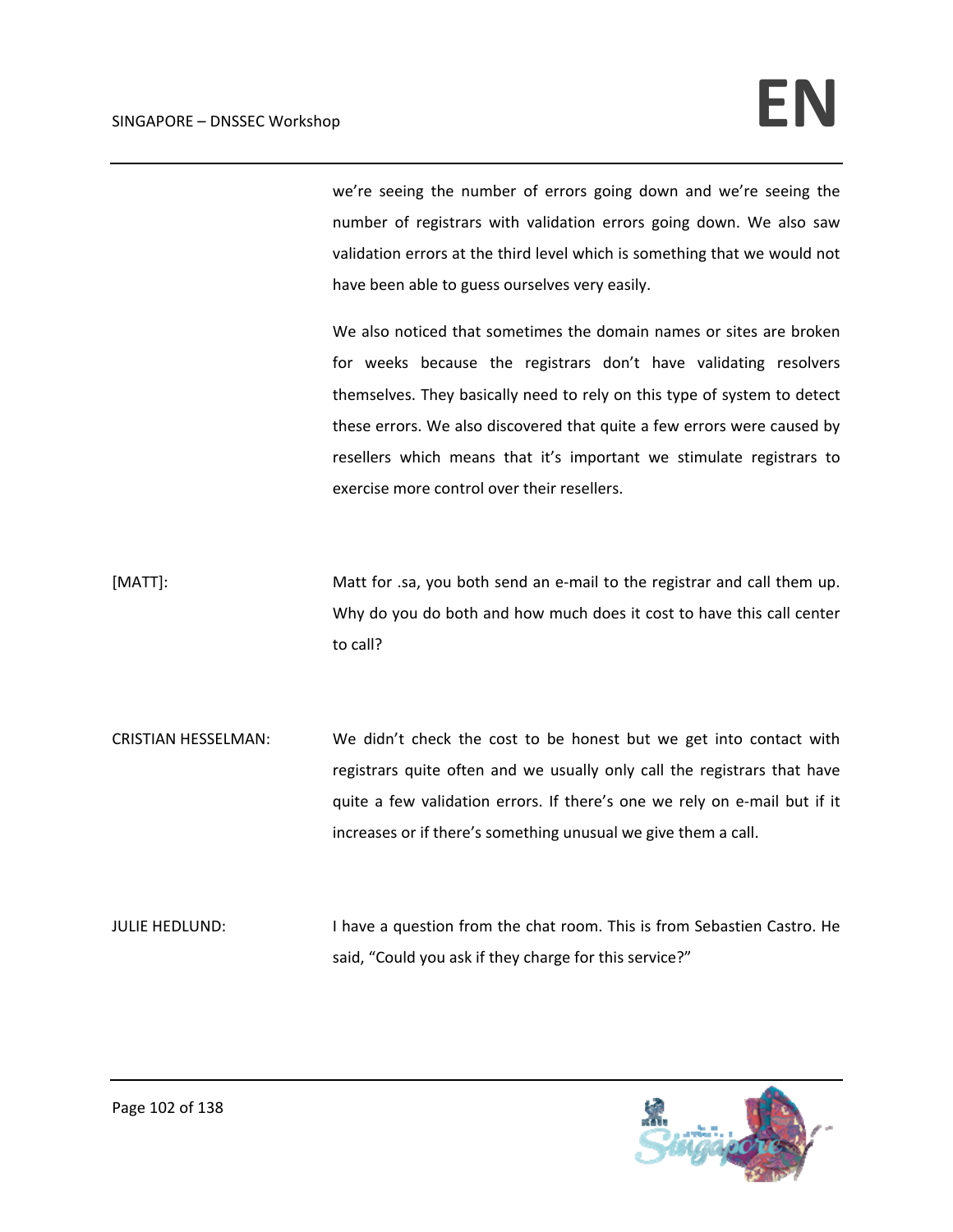we're seeing the number of errors going down and we're seeing the number of registrars with validation errors going down. We also saw validation errors at the third level which is something that we would not have been able to guess ourselves very easily.

We also noticed that sometimes the domain names or sites are broken for weeks because the registrars don't have validating resolvers themselves. They basically need to rely on this type of system to detect these errors. We also discovered that quite a few errors were caused by resellers which means that it's important we stimulate registrars to exercise more control over their resellers.

[MATT]: Matt for .sa, you both send an e-mail to the registrar and call them up. Why do you do both and how much does it cost to have this call center to call?

CRISTIAN HESSELMAN: We didn't check the cost to be honest but we get into contact with registrars quite often and we usually only call the registrars that have quite a few validation errors. If there's one we rely on e‐mail but if it increases or if there's something unusual we give them a call.

JULIE HEDLUND: I have a question from the chat room. This is from Sebastien Castro. He said, "Could you ask if they charge for this service?"

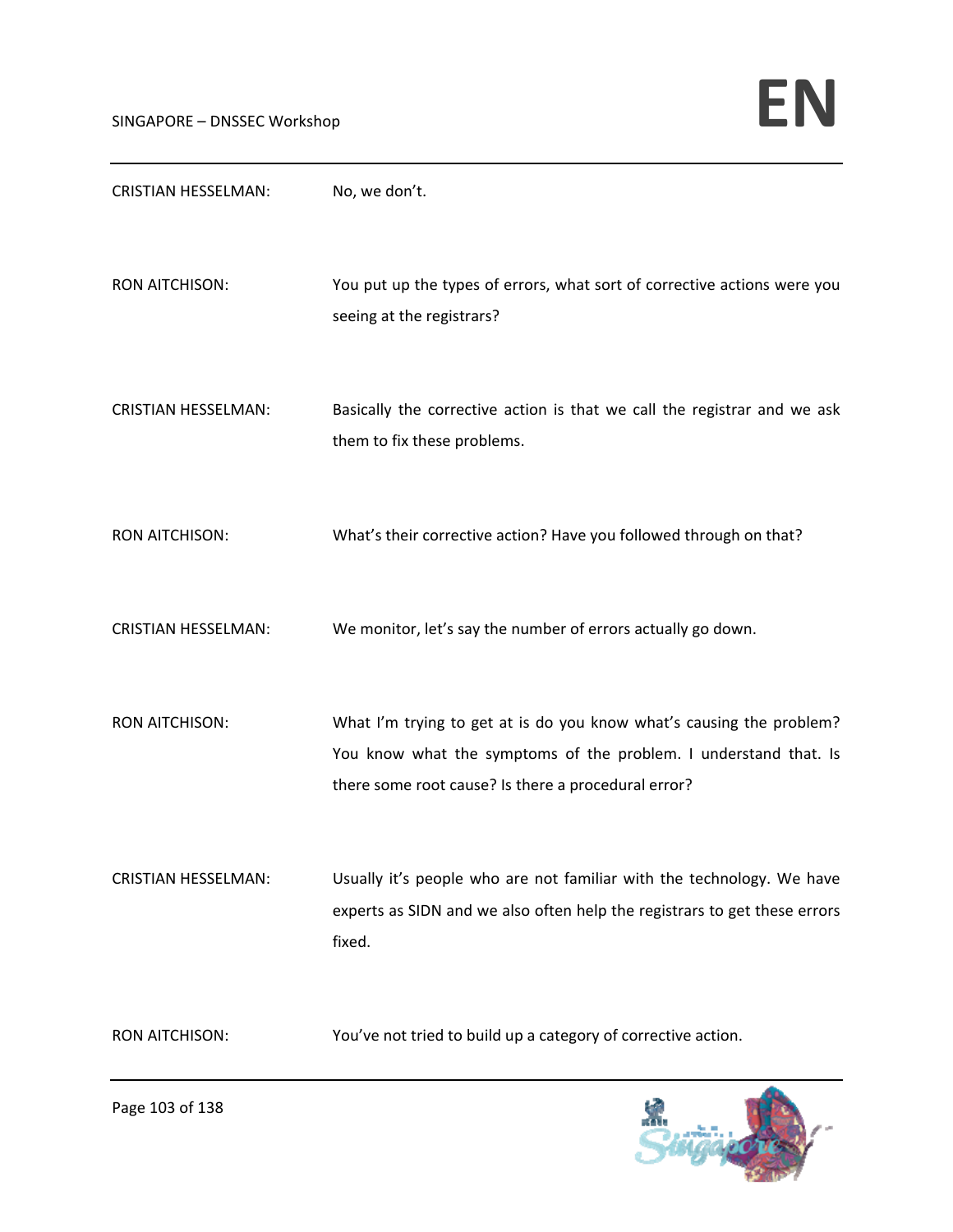| <b>CRISTIAN HESSELMAN:</b> | No, we don't.                                                                                                                                                                                   |
|----------------------------|-------------------------------------------------------------------------------------------------------------------------------------------------------------------------------------------------|
| <b>RON AITCHISON:</b>      | You put up the types of errors, what sort of corrective actions were you<br>seeing at the registrars?                                                                                           |
| <b>CRISTIAN HESSELMAN:</b> | Basically the corrective action is that we call the registrar and we ask<br>them to fix these problems.                                                                                         |
| <b>RON AITCHISON:</b>      | What's their corrective action? Have you followed through on that?                                                                                                                              |
| <b>CRISTIAN HESSELMAN:</b> | We monitor, let's say the number of errors actually go down.                                                                                                                                    |
| <b>RON AITCHISON:</b>      | What I'm trying to get at is do you know what's causing the problem?<br>You know what the symptoms of the problem. I understand that. Is<br>there some root cause? Is there a procedural error? |
| <b>CRISTIAN HESSELMAN:</b> | Usually it's people who are not familiar with the technology. We have<br>experts as SIDN and we also often help the registrars to get these errors<br>fixed.                                    |
| <b>RON AITCHISON:</b>      | You've not tried to build up a category of corrective action.                                                                                                                                   |

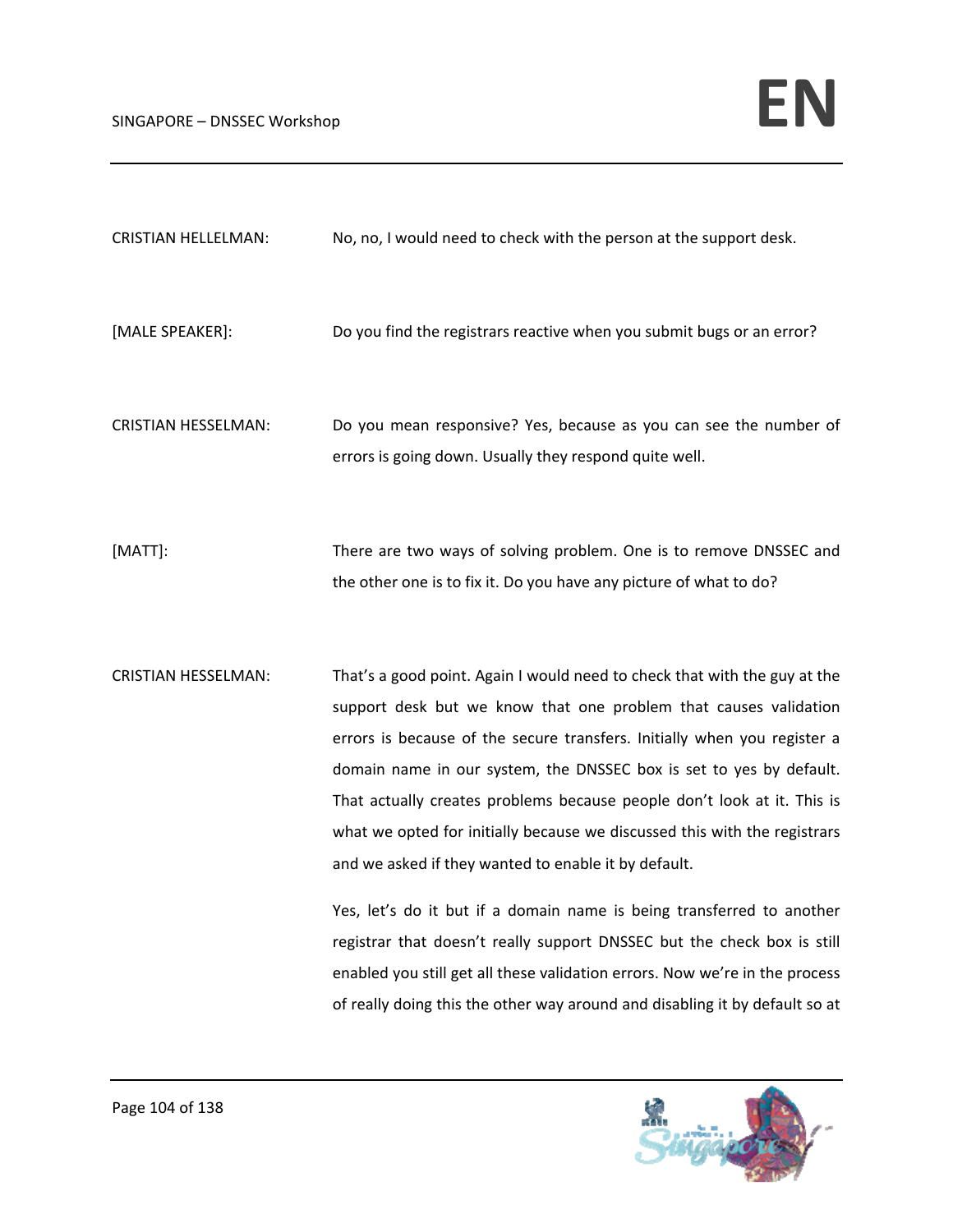| <b>CRISTIAN HELLELMAN:</b> | No, no, I would need to check with the person at the support desk. |  |
|----------------------------|--------------------------------------------------------------------|--|
|----------------------------|--------------------------------------------------------------------|--|

- [MALE SPEAKER]: Do you find the registrars reactive when you submit bugs or an error?
- CRISTIAN HESSELMAN: Do you mean responsive? Yes, because as you can see the number of errors is going down. Usually they respond quite well.
- [MATT]: There are two ways of solving problem. One is to remove DNSSEC and the other one is to fix it. Do you have any picture of what to do?
- CRISTIAN HESSELMAN: That's a good point. Again I would need to check that with the guy at the support desk but we know that one problem that causes validation errors is because of the secure transfers. Initially when you register a domain name in our system, the DNSSEC box is set to yes by default. That actually creates problems because people don't look at it. This is what we opted for initially because we discussed this with the registrars and we asked if they wanted to enable it by default.

Yes, let's do it but if a domain name is being transferred to another registrar that doesn't really support DNSSEC but the check box is still enabled you still get all these validation errors. Now we're in the process of really doing this the other way around and disabling it by default so at

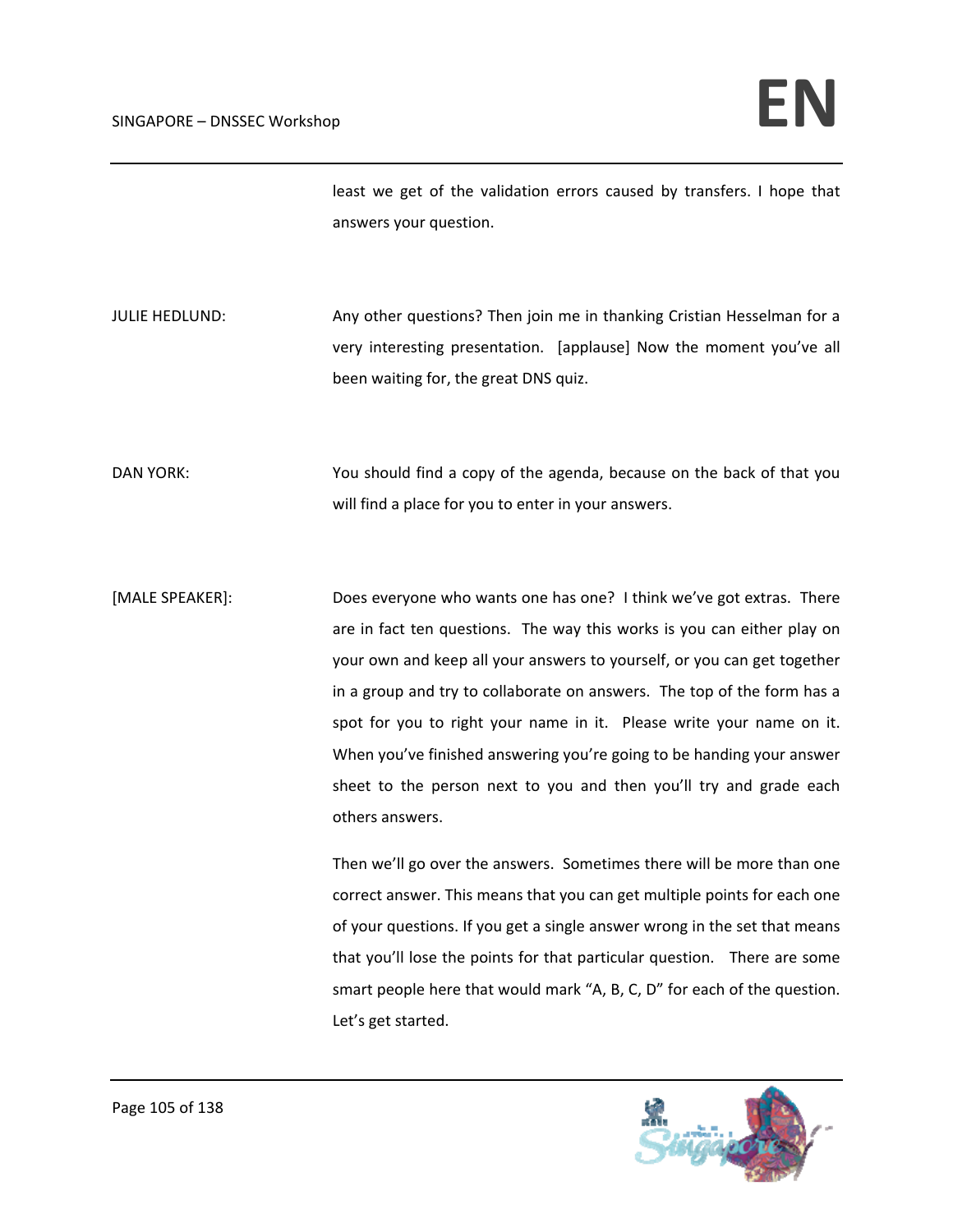least we get of the validation errors caused by transfers. I hope that answers your question.

JULIE HEDLUND: Any other questions? Then join me in thanking Cristian Hesselman for a very interesting presentation. [applause] Now the moment you've all been waiting for, the great DNS quiz.

DAN YORK: You should find a copy of the agenda, because on the back of that you will find a place for you to enter in your answers.

[MALE SPEAKER]: Does everyone who wants one has one? I think we've got extras. There are in fact ten questions. The way this works is you can either play on your own and keep all your answers to yourself, or you can get together in a group and try to collaborate on answers. The top of the form has a spot for you to right your name in it. Please write your name on it. When you've finished answering you're going to be handing your answer sheet to the person next to you and then you'll try and grade each others answers.

> Then we'll go over the answers. Sometimes there will be more than one correct answer. This means that you can get multiple points for each one of your questions. If you get a single answer wrong in the set that means that you'll lose the points for that particular question. There are some smart people here that would mark "A, B, C, D" for each of the question. Let's get started.

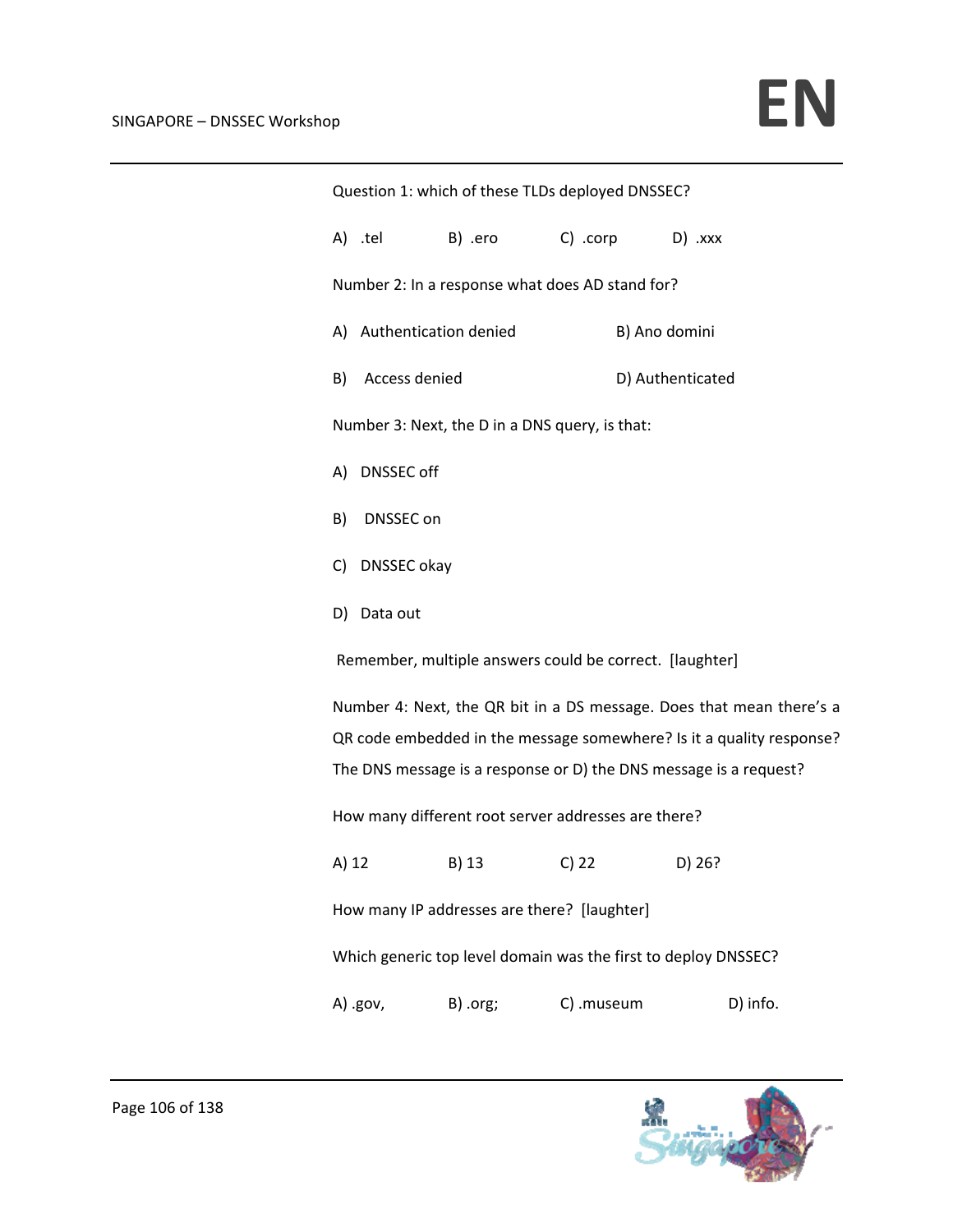| Question 1: which of these TLDs deployed DNSSEC?                     |                                                         |                                                 |                  |                |  |                                                                      |
|----------------------------------------------------------------------|---------------------------------------------------------|-------------------------------------------------|------------------|----------------|--|----------------------------------------------------------------------|
|                                                                      |                                                         | A) tel B) ero C) corp D) xxx                    |                  |                |  |                                                                      |
|                                                                      |                                                         | Number 2: In a response what does AD stand for? |                  |                |  |                                                                      |
|                                                                      | A) Authentication denied<br>B) Ano domini               |                                                 |                  |                |  |                                                                      |
|                                                                      | B) Access denied                                        |                                                 | D) Authenticated |                |  |                                                                      |
|                                                                      |                                                         | Number 3: Next, the D in a DNS query, is that:  |                  |                |  |                                                                      |
|                                                                      | A) DNSSEC off                                           |                                                 |                  |                |  |                                                                      |
|                                                                      | B) DNSSEC on                                            |                                                 |                  |                |  |                                                                      |
|                                                                      | C) DNSSEC okay                                          |                                                 |                  |                |  |                                                                      |
|                                                                      | D) Data out                                             |                                                 |                  |                |  |                                                                      |
|                                                                      | Remember, multiple answers could be correct. [laughter] |                                                 |                  |                |  |                                                                      |
|                                                                      |                                                         |                                                 |                  |                |  | Number 4: Next, the QR bit in a DS message. Does that mean there's a |
| QR code embedded in the message somewhere? Is it a quality response? |                                                         |                                                 |                  |                |  |                                                                      |
| The DNS message is a response or D) the DNS message is a request?    |                                                         |                                                 |                  |                |  |                                                                      |
| How many different root server addresses are there?                  |                                                         |                                                 |                  |                |  |                                                                      |
| A) 12                                                                |                                                         | B) 13                                           |                  | $C) 22$ D) 26? |  |                                                                      |
| How many IP addresses are there? [laughter]                          |                                                         |                                                 |                  |                |  |                                                                      |
| Which generic top level domain was the first to deploy DNSSEC?       |                                                         |                                                 |                  |                |  |                                                                      |
|                                                                      | A) .gov,                                                | B) .org;                                        | C) .museum       |                |  | D) info.                                                             |

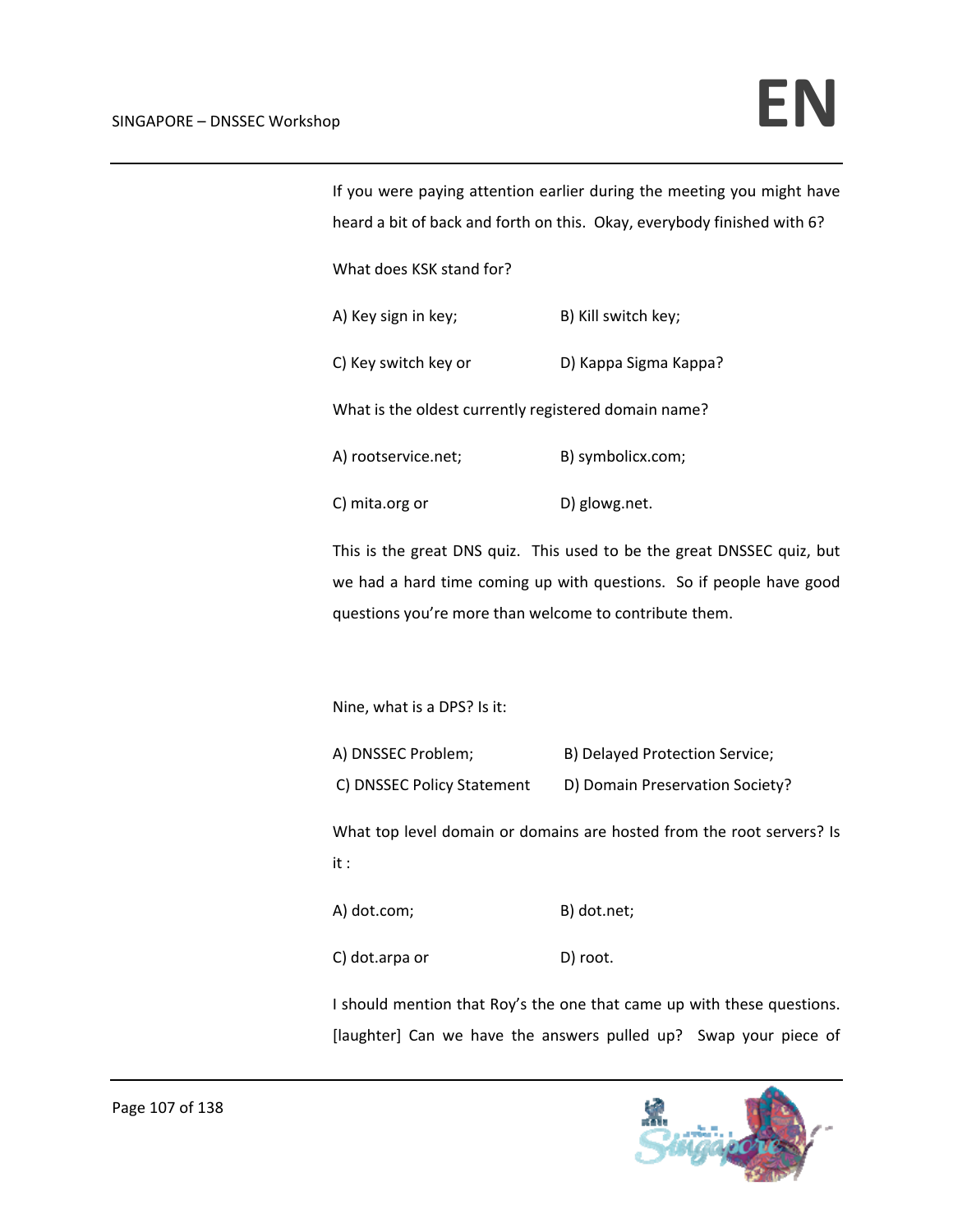| If you were paying attention earlier during the meeting you might have<br>heard a bit of back and forth on this. Okay, everybody finished with 6? |                                                                                                                                               |  |  |
|---------------------------------------------------------------------------------------------------------------------------------------------------|-----------------------------------------------------------------------------------------------------------------------------------------------|--|--|
| What does KSK stand for?                                                                                                                          |                                                                                                                                               |  |  |
| A) Key sign in key;                                                                                                                               | B) Kill switch key;                                                                                                                           |  |  |
| C) Key switch key or                                                                                                                              | D) Kappa Sigma Kappa?                                                                                                                         |  |  |
| What is the oldest currently registered domain name?                                                                                              |                                                                                                                                               |  |  |
| A) rootservice.net;                                                                                                                               | B) symbolicx.com;                                                                                                                             |  |  |
| C) mita.org or                                                                                                                                    | D) glowg.net.                                                                                                                                 |  |  |
| questions you're more than welcome to contribute them.                                                                                            | This is the great DNS quiz. This used to be the great DNSSEC quiz, but<br>we had a hard time coming up with questions. So if people have good |  |  |
| Nine, what is a DPS? Is it:                                                                                                                       |                                                                                                                                               |  |  |
| A) DNSSEC Problem;<br>C) DNSSEC Policy Statement                                                                                                  | B) Delayed Protection Service;<br>D) Domain Preservation Society?                                                                             |  |  |
| it :                                                                                                                                              | What top level domain or domains are hosted from the root servers? Is                                                                         |  |  |
| A) dot.com;                                                                                                                                       | B) dot.net;                                                                                                                                   |  |  |
| C) dot.arpa or                                                                                                                                    | D) root.                                                                                                                                      |  |  |
|                                                                                                                                                   | I should mention that Roy's the one that came up with these questions.                                                                        |  |  |

[laughter] Can we have the answers pulled up? Swap your piece of

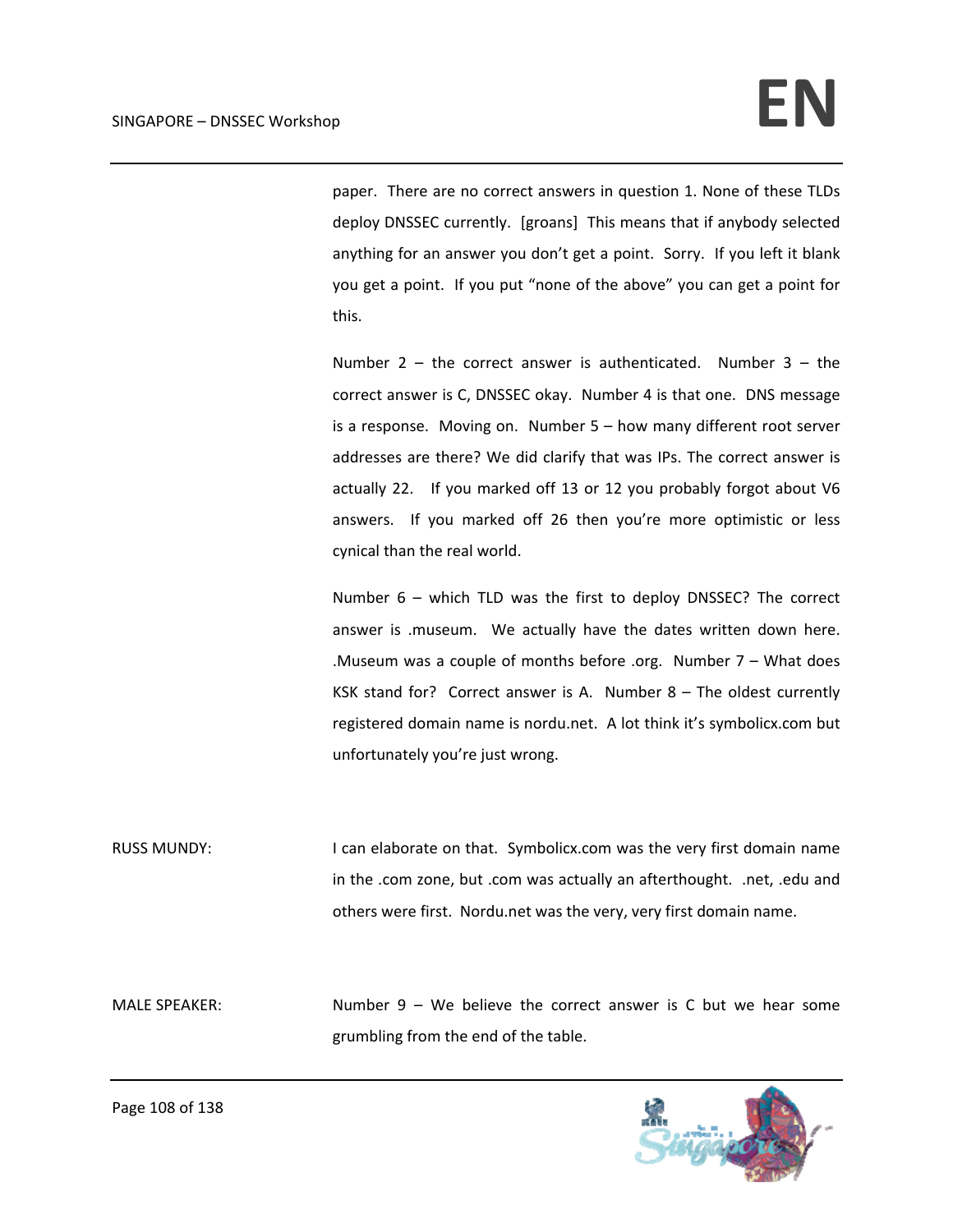paper. There are no correct answers in question 1. None of these TLDs deploy DNSSEC currently. [groans] This means that if anybody selected anything for an answer you don't get a point. Sorry. If you left it blank you get a point. If you put "none of the above" you can get a point for this.

Number 2 – the correct answer is authenticated. Number 3 – the correct answer is C, DNSSEC okay. Number 4 is that one. DNS message is a response. Moving on. Number 5 – how many different root server addresses are there? We did clarify that was IPs. The correct answer is actually 22. If you marked off 13 or 12 you probably forgot about V6 answers. If you marked off 26 then you're more optimistic or less cynical than the real world.

Number 6 – which TLD was the first to deploy DNSSEC? The correct answer is .museum. We actually have the dates written down here. .Museum was a couple of months before .org. Number 7 – What does KSK stand for? Correct answer is A. Number  $8 -$  The oldest currently registered domain name is nordu.net. A lot think it's symbolicx.com but unfortunately you're just wrong.

RUSS MUNDY: I can elaborate on that. Symbolicx.com was the very first domain name in the .com zone, but .com was actually an afterthought. .net, .edu and others were first. Nordu.net was the very, very first domain name.

MALE SPEAKER: Number 9 – We believe the correct answer is C but we hear some grumbling from the end of the table.

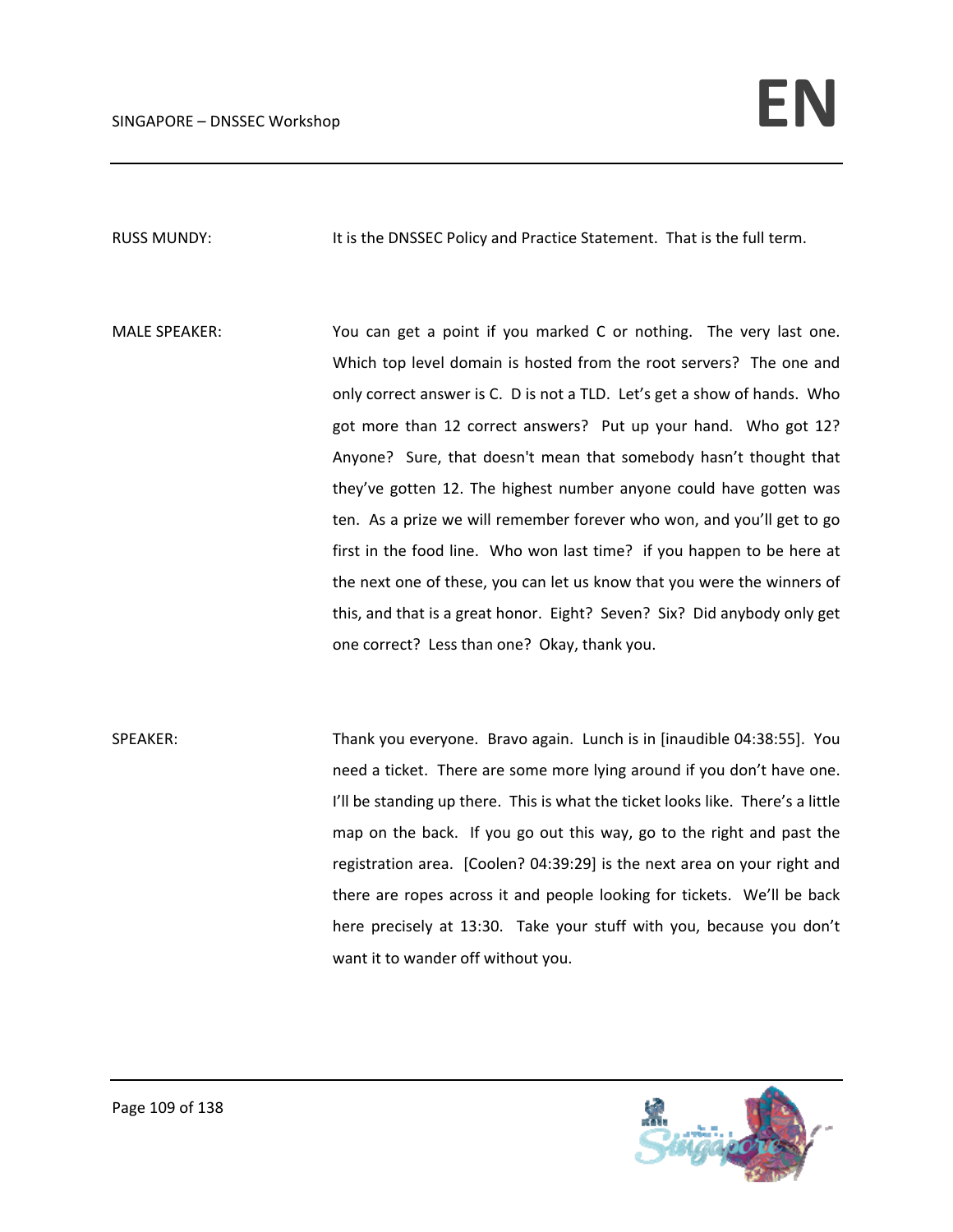RUSS MUNDY: It is the DNSSEC Policy and Practice Statement. That is the full term.

MALE SPEAKER: You can get a point if you marked C or nothing. The very last one. Which top level domain is hosted from the root servers? The one and only correct answer is C. D is not a TLD. Let's get a show of hands. Who got more than 12 correct answers? Put up your hand. Who got 12? Anyone? Sure, that doesn't mean that somebody hasn't thought that they've gotten 12. The highest number anyone could have gotten was ten. As a prize we will remember forever who won, and you'll get to go first in the food line. Who won last time? if you happen to be here at the next one of these, you can let us know that you were the winners of this, and that is a great honor. Eight? Seven? Six? Did anybody only get one correct? Less than one? Okay, thank you.

SPEAKER: Thank you everyone. Bravo again. Lunch is in [inaudible 04:38:55]. You need a ticket. There are some more lying around if you don't have one. I'll be standing up there. This is what the ticket looks like. There's a little map on the back. If you go out this way, go to the right and past the registration area. [Coolen? 04:39:29] is the next area on your right and there are ropes across it and people looking for tickets. We'll be back here precisely at 13:30. Take your stuff with you, because you don't want it to wander off without you.

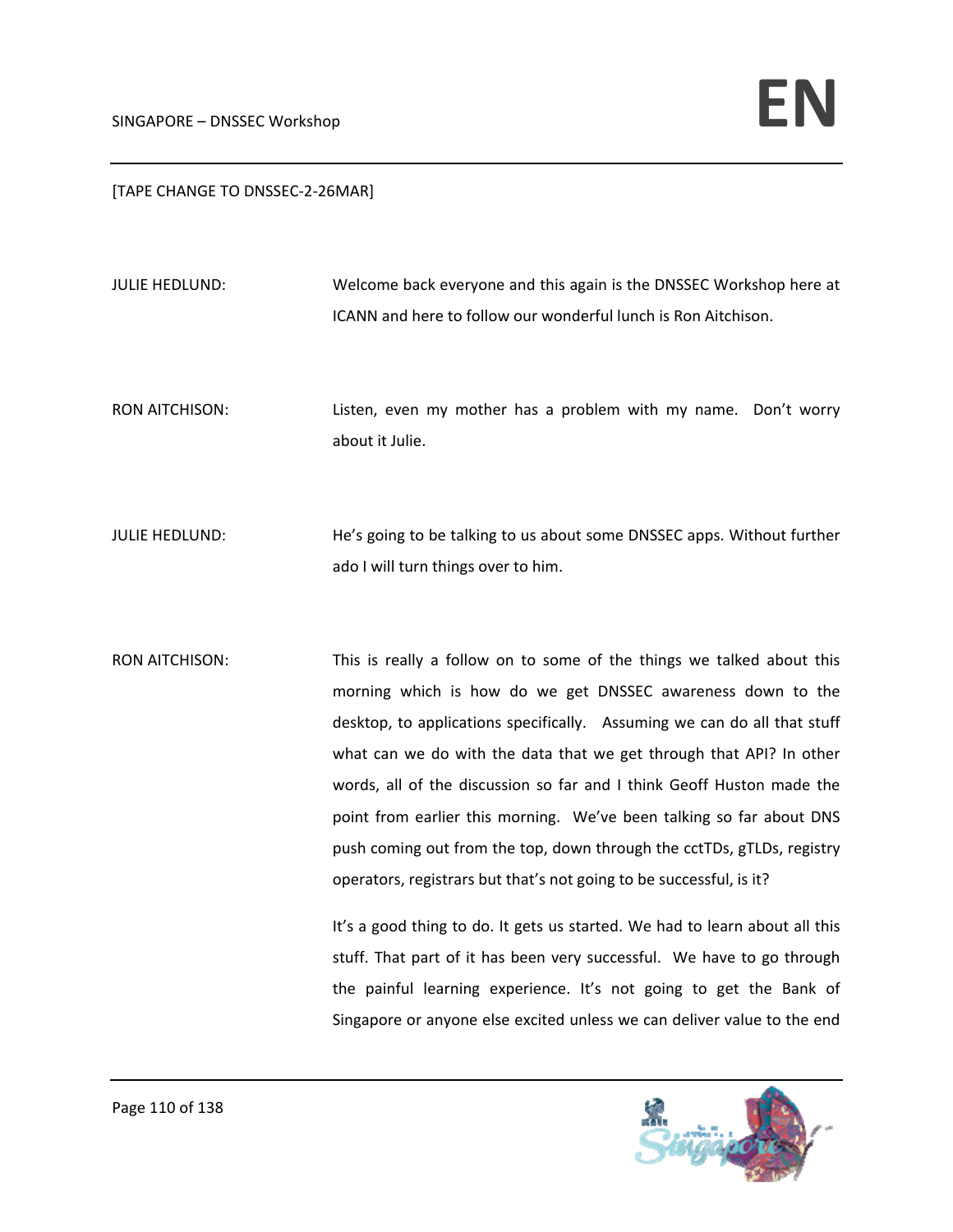## [TAPE CHANGE TO DNSSEC‐2‐26MAR]

JULIE HEDLUND: Welcome back everyone and this again is the DNSSEC Workshop here at ICANN and here to follow our wonderful lunch is Ron Aitchison.

RON AITCHISON: Listen, even my mother has a problem with my name. Don't worry about it Julie.

JULIE HEDLUND: He's going to be talking to us about some DNSSEC apps. Without further ado I will turn things over to him.

RON AITCHISON: This is really a follow on to some of the things we talked about this morning which is how do we get DNSSEC awareness down to the desktop, to applications specifically. Assuming we can do all that stuff what can we do with the data that we get through that API? In other words, all of the discussion so far and I think Geoff Huston made the point from earlier this morning. We've been talking so far about DNS push coming out from the top, down through the cctTDs, gTLDs, registry operators, registrars but that's not going to be successful, is it?

> It's a good thing to do. It gets us started. We had to learn about all this stuff. That part of it has been very successful. We have to go through the painful learning experience. It's not going to get the Bank of Singapore or anyone else excited unless we can deliver value to the end

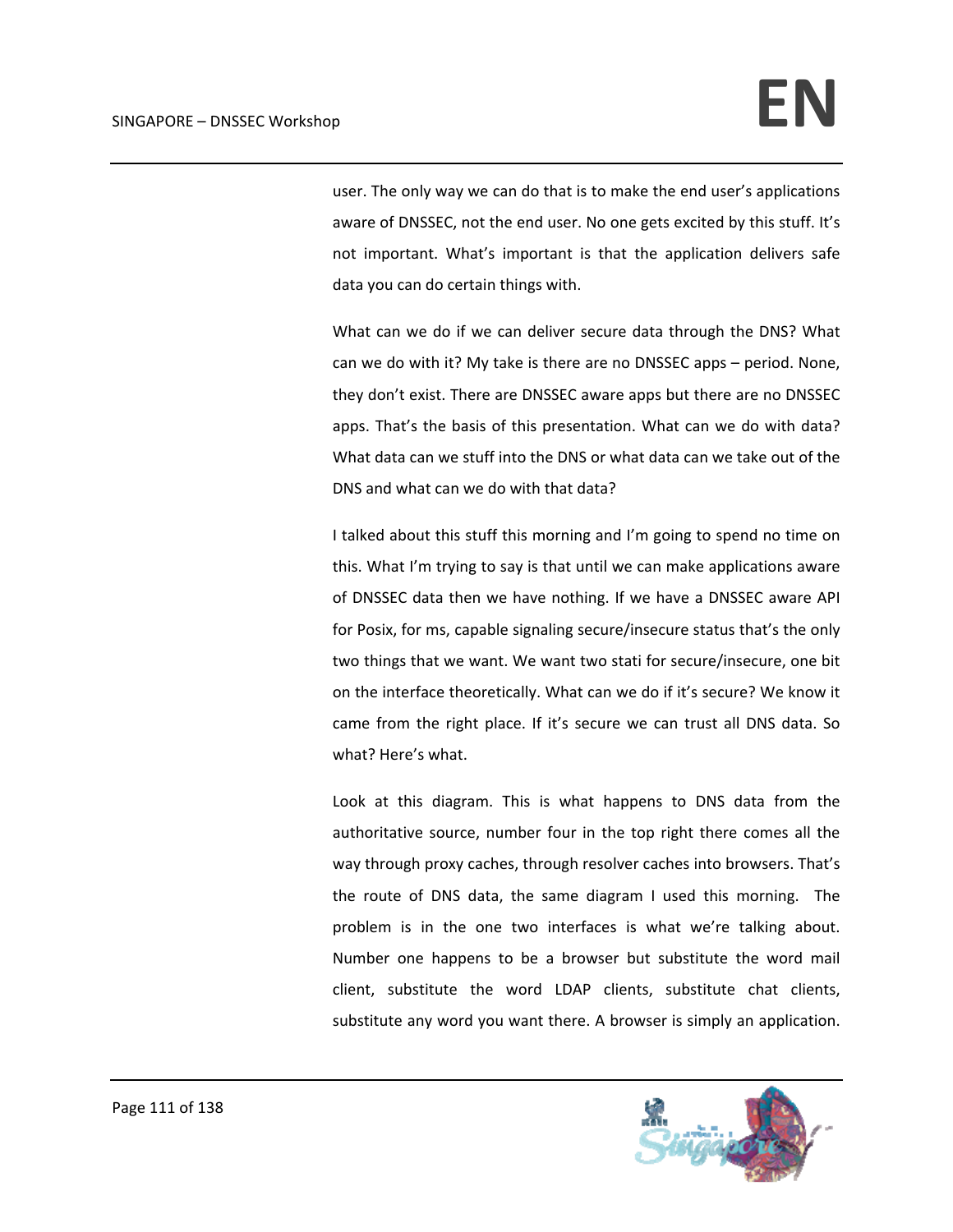user. The only way we can do that is to make the end user's applications aware of DNSSEC, not the end user. No one gets excited by this stuff. It's not important. What's important is that the application delivers safe data you can do certain things with.

What can we do if we can deliver secure data through the DNS? What can we do with it? My take is there are no DNSSEC apps – period. None, they don't exist. There are DNSSEC aware apps but there are no DNSSEC apps. That's the basis of this presentation. What can we do with data? What data can we stuff into the DNS or what data can we take out of the DNS and what can we do with that data?

I talked about this stuff this morning and I'm going to spend no time on this. What I'm trying to say is that until we can make applications aware of DNSSEC data then we have nothing. If we have a DNSSEC aware API for Posix, for ms, capable signaling secure/insecure status that's the only two things that we want. We want two stati for secure/insecure, one bit on the interface theoretically. What can we do if it's secure? We know it came from the right place. If it's secure we can trust all DNS data. So what? Here's what.

Look at this diagram. This is what happens to DNS data from the authoritative source, number four in the top right there comes all the way through proxy caches, through resolver caches into browsers. That's the route of DNS data, the same diagram I used this morning. The problem is in the one two interfaces is what we're talking about. Number one happens to be a browser but substitute the word mail client, substitute the word LDAP clients, substitute chat clients, substitute any word you want there. A browser is simply an application.

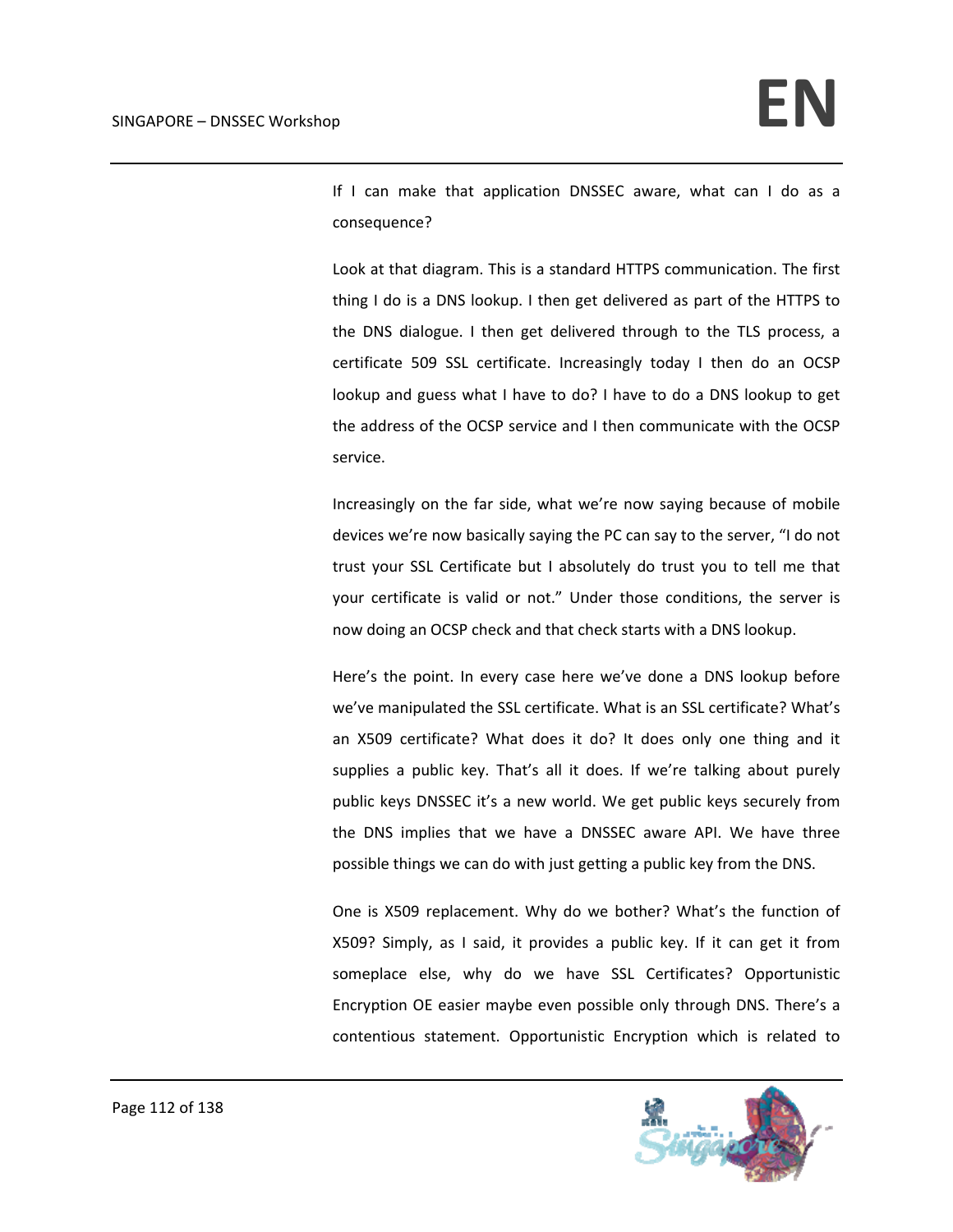If I can make that application DNSSEC aware, what can I do as a consequence?

Look at that diagram. This is a standard HTTPS communication. The first thing I do is a DNS lookup. I then get delivered as part of the HTTPS to the DNS dialogue. I then get delivered through to the TLS process, a certificate 509 SSL certificate. Increasingly today I then do an OCSP lookup and guess what I have to do? I have to do a DNS lookup to get the address of the OCSP service and I then communicate with the OCSP service.

Increasingly on the far side, what we're now saying because of mobile devices we're now basically saying the PC can say to the server, "I do not trust your SSL Certificate but I absolutely do trust you to tell me that your certificate is valid or not." Under those conditions, the server is now doing an OCSP check and that check starts with a DNS lookup.

Here's the point. In every case here we've done a DNS lookup before we've manipulated the SSL certificate. What is an SSL certificate? What's an X509 certificate? What does it do? It does only one thing and it supplies a public key. That's all it does. If we're talking about purely public keys DNSSEC it's a new world. We get public keys securely from the DNS implies that we have a DNSSEC aware API. We have three possible things we can do with just getting a public key from the DNS.

One is X509 replacement. Why do we bother? What's the function of X509? Simply, as I said, it provides a public key. If it can get it from someplace else, why do we have SSL Certificates? Opportunistic Encryption OE easier maybe even possible only through DNS. There's a contentious statement. Opportunistic Encryption which is related to

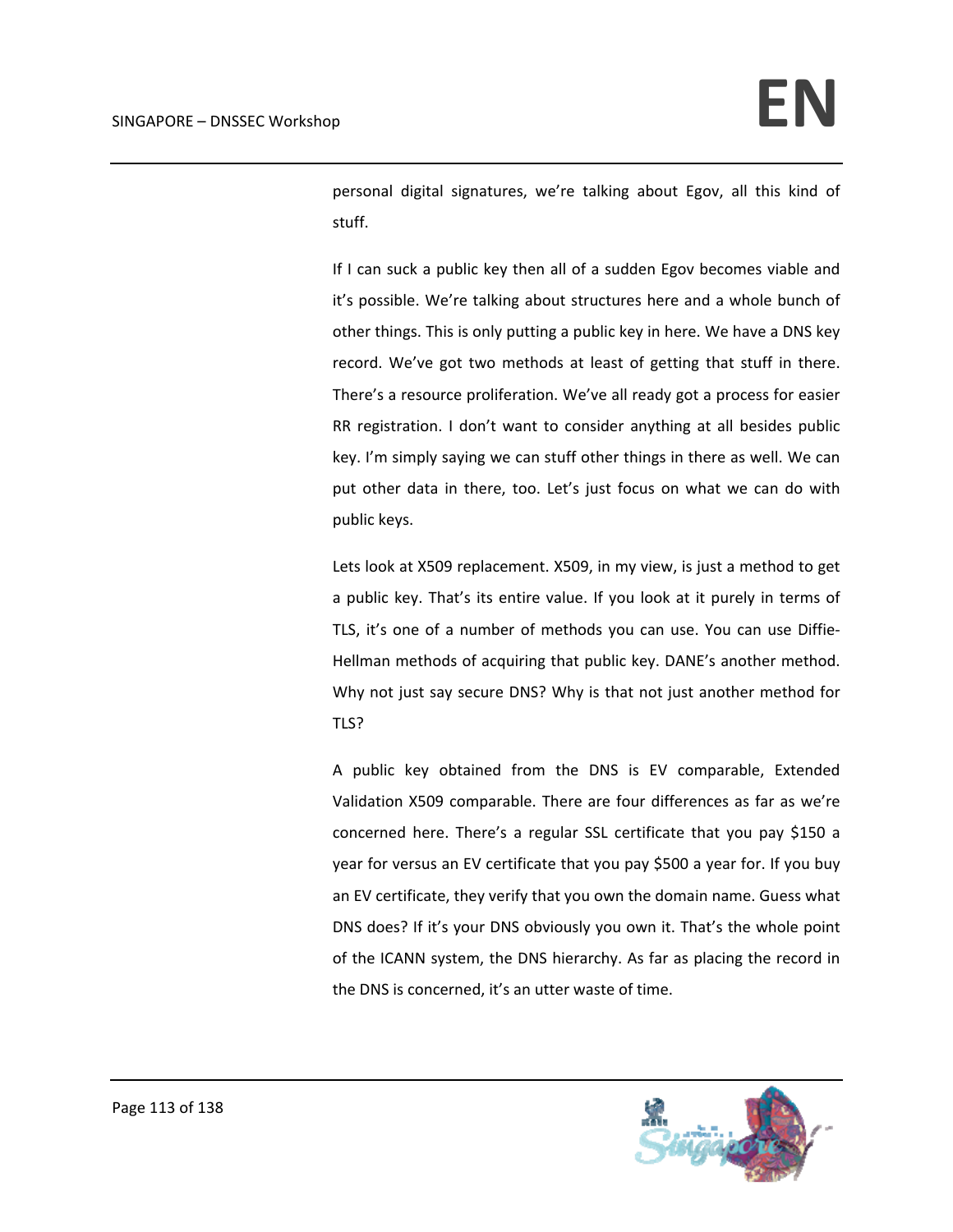personal digital signatures, we're talking about Egov, all this kind of stuff.

If I can suck a public key then all of a sudden Egov becomes viable and it's possible. We're talking about structures here and a whole bunch of other things. This is only putting a public key in here. We have a DNS key record. We've got two methods at least of getting that stuff in there. There's a resource proliferation. We've all ready got a process for easier RR registration. I don't want to consider anything at all besides public key. I'm simply saying we can stuff other things in there as well. We can put other data in there, too. Let's just focus on what we can do with public keys.

Lets look at X509 replacement. X509, in my view, is just a method to get a public key. That's its entire value. If you look at it purely in terms of TLS, it's one of a number of methods you can use. You can use Diffie‐ Hellman methods of acquiring that public key. DANE's another method. Why not just say secure DNS? Why is that not just another method for TLS?

A public key obtained from the DNS is EV comparable, Extended Validation X509 comparable. There are four differences as far as we're concerned here. There's a regular SSL certificate that you pay \$150 a year for versus an EV certificate that you pay \$500 a year for. If you buy an EV certificate, they verify that you own the domain name. Guess what DNS does? If it's your DNS obviously you own it. That's the whole point of the ICANN system, the DNS hierarchy. As far as placing the record in the DNS is concerned, it's an utter waste of time.

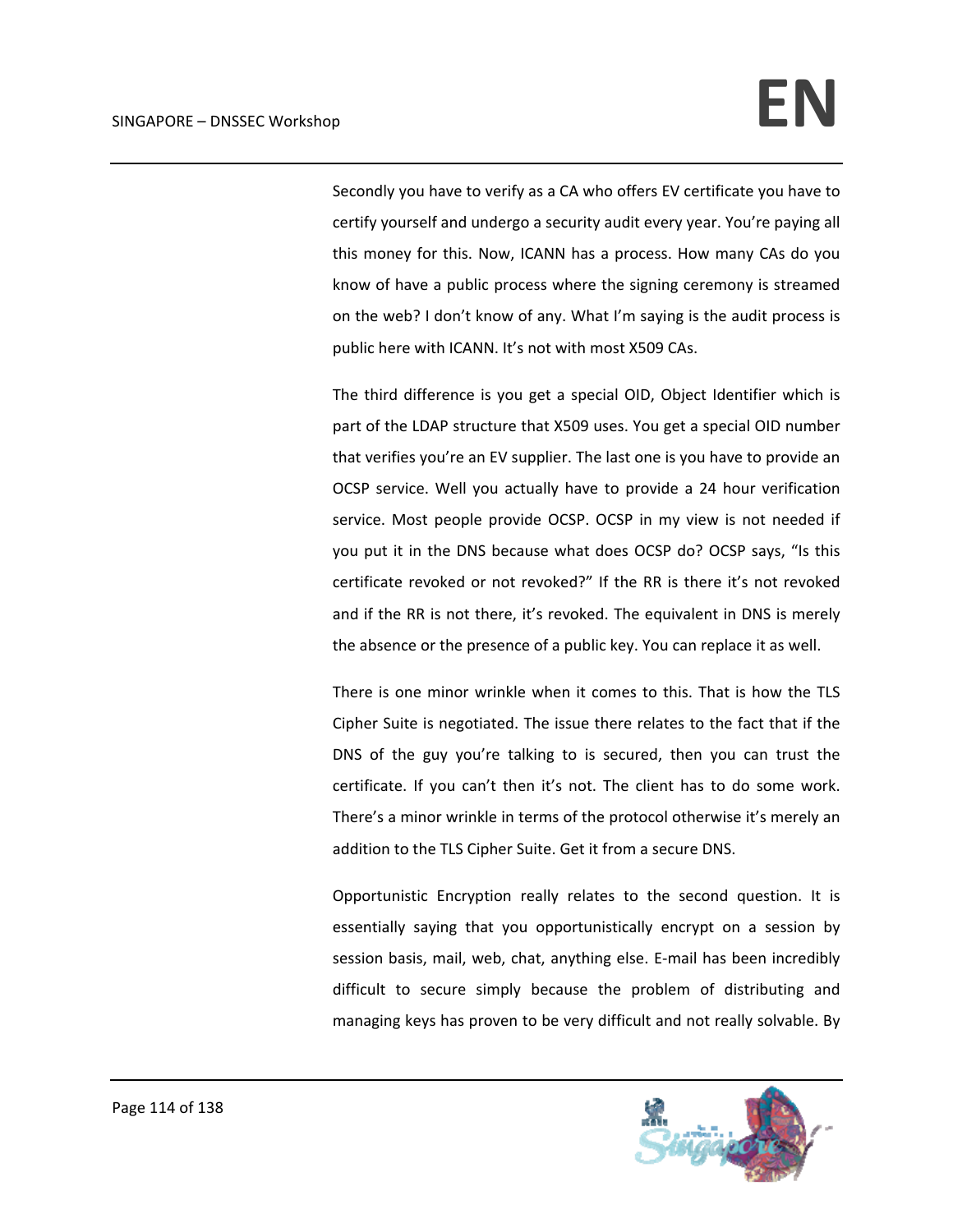Secondly you have to verify as a CA who offers EV certificate you have to certify yourself and undergo a security audit every year. You're paying all this money for this. Now, ICANN has a process. How many CAs do you know of have a public process where the signing ceremony is streamed on the web? I don't know of any. What I'm saying is the audit process is public here with ICANN. It's not with most X509 CAs.

The third difference is you get a special OID, Object Identifier which is part of the LDAP structure that X509 uses. You get a special OID number that verifies you're an EV supplier. The last one is you have to provide an OCSP service. Well you actually have to provide a 24 hour verification service. Most people provide OCSP. OCSP in my view is not needed if you put it in the DNS because what does OCSP do? OCSP says, "Is this certificate revoked or not revoked?" If the RR is there it's not revoked and if the RR is not there, it's revoked. The equivalent in DNS is merely the absence or the presence of a public key. You can replace it as well.

There is one minor wrinkle when it comes to this. That is how the TLS Cipher Suite is negotiated. The issue there relates to the fact that if the DNS of the guy you're talking to is secured, then you can trust the certificate. If you can't then it's not. The client has to do some work. There's a minor wrinkle in terms of the protocol otherwise it's merely an addition to the TLS Cipher Suite. Get it from a secure DNS.

Opportunistic Encryption really relates to the second question. It is essentially saying that you opportunistically encrypt on a session by session basis, mail, web, chat, anything else. E‐mail has been incredibly difficult to secure simply because the problem of distributing and managing keys has proven to be very difficult and not really solvable. By

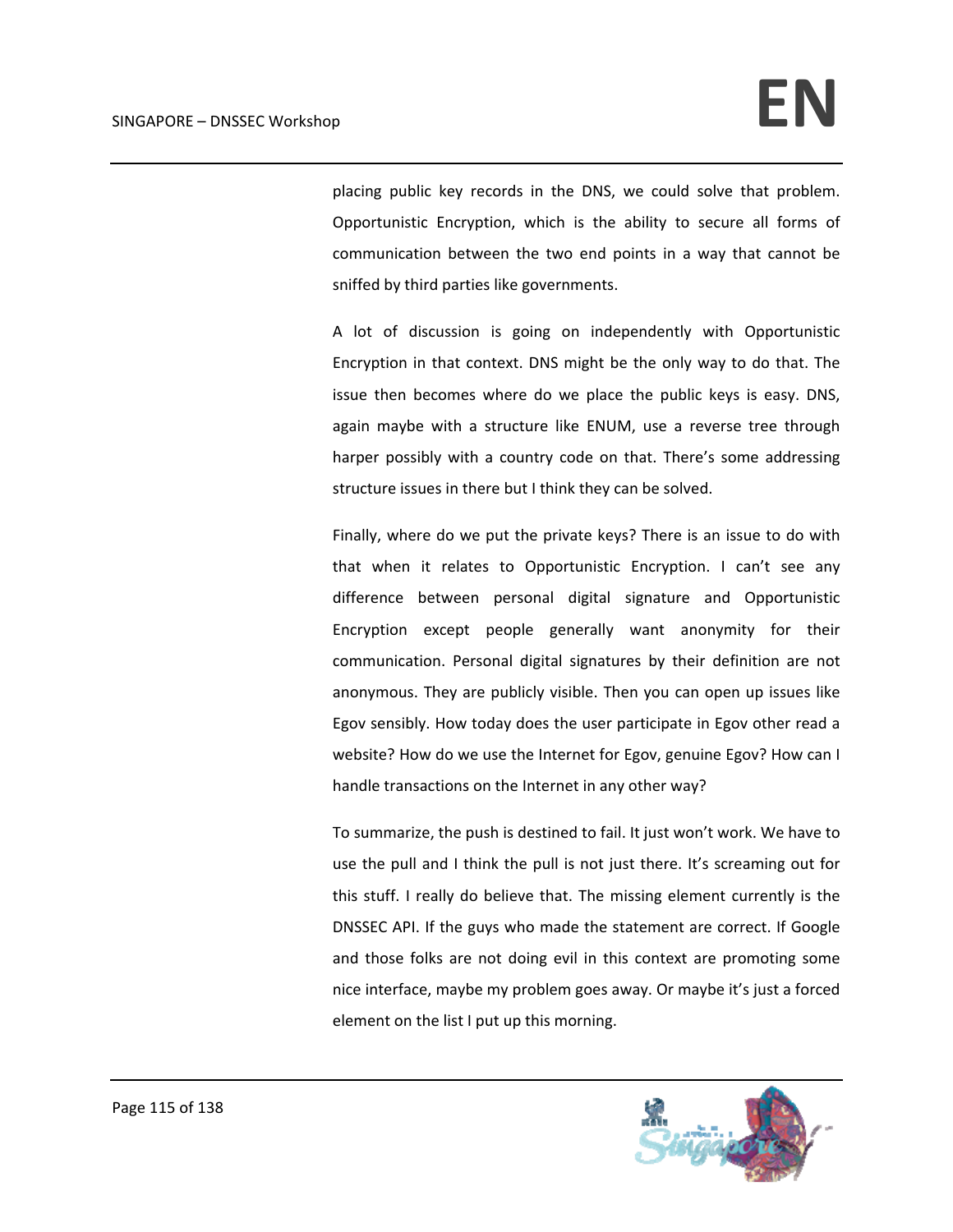placing public key records in the DNS, we could solve that problem. Opportunistic Encryption, which is the ability to secure all forms of communication between the two end points in a way that cannot be sniffed by third parties like governments.

A lot of discussion is going on independently with Opportunistic Encryption in that context. DNS might be the only way to do that. The issue then becomes where do we place the public keys is easy. DNS, again maybe with a structure like ENUM, use a reverse tree through harper possibly with a country code on that. There's some addressing structure issues in there but I think they can be solved.

Finally, where do we put the private keys? There is an issue to do with that when it relates to Opportunistic Encryption. I can't see any difference between personal digital signature and Opportunistic Encryption except people generally want anonymity for their communication. Personal digital signatures by their definition are not anonymous. They are publicly visible. Then you can open up issues like Egov sensibly. How today does the user participate in Egov other read a website? How do we use the Internet for Egov, genuine Egov? How can I handle transactions on the Internet in any other way?

To summarize, the push is destined to fail. It just won't work. We have to use the pull and I think the pull is not just there. It's screaming out for this stuff. I really do believe that. The missing element currently is the DNSSEC API. If the guys who made the statement are correct. If Google and those folks are not doing evil in this context are promoting some nice interface, maybe my problem goes away. Or maybe it's just a forced element on the list I put up this morning.

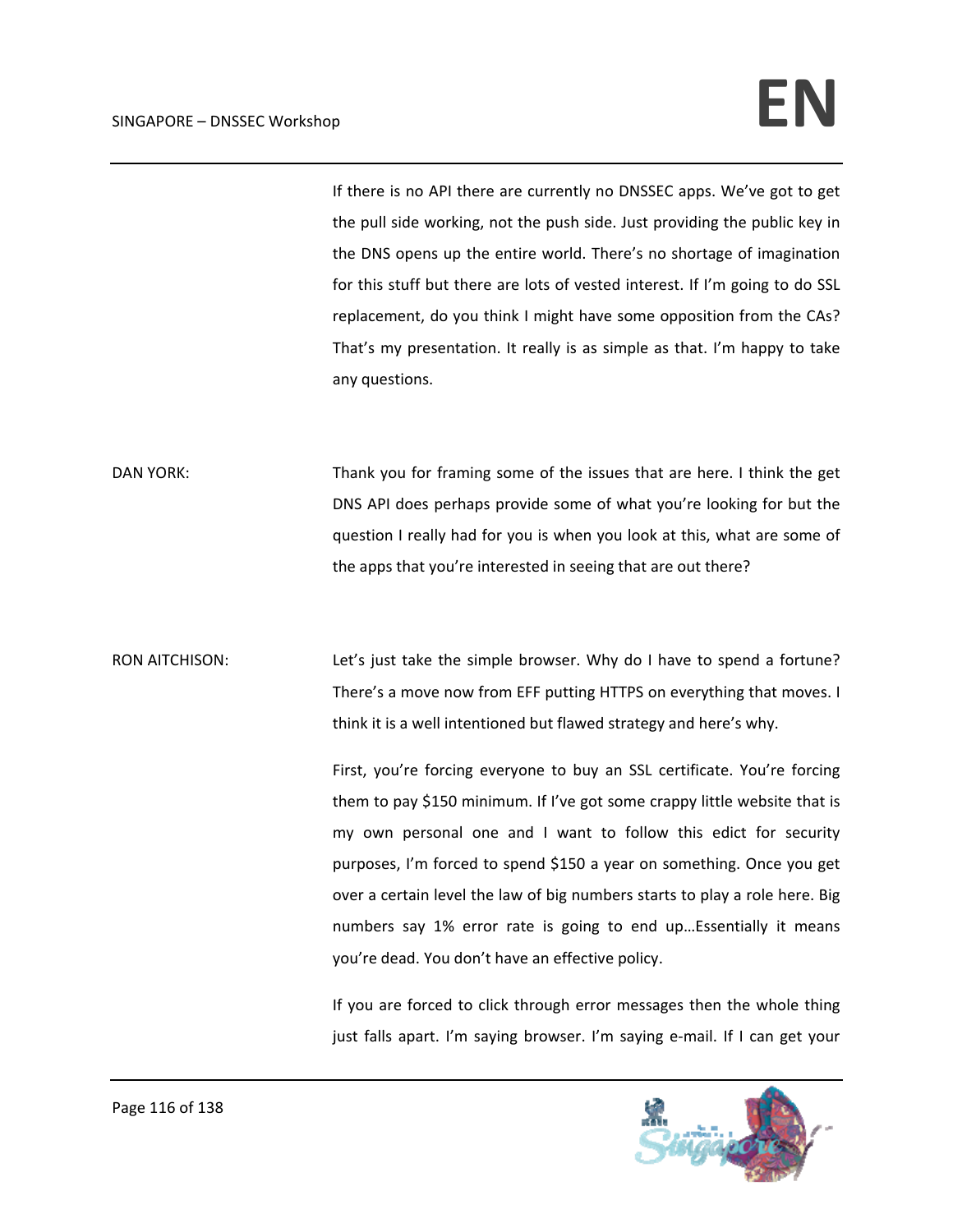If there is no API there are currently no DNSSEC apps. We've got to get the pull side working, not the push side. Just providing the public key in the DNS opens up the entire world. There's no shortage of imagination for this stuff but there are lots of vested interest. If I'm going to do SSL replacement, do you think I might have some opposition from the CAs? That's my presentation. It really is as simple as that. I'm happy to take any questions.

DAN YORK: Thank you for framing some of the issues that are here. I think the get DNS API does perhaps provide some of what you're looking for but the question I really had for you is when you look at this, what are some of the apps that you're interested in seeing that are out there?

RON AITCHISON: Let's just take the simple browser. Why do I have to spend a fortune? There's a move now from EFF putting HTTPS on everything that moves. I think it is a well intentioned but flawed strategy and here's why.

> First, you're forcing everyone to buy an SSL certificate. You're forcing them to pay \$150 minimum. If I've got some crappy little website that is my own personal one and I want to follow this edict for security purposes, I'm forced to spend \$150 a year on something. Once you get over a certain level the law of big numbers starts to play a role here. Big numbers say 1% error rate is going to end up…Essentially it means you're dead. You don't have an effective policy.

> If you are forced to click through error messages then the whole thing just falls apart. I'm saying browser. I'm saying e-mail. If I can get your

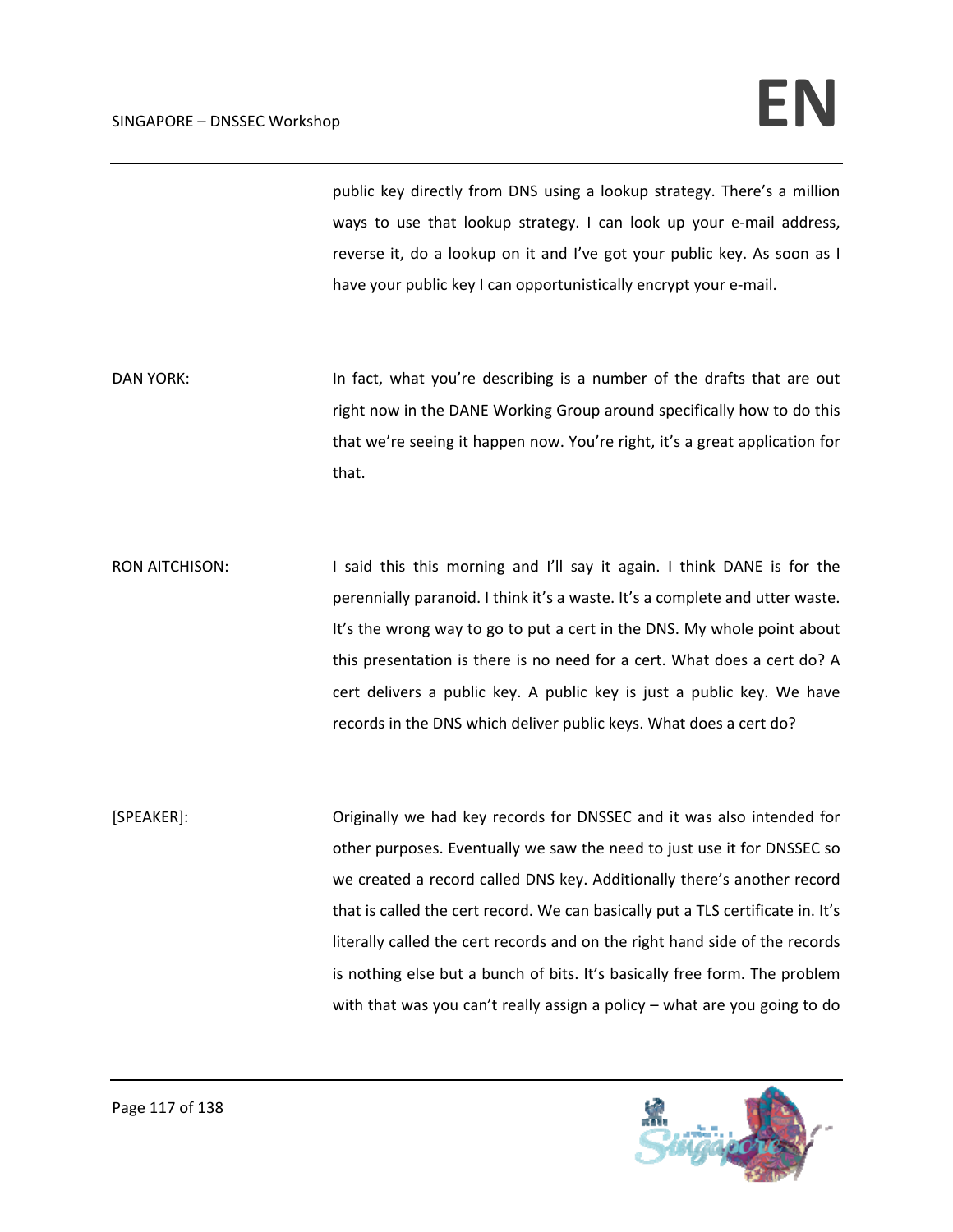public key directly from DNS using a lookup strategy. There's a million ways to use that lookup strategy. I can look up your e-mail address, reverse it, do a lookup on it and I've got your public key. As soon as I have your public key I can opportunistically encrypt your e-mail.

DAN YORK: In fact, what you're describing is a number of the drafts that are out right now in the DANE Working Group around specifically how to do this that we're seeing it happen now. You're right, it's a great application for that.

RON AITCHISON: I said this this morning and I'll say it again. I think DANE is for the perennially paranoid. I think it's a waste. It's a complete and utter waste. It's the wrong way to go to put a cert in the DNS. My whole point about this presentation is there is no need for a cert. What does a cert do? A cert delivers a public key. A public key is just a public key. We have records in the DNS which deliver public keys. What does a cert do?

[SPEAKER]: Originally we had key records for DNSSEC and it was also intended for other purposes. Eventually we saw the need to just use it for DNSSEC so we created a record called DNS key. Additionally there's another record that is called the cert record. We can basically put a TLS certificate in. It's literally called the cert records and on the right hand side of the records is nothing else but a bunch of bits. It's basically free form. The problem with that was you can't really assign a policy – what are you going to do

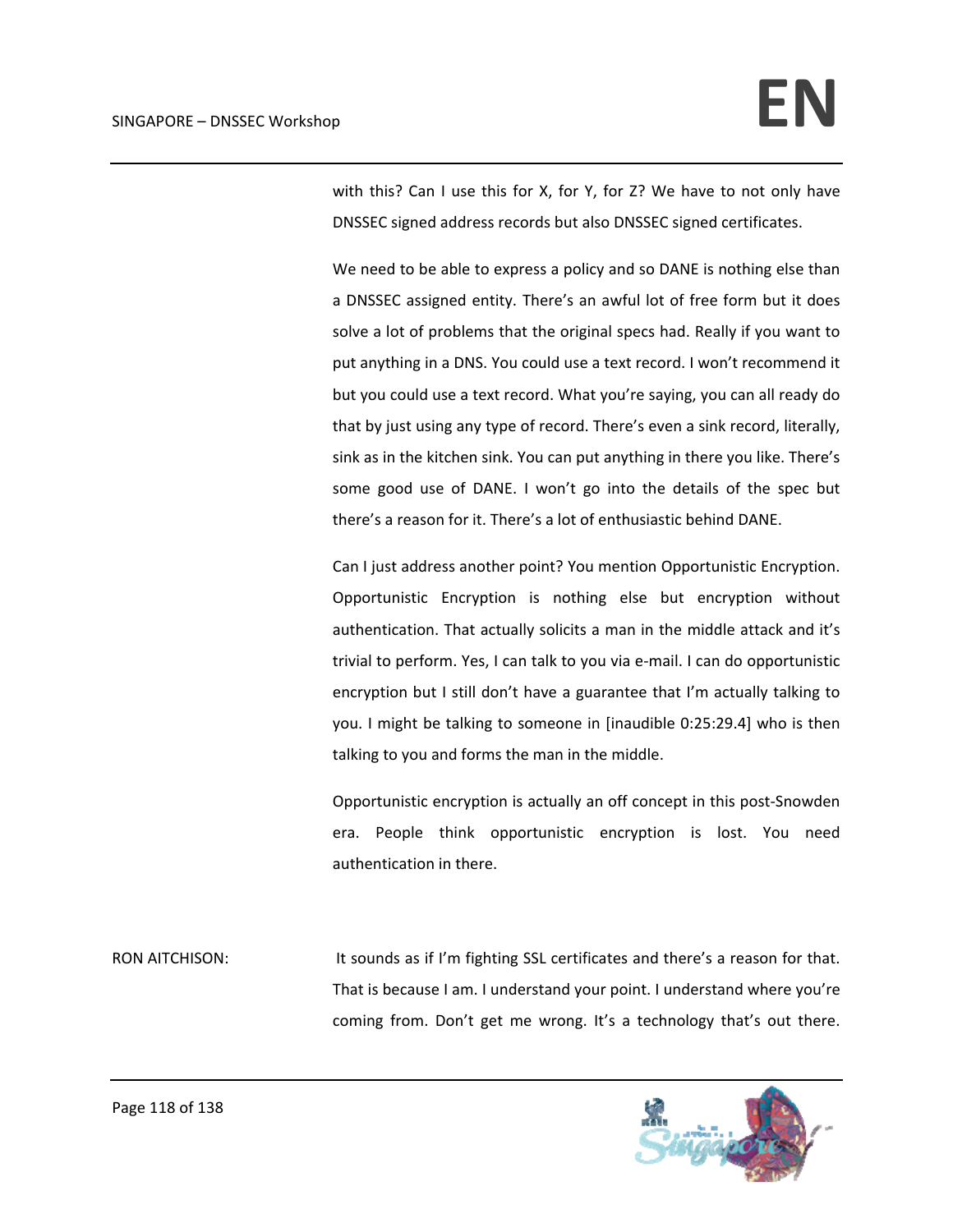with this? Can I use this for X, for Y, for Z? We have to not only have DNSSEC signed address records but also DNSSEC signed certificates.

We need to be able to express a policy and so DANE is nothing else than a DNSSEC assigned entity. There's an awful lot of free form but it does solve a lot of problems that the original specs had. Really if you want to put anything in a DNS. You could use a text record. I won't recommend it but you could use a text record. What you're saying, you can all ready do that by just using any type of record. There's even a sink record, literally, sink as in the kitchen sink. You can put anything in there you like. There's some good use of DANE. I won't go into the details of the spec but there's a reason for it. There's a lot of enthusiastic behind DANE.

Can I just address another point? You mention Opportunistic Encryption. Opportunistic Encryption is nothing else but encryption without authentication. That actually solicits a man in the middle attack and it's trivial to perform. Yes, I can talk to you via e‐mail. I can do opportunistic encryption but I still don't have a guarantee that I'm actually talking to you. I might be talking to someone in [inaudible 0:25:29.4] who is then talking to you and forms the man in the middle.

Opportunistic encryption is actually an off concept in this post‐Snowden era. People think opportunistic encryption is lost. You need authentication in there.

RON AITCHISON: It sounds as if I'm fighting SSL certificates and there's a reason for that. That is because I am. I understand your point. I understand where you're coming from. Don't get me wrong. It's a technology that's out there.

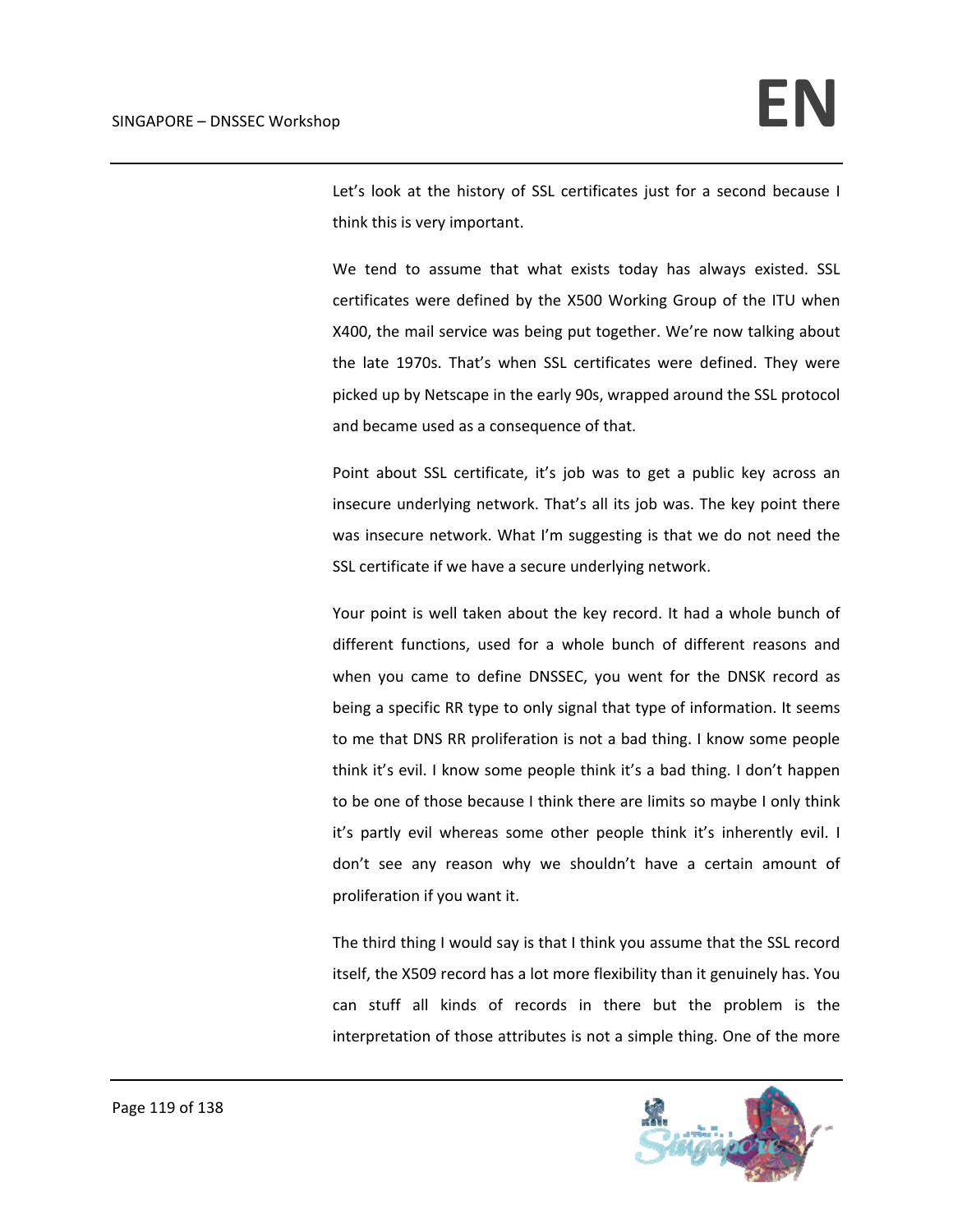Let's look at the history of SSL certificates just for a second because I think this is very important.

We tend to assume that what exists today has always existed. SSL certificates were defined by the X500 Working Group of the ITU when X400, the mail service was being put together. We're now talking about the late 1970s. That's when SSL certificates were defined. They were picked up by Netscape in the early 90s, wrapped around the SSL protocol and became used as a consequence of that.

Point about SSL certificate, it's job was to get a public key across an insecure underlying network. That's all its job was. The key point there was insecure network. What I'm suggesting is that we do not need the SSL certificate if we have a secure underlying network.

Your point is well taken about the key record. It had a whole bunch of different functions, used for a whole bunch of different reasons and when you came to define DNSSEC, you went for the DNSK record as being a specific RR type to only signal that type of information. It seems to me that DNS RR proliferation is not a bad thing. I know some people think it's evil. I know some people think it's a bad thing. I don't happen to be one of those because I think there are limits so maybe I only think it's partly evil whereas some other people think it's inherently evil. I don't see any reason why we shouldn't have a certain amount of proliferation if you want it.

The third thing I would say is that I think you assume that the SSL record itself, the X509 record has a lot more flexibility than it genuinely has. You can stuff all kinds of records in there but the problem is the interpretation of those attributes is not a simple thing. One of the more

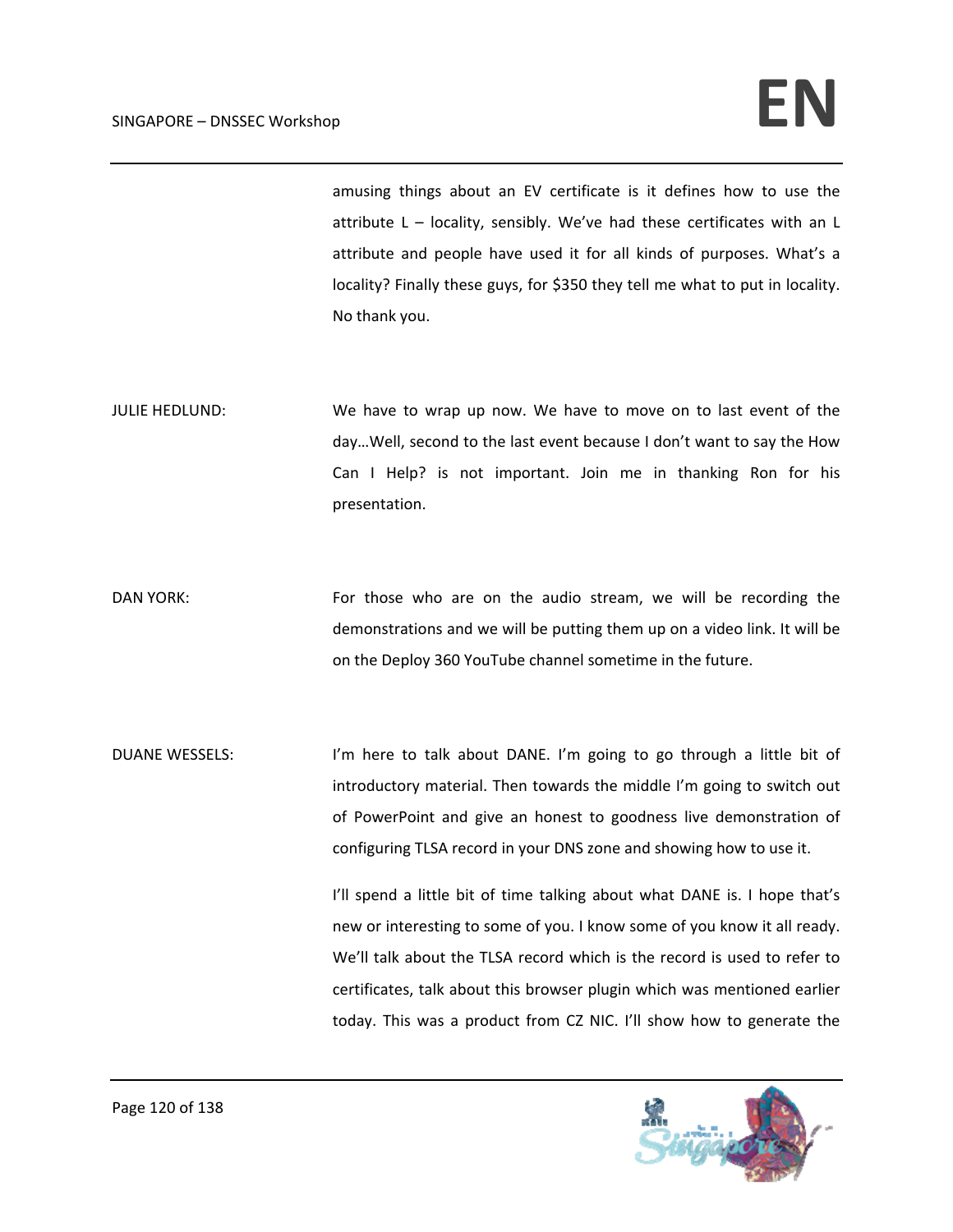## $SINGAPORE - DNSSEC. Workshop$

amusing things about an EV certificate is it defines how to use the attribute L – locality, sensibly. We've had these certificates with an L attribute and people have used it for all kinds of purposes. What's a locality? Finally these guys, for \$350 they tell me what to put in locality. No thank you.

JULIE HEDLUND: We have to wrap up now. We have to move on to last event of the day…Well, second to the last event because I don't want to say the How Can I Help? is not important. Join me in thanking Ron for his presentation.

DAN YORK: For those who are on the audio stream, we will be recording the demonstrations and we will be putting them up on a video link. It will be on the Deploy 360 YouTube channel sometime in the future.

DUANE WESSELS: I'm here to talk about DANE. I'm going to go through a little bit of introductory material. Then towards the middle I'm going to switch out of PowerPoint and give an honest to goodness live demonstration of configuring TLSA record in your DNS zone and showing how to use it.

> I'll spend a little bit of time talking about what DANE is. I hope that's new or interesting to some of you. I know some of you know it all ready. We'll talk about the TLSA record which is the record is used to refer to certificates, talk about this browser plugin which was mentioned earlier today. This was a product from CZ NIC. I'll show how to generate the

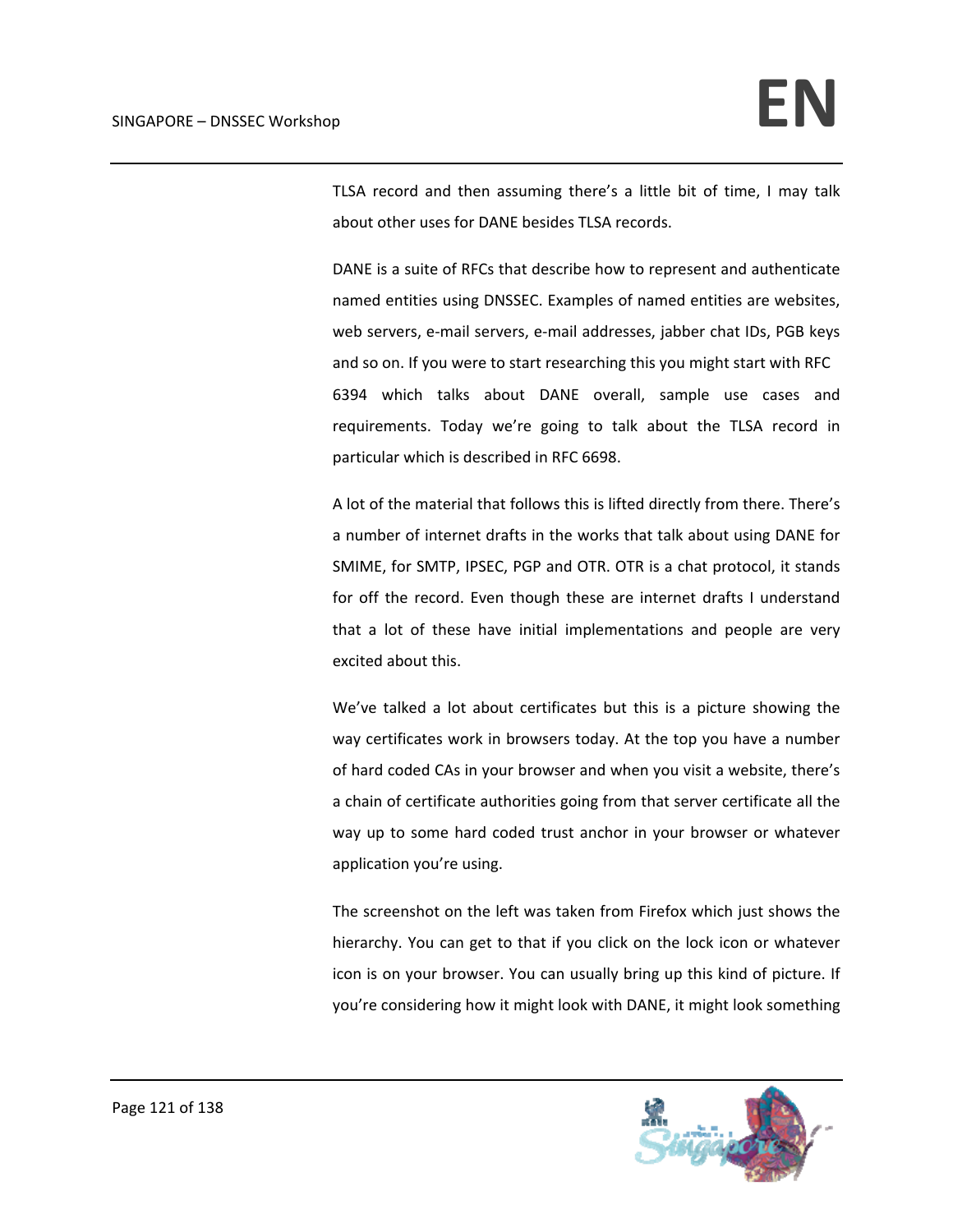TLSA record and then assuming there's a little bit of time, I may talk about other uses for DANE besides TLSA records.

DANE is a suite of RFCs that describe how to represent and authenticate named entities using DNSSEC. Examples of named entities are websites, web servers, e-mail servers, e-mail addresses, jabber chat IDs, PGB keys and so on. If you were to start researching this you might start with RFC 6394 which talks about DANE overall, sample use cases and requirements. Today we're going to talk about the TLSA record in particular which is described in RFC 6698.

A lot of the material that follows this is lifted directly from there. There's a number of internet drafts in the works that talk about using DANE for SMIME, for SMTP, IPSEC, PGP and OTR. OTR is a chat protocol, it stands for off the record. Even though these are internet drafts I understand that a lot of these have initial implementations and people are very excited about this.

We've talked a lot about certificates but this is a picture showing the way certificates work in browsers today. At the top you have a number of hard coded CAs in your browser and when you visit a website, there's a chain of certificate authorities going from that server certificate all the way up to some hard coded trust anchor in your browser or whatever application you're using.

The screenshot on the left was taken from Firefox which just shows the hierarchy. You can get to that if you click on the lock icon or whatever icon is on your browser. You can usually bring up this kind of picture. If you're considering how it might look with DANE, it might look something

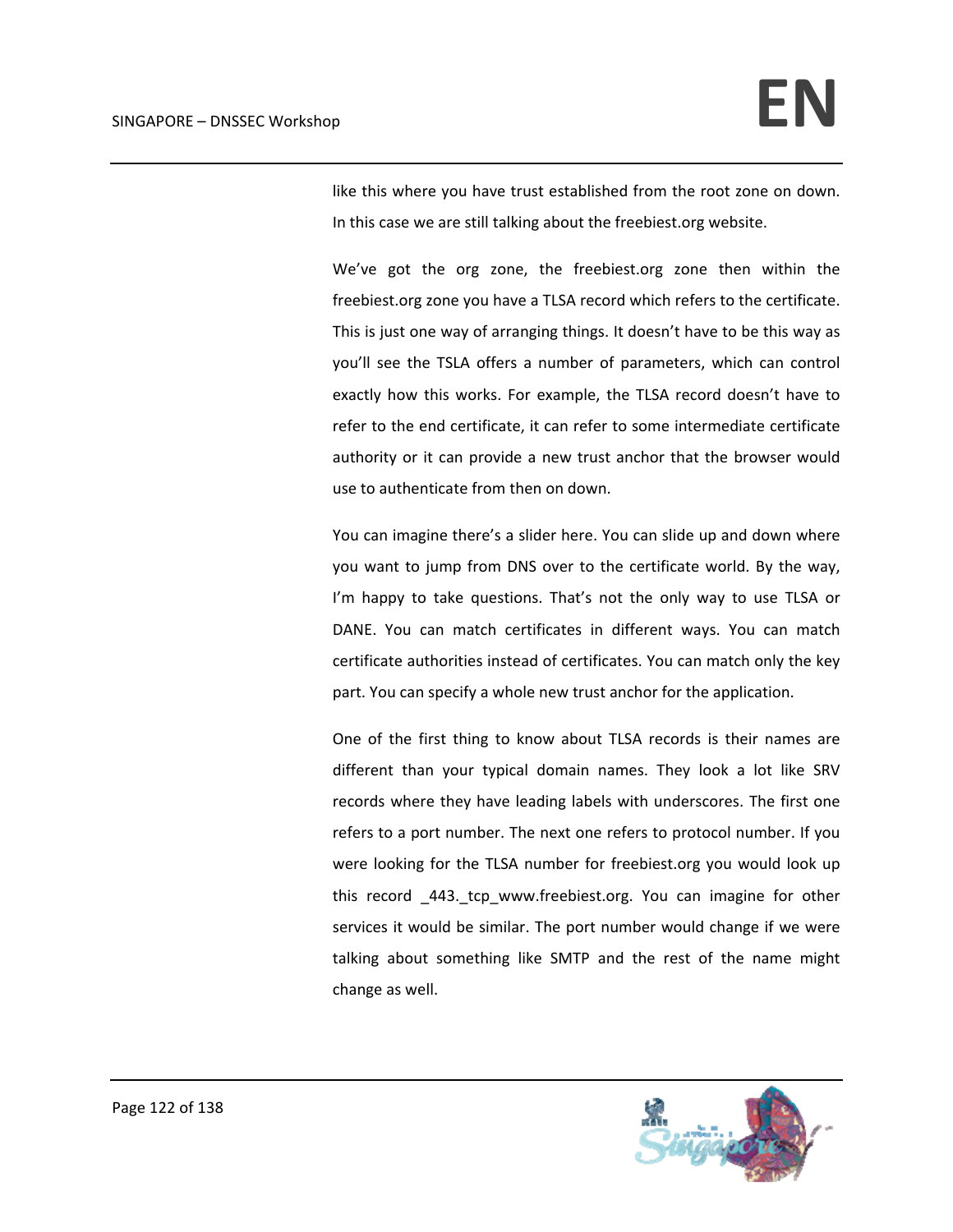like this where you have trust established from the root zone on down. In this case we are still talking about the freebiest.org website.

We've got the org zone, the freebiest.org zone then within the freebiest.org zone you have a TLSA record which refers to the certificate. This is just one way of arranging things. It doesn't have to be this way as you'll see the TSLA offers a number of parameters, which can control exactly how this works. For example, the TLSA record doesn't have to refer to the end certificate, it can refer to some intermediate certificate authority or it can provide a new trust anchor that the browser would use to authenticate from then on down.

You can imagine there's a slider here. You can slide up and down where you want to jump from DNS over to the certificate world. By the way, I'm happy to take questions. That's not the only way to use TLSA or DANE. You can match certificates in different ways. You can match certificate authorities instead of certificates. You can match only the key part. You can specify a whole new trust anchor for the application.

One of the first thing to know about TLSA records is their names are different than your typical domain names. They look a lot like SRV records where they have leading labels with underscores. The first one refers to a port number. The next one refers to protocol number. If you were looking for the TLSA number for freebiest.org you would look up this record 443. tcp www.freebiest.org. You can imagine for other services it would be similar. The port number would change if we were talking about something like SMTP and the rest of the name might change as well.

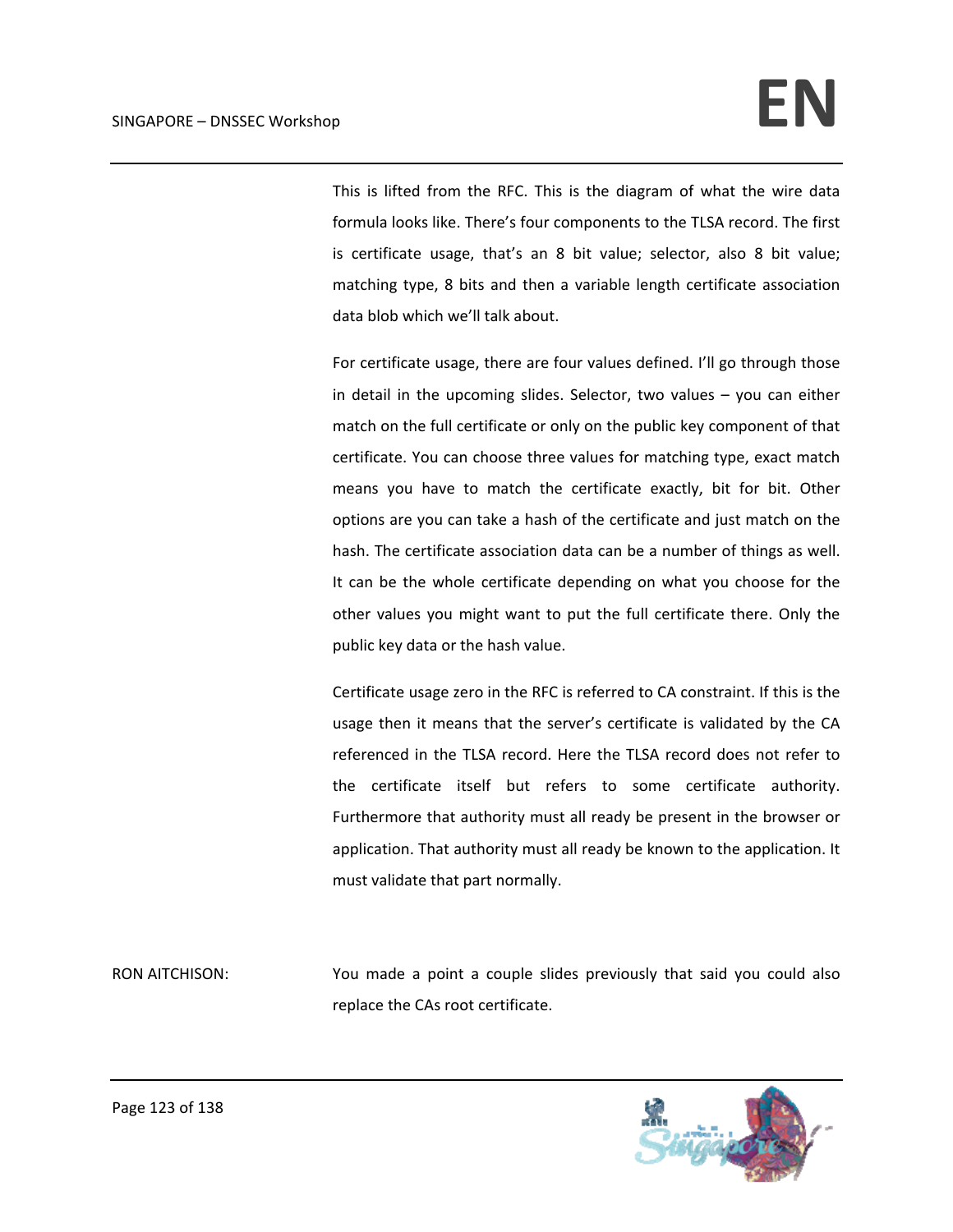This is lifted from the RFC. This is the diagram of what the wire data formula looks like. There's four components to the TLSA record. The first is certificate usage, that's an 8 bit value; selector, also 8 bit value; matching type, 8 bits and then a variable length certificate association data blob which we'll talk about.

For certificate usage, there are four values defined. I'll go through those in detail in the upcoming slides. Selector, two values – you can either match on the full certificate or only on the public key component of that certificate. You can choose three values for matching type, exact match means you have to match the certificate exactly, bit for bit. Other options are you can take a hash of the certificate and just match on the hash. The certificate association data can be a number of things as well. It can be the whole certificate depending on what you choose for the other values you might want to put the full certificate there. Only the public key data or the hash value.

Certificate usage zero in the RFC is referred to CA constraint. If this is the usage then it means that the server's certificate is validated by the CA referenced in the TLSA record. Here the TLSA record does not refer to the certificate itself but refers to some certificate authority. Furthermore that authority must all ready be present in the browser or application. That authority must all ready be known to the application. It must validate that part normally.

RON AITCHISON: You made a point a couple slides previously that said you could also replace the CAs root certificate.

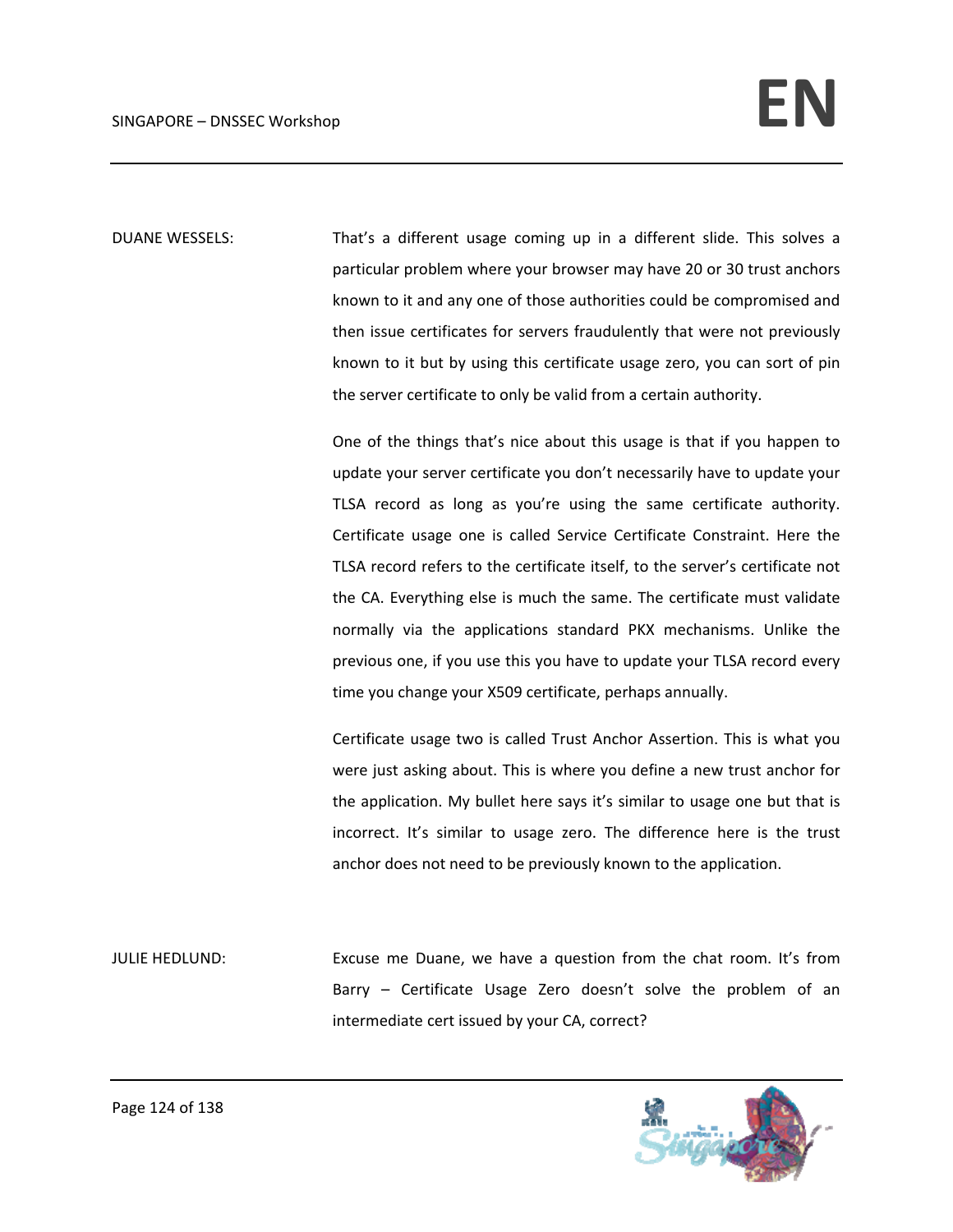DUANE WESSELS: That's a different usage coming up in a different slide. This solves a particular problem where your browser may have 20 or 30 trust anchors known to it and any one of those authorities could be compromised and then issue certificates for servers fraudulently that were not previously known to it but by using this certificate usage zero, you can sort of pin the server certificate to only be valid from a certain authority.

> One of the things that's nice about this usage is that if you happen to update your server certificate you don't necessarily have to update your TLSA record as long as you're using the same certificate authority. Certificate usage one is called Service Certificate Constraint. Here the TLSA record refers to the certificate itself, to the server's certificate not the CA. Everything else is much the same. The certificate must validate normally via the applications standard PKX mechanisms. Unlike the previous one, if you use this you have to update your TLSA record every time you change your X509 certificate, perhaps annually.

> Certificate usage two is called Trust Anchor Assertion. This is what you were just asking about. This is where you define a new trust anchor for the application. My bullet here says it's similar to usage one but that is incorrect. It's similar to usage zero. The difference here is the trust anchor does not need to be previously known to the application.

JULIE HEDLUND: Excuse me Duane, we have a question from the chat room. It's from Barry – Certificate Usage Zero doesn't solve the problem of an intermediate cert issued by your CA, correct?

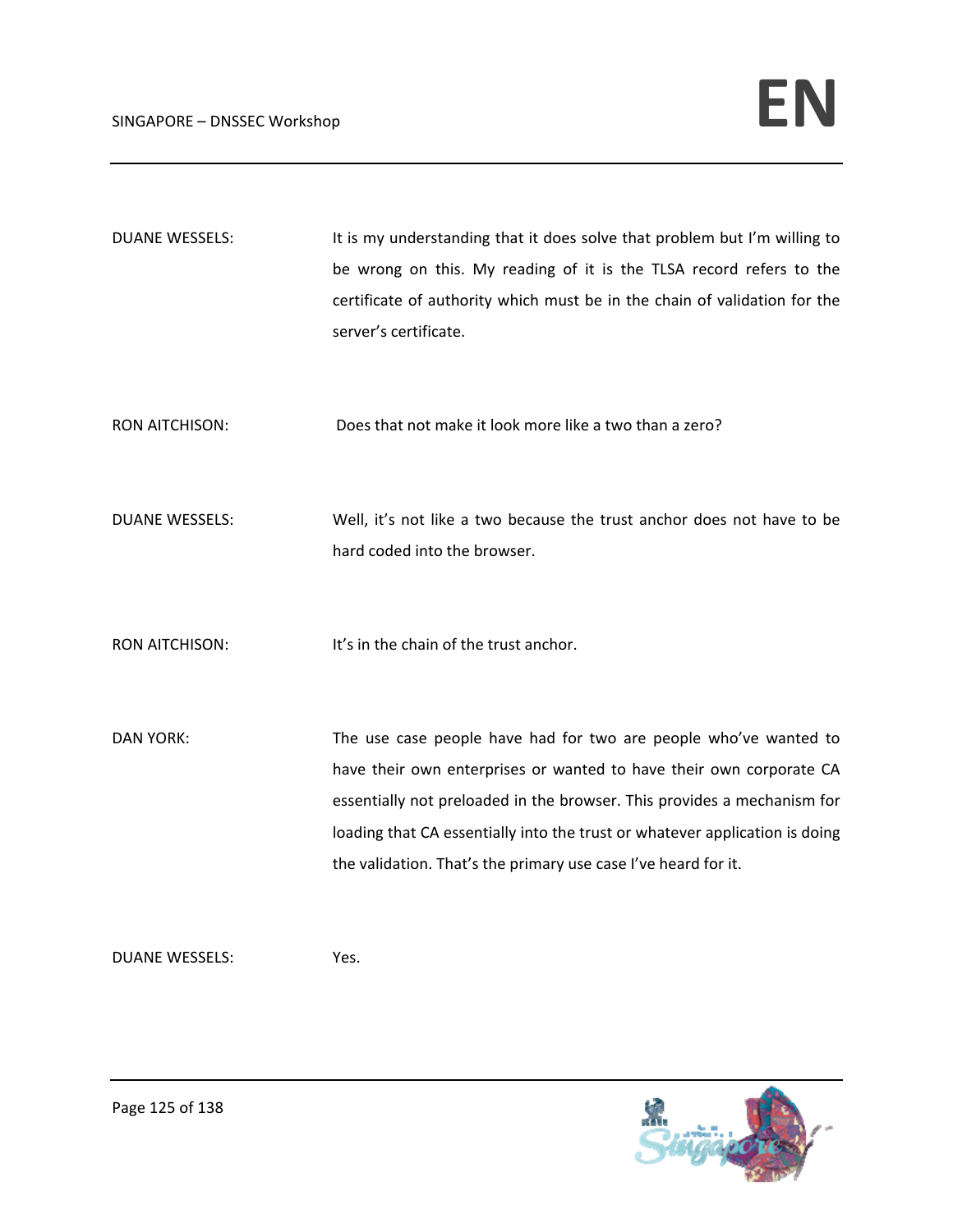| <b>DUANE WESSELS:</b> | It is my understanding that it does solve that problem but I'm willing to<br>be wrong on this. My reading of it is the TLSA record refers to the<br>certificate of authority which must be in the chain of validation for the<br>server's certificate.                                                                                                              |
|-----------------------|---------------------------------------------------------------------------------------------------------------------------------------------------------------------------------------------------------------------------------------------------------------------------------------------------------------------------------------------------------------------|
| <b>RON AITCHISON:</b> | Does that not make it look more like a two than a zero?                                                                                                                                                                                                                                                                                                             |
| <b>DUANE WESSELS:</b> | Well, it's not like a two because the trust anchor does not have to be<br>hard coded into the browser.                                                                                                                                                                                                                                                              |
| <b>RON AITCHISON:</b> | It's in the chain of the trust anchor.                                                                                                                                                                                                                                                                                                                              |
| <b>DAN YORK:</b>      | The use case people have had for two are people who've wanted to<br>have their own enterprises or wanted to have their own corporate CA<br>essentially not preloaded in the browser. This provides a mechanism for<br>loading that CA essentially into the trust or whatever application is doing<br>the validation. That's the primary use case I've heard for it. |

DUANE WESSELS: Yes.

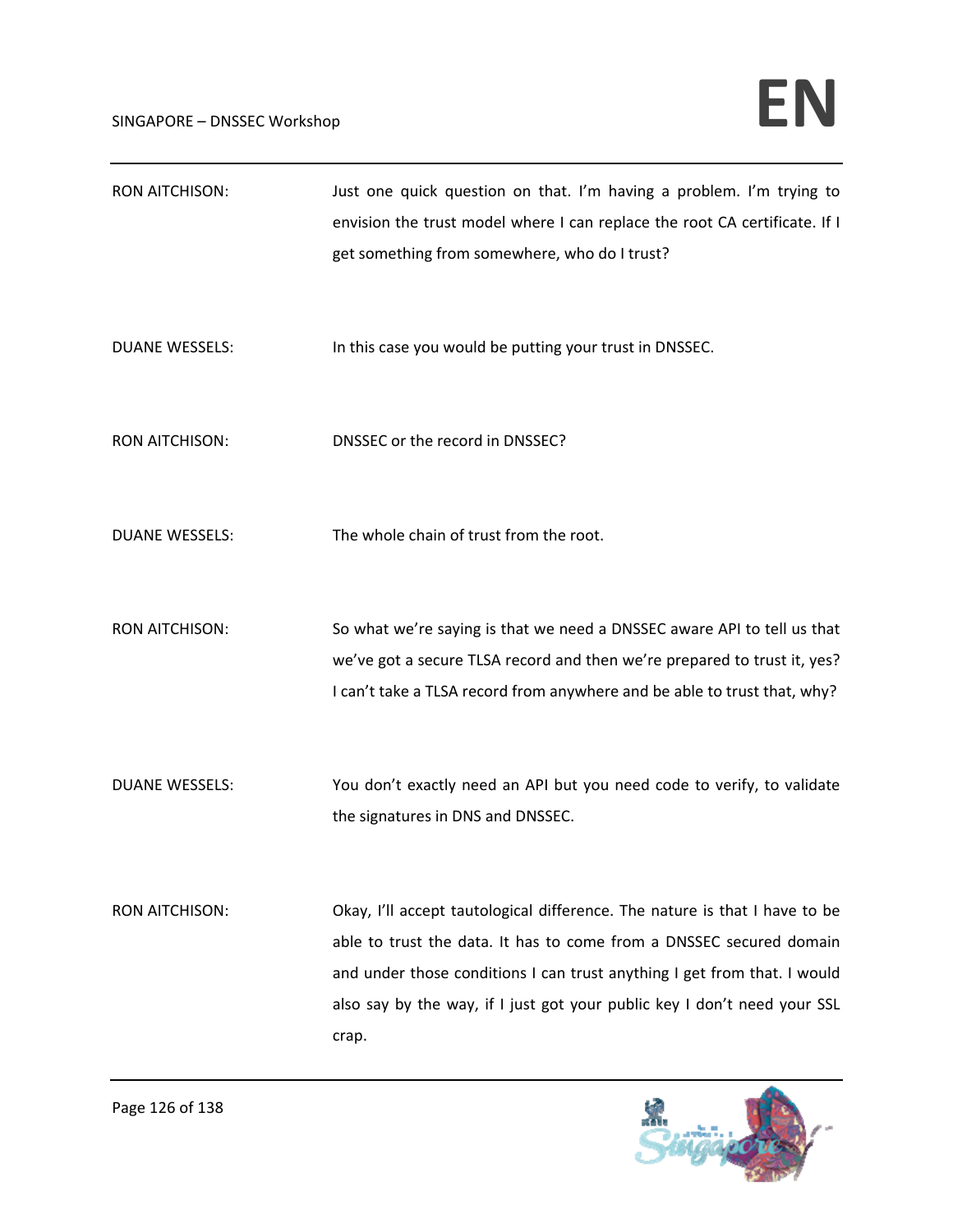## $SINGAPORE - DNSSEC. Workshop$

| <b>RON AITCHISON:</b> | Just one quick question on that. I'm having a problem. I'm trying to<br>envision the trust model where I can replace the root CA certificate. If I<br>get something from somewhere, who do I trust?                                                                                                                |
|-----------------------|--------------------------------------------------------------------------------------------------------------------------------------------------------------------------------------------------------------------------------------------------------------------------------------------------------------------|
| <b>DUANE WESSELS:</b> | In this case you would be putting your trust in DNSSEC.                                                                                                                                                                                                                                                            |
| <b>RON AITCHISON:</b> | DNSSEC or the record in DNSSEC?                                                                                                                                                                                                                                                                                    |
| <b>DUANE WESSELS:</b> | The whole chain of trust from the root.                                                                                                                                                                                                                                                                            |
| <b>RON AITCHISON:</b> | So what we're saying is that we need a DNSSEC aware API to tell us that<br>we've got a secure TLSA record and then we're prepared to trust it, yes?<br>I can't take a TLSA record from anywhere and be able to trust that, why?                                                                                    |
| <b>DUANE WESSELS:</b> | You don't exactly need an API but you need code to verify, to validate<br>the signatures in DNS and DNSSEC.                                                                                                                                                                                                        |
| <b>RON AITCHISON:</b> | Okay, I'll accept tautological difference. The nature is that I have to be<br>able to trust the data. It has to come from a DNSSEC secured domain<br>and under those conditions I can trust anything I get from that. I would<br>also say by the way, if I just got your public key I don't need your SSL<br>crap. |

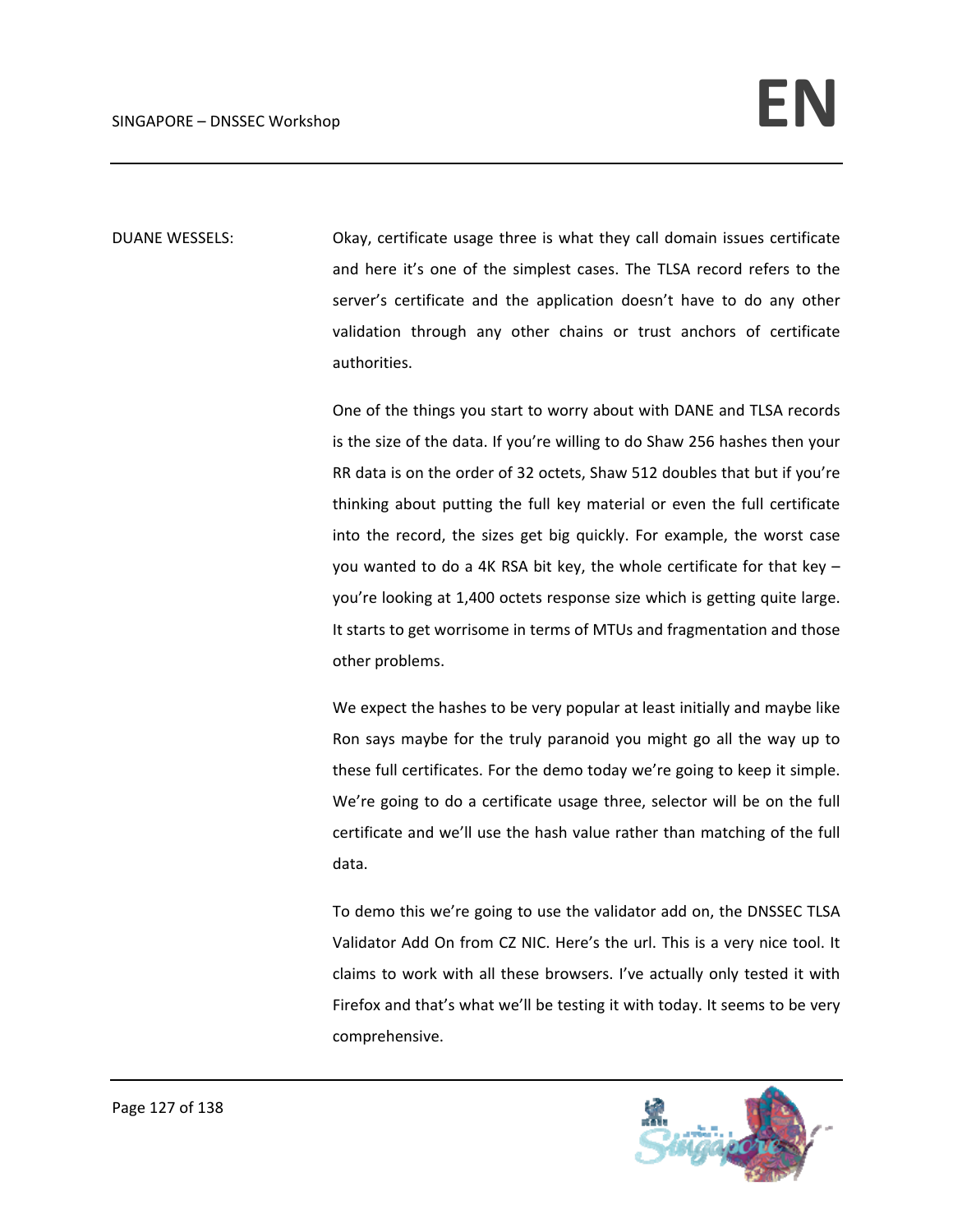DUANE WESSELS: Okay, certificate usage three is what they call domain issues certificate and here it's one of the simplest cases. The TLSA record refers to the server's certificate and the application doesn't have to do any other validation through any other chains or trust anchors of certificate authorities.

> One of the things you start to worry about with DANE and TLSA records is the size of the data. If you're willing to do Shaw 256 hashes then your RR data is on the order of 32 octets, Shaw 512 doubles that but if you're thinking about putting the full key material or even the full certificate into the record, the sizes get big quickly. For example, the worst case you wanted to do a 4K RSA bit key, the whole certificate for that key – you're looking at 1,400 octets response size which is getting quite large. It starts to get worrisome in terms of MTUs and fragmentation and those other problems.

> We expect the hashes to be very popular at least initially and maybe like Ron says maybe for the truly paranoid you might go all the way up to these full certificates. For the demo today we're going to keep it simple. We're going to do a certificate usage three, selector will be on the full certificate and we'll use the hash value rather than matching of the full data.

> To demo this we're going to use the validator add on, the DNSSEC TLSA Validator Add On from CZ NIC. Here's the url. This is a very nice tool. It claims to work with all these browsers. I've actually only tested it with Firefox and that's what we'll be testing it with today. It seems to be very comprehensive.

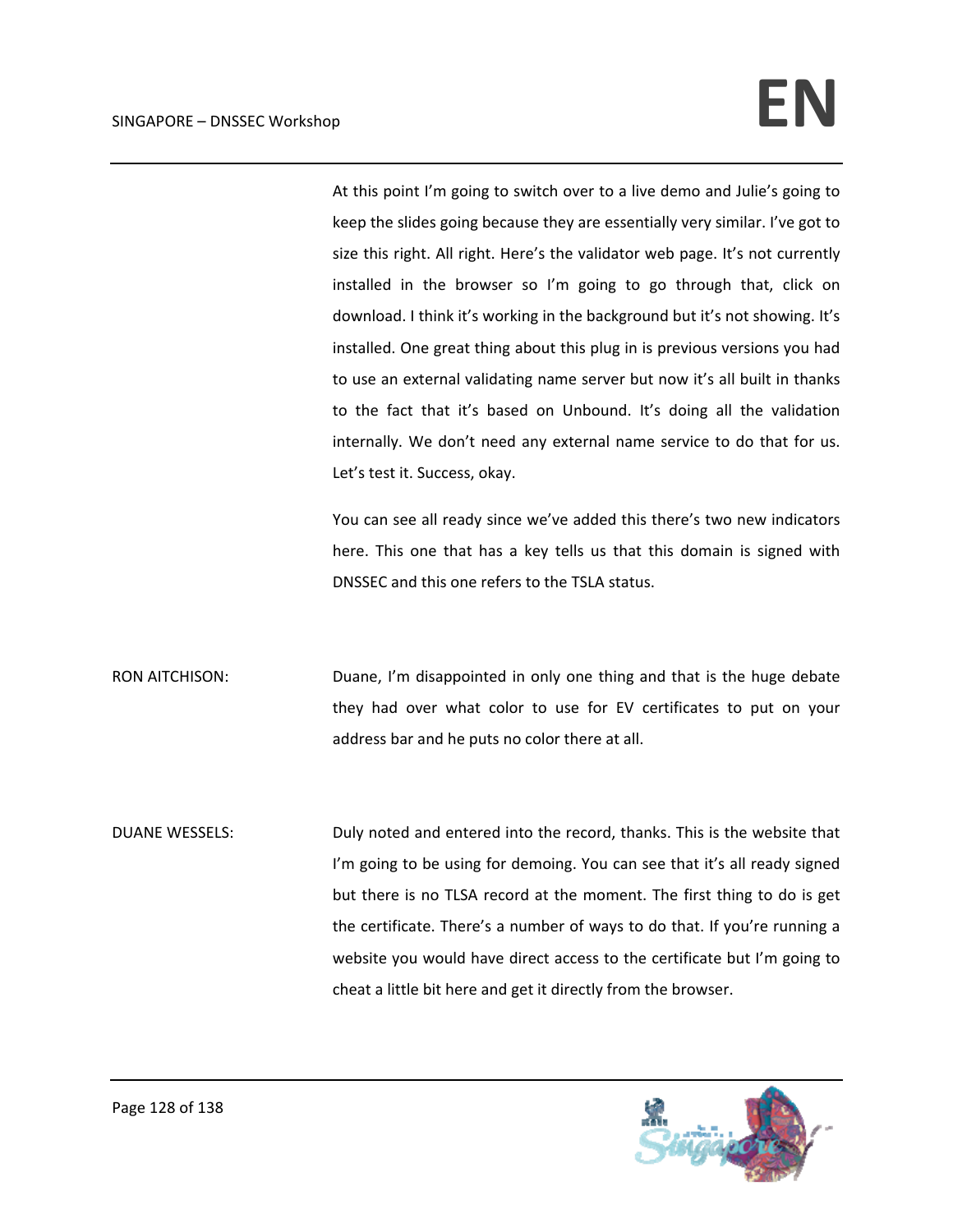At this point I'm going to switch over to a live demo and Julie's going to keep the slides going because they are essentially very similar. I've got to size this right. All right. Here's the validator web page. It's not currently installed in the browser so I'm going to go through that, click on download. I think it's working in the background but it's not showing. It's installed. One great thing about this plug in is previous versions you had to use an external validating name server but now it's all built in thanks to the fact that it's based on Unbound. It's doing all the validation internally. We don't need any external name service to do that for us. Let's test it. Success, okay.

You can see all ready since we've added this there's two new indicators here. This one that has a key tells us that this domain is signed with DNSSEC and this one refers to the TSLA status.

RON AITCHISON: Duane, I'm disappointed in only one thing and that is the huge debate they had over what color to use for EV certificates to put on your address bar and he puts no color there at all.

DUANE WESSELS: Duly noted and entered into the record, thanks. This is the website that I'm going to be using for demoing. You can see that it's all ready signed but there is no TLSA record at the moment. The first thing to do is get the certificate. There's a number of ways to do that. If you're running a website you would have direct access to the certificate but I'm going to cheat a little bit here and get it directly from the browser.

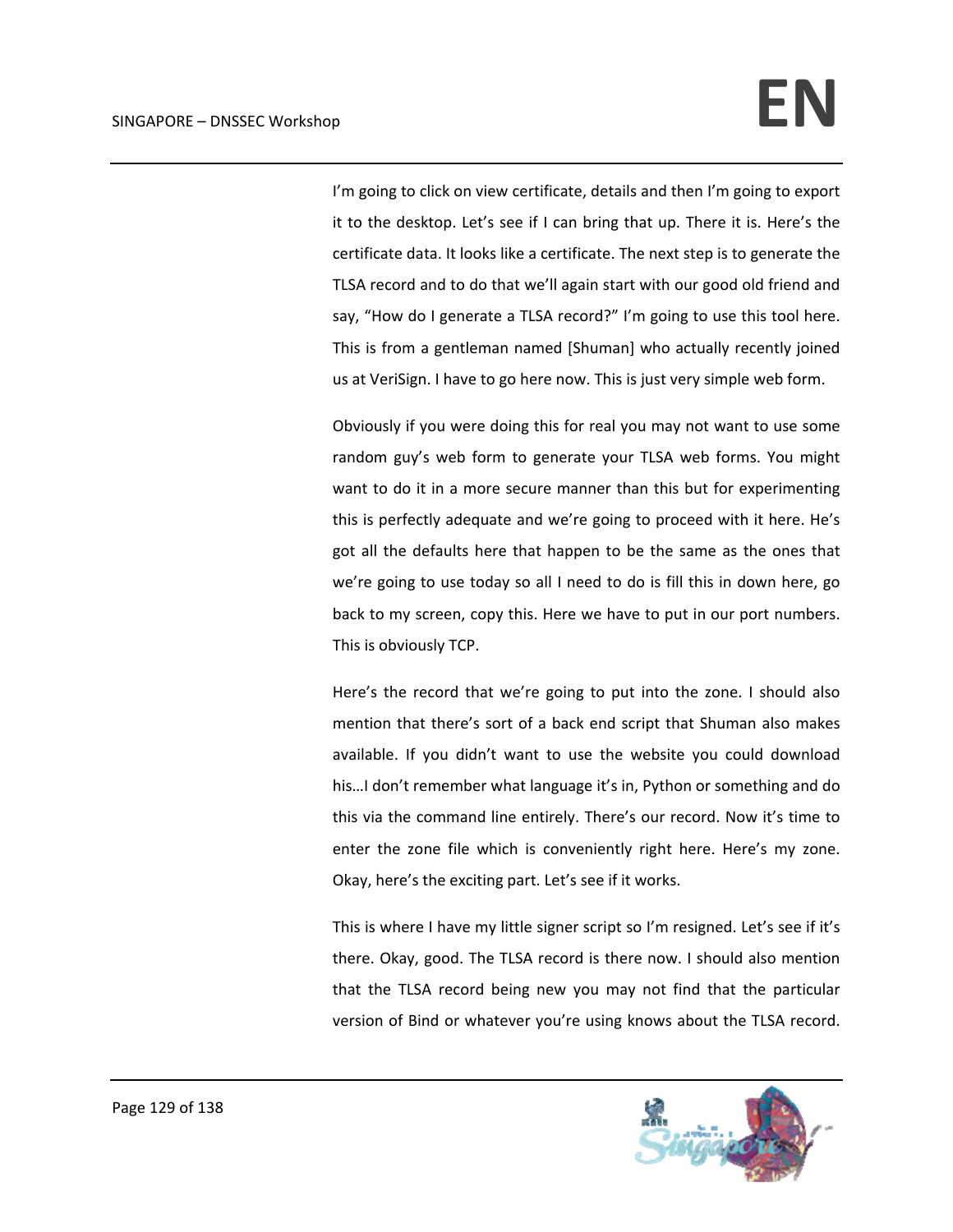I'm going to click on view certificate, details and then I'm going to export it to the desktop. Let's see if I can bring that up. There it is. Here's the certificate data. It looks like a certificate. The next step is to generate the TLSA record and to do that we'll again start with our good old friend and say, "How do I generate a TLSA record?" I'm going to use this tool here. This is from a gentleman named [Shuman] who actually recently joined us at VeriSign. I have to go here now. This is just very simple web form.

Obviously if you were doing this for real you may not want to use some random guy's web form to generate your TLSA web forms. You might want to do it in a more secure manner than this but for experimenting this is perfectly adequate and we're going to proceed with it here. He's got all the defaults here that happen to be the same as the ones that we're going to use today so all I need to do is fill this in down here, go back to my screen, copy this. Here we have to put in our port numbers. This is obviously TCP.

Here's the record that we're going to put into the zone. I should also mention that there's sort of a back end script that Shuman also makes available. If you didn't want to use the website you could download his...I don't remember what language it's in, Python or something and do this via the command line entirely. There's our record. Now it's time to enter the zone file which is conveniently right here. Here's my zone. Okay, here's the exciting part. Let's see if it works.

This is where I have my little signer script so I'm resigned. Let's see if it's there. Okay, good. The TLSA record is there now. I should also mention that the TLSA record being new you may not find that the particular version of Bind or whatever you're using knows about the TLSA record.

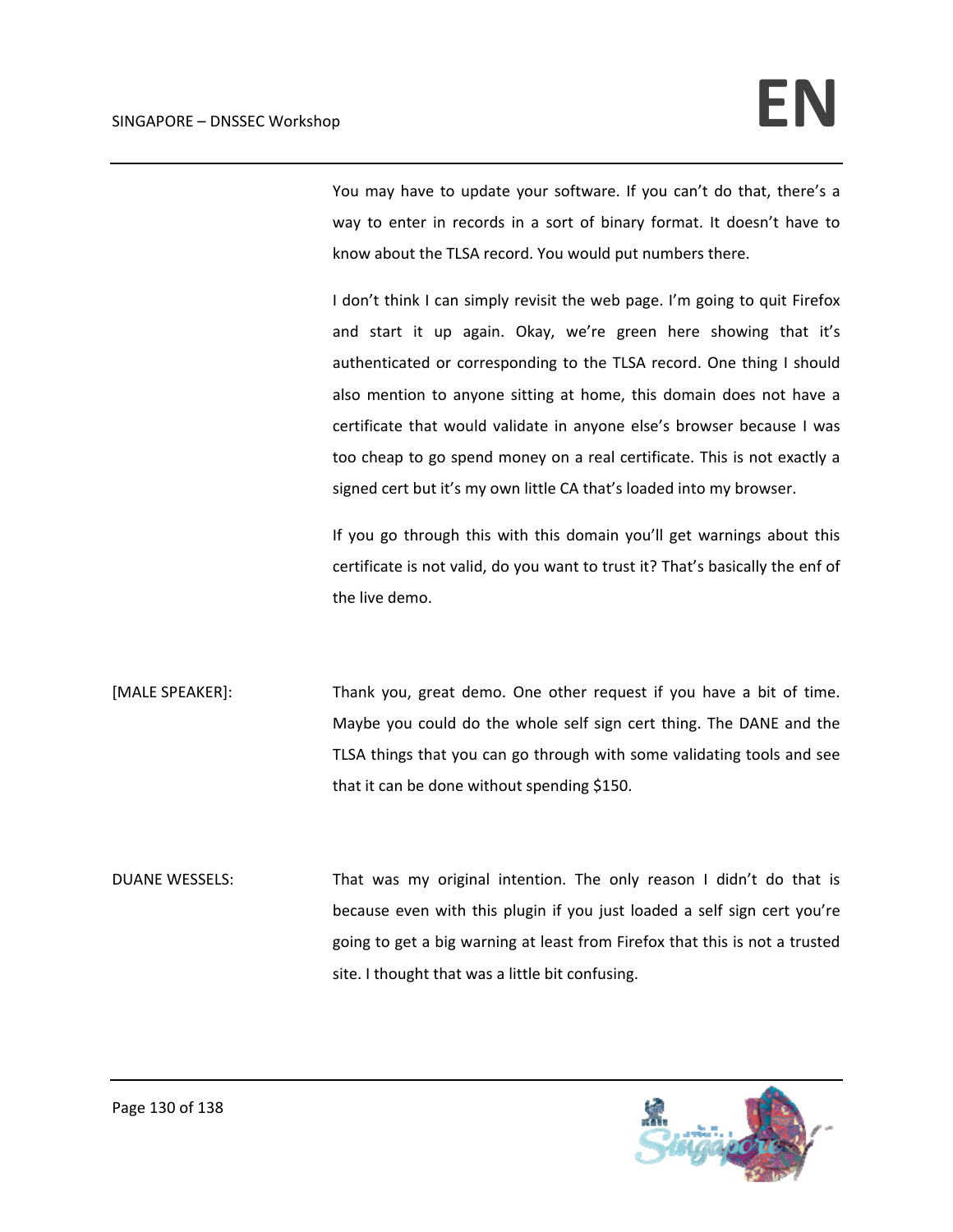You may have to update your software. If you can't do that, there's a way to enter in records in a sort of binary format. It doesn't have to know about the TLSA record. You would put numbers there.

I don't think I can simply revisit the web page. I'm going to quit Firefox and start it up again. Okay, we're green here showing that it's authenticated or corresponding to the TLSA record. One thing I should also mention to anyone sitting at home, this domain does not have a certificate that would validate in anyone else's browser because I was too cheap to go spend money on a real certificate. This is not exactly a signed cert but it's my own little CA that's loaded into my browser.

If you go through this with this domain you'll get warnings about this certificate is not valid, do you want to trust it? That's basically the enf of the live demo.

[MALE SPEAKER]: Thank you, great demo. One other request if you have a bit of time. Maybe you could do the whole self sign cert thing. The DANE and the TLSA things that you can go through with some validating tools and see that it can be done without spending \$150.

DUANE WESSELS: That was my original intention. The only reason I didn't do that is because even with this plugin if you just loaded a self sign cert you're going to get a big warning at least from Firefox that this is not a trusted site. I thought that was a little bit confusing.

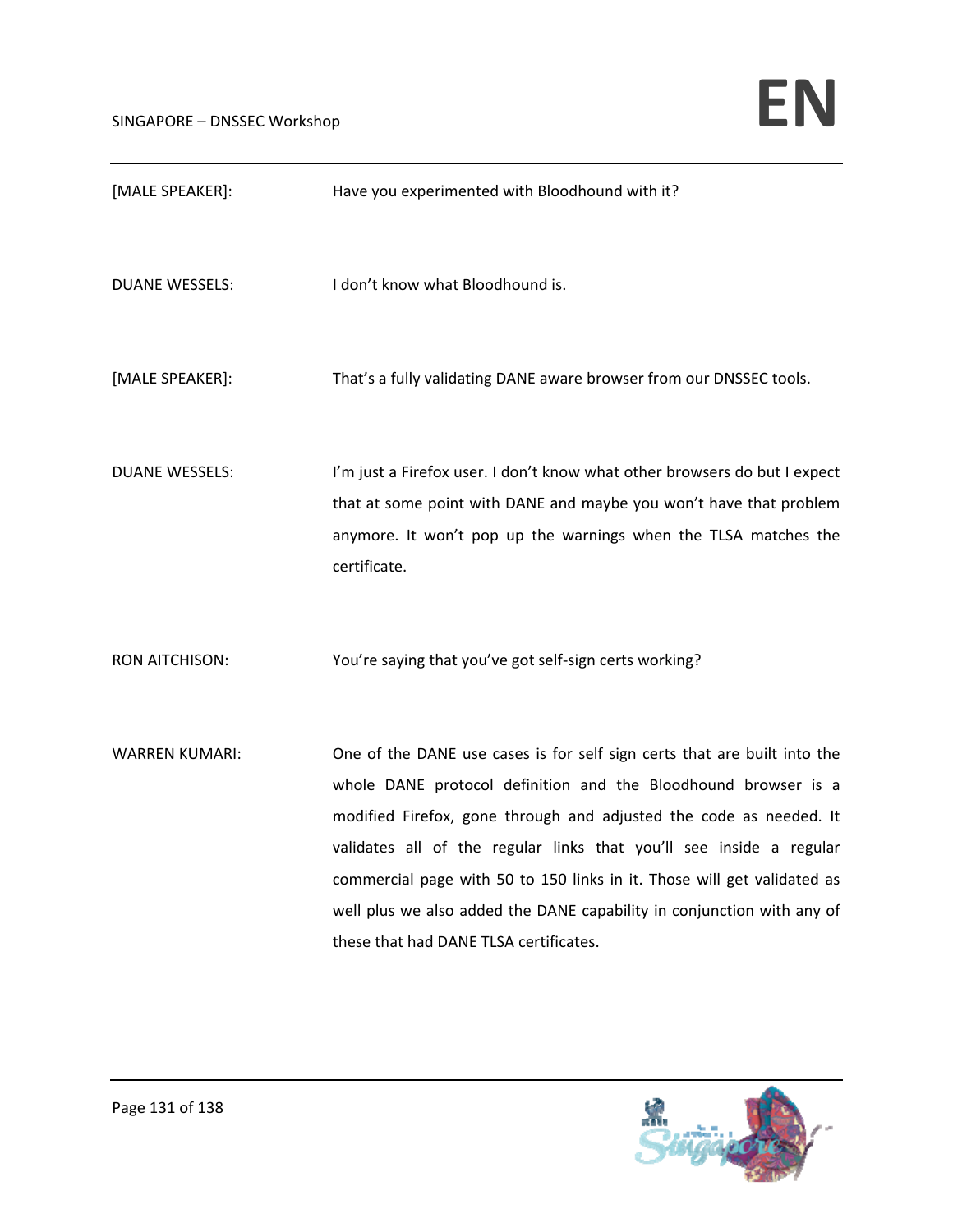| [MALE SPEAKER]:       | Have you experimented with Bloodhound with it?                                                                                                                                                                                                                                                                                                                                                                                                                                         |
|-----------------------|----------------------------------------------------------------------------------------------------------------------------------------------------------------------------------------------------------------------------------------------------------------------------------------------------------------------------------------------------------------------------------------------------------------------------------------------------------------------------------------|
| <b>DUANE WESSELS:</b> | I don't know what Bloodhound is.                                                                                                                                                                                                                                                                                                                                                                                                                                                       |
| [MALE SPEAKER]:       | That's a fully validating DANE aware browser from our DNSSEC tools.                                                                                                                                                                                                                                                                                                                                                                                                                    |
| <b>DUANE WESSELS:</b> | I'm just a Firefox user. I don't know what other browsers do but I expect<br>that at some point with DANE and maybe you won't have that problem<br>anymore. It won't pop up the warnings when the TLSA matches the<br>certificate.                                                                                                                                                                                                                                                     |
| <b>RON AITCHISON:</b> | You're saying that you've got self-sign certs working?                                                                                                                                                                                                                                                                                                                                                                                                                                 |
| <b>WARREN KUMARI:</b> | One of the DANE use cases is for self sign certs that are built into the<br>whole DANE protocol definition and the Bloodhound browser is a<br>modified Firefox, gone through and adjusted the code as needed. It<br>validates all of the regular links that you'll see inside a regular<br>commercial page with 50 to 150 links in it. Those will get validated as<br>well plus we also added the DANE capability in conjunction with any of<br>these that had DANE TLSA certificates. |

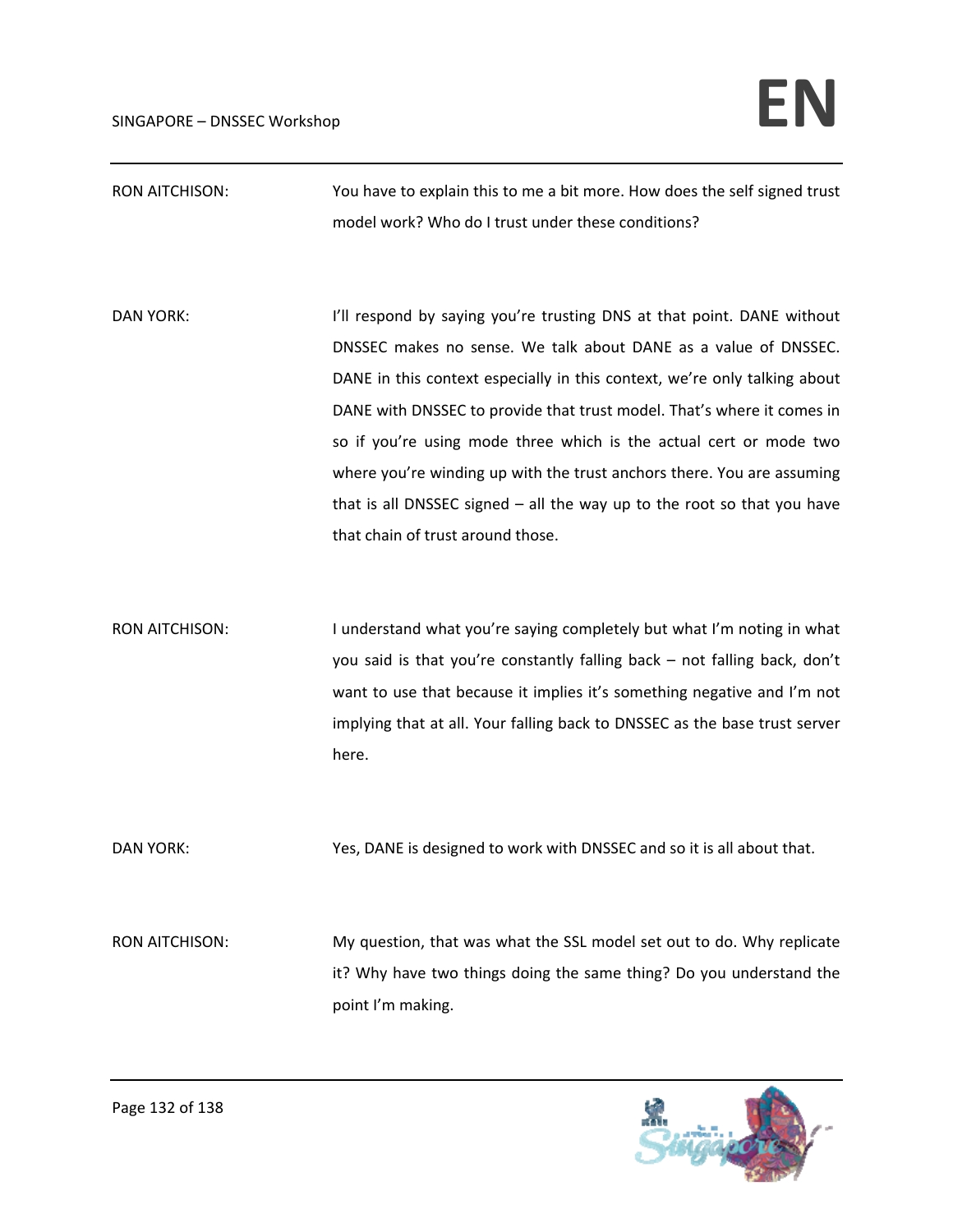RON AITCHISON: You have to explain this to me a bit more. How does the self signed trust model work? Who do I trust under these conditions?

DAN YORK: In the spond by saying you're trusting DNS at that point. DANE without DNSSEC makes no sense. We talk about DANE as a value of DNSSEC. DANE in this context especially in this context, we're only talking about DANE with DNSSEC to provide that trust model. That's where it comes in so if you're using mode three which is the actual cert or mode two where you're winding up with the trust anchors there. You are assuming that is all DNSSEC signed – all the way up to the root so that you have that chain of trust around those.

RON AITCHISON: I understand what you're saying completely but what I'm noting in what you said is that you're constantly falling back – not falling back, don't want to use that because it implies it's something negative and I'm not implying that at all. Your falling back to DNSSEC as the base trust server here.

DAN YORK: Yes, DANE is designed to work with DNSSEC and so it is all about that.

RON AITCHISON: My question, that was what the SSL model set out to do. Why replicate it? Why have two things doing the same thing? Do you understand the point I'm making.

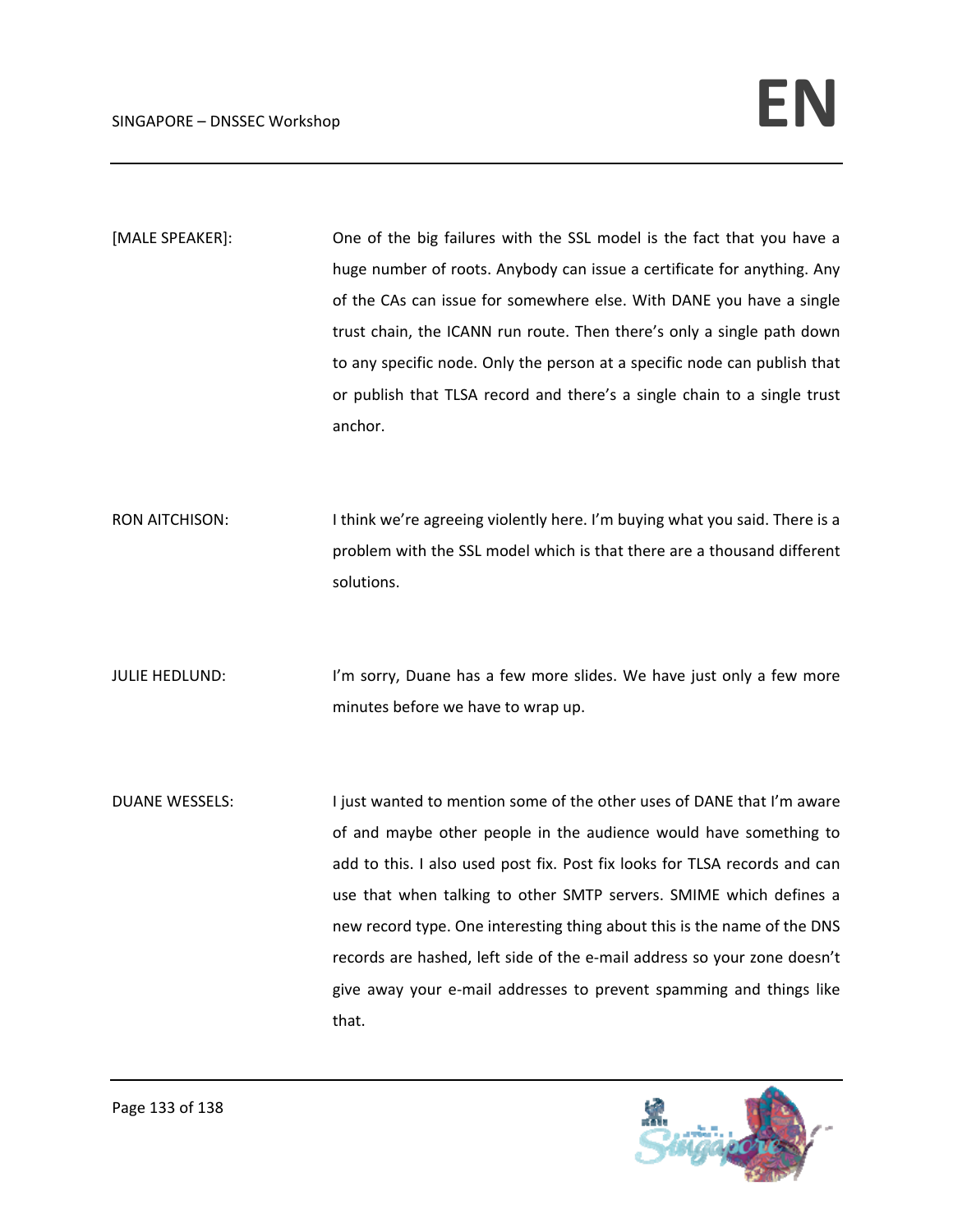[MALE SPEAKER]: One of the big failures with the SSL model is the fact that you have a huge number of roots. Anybody can issue a certificate for anything. Any of the CAs can issue for somewhere else. With DANE you have a single trust chain, the ICANN run route. Then there's only a single path down to any specific node. Only the person at a specific node can publish that or publish that TLSA record and there's a single chain to a single trust anchor.

RON AITCHISON: Ithink we're agreeing violently here. I'm buying what you said. There is a problem with the SSL model which is that there are a thousand different solutions.

JULIE HEDLUND: I'm sorry, Duane has a few more slides. We have just only a few more minutes before we have to wrap up.

DUANE WESSELS: I just wanted to mention some of the other uses of DANE that I'm aware of and maybe other people in the audience would have something to add to this. I also used post fix. Post fix looks for TLSA records and can use that when talking to other SMTP servers. SMIME which defines a new record type. One interesting thing about this is the name of the DNS records are hashed, left side of the e‐mail address so your zone doesn't give away your e‐mail addresses to prevent spamming and things like that.

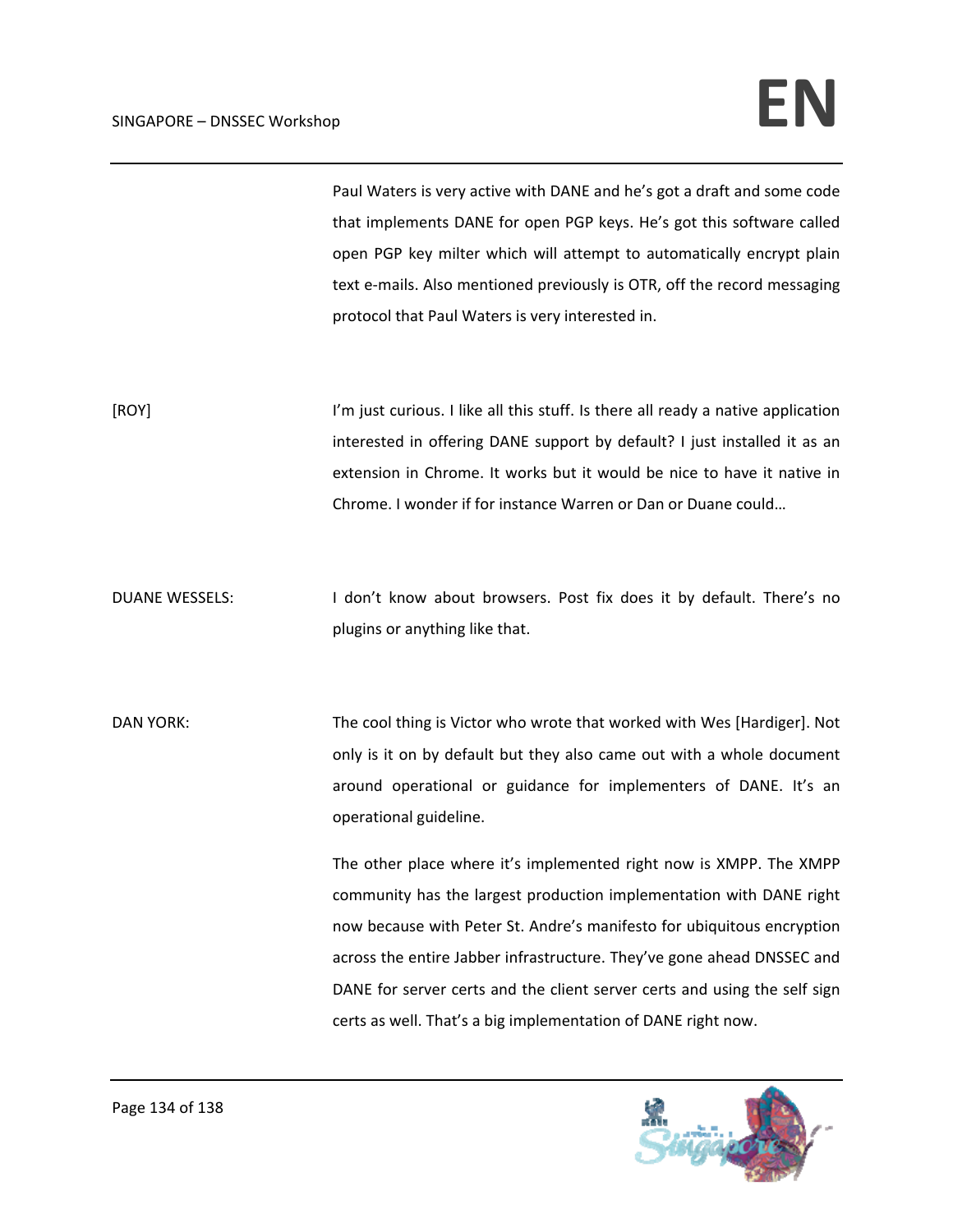Paul Waters is very active with DANE and he's got a draft and some code that implements DANE for open PGP keys. He's got this software called open PGP key milter which will attempt to automatically encrypt plain text e-mails. Also mentioned previously is OTR, off the record messaging protocol that Paul Waters is very interested in.

[ROY] I'm just curious. I like all this stuff. Is there all ready a native application interested in offering DANE support by default? I just installed it as an extension in Chrome. It works but it would be nice to have it native in Chrome. I wonder if for instance Warren or Dan or Duane could…

DUANE WESSELS: I don't know about browsers. Post fix does it by default. There's no plugins or anything like that.

DAN YORK: The cool thing is Victor who wrote that worked with Wes [Hardiger]. Not only is it on by default but they also came out with a whole document around operational or guidance for implementers of DANE. It's an operational guideline.

> The other place where it's implemented right now is XMPP. The XMPP community has the largest production implementation with DANE right now because with Peter St. Andre's manifesto for ubiquitous encryption across the entire Jabber infrastructure. They've gone ahead DNSSEC and DANE for server certs and the client server certs and using the self sign certs as well. That's a big implementation of DANE right now.

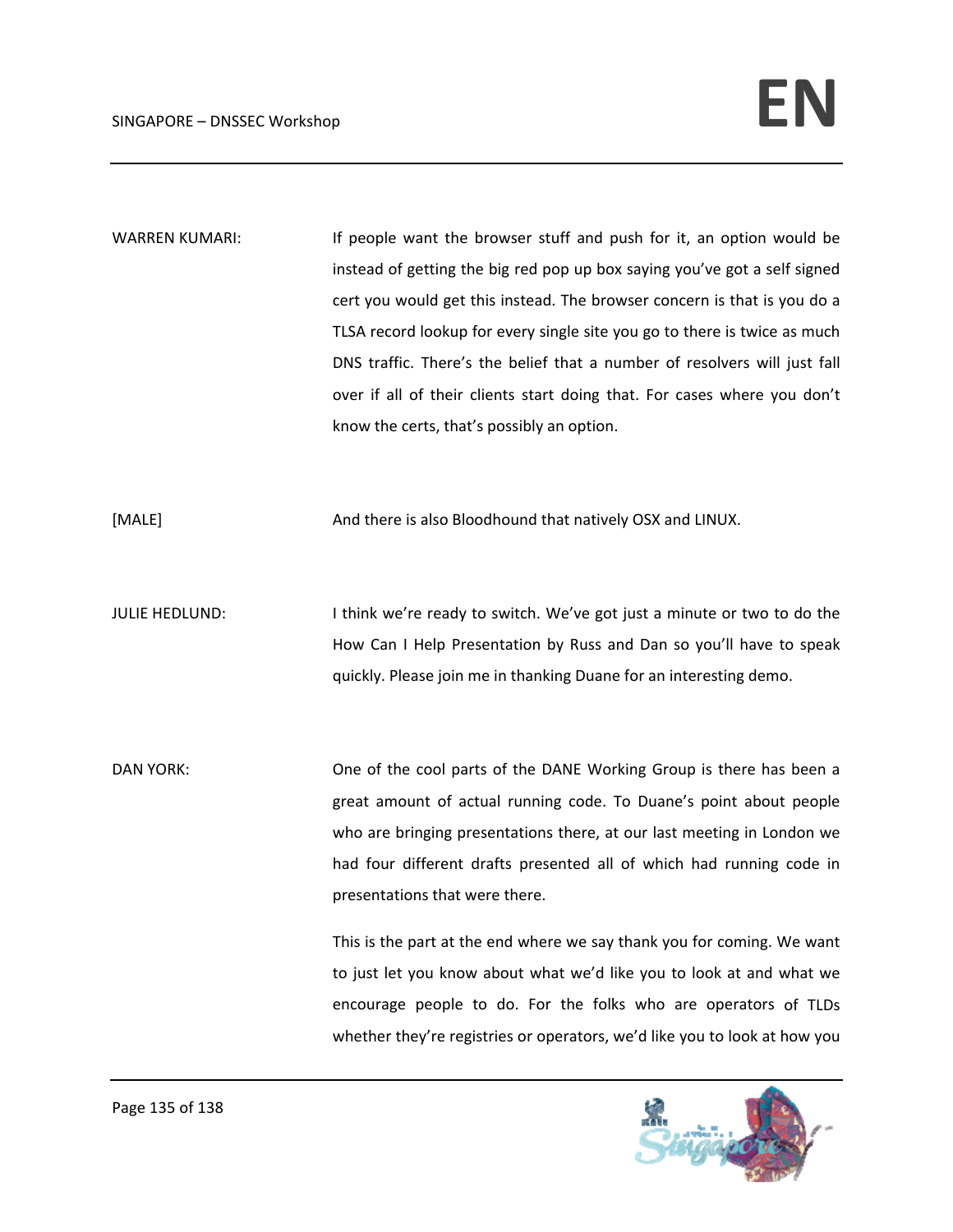WARREN KUMARI: If people want the browser stuff and push for it, an option would be instead of getting the big red pop up box saying you've got a self signed cert you would get this instead. The browser concern is that is you do a TLSA record lookup for every single site you go to there is twice as much DNS traffic. There's the belief that a number of resolvers will just fall over if all of their clients start doing that. For cases where you don't know the certs, that's possibly an option.

[MALE] **And there is also Bloodhound that natively OSX and LINUX.** 

JULIE HEDLUND: I think we're ready to switch. We've got just a minute or two to do the How Can I Help Presentation by Russ and Dan so you'll have to speak quickly. Please join me in thanking Duane for an interesting demo.

DAN YORK: One of the cool parts of the DANE Working Group is there has been a great amount of actual running code. To Duane's point about people who are bringing presentations there, at our last meeting in London we had four different drafts presented all of which had running code in presentations that were there.

> This is the part at the end where we say thank you for coming. We want to just let you know about what we'd like you to look at and what we encourage people to do. For the folks who are operators of TLDs whether they're registries or operators, we'd like you to look at how you

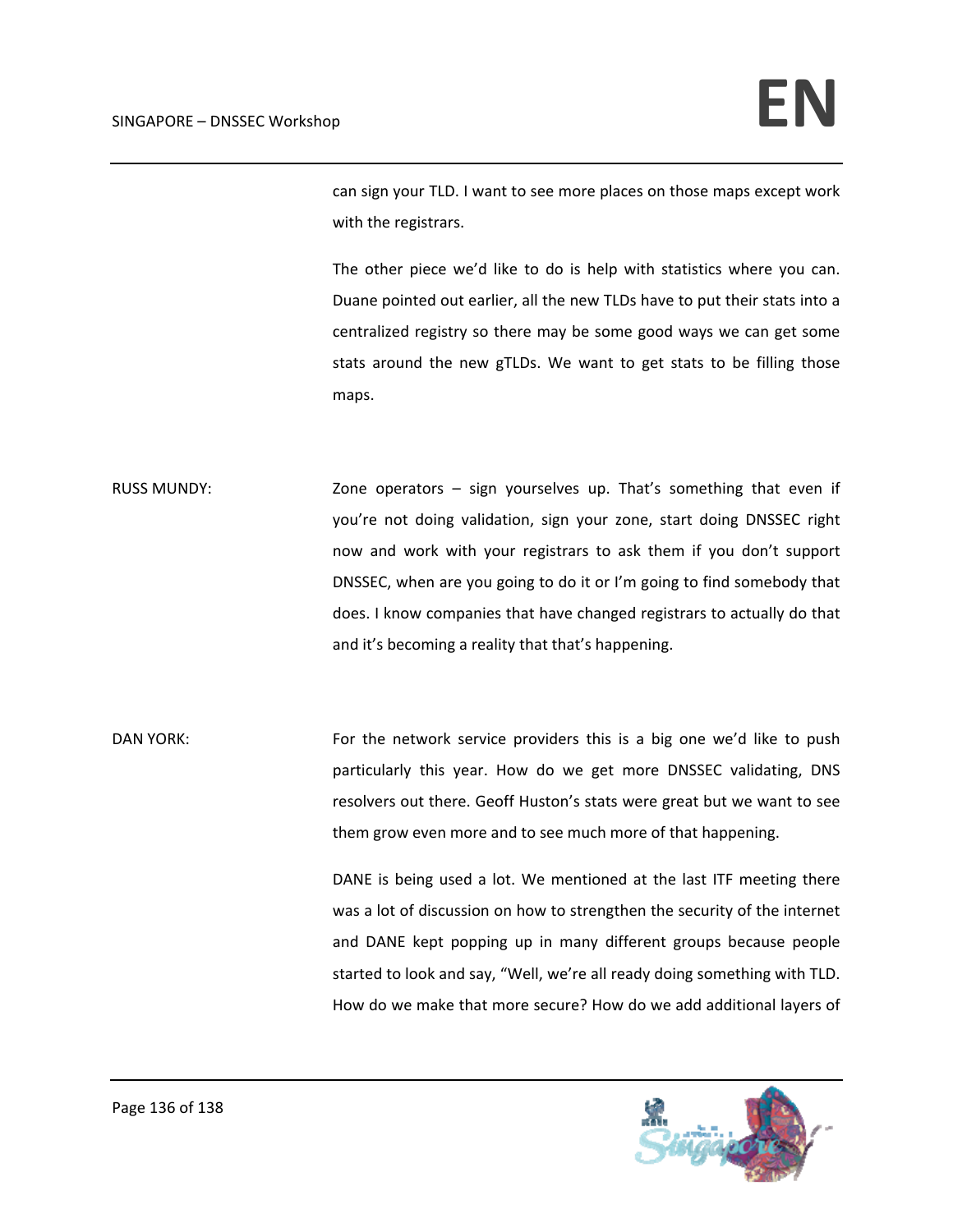can sign your TLD. I want to see more places on those maps except work with the registrars.

The other piece we'd like to do is help with statistics where you can. Duane pointed out earlier, all the new TLDs have to put their stats into a centralized registry so there may be some good ways we can get some stats around the new gTLDs. We want to get stats to be filling those maps.

RUSS MUNDY: Zone operators – sign yourselves up. That's something that even if you're not doing validation, sign your zone, start doing DNSSEC right now and work with your registrars to ask them if you don't support DNSSEC, when are you going to do it or I'm going to find somebody that does. I know companies that have changed registrars to actually do that and it's becoming a reality that that's happening.

DAN YORK: For the network service providers this is a big one we'd like to push particularly this year. How do we get more DNSSEC validating, DNS resolvers out there. Geoff Huston's stats were great but we want to see them grow even more and to see much more of that happening.

> DANE is being used a lot. We mentioned at the last ITF meeting there was a lot of discussion on how to strengthen the security of the internet and DANE kept popping up in many different groups because people started to look and say, "Well, we're all ready doing something with TLD. How do we make that more secure? How do we add additional layers of

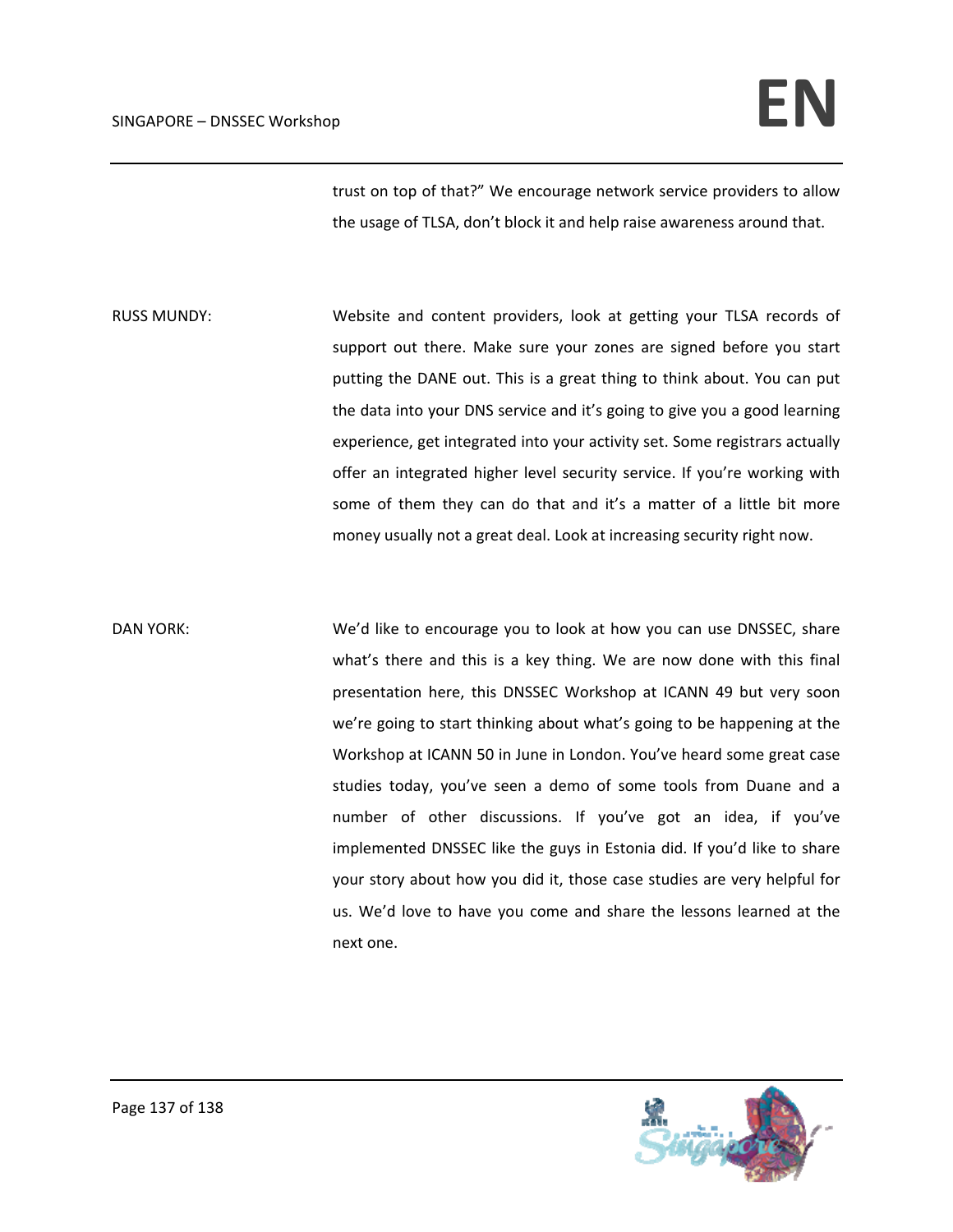trust on top of that?" We encourage network service providers to allow the usage of TLSA, don't block it and help raise awareness around that.

RUSS MUNDY: Website and content providers, look at getting your TLSA records of support out there. Make sure your zones are signed before you start putting the DANE out. This is a great thing to think about. You can put the data into your DNS service and it's going to give you a good learning experience, get integrated into your activity set. Some registrars actually offer an integrated higher level security service. If you're working with some of them they can do that and it's a matter of a little bit more money usually not a great deal. Look at increasing security right now.

DAN YORK: We'd like to encourage you to look at how you can use DNSSEC, share what's there and this is a key thing. We are now done with this final presentation here, this DNSSEC Workshop at ICANN 49 but very soon we're going to start thinking about what's going to be happening at the Workshop at ICANN 50 in June in London. You've heard some great case studies today, you've seen a demo of some tools from Duane and a number of other discussions. If you've got an idea, if you've implemented DNSSEC like the guys in Estonia did. If you'd like to share your story about how you did it, those case studies are very helpful for us. We'd love to have you come and share the lessons learned at the next one.